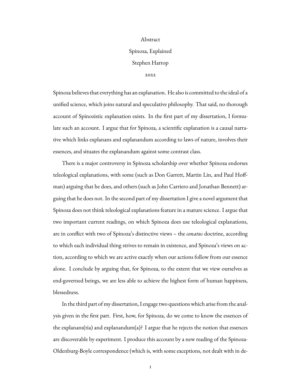## Abstract Spinoza, Explained Stephen Harrop

#### 2022

Spinoza believes that everything has an explanation. He also is committed to the ideal of a unified science, which joins natural and speculative philosophy. That said, no thorough account of Spinozistic explanation exists. In the first part of my dissertation, I formulate such an account. I argue that for Spinoza, a scientific explanation is a causal narrative which links explanans and explanandum according to laws of nature, involves their essences, and situates the explanandum against some contrast class.

There is a major controversy in Spinoza scholarship over whether Spinoza endorses teleological explanations, with some (such as Don Garrett, Martin Lin, and Paul Hoffman) arguing that he does, and others (such as John Carriero and Jonathan Bennett) arguing that he does not. In the second part of my dissertation I give a novel argument that Spinoza does not think teleological explanations feature in a mature science. I argue that two important current readings, on which Spinoza does use teleological explanations, are in conflict with two of Spinoza's distinctive views – the *conatus* doctrine, according to which each individual thing strives to remain in existence, and Spinoza's views on action, according to which we are active exactly when our actions follow from our essence alone. I conclude by arguing that, for Spinoza, to the extent that we view ourselves as end-governed beings, we are less able to achieve the highest form of human happiness, blessedness.

In the third part of my dissertation, I engage two questions which arise from the analysis given in the first part. First, how, for Spinoza, do we come to know the essences of the explanans(tia) and explanandum(a)? I argue that he rejects the notion that essences are discoverable by experiment. I produce this account by a new reading of the Spinoza-Oldenburg-Boyle correspondence (which is, with some exceptions, not dealt with in de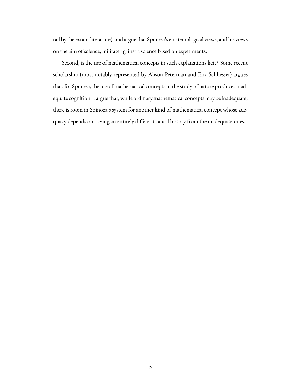tail by the extant literature), and argue that Spinoza's epistemological views, and his views on the aim of science, militate against a science based on experiments.

Second, is the use of mathematical concepts in such explanations licit? Some recent scholarship (most notably represented by Alison Peterman and Eric Schliesser) argues that, for Spinoza, the use of mathematical concepts in the study of nature produces inadequate cognition. I argue that, while ordinary mathematical concepts may be inadequate, there is room in Spinoza's system for another kind of mathematical concept whose adequacy depends on having an entirely different causal history from the inadequate ones.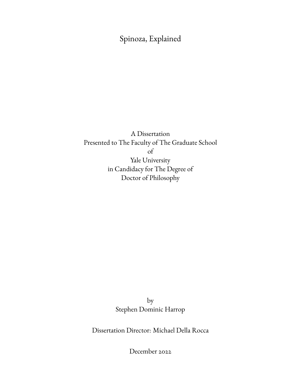Spinoza, Explained

A Dissertation Presented to The Faculty of The Graduate School of Yale University in Candidacy for The Degree of Doctor of Philosophy

> by Stephen Dominic Harrop

Dissertation Director: Michael Della Rocca

December 2022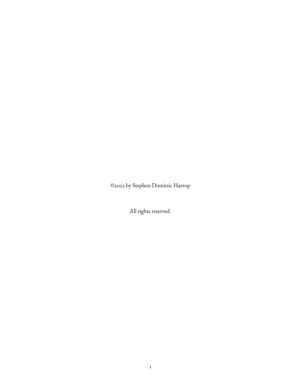©2023 by Stephen Dominic Harrop

All rights reserved.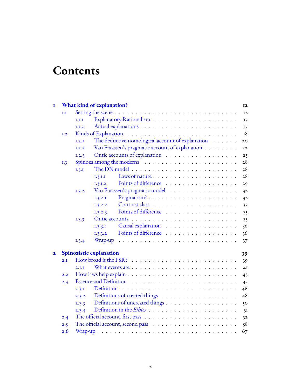# **Contents**

| Ī                       |     |       | <b>What kind of explanation?</b>                                                         | I2 |
|-------------------------|-----|-------|------------------------------------------------------------------------------------------|----|
|                         | 1.1 |       |                                                                                          | 12 |
|                         |     | I.I.I |                                                                                          | 13 |
|                         |     | I.I.2 |                                                                                          | I7 |
|                         | 1.2 |       |                                                                                          | 18 |
|                         |     | I.2.I | The deductive-nomological account of explanation                                         | 20 |
|                         |     | 1.2.2 | Van Fraassen's pragmatic account of explanation                                          | 22 |
|                         |     | 1.2.3 | Ontic accounts of explanation                                                            | 25 |
|                         | 1.3 |       |                                                                                          | 28 |
|                         |     | I.3.I |                                                                                          | 28 |
|                         |     |       | Laws of nature<br>I.3.I.I                                                                | 28 |
|                         |     |       | Points of difference<br>1, 3, 1, 2                                                       | 29 |
|                         |     | 1.3.2 | Van Fraassen's pragmatic model                                                           | 32 |
|                         |     |       | Pragmatism?<br>1.3.2.1                                                                   | 32 |
|                         |     |       | 1,3,2,2                                                                                  | 33 |
|                         |     |       | Points of difference<br>1, 3, 2, 3                                                       | 35 |
|                         |     | 1.3.3 |                                                                                          | 35 |
|                         |     |       | Causal explanation<br>1.3.3.1                                                            | 36 |
|                         |     |       | Points of difference<br>1,3,3,2                                                          | 36 |
|                         |     | 1.3.4 | Wrap-up                                                                                  | 37 |
| $\overline{\mathbf{2}}$ |     |       | Spinozistic explanation                                                                  | 39 |
|                         | 2.1 |       |                                                                                          | 39 |
|                         |     | 2.1.1 | What events are $\dots \dots \dots \dots \dots \dots \dots \dots \dots \dots$            | 4I |
|                         | 2.2 |       |                                                                                          | 43 |
|                         | 2.3 |       |                                                                                          | 45 |
|                         |     | 2.3.1 | Definition                                                                               | 46 |
|                         |     | 2.3.2 |                                                                                          | 48 |
|                         |     | 2.3.3 | Definitions of uncreated things                                                          | 50 |
|                         |     | 2.3.4 |                                                                                          | 5I |
|                         | 2.4 |       | The official account, first pass $\dots \dots \dots \dots \dots \dots \dots \dots \dots$ | 52 |
|                         | 2.5 |       |                                                                                          | 58 |
|                         | 2.6 |       |                                                                                          | 67 |
|                         |     |       |                                                                                          |    |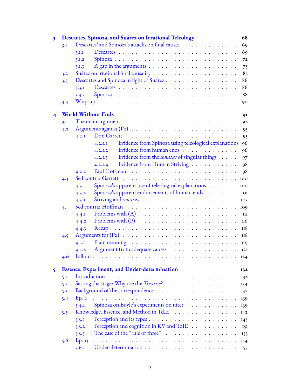| 3 |     | Descartes, Spinoza, and Suárez on Irrational Teleology                                                                                                                                                                                    | 68  |
|---|-----|-------------------------------------------------------------------------------------------------------------------------------------------------------------------------------------------------------------------------------------------|-----|
|   | 3.1 | Descartes' and Spinoza's attacks on final causes                                                                                                                                                                                          | 69  |
|   |     | 3.I.I                                                                                                                                                                                                                                     | 69  |
|   |     | Spinoza<br>3.1.2                                                                                                                                                                                                                          | 72  |
|   |     | A gap in the arguments $\ldots \ldots \ldots \ldots \ldots \ldots \ldots$<br>3.1.3                                                                                                                                                        | 75  |
|   | 3.2 |                                                                                                                                                                                                                                           | 83  |
|   | 3.3 | Descartes and Spinoza in light of Suárez                                                                                                                                                                                                  | 86  |
|   |     | 3.3.1                                                                                                                                                                                                                                     | 86  |
|   |     | 3.3.2                                                                                                                                                                                                                                     | 88  |
|   | 3.4 |                                                                                                                                                                                                                                           | 90  |
|   |     | <b>World Without Ends</b>                                                                                                                                                                                                                 | 91  |
|   | 4.I |                                                                                                                                                                                                                                           | 92  |
|   | 4.2 |                                                                                                                                                                                                                                           | 95  |
|   |     | Don Garrett<br>4.2.1                                                                                                                                                                                                                      | 95  |
|   |     | Evidence from Spinoza using teleological explanations<br>4.2.1.1                                                                                                                                                                          | 96  |
|   |     | Evidence from human ends<br>4.2.1.2                                                                                                                                                                                                       | 96  |
|   |     | Evidence from the <i>conatus</i> of singular things<br>4.2.1.3                                                                                                                                                                            | 97  |
|   |     | Evidence from Human Striving<br>4.2.1.4                                                                                                                                                                                                   | 98  |
|   |     | Paul Hoffman<br>4.2.2                                                                                                                                                                                                                     | 98  |
|   | 4.3 |                                                                                                                                                                                                                                           | 100 |
|   |     | Spinoza's apparent use of teleological explanations<br>4.3.1                                                                                                                                                                              | 100 |
|   |     | Spinoza's apparent endorsements of human ends<br>4.3.2                                                                                                                                                                                    | IOI |
|   |     | 4.3.3                                                                                                                                                                                                                                     | 103 |
|   | 4.4 |                                                                                                                                                                                                                                           | 109 |
|   |     | 4.4.1                                                                                                                                                                                                                                     | III |
|   |     | 4.4.2                                                                                                                                                                                                                                     | 116 |
|   |     | Recap<br>4.4.3                                                                                                                                                                                                                            | 118 |
|   | 4.5 |                                                                                                                                                                                                                                           | II8 |
|   |     | 4.5.1                                                                                                                                                                                                                                     | II9 |
|   |     | Argument from adequate causes<br>4.5.2                                                                                                                                                                                                    | 12I |
|   | 4.6 | Fallout.<br>. The contract of the contract of the contract of the contract of the contract of the contract of the contract of the contract of the contract of the contract of the contract of the contract of the contract of the contrac | 124 |
|   |     |                                                                                                                                                                                                                                           |     |
| 5 |     | <b>Essence, Experiment, and Under-determination</b><br>Introduction                                                                                                                                                                       | 132 |
|   | 5.1 | Setting the stage: Why use the <i>Treatise</i> ?                                                                                                                                                                                          | 132 |
|   | 5.2 |                                                                                                                                                                                                                                           | 134 |
|   | 5.3 |                                                                                                                                                                                                                                           | 137 |
|   | 5.4 | Ep. 6                                                                                                                                                                                                                                     | 139 |
|   |     | Spinoza on Boyle's experiments on niter<br>5.4.1                                                                                                                                                                                          | 139 |
|   | 5.5 | Knowledge, Essence, and Method in TdIE                                                                                                                                                                                                    | I42 |
|   |     | 5.5.1                                                                                                                                                                                                                                     | 145 |
|   |     | Perception and cognition in KV and TdIE<br>5.5.2                                                                                                                                                                                          | 151 |
|   |     | The case of the "rule of three"<br>5.5.3                                                                                                                                                                                                  | 153 |
|   | 5.6 | Ep. 13                                                                                                                                                                                                                                    | 154 |
|   |     | 5.6.1                                                                                                                                                                                                                                     |     |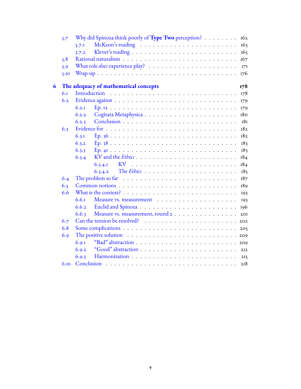|   | 5.7  | Why did Spinoza think poorly of <b>Type Two</b> perception? $\ldots \ldots \ldots$<br>162                                      |
|---|------|--------------------------------------------------------------------------------------------------------------------------------|
|   |      | 163<br>5.7.1                                                                                                                   |
|   |      | 165<br>5.7.2                                                                                                                   |
|   | 5.8  | 167                                                                                                                            |
|   | 5.9  | I7I                                                                                                                            |
|   | 5.10 | 176                                                                                                                            |
| 6 |      | The adequacy of mathematical concepts<br>178                                                                                   |
|   | 6I   | 178                                                                                                                            |
|   | 6.2  | 179                                                                                                                            |
|   |      | 6.2.1<br>179                                                                                                                   |
|   |      | 6.2.2<br>180                                                                                                                   |
|   |      | 6.2.3<br>181                                                                                                                   |
|   | 6.3  | 182                                                                                                                            |
|   |      | 6.3.1<br>182                                                                                                                   |
|   |      | 6.3.2<br>183                                                                                                                   |
|   |      | 6.3.3<br>183                                                                                                                   |
|   |      | 6.3.4<br>184                                                                                                                   |
|   |      | 6,3,4.1<br>184                                                                                                                 |
|   |      | 6.3.4.2<br>185                                                                                                                 |
|   | 6.4  | The problem so far $\dots \dots \dots \dots \dots \dots \dots \dots \dots \dots$<br>187                                        |
|   | 6.5  | 189                                                                                                                            |
|   | 6.6  | What is the context? $\ldots$ $\ldots$ $\ldots$ $\ldots$ $\ldots$ $\ldots$ $\ldots$ $\ldots$ $\ldots$ $\ldots$ $\ldots$<br>193 |
|   |      | 6.6.1<br>193                                                                                                                   |
|   |      | 6.6.2<br>196                                                                                                                   |
|   |      | Measure vs. measurement, round 2<br>6.6.3<br>2OI                                                                               |
|   | 6.7  |                                                                                                                                |
|   | 6.8  |                                                                                                                                |
|   | 6.9  | The positive solution $\ldots \ldots \ldots \ldots \ldots \ldots \ldots \ldots \ldots \ldots$                                  |
|   |      | 6.9.1                                                                                                                          |
|   |      | 6.9.2                                                                                                                          |
|   |      | 6.9.3<br>215                                                                                                                   |
|   | 6.10 | 218                                                                                                                            |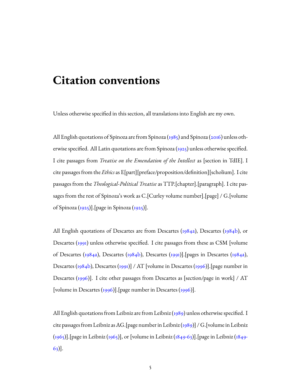## **Citation conventions**

Unless otherwise specified in this section, all translations into English are my own.

All English quotations of Spinoza are from Spinoza [\(1985](#page-224-0))and Spinoza ([2016](#page-224-1)) unless otherwise specified. All Latin quotations are from Spinoza [\(1925\)](#page-224-2) unless otherwise specified. I cite passages from *Treatise on the Emendation of the Intellect* as [section in TdIE]. I cite passages from the *Ethics*as E[part][preface/proposition/definition][scholium]. I cite passages from the *Theological-Political Treatise* as TTP.[chapter].[paragraph]. I cite passages from the rest of Spinoza's work as C.[Curley volume number].[page] / G.[volume of Spinoza [\(1925](#page-224-2))].[page in Spinoza [\(1925](#page-224-2))].

All English quotations of Descartes are from Descartes [\(1984a](#page-223-0)), Descartes [\(1984b\)](#page-223-1), or Descartes [\(1991](#page-223-2)) unless otherwise specified. I cite passages from these as CSM [volume ofDescartes ([1984a\)](#page-223-0), Descartes [\(1984b\)](#page-223-1), Descartes ([1991\)](#page-223-2)]. [pages in Descartes [\(1984a](#page-223-0)), Descartes([1984b](#page-223-1)), Descartes ([1991\)](#page-223-2)] / AT [volume in Descartes ([1996\)](#page-223-3)]. [page number in Descartes [\(1996\)](#page-223-3)]. I cite other passages from Descartes as [section/page in work] / AT [volume in Descartes [\(1996\)](#page-223-3)].[page number in Descartes [\(1996\)](#page-223-3)].

All English quotations from Leibniz are from Leibniz [\(1989](#page-224-3)) unless otherwise specified. I cite passages from Leibniz as AG.[page number in Leibniz  $(1989)$ ] / G.[volume in Leibniz ([1965\)](#page-224-4)].[page in Leibniz [\(1965\)](#page-224-4)], or [volume in Leibniz([1849-63\)](#page-224-5)].[page in Leibniz [\(1849-](#page-224-5) [63](#page-224-5))].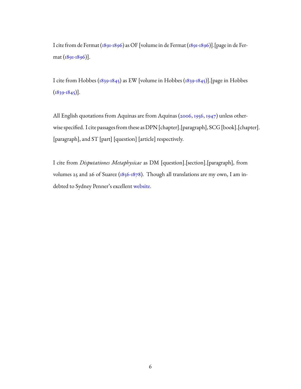I cite from de Fermat([1891-1896](#page-223-4)) as OF [volume in de Fermat [\(1891-1896\)](#page-223-4)].[page in de Fermat([1891-1896](#page-223-4))].

I cite from Hobbes [\(1839-1845](#page-224-6)) as EW [volume in Hobbes([1839-1845\)](#page-224-6)].[page in Hobbes  $(1839-1845)$  $(1839-1845)$ .

All English quotations from Aquinas are from Aquinas [\(2006,](#page-222-0) [1956,](#page-222-1) [1947\)](#page-222-2) unless otherwise specified. I cite passages from these as DPN [chapter].[paragraph], SCG [book].[chapter]. [paragraph], and ST [part] [question] [article] respectively.

I cite from *Disputationes Metaphysicae* as DM [question].[section].[paragraph], from volumes 25 and 26 of Suarez [\(1856-1878](#page-225-0)). Though all translations are my own, I am indebted to Sydney Penner's excellent [website](http://www.sydneypenner.ca/SuarTr.shtml).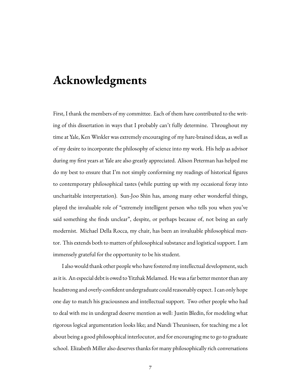## **Acknowledgments**

First, I thank the members of my committee. Each of them have contributed to the writing of this dissertation in ways that I probably can't fully determine. Throughout my time at Yale, Ken Winkler was extremely encouraging of my hare-brained ideas, as well as of my desire to incorporate the philosophy of science into my work. His help as advisor during my first years at Yale are also greatly appreciated. Alison Peterman has helped me do my best to ensure that I'm not simply conforming my readings of historical figures to contemporary philosophical tastes (while putting up with my occasional foray into uncharitable interpretation). Sun-Joo Shin has, among many other wonderful things, played the invaluable role of "extremely intelligent person who tells you when you've said something she finds unclear", despite, or perhaps because of, not being an early modernist. Michael Della Rocca, my chair, has been an invaluable philosophical mentor. This extends both to matters of philosophical substance and logistical support. I am immensely grateful for the opportunity to be his student.

I also would thank other people who have fostered my intellectual development, such as it is. An especial debt is owed to Yitzhak Melamed. He was a far better mentor than any headstrong and overly-confident undergraduate could reasonably expect. I can only hope one day to match his graciousness and intellectual support. Two other people who had to deal with me in undergrad deserve mention as well: Justin Bledin, for modeling what rigorous logical argumentation looks like; and Nandi Theunissen, for teaching me a lot about being a good philosophical interlocutor, and for encouraging me to go to graduate school. Elizabeth Miller also deserves thanks for many philosophically rich conversations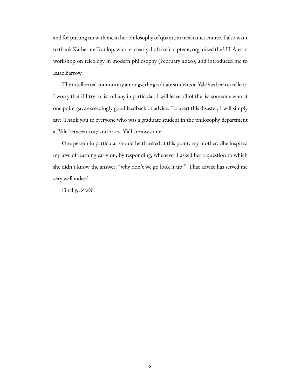and for putting up with me in her philosophy of quantum mechanics course. I also want to thank Katherine Dunlop, who read early drafts of chapter 6, organized the UT Austin workshop on teleology in modern philosophy (February 2020), and introduced me to Isaac Barrow.

The intellectual community amongst the graduate students at Yale has been excellent. I worry that if I try to list off any in particular, I will leave off of the list someone who at one point gave exceedingly good feedback or advice. To avert this disaster, I will simply say: Thank you to everyone who was a graduate student in the philosophy department at Yale between 2017 and 2022. Y'all are awesome.

One person in particular should be thanked at this point: my mother. She inspired my love of learning early on, by responding, whenever I asked her a question to which she didn't know the answer, "why don't we go look it up!" That advice has served me very well indeed.

Finally, *SDG* .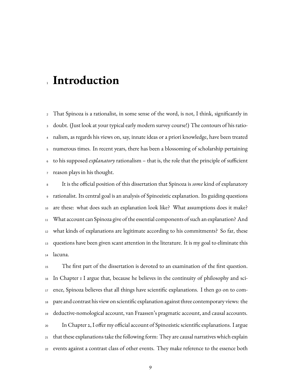# **Introduction**

 That Spinoza is a rationalist, in some sense of the word, is not, I think, significantly in doubt. (Just look at your typical early modern survey course!) The contours of his ratio- nalism, as regards his views on, say, innate ideas or a priori knowledge, have been treated numerous times. In recent years, there has been a blossoming of scholarship pertaining to his supposed *explanatory* rationalism – that is, the role that the principle of sufficient reason plays in his thought.

 It is the official position of this dissertation that Spinoza is *some* kind of explanatory rationalist. Its central goal is an analysis of Spinozistic explanation. Its guiding questions are these: what does such an explanation look like? What assumptions does it make? What account can Spinoza give of the essential components of such an explanation? And what kinds of explanations are legitimate according to his commitments? So far, these questions have been given scant attention in the literature. It is my goal to eliminate this lacuna.

 The first part of the dissertation is devoted to an examination of the first question. In Chapter 1 I argue that, because he believes in the continuity of philosophy and sci- ence, Spinoza believes that all things have scientific explanations. I then go on to com- pare and contrast his view on scientific explanation against three contemporary views: the deductive-nomological account, van Fraassen's pragmatic account, and causal accounts. In Chapter 2, I offer my official account of Spinozistic scientific explanations. I argue that these explanations take the following form: They are causal narratives which explain events against a contrast class of other events. They make reference to the essence both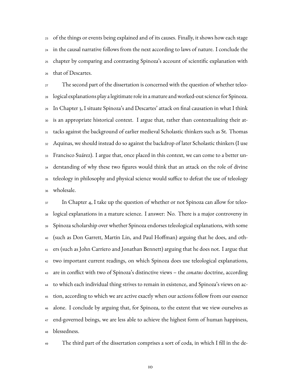of the things or events being explained and of its causes. Finally, it shows how each stage in the causal narrative follows from the next according to laws of nature. I conclude the chapter by comparing and contrasting Spinoza's account of scientific explanation with that of Descartes.

 The second part of the dissertation is concerned with the question of whether teleo- logical explanations play a legitimate role in a mature and worked-out science for Spinoza. In Chapter 3, I situate Spinoza's and Descartes' attack on final causation in what I think is an appropriate historical context. I argue that, rather than contextualizing their at- tacks against the background of earlier medieval Scholastic thinkers such as St. Thomas Aquinas, we should instead do so against the backdrop of later Scholastic thinkers (I use Francisco Suárez). I argue that, once placed in this context, we can come to a better un- derstanding of why these two figures would think that an attack on the role of divine teleology in philosophy and physical science would suffice to defeat the use of teleology wholesale.

 In Chapter 4, I take up the question of whether or not Spinoza can allow for teleo- logical explanations in a mature science. I answer: No. There is a major controversy in Spinoza scholarship over whether Spinoza endorses teleological explanations, with some (such as Don Garrett, Martin Lin, and Paul Hoffman) arguing that he does, and oth- ers (such as John Carriero and Jonathan Bennett) arguing that he does not. I argue that two important current readings, on which Spinoza does use teleological explanations, are in conflict with two of Spinoza's distinctive views – the *conatus* doctrine, according to which each individual thing strives to remain in existence, and Spinoza's views on ac- tion, according to which we are active exactly when our actions follow from our essence alone. I conclude by arguing that, for Spinoza, to the extent that we view ourselves as <sup>47</sup> end-governed beings, we are less able to achieve the highest form of human happiness, blessedness.



The third part of the dissertation comprises a sort of coda, in which I fill in the de-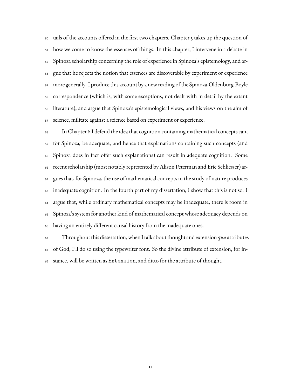tails of the accounts offered in the first two chapters. Chapter 5 takes up the question of how we come to know the essences of things. In this chapter, I intervene in a debate in Spinoza scholarship concerning the role of experience in Spinoza's epistemology, and ar- gue that he rejects the notion that essences are discoverable by experiment or experience more generally. I produce this account by a new reading of the Spinoza-Oldenburg-Boyle correspondence (which is, with some exceptions, not dealt with in detail by the extant literature), and argue that Spinoza's epistemological views, and his views on the aim of science, militate against a science based on experiment or experience.

 In Chapter 6 I defend the idea that cognition containing mathematical concepts can, for Spinoza, be adequate, and hence that explanations containing such concepts (and Spinoza does in fact offer such explanations) can result in adequate cognition. Some recent scholarship (most notably represented by Alison Peterman and Eric Schliesser) ar- gues that, for Spinoza, the use of mathematical concepts in the study of nature produces inadequate cognition. In the fourth part of my dissertation, I show that this is not so. I argue that, while ordinary mathematical concepts may be inadequate, there is room in Spinoza's system for another kind of mathematical concept whose adequacy depends on having an entirely different causal history from the inadequate ones.

 Throughout this dissertation, when I talk about thought and extension *qua* attributes of God, I'll do so using the typewriter font. So the divine attribute of extension, for in-stance, will be written as Extension, and ditto for the attribute of thought.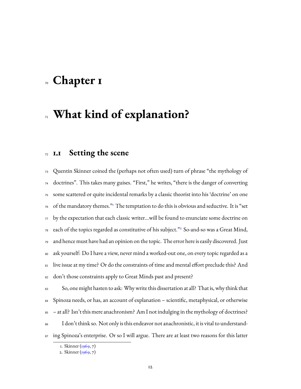# <span id="page-14-0"></span>**Chapter 1**

## **What kind of explanation?**

## <span id="page-14-1"></span>**1.1 Setting the scene**

 Quentin Skinner coined the (perhaps not often used) turn of phrase "the mythology of doctrines". This takes many guises. "First," he writes, "there is the danger of converting some scattered or quite incidental remarks by a classic theorist into his 'doctrine' on one of the mandatory themes." The temptation to do this is obvious and seductive. It is "set by the expectation that each classic writer...will be found to enunciate some doctrine on each of the topics regarded as constitutive of his subject."  $2^{\circ}$  $2^{\circ}$  So-and-so was a Great Mind, and hence must have had an opinion on the topic. The error here is easily discovered. Just ask yourself: Do I have a view, never mind a worked-out one, on every topic regarded as a 81 live issue at my time? Or do the constraints of time and mental effort preclude this? And 82 don't those constraints apply to Great Minds past and present?

 So, one might hasten to ask: Why write this dissertation at all? That is, why think that Spinoza needs, or has, an account of explanation – scientific, metaphysical, or otherwise – at all? Isn't this mere anachronism? Am I not indulging in the mythology of doctrines? I don't think so. Not only is this endeavor not anachronistic, it is vital to understand-87 ing Spinoza's enterprise. Or so I will argue. There are at least two reasons for this latter

<span id="page-14-2"></span><sup>1.</sup> Skinner([1969,](#page-236-0) 7)

<span id="page-14-3"></span><sup>2.</sup> Skinner([1969,](#page-236-0) 7)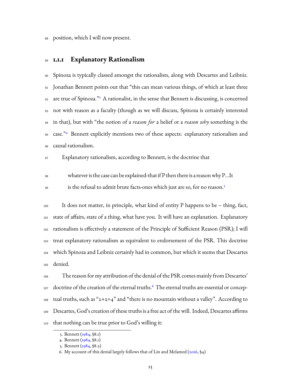position, which I will now present.

### <span id="page-15-0"></span>**1.1.1 Explanatory Rationalism**

 Spinoza is typically classed amongst the rationalists, along with Descartes and Leibniz. Jonathan Bennett points out that "this can mean various things, of which at least three 92 are true of Spinoza."<sup>[3](#page-15-1)</sup> A rationalist, in the sense that Bennett is discussing, is concerned not with reason as a faculty (though as we will discuss, Spinoza is certainly interested in that), but with "the notion of a *reason for* a belief or a *reason why* something is the 95 case."<sup>[4](#page-15-2)</sup> Bennett explicitly mentions two of these aspects: explanatory rationalism and causal rationalism.

Explanatory rationalism, according to Bennett, is the doctrine that

- whatever is the case can be explained-that if P then there is a reasonwhy P…It
- is the refusal to admit brute facts-ones which just are so, for no reason.[5](#page-15-3)

 It does not matter, in principle, what kind of entity P happens to be – thing, fact, state of affairs, state of a thing, what have you. It will have an explanation. Explanatory rationalism is effectively a statement of the Principle of Sufficient Reason (PSR); I will treat explanatory rationalism as equivalent to endorsement of the PSR. This doctrine which Spinoza and Leibniz certainly had in common, but which it seems that Descartes denied.

 The reason for my attribution of the denial of the PSR comes mainly from Descartes'  $_{\rm 107}$  doctrine of the creation of the eternal truths. $^6$  $^6$  The eternal truths are essential or concep-108 tual truths, such as "2+2=4" and "there is no mountain without a valley". According to Descartes, God's creation of these truths is a free act of the will. Indeed, Descartes affirms that nothing can be true prior to God's willing it:

<span id="page-15-1"></span><sup>3.</sup> Bennett [\(1984](#page-226-0), §8.1)

<span id="page-15-2"></span><sup>4.</sup> Bennett [\(1984](#page-226-0), §8.1)

<span id="page-15-3"></span><sup>5.</sup> Bennett [\(1984](#page-226-0), §8.2)

<span id="page-15-4"></span><sup>6.</sup> My account of this denial largely follows that of Lin and Melamed  $(2016, 94)$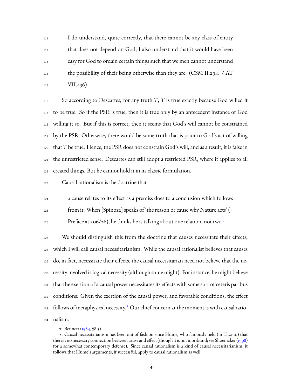I do understand, quite correctly, that there cannot be any class of entity that does not depend on God; I also understand that it would have been easy for God to ordain certain things such that we men cannot understand the possibility of their being otherwise than they are. (CSM II.294. / AT 115 VII.436)

 So according to Descartes, for any truth *T*, *T* is true exactly because God willed it to be true. So if the PSR is true, then it is true only by an antecedent instance of God willing it so. But if this is correct, then it seems that God's will cannot be constrained by the PSR. Otherwise, there would be some truth that is prior to God's act of willing that *T* be true. Hence, the PSR does not constrain God's will, and as a result, it is false in the unrestricted sense. Descartes can still adopt a restricted PSR, where it applies to all created things. But he cannot hold it in its classic formulation.

Causal rationalism is the doctrine that

a cause relates to its effect as a premiss does to a conclusion which follows

from it. When [Spinoza] speaks of 'the reason or cause why Nature acts' (4

Preface at 206/26), he thinks he is talking about one relation, not two.<sup>[7](#page-16-0)</sup> 

<sup>127</sup> We should distinguish this from the doctrine that causes necessitate their effects, which I will call causal necessitarianism. While the causal rationalist believes that causes do, in fact, necessitate their effects, the causal necessitarian need not believe that the ne- cessity involved is logical necessity (although some might). For instance, he might believe that the exertion of a causal power necessitates its effects with some sort of ceteris paribus conditions: Given the exertion of the causal power, and favorable conditions, the effect  $_{133}$  follows of metaphysical necessity. $^8$  $^8$  Our chief concern at the moment is with causal ratio-nalism.

<span id="page-16-1"></span><span id="page-16-0"></span><sup>7.</sup> Bennett [\(1984](#page-226-0), §8.3)

<sup>8.</sup> Causal necessitarianism has been out of fashion since Hume, who famously held (in T.1.2-10) that there is no necessary connection between cause and effect (though it is not moribund; see Shoemaker [\(1998\)](#page-236-1) for a somewhat contemporary defense). Since causal rationalism is a kind of causal necessitarianism, it follows that Hume's arguments, if successful, apply to causal rationalism as well.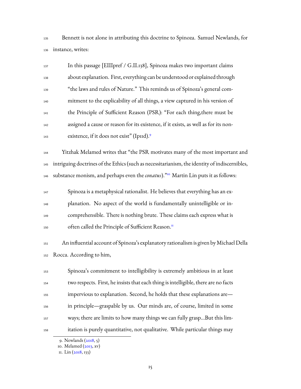Bennett is not alone in attributing this doctrine to Spinoza. Samuel Newlands, for instance, writes:

| 137 | In this passage [EIIIpref / G.II.138], Spinoza makes two important claims           |
|-----|-------------------------------------------------------------------------------------|
| 138 | about explanation. First, everything can be understood or explained through         |
| 139 | "the laws and rules of Nature." This reminds us of Spinoza's general com-           |
| 140 | mitment to the explicability of all things, a view captured in his version of       |
| 141 | the Principle of Sufficient Reason (PSR): "For each thing, there must be            |
| 142 | assigned a cause or reason for its existence, if it exists, as well as for its non- |
| 143 | existence, if it does not exist" (Ipid). <sup>9</sup>                               |

 Yitzhak Melamed writes that "the PSR motivates many of the most important and intriguing doctrines of the Ethics (such as necessitarianism, the identity of indiscernibles, <sup>146</sup> substance monism, and perhaps even the *conatus*)."<sup>[10](#page-17-1)</sup> Martin Lin puts it as follows:

 Spinoza is a metaphysical rationalist. He believes that everything has an ex- planation. No aspect of the world is fundamentally unintelligible or in- comprehensible. There is nothing brute. These claims each express what is often called the Principle of Sufficient Reason.<sup>[11](#page-17-2)</sup> 

 An influential account of Spinoza's explanatory rationalism is given by Michael Della Rocca. According to him,

 Spinoza's commitment to intelligibility is extremely ambitious in at least two respects. First, he insists that each thing is intelligible, there are no facts impervious to explanation. Second, he holds that these explanations are— in principle—graspable by us. Our minds are, of course, limited in some ways; there are limits to how many things we can fully grasp…But this lim-itation is purely quantitative, not qualitative. While particular things may

<span id="page-17-0"></span><sup>9.</sup> Newlands([2018](#page-234-0), 5)

<span id="page-17-1"></span><sup>10.</sup>Melamed ([2013,](#page-233-0) xv)

<span id="page-17-2"></span><sup>11.</sup> Lin([2018](#page-231-1), 133)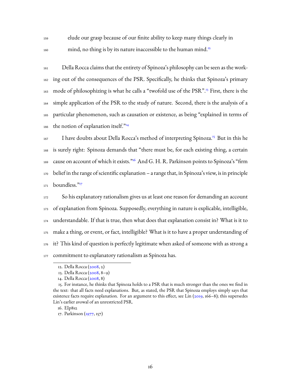160

<sup>159</sup> elude our grasp because of our finite ability to keep many things clearly in mind, no thing is by its nature inaccessible to the human mind.<sup>[12](#page-18-0)</sup>

<sup>161</sup> Della Rocca claims that the entirety of Spinoza's philosophy can be seen as the work-<sup>162</sup> ing out of the consequences of the PSR. Specifically, he thinks that Spinoza's primary 163 mode of philosophizing is what he calls a "twofold use of the PSR".<sup>[13](#page-18-1)</sup> First, there is the <sup>164</sup> simple application of the PSR to the study of nature. Second, there is the analysis of a <sup>165</sup> particular phenomenon, such as causation or existence, as being "explained in terms of the notion of explanation itself. $\frac{m}{14}$  $\frac{m}{14}$  $\frac{m}{14}$ 166

167 I have doubts about Della Rocca's method of interpreting Spinoza.<sup>[15](#page-18-3)</sup> But in this he <sup>168</sup> is surely right: Spinoza demands that "there must be, for each existing thing, a certain  $_{169}$  $_{169}$  $_{169}$  cause on account of which it exists." $^{16}$  And G. H. R. Parkinson points to Spinoza's "firm <sup>170</sup> belief in the range of scientific explanation – a range that, in Spinoza's view, is in principle boundless."[17](#page-18-5) 171

 So his explanatory rationalism gives us at least one reason for demanding an account of explanation from Spinoza. Supposedly, everything in nature is explicable, intelligible, understandable. If that is true, then what does that explanation consist in? What is it to make a thing, or event, or fact, intelligible? What is it to have a proper understanding of it? This kind of question is perfectly legitimate when asked of someone with as strong a 177 commitment to explanatory rationalism as Spinoza has.

<span id="page-18-0"></span><sup>12.</sup> Della Rocca([2008,](#page-228-0) 2)

<span id="page-18-1"></span><sup>13.</sup> Della Rocca([2008,](#page-228-0) 8–9)

<span id="page-18-3"></span><span id="page-18-2"></span><sup>14.</sup> Della Rocca([2008,](#page-228-0) 8)

<sup>15.</sup> For instance, he thinks that Spinoza holds to a PSR that is much stronger than the ones we find in the text: that all facts need explanations. But, as stated, the PSR that Spinoza employs simply says that existence facts require explanation. For an argument to this effect, see Lin [\(2019](#page-231-2), 166–8); this supersedes Lin's earlier avowal of an unrestricted PSR.

<span id="page-18-4"></span><sup>16.</sup> EIp8s2

<span id="page-18-5"></span><sup>17.</sup> Parkinson [\(1977,](#page-234-1) 157)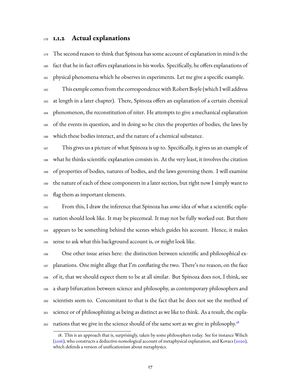### <span id="page-19-0"></span>**1.1.2 Actual explanations**

 The second reason to think that Spinoza has some account of explanation in mind is the fact that he in fact offers explanations in his works. Specifically, he offers explanations of physical phenomena which he observes in experiments. Let me give a specific example.

 This exmple comes from the correspondence with Robert Boyle (which I will address at length in a later chapter). There, Spinoza offers an explanation of a certain chemical phenomenon, the reconstitution of niter. He attempts to give a mechanical explanation of the events in question, and in doing so he cites the properties of bodies, the laws by which these bodies interact, and the nature of a chemical substance.

 This gives us a picture of what Spinoza is up to. Specifically, it gives us an example of what he thinks scientific explanation consists in. At the very least, it involves the citation of properties of bodies, natures of bodies, and the laws governing them. I will examine the nature of each of these components in a later section, but right now I simply want to flag them as important elements.

 From this, I draw the inference that Spinoza has *some* idea of what a scientific expla- nation should look like. It may be piecemeal. It may not be fully worked out. But there appears to be something behind the scenes which guides his account. Hence, it makes sense to ask what this background account is, or might look like.

 One other issue arises here: the distinction between scientific and philosophical ex- planations. One might allege that I'm conflating the two. There's no reason, on the face of it, that we should expect them to be at all similar. But Spinoza does not, I think, see a sharp bifurcation between science and philosophy, as contemporary philosophers and scientists seem to. Concomitant to that is the fact that he does not see the method of science or of philosophizing as being as distinct as we like to think. As a result, the expla-nations that we give in the science should of the same sort as we give in philosophy.<sup>[18](#page-19-1)</sup> 

<span id="page-19-1"></span><sup>18.</sup> This is an approach that is, surprisingly, taken by some philosophers today. See for instance Wilsch [\(2016](#page-237-0)), who constructs a deductive-nomological account of metaphysical explanation, and Kovacs([2020\)](#page-231-3), which defends a version of unificationism about metaphysics.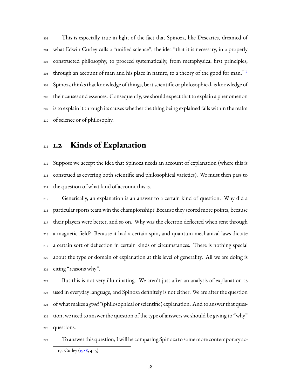This is especially true in light of the fact that Spinoza, like Descartes, dreamed of what Edwin Curley calls a "unified science", the idea "that it is necessary, in a properly constructed philosophy, to proceed systematically, from metaphysical first principles, through an account of man and his place in nature, to a theory of the good for man."<sup>[19](#page-20-1)</sup> Spinoza thinks that knowledge of things, be it scientific or philosophical, is knowledge of their causes and essences. Consequently, we should expect that to explain a phenomenon is to explain it through its causes whether the thing being explained falls within the realm of science or of philosophy.

## <span id="page-20-0"></span>**1.2 Kinds of Explanation**

 Suppose we accept the idea that Spinoza needs an account of explanation (where this is construed as covering both scientific and philosophical varieties). We must then pass to the question of what kind of account this is.

 Generically, an explanation is an answer to a certain kind of question. Why did a particular sports team win the championship? Because they scored more points, because their players were better, and so on. Why was the electron deflected when sent through a magnetic field? Because it had a certain spin, and quantum-mechanical laws dictate a certain sort of deflection in certain kinds of circumstances. There is nothing special about the type or domain of explanation at this level of generality. All we are doing is citing "reasons why".

 But this is not very illuminating. We aren't just after an analysis of explanation as used in everyday language, and Spinoza definitely is not either. We are after the question of what makes a *good* \*(philosophical or scientific) explanation. And to answer that ques- tion, we need to answer the question of the type of answers we should be giving to "why" questions.

<span id="page-20-1"></span>

 To answer this question, I will be comparing Spinoza to some more contemporary ac-19. Curley [\(1988,](#page-227-0) 4–5)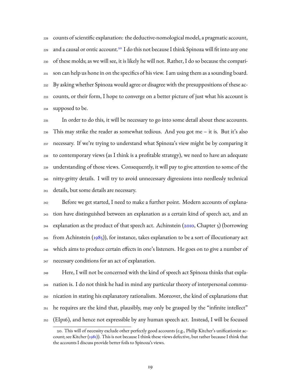counts of scientific explanation: the deductive-nomological model, a pragmatic account, 229 and a causal or ontic account.<sup>[20](#page-21-0)</sup> I do this not because I think Spinoza will fit into any one of these molds; as we will see, it is likely he will not. Rather, I do so because the compari- son can help us hone in on the specifics of his view. I am using them as a sounding board. By asking whether Spinoza would agree or disagree with the presuppositions of these ac- counts, or their form, I hope to converge on a better picture of just what his account is supposed to be.

 In order to do this, it will be necessary to go into some detail about these accounts. This may strike the reader as somewhat tedious. And you got me – it is. But it's also necessary. If we're trying to understand what Spinoza's view might be by comparing it to contemporary views (as I think is a profitable strategy), we need to have an adequate understanding of those views. Consequently, it will pay to give attention to some of the nitty-gritty details. I will try to avoid unnecessary digressions into needlessly technical details, but some details are necessary.

 Before we get started, I need to make a further point. Modern accounts of explana- tion have distinguished between an explanation as a certain kind of speech act, and an  $_{244}$  explanation as the product of that speech act. Achinstein ( $_{2010}$ , Chapter 5) (borrowing <sup>245</sup> from Achinstein ( $1985$ )), for instance, takes explanation to be a sort of illocutionary act which aims to produce certain effects in one's listeners. He goes on to give a number of necessary conditions for an act of explanation.

 Here, I will not be concerned with the kind of speech act Spinoza thinks that expla- nation is. I do not think he had in mind any particular theory of interpersonal commu- nication in stating his explanatory rationalism. Moreover, the kind of explanations that he requires are the kind that, plausibly, may only be grasped by the "infinite intellect" (EIp16), and hence not expressible by any human speech act. Instead, I will be focused

<span id="page-21-0"></span><sup>20.</sup> This will of necessity exclude other perfectly good accounts (e.g., Philip Kitcher's unificationist account; see Kitcher ()). This is not because I think these views defective, but rather because I think that the accounts I discuss provide better foils to Spinoza's views.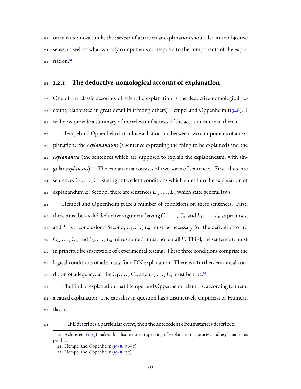on what Spinoza thinks the*content* of a particular explanation should be, in an objective sense, as well as what worldly components correspond to the components of the expla-nation.<sup>[21](#page-22-1)</sup> 

### <span id="page-22-0"></span>**1.2.1 The deductive-nomological account of explanation**

 One of the classic accounts of scientific explanation is the deductive-nomological ac- count, elaborated in great detail in (among others) Hempel and Oppenheim([1948\)](#page-230-1). I will now provide a summary of the relevant features of the account outlined therein.

 Hempel and Oppenheim introduce a distinction between two components of an ex- planation: the *explanandum* (a sentence expressing the thing to be explained) and the *explanantia* (the sentences which are supposed to explain the explanandum, with sin-<sub>263</sub> gular *explanans*).<sup>[22](#page-22-2)</sup> The explanantia consists of two sorts of sentences. First, there are 264 sentences  $C_1, \ldots, C_m$  stating antecedent conditions which enter into the explanation of <sup>265</sup> explanandum *E*. Second, there are sentences  $L_1, \ldots, L_n$  which state general laws.

 Hempel and Oppenheim place a number of conditions on these sentences. First, 267 there must be a valid deductive argument having  $C_1, \ldots, C_m$  and  $L_1, \ldots, L_n$  as premises, 268 and *E* as a conclusion. Second,  $L_1, \ldots, L_n$  must be necessary for the derivation of *E*: 269  $C_1, \ldots, C_m$  and  $L_1, \ldots, L_n$  minus some  $L_i$  must not entail E. Third, the sentence E must in principle be susceptible of experimental testing. These three conditions comprise the logical conditions of adequacy for a DN explanation. There is a further, empirical condition of adequacy: all the  $C_1, \ldots, C_m$  and  $L_1, \ldots, L_n$  must be true.<sup>[23](#page-22-3)</sup> 

 The kind of explanation that Hempel and Oppenheim refer to is, according to them, a causal explanation. The causality in question has a distinctively empiricist or Humean flavor:

If E describes a particular event, then the antecedent circumstances described

<span id="page-22-1"></span><sup>21.</sup> Achinstein([1985](#page-225-2)) makes this distinction in speaking of explanation as process and explanation as product.

<span id="page-22-2"></span><sup>22.</sup>Hempel and Oppenheim  $(\frac{1948}{,} \frac{136-7}{\})$ 

<span id="page-22-3"></span><sup>23.</sup>Hempel and Oppenheim  $(1948, 137)$  $(1948, 137)$  $(1948, 137)$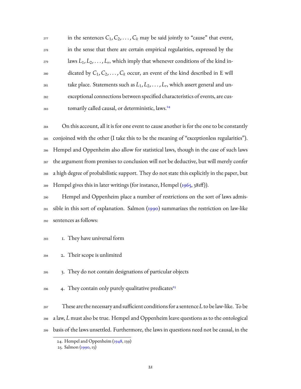| 277 | in the sentences $C_1, C_2, \ldots, C_k$ may be said jointly to "cause" that event,   |
|-----|---------------------------------------------------------------------------------------|
| 278 | in the sense that there are certain empirical regularities, expressed by the          |
| 279 | laws $L_1, L_2, \ldots, L_r$ , which imply that whenever conditions of the kind in-   |
| 280 | dicated by $C_1, C_2, \ldots, C_k$ occur, an event of the kind described in E will    |
| 281 | take place. Statements such as $L_1, L_2, \ldots, L_r$ , which assert general and un- |
| 282 | exceptional connections between specified characteristics of events, are cus-         |
| 283 | tomarily called causal, or deterministic, laws. <sup>24</sup>                         |

 On this account, all it is for one event to cause another is for the one to be constantly conjoined with the other (I take this to be the meaning of "exceptionless regularities"). Hempel and Oppenheim also allow for statistical laws, though in the case of such laws the argument from premises to conclusion will not be deductive, but will merely confer a high degree of probabilistic support. They do not state this explicitly in the paper, but Hempel gives this in later writings (for instance, Hempel  $(1965, 38$  $(1965, 38$  $(1965, 38$ Iff)).

 Hempel and Oppenheim place a number of restrictions on the sort of laws admis- sible in this sort of explanation. Salmon [\(1990\)](#page-235-0) summarizes the restriction on law-like sentences as follows:

- 1. They have universal form
- 2. Their scope is unlimited

3. They do not contain designations of particular objects

4. They contain only purely qualitative predicates<sup>[25](#page-23-1)</sup> 

 These are the necessary and sufficient conditions for a sentence *L* to be law-like. To be a law, *L* must also be true. Hempel and Oppenheim leave questions as to the ontological

basis of the laws unsettled. Furthermore, the laws in questions need not be causal, in the

<span id="page-23-0"></span><sup>24.</sup> Hempel and Oppenheim([1948,](#page-230-1) 139)

<span id="page-23-1"></span><sup>25.</sup> Salmon([1990](#page-235-0), 13)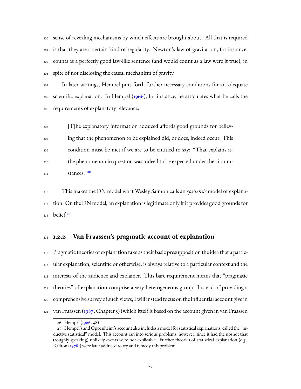sense of revealing mechanisms by which effects are brought about. All that is required is that they are a certain kind of regularity. Newton's law of gravitation, for instance, counts as a perfectly good law-like sentence (and would count as a law were it true), in spite of not disclosing the causal mechanism of gravity.

 In later writings, Hempel puts forth further necessary conditions for an adequate <sup>305</sup>scientific explanation. In Hempel ([1966\)](#page-230-3), for instance, he articulates what he calls the requirements of explanatory relevance:

 [T]he explanatory information adduced affords good grounds for believ- ing that the phenomenon to be explained did, or does, indeed occur. This condition must be met if we are to be entitled to say: "That explains it- the phenomenon in question was indeed to be expected under the circum-stances!"[26](#page-24-1) 

 This makes the DN model what Wesley Salmon calls an *epistemic* model of explana- tion. On the DN model, an explanation is legitimate only if it provides good grounds for belief.<sup>[27](#page-24-2)</sup> 

### <span id="page-24-0"></span>**1.2.2 Van Fraassen's pragmatic account of explanation**

 Pragmatic theories of explanation take as their basic presupposition the idea that a partic- ular explanation, scientific or otherwise, is always relative to a particular context and the interests of the audience and explainer. This bare requirement means that "pragmatic theories" of explanation comprise a very heterogeneous group. Instead of providing a comprehensive survey of such views, I will instead focus on the influential account give in van Fraassen ([1987](#page-237-1), Chapter 5) (which itself is based on the account given in van Fraassen

<span id="page-24-2"></span><span id="page-24-1"></span><sup>26.</sup> Hempel [\(1966](#page-230-3), 48)

<sup>27.</sup> Hempel's and Oppenheim's account also includes a model for statistical explanations, called the "inductive statistical" model. This account ran into serious problems, however, since it had the upshot that (roughly speaking) unlikely events were not explicable. Further theories of statistical explanation (e.g., Railton [\(1978\)](#page-235-1)) were later adduced to try and remedy this problem.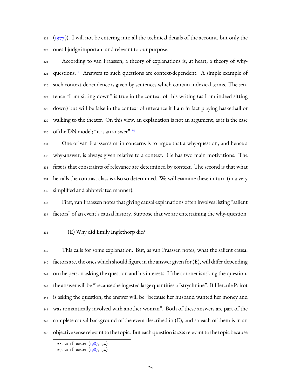([1977\)](#page-237-2)). I will not be entering into all the technical details of the account, but only the ones I judge important and relevant to our purpose.

 According to van Fraassen, a theory of explanations is, at heart, a theory of why-325 questions.<sup>[28](#page-25-0)</sup> Answers to such questions are context-dependent. A simple example of such context-dependence is given by sentences which contain indexical terms. The sen- tence "I am sitting down" is true in the context of this writing (as I am indeed sitting down) but will be false in the context of utterance if I am in fact playing basketball or walking to the theater. On this view, an explanation is not an argument, as it is the case of the DN model; "it is an answer".[29](#page-25-1) 

 One of van Fraassen's main concerns is to argue that a why-question, and hence a why-answer, is always given relative to a context. He has two main motivations. The first is that constraints of relevance are determined by context. The second is that what he calls the contrast class is also so determined. We will examine these in turn (in a very simplified and abbreviated manner).

 First, van Fraassen notes that giving causal explanations often involves listing "salient 337 factors" of an event's causal history. Suppose that we are entertaining the why-question

#### (E) Why did Emily Inglethorp die?

 This calls for some explanation. But, as van Fraassen notes, what the salient causal factors are, the ones which should figure in the answer given for (E), will differ depending on the person asking the question and his interests. If the coroner is asking the question, the answer will be "because she ingested large quantities of strychnine". If Hercule Poirot is asking the question, the answer will be "because her husband wanted her money and was romantically involved with another woman". Both of these answers are part of the complete causal background of the event described in (E), and so each of them is in an objective sense relevant to the topic. But each question is *also*relevant to the topic because

<span id="page-25-0"></span><sup>28.</sup> van Fraassen [\(1987](#page-237-1), 134)

<span id="page-25-1"></span><sup>29.</sup> van Fraassen [\(1987](#page-237-1), 134)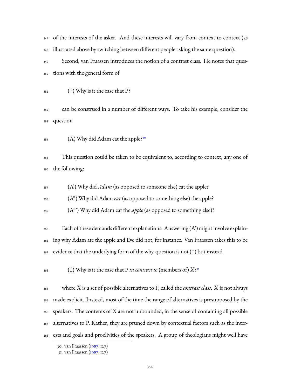347 of the interests of the asker. And these interests will vary from context to context (as illustrated above by switching between different people asking the same question).

 Second, van Fraassen introduces the notion of a contrast class. He notes that ques-tions with the general form of

(†) Why is it the case that P?

 can be construed in a number of different ways. To take his example, consider the question

(A) Why did Adam eat the apple?[30](#page-26-0) 

 This question could be taken to be equivalent to, according to context, any one of the following:

(A') Why did *Adam* (as opposed to someone else) eat the apple?

(A") Why did Adam *eat* (as opposed to something else) the apple?

(A"') Why did Adam eat the *apple* (as opposed to something else)?

 $_{360}$  Each of these demands different explanations. Answering  $(A')$  might involve explain- ing why Adam ate the apple and Eve did not, for instance. Van Fraassen takes this to be evidence that the underlying form of the why-question is not (†) but instead

(‡) Why is it the case that P *in contrast to* (members of) *X*? [31](#page-26-1) 

 where *X* is a set of possible alternatives to P, called the *contrast class*. *X* is not always made explicit. Instead, most of the time the range of alternatives is presupposed by the speakers. The contents of *X* are not unbounded, in the sense of containing all possible alternatives to P. Rather, they are pruned down by contextual factors such as the inter-ests and goals and proclivities of the speakers. A group of theologians might well have

<span id="page-26-0"></span><sup>30.</sup> van Fraassen [\(1987](#page-237-1), 127)

<span id="page-26-1"></span><sup>31.</sup> van Fraassen [\(1987](#page-237-1), 127)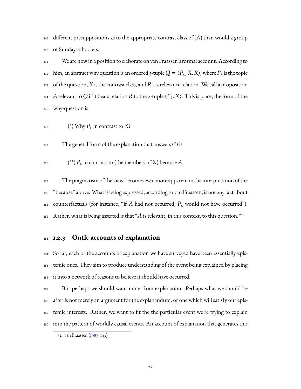different presuppositions as to the appropriate contrast class of (A) than would a group of Sunday-schoolers.

 We are now in a position to elaborate on van Fraassen's formal account. According to  $\lim$ , an abstract why question is an ordered 3-tuple  $Q = \langle P_k, X, R \rangle$ , where  $P_k$  is the topic of the question, *X* is the contrast class, and*R*is a relevance relation. We call a proposition *A* relevant to Q if it bears relation *R* to the 2-tuple  $\langle P_k, X \rangle$ . This is place, the form of the why-question is

<sup>376</sup> 
$$
(*) \text{ Why } P_k \text{ in contrast to } X?
$$

The general form of the explanation that answers (\*) is

 $\left(\begin{smallmatrix} * \ * & * \end{smallmatrix}\right) P_k$  in contrast to (the members of *X*) because  $A$ 

 The pragmatism of the view becomes even more apparent in the interpretation of the "because" above. What is being expressed, according to van Fraassen, is not any fact about counterfactuals (for instance, "if *A* had not occurred, *P<sup>k</sup>* would not have occurred"). Rather, what is being asserted is that "*A* is relevant, in this context, to this question."[32](#page-27-1) 

### <span id="page-27-0"></span>**1.2.3 Ontic accounts of explanation**

 So far, each of the accounts of explanation we have surveyed have been essentially epis- temic ones. They aim to produce understanding of the event being explained by placing it into a network of reasons to believe it should have occurred.

 But perhaps we should want more from explanation. Perhaps what we should be after is not merely an argument for the explanandum, or one which will satisfy our epis- temic interests. Rather, we want to fit the the particular event we're trying to explain into the pattern of worldly causal events. An account of explanation that generates this

<span id="page-27-1"></span><sup>32.</sup> van Fraassen [\(1987](#page-237-1), 143)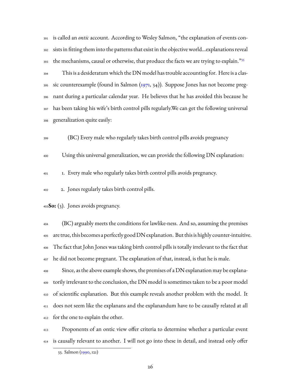is called an *ontic* account. According to Wesley Salmon, "the explanation of events con- sists in fitting them into the patterns that exist in the objective world…explanations reveal the mechanisms, causal or otherwise, that produce the facts we are trying to explain."<sup>[33](#page-28-0)</sup> 

 This is a desideratum which the DN model has trouble accounting for. Here is a classic counterexample (found in Salmon  $(1971, 34)$  $(1971, 34)$  $(1971, 34)$ ). Suppose Jones has not become preg- nant during a particular calendar year. He believes that he has avoided this because he has been taking his wife's birth control pills regularly.We can get the following universal generalization quite easily:

(BC) Every male who regularly takes birth control pills avoids pregnancy

Using this universal generalization, we can provide the following DN explanation:

1. Every male who regularly takes birth control pills avoids pregnancy.

2. Jones regularly takes birth control pills.

**So:** (3). Jones avoids pregnancy.

 (BC) arguably meets the conditions for lawlike-ness. And so, assuming the premises are true, this becomes a perfectly good DN explanation. But this is highly counter-intuitive. The fact that John Jones was taking birth control pills is totally irrelevant to the fact that he did not become pregnant. The explanation of that, instead, is that he is male.

 Since, as the above example shows, the premises of a DN explanation may be explana- torily irrelevant to the conclusion, the DN model is sometimes taken to be a poor model of scientific explanation. But this example reveals another problem with the model. It does not seem like the explanans and the explanandum have to be causally related at all for the one to explain the other.

 Proponents of an ontic view offer criteria to determine whether a particular event is causally relevant to another. I will not go into these in detail, and instead only offer

<span id="page-28-0"></span><sup>33.</sup> Salmon([1990](#page-235-0), 121)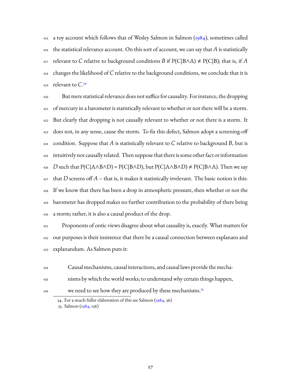415 a toy account which follows that of Wesley Salmon in Salmon  $(1984)$ , sometimes called the statistical relevance account. On this sort of account, we can say that A is statistically 417 relevant to C relative to background conditions *B* if  $P(C|B \wedge A) \neq P(C|B)$ ; that is, if *A*  changes the likelihood of *C* relative to the background conditions, we conclude that it is relevant to *C*. [34](#page-29-0) 

 But mere statistical relevance does not suffice for causality. For instance, the dropping of mercury in a barometer is statistically relevant to whether or not there will be a storm. 422 But clearly that dropping is not causally relevant to whether or not there is a storm. It does not, in any sense, cause the storm. To fix this defect, Salmon adopt a screening-off 424 condition. Suppose that A is statistically relevant to C relative to background B, but is intuitively not causally related. Then suppose that there is some other fact or information *D* such that P(C|A∧B∧D) = P(C|B∧D), but P(C|A∧B∧D)  $\neq$  P(C|B∧A). Then we say that *D* screens off *A* – that is, it makes it statistically irrelevant. The basic notion is this: If we know that there has been a drop in atmospheric pressure, then whether or not the barometer has dropped makes no further contribution to the probability of there being a storm; rather, it is also a causal product of the drop.

 Proponents of ontic views disagree about what causality is, exactly. What matters for our purposes is their insistence that there be a causal connection between explanans and explanandum. As Salmon puts it:

Causal mechanisms, causal interactions, and causal laws provide the mecha-

nisms by which the world works; to understand why certain things happen,

we need to see how they are produced by these mechanisms.<sup>[35](#page-29-1)</sup>

<span id="page-29-0"></span><sup>34.</sup>For a much fuller elaboration of this see Salmon ([1984,](#page-235-3) 36)

<span id="page-29-1"></span><sup>35.</sup> Salmon([1984,](#page-235-3) 136)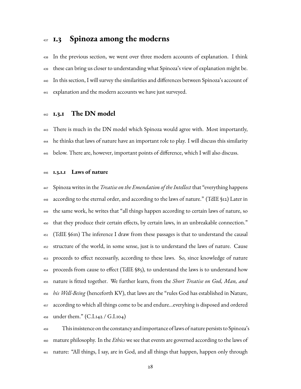## <span id="page-30-0"></span>**1.3 Spinoza among the moderns**

 In the previous section, we went over three modern accounts of explanation. I think these can bring us closer to understanding what Spinoza's view of explanation might be. In this section, I will survey the similarities and differences between Spinoza's account of explanation and the modern accounts we have just surveyed.

### <span id="page-30-1"></span>**1.3.1 The DN model**

 There is much in the DN model which Spinoza would agree with. Most importantly, he thinks that laws of nature have an important role to play. I will discuss this similarity below. There are, however, important points of difference, which I will also discuss.

#### <span id="page-30-2"></span>**1.3.1.1 Laws of nature**

 Spinoza writes in the *Treatise on the Emendation of the Intellect* that "everything happens according to the eternal order, and according to the laws of nature." (TdIE §12) Later in the same work, he writes that "all things happen according to certain laws of nature, so that they produce their certain effects, by certain laws, in an unbreakable connection." (TdIE §61n) The inference I draw from these passages is that to understand the causal structure of the world, in some sense, just is to understand the laws of nature. Cause proceeds to effect necessarily, according to these laws. So, since knowledge of nature proceeds from cause to effect (TdIE §85), to understand the laws is to understand how nature is fitted together. We further learn, from the *Short Treatise on God, Man, and his Well-Being* (henceforth KV), that laws are the "rules God has established in Nature, according to which all things come to be and endure…everyhing is disposed and ordered under them." (C.I.142 / G.I.104)

 This insistence on the constancy and importance of laws of nature persists to Spinoza's mature philosophy. In the *Ethics* we see that events are governed according to the laws of nature: "All things, I say, are in God, and all things that happen, happen only through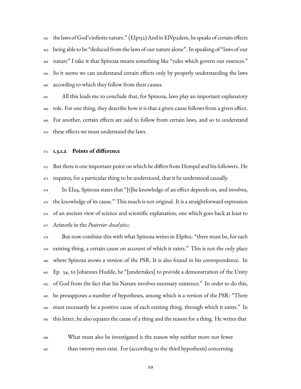the laws of God's infinite nature." (EIp152) And in EIVp2dem, he speaks of certain effects being able to be "deduced from the laws of our nature alone". In speaking of "laws of our nature" I take it that Spinoza means something like "rules which govern our essences." So it seems we can understand certain effects only by properly understanding the laws according to which they follow from their causes.

<sup>467</sup> All this leads me to conclude that, for Spinoza, laws play an important explanatory role. For one thing, they describe how it is that a given cause follows from a given effect. For another, certain effects are said to follow from certain laws, and so to understand these effects we must understand the laws.

#### <span id="page-31-0"></span>**1.3.1.2 Points of difference**

 But there is one important point on which he differs from Hempel and his followers. He requires, for a particular thing to be understood, that it be understood causally.

 In EIa4, Spinoza states that "[t]he knowledge of an effect depends on, and involves, 475 the knowledge of its cause." This much is not original. It is a straightforward expression of an ancient view of science and scientific explanation, one which goes back at least to Aristotle in the *Posterior Analytics*.

 But now combine this with what Spinoza writes in EIp8s2: "there must be, for each 479 existing thing, a certain cause on account of which it exists." This is not the only place where Spinoza avows a version of the PSR. It is also found in his correspondence. In Ep. 34, to Johannes Hudde, he "[undertakes] to provide a demonstration of the Unity of God from the fact that his Nature involves necessary existence." In order to do this, he presupposes a number of hypotheses, among which is a version of the PSR: "There must necessarily be a positive cause of each existing thing, through which it exists." In this letter, he also equates the cause of a thing and the reason for a thing. He writes that

 What must also be investigated is the reason why neither more nor fewer than twenty men exist. For (according to the third hypothesis) concerning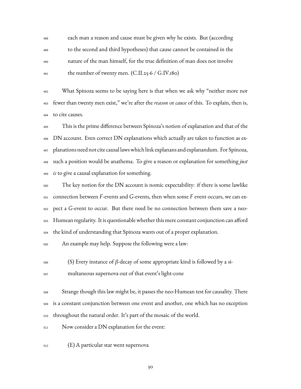each man a reason and cause must be given why he exists. But (according to the second and third hypotheses) that cause cannot be contained in the nature of the man himself, for the true definition of man does not involve  $_{491}$  the number of twenty men. (C.II.25-6 / G.IV.180)

 What Spinoza seems to be saying here is that when we ask why "neither more nor fewer than twenty men exist," we're after the *reason* or *cause* of this. To explain, then is, to cite causes.

 This is the prime difference between Spinoza's notion of explanation and that of the DN account. Even correct DN explanations which actually are taken to function as ex- planations need not cite causal lawswhich link explanans and explanandum. For Spinoza, such a position would be anathema. To give a reason or explanation for something *just is* to give a causal explanation for something.

 The key notion for the DN account is nomic expectability: if there is some lawlike connection between *F*-events and *G*-events, then when some *F* event occurs, we can ex- pect a *G*-event to occur. But there need be no connection between them save a neo- Humean regularity. It is questionable whether this mere constant conjunction can afford the kind of understanding that Spinoza wants out of a proper explanation.

An example may help. Suppose the following were a law:

(S) Every instance of β-decay of some appropriate kind is followed by a si-

multaneous supernova out of that event's light-cone

 Strange though this law might be, it passes the neo-Humean test for causality. There is a constant conjunction between one event and another, one which has no exception throughout the natural order. It's part of the mosaic of the world.

Now consider a DN explanation for the event:

(E) A particular star went supernova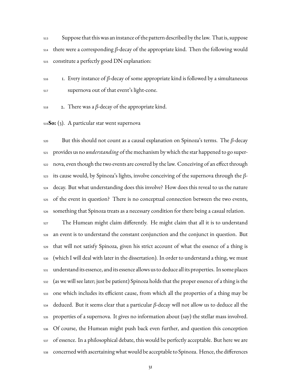Suppose that this was an instance of the pattern described by the law. That is, suppose there were a corresponding β-decay of the appropriate kind. Then the following would constitute a perfectly good DN explanation:

 $1.$  Every instance of β-decay of some appropriate kind is followed by a simultaneous supernova out of that event's light-cone.

2. There was a β-decay of the appropriate kind.

**So:** (3). A particular star went supernova

 But this should not count as a causal explanation on Spinoza's terms. The β-decay provides us no *understanding* of the mechanism by which the star happened to go super- nova, even though the two events are covered by the law. Conceiving of an effect through its cause would, by Spinoza's lights, involve conceiving of the supernova through the β- decay. But what understanding does this involve? How does this reveal to us the nature of the event in question? There is no conceptual connection between the two events, something that Spinoza treats as a necessary condition for there being a casual relation.

 The Humean might claim differently. He might claim that all it is to understand an event is to understand the constant conjunction and the conjunct in question. But that will not satisfy Spinoza, given his strict account of what the essence of a thing is (which I will deal with later in the dissertation). In order to understand a thing, we must understand its essence, and its essence allows us to deduce all its properties. In some places (as we will see later; just be patient) Spinoza holds that the proper essence of a thing is the one which includes its efficient cause, from which all the properties of a thing may be deduced. But it seems clear that a particular  $\beta$ -decay will not allow us to deduce all the properties of a supernova. It gives no information about (say) the stellar mass involved. Of course, the Humean might push back even further, and question this conception of essence. In a philosophical debate, this would be perfectly acceptable. But here we are concerned with ascertaining what would be acceptable to Spinoza. Hence, the differences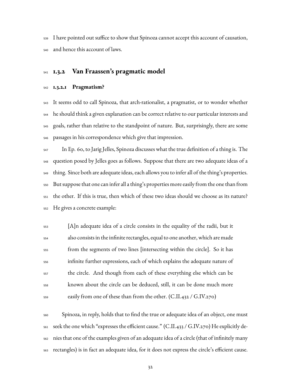I have pointed out suffice to show that Spinoza cannot accept this account of causation, and hence this account of laws.

### <span id="page-34-0"></span>**1.3.2 Van Fraassen's pragmatic model**

#### <span id="page-34-1"></span>**1.3.2.1 Pragmatism?**

 It seems odd to call Spinoza, that arch-rationalist, a pragmatist, or to wonder whether he should think a given explanation can be correct relative to our particular interests and goals, rather than relative to the standpoint of nature. But, surprisingly, there are some passages in his correspondence which give that impression.

 In Ep. 60, to Jarig Jelles, Spinoza discusses what the true definition of a thing is. The question posed by Jelles goes as follows. Suppose that there are two adequate ideas of a thing. Since both are adequate ideas, each allows you to infer all of the thing's properties. But suppose that one can infer all a thing's properties more easily from the one than from the other. If this is true, then which of these two ideas should we choose as its nature? He gives a concrete example:

 [A]n adequate idea of a circle consists in the equality of the radii, but it also consists in the infinite rectangles, equal to one another, which are made from the segments of two lines [intersecting within the circle]. So it has infinite further expressions, each of which explains the adequate nature of the circle. And though from each of these everything else which can be known about the circle can be deduced, still, it can be done much more easily from one of these than from the other. (C.II.432 / G.IV.270)

 Spinoza, in reply, holds that to find the true or adequate idea of an object, one must seek the one which "expresses the efficient cause." (C.II.433 / G.IV.270) He explicitly de- nies that one of the examples given of an adequate idea of a circle (that of infinitely many rectangles) is in fact an adequate idea, for it does not express the circle's efficient cause.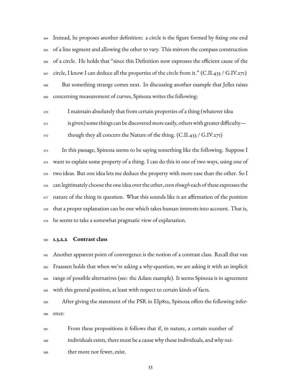Instead, he proposes another definition: a circle is the figure formed by fixing one end of a line segment and allowing the other to vary. This mirrors the compass construction of a circle. He holds that "since this Definition now expresses the efficient cause of the  $_{567}$  circle, I know I can deduce all the properties of the circle from it." (C.II.433 / G.IV.271) But something strange comes next. In discussing another example that Jelles raises concerning measurement of curves, Spinoza writes the following:

I maintain absolutely that from certain properties of a thing (whatever idea

 $\frac{1}{571}$  is given) some things can be discovered more easily, others with greater difficulty—

though they all concern the Nature of the thing. (C.II.433 / G.IV.271)

 In this passage, Spinoza seems to be saying something like the following. Suppose I want to explain some property of a thing. I can do this in one of two ways, using one of two ideas. But one idea lets me deduce the property with more ease than the other. So I can legitimately choose the one idea over the other,*even though* each of these expresses the nature of the thing in question. What this sounds like is an affirmation of the position that a proper explanation can be one which takes human interests into account. That is, he seems to take a somewhat pragmatic view of explanation.

#### <span id="page-35-0"></span>**1.3.2.2 Contrast class**

 Another apparent point of convergence is the notion of a contrast class. Recall that van Fraassen holds that when we're asking a why-question, we are asking it with an implicit range of possible alternatives (see: the Adam example). It seems Spinoza is in agreement with this general position, at least with respect to certain kinds of facts.

 After giving the statement of the PSR in EIp8s2, Spinoza offers the following infer-ence:

 From these propositions it follows that if, in nature, a certain number of individuals exists, there must be a cause why those individuals, and why nei-ther more nor fewer, exist.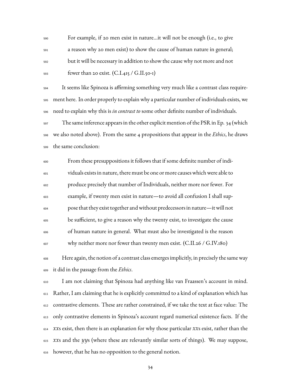For example, if 20 men exist in nature…it will not be enough (i.e., to give a reason why 20 men exist) to show the cause of human nature in general; but it will be necessary in addition to show the cause why not more and not  $_{593}$  fewer than 20 exist. (C.I.415 / G.II.50-1)

 It seems like Spinoza is affirming something very much like a contrast class require- ment here. In order properly to explain why a particular number of individuals exists, we need to explain why this is *in contrast to* some other definite number of individuals. 597 The same inference appears in the other explicit mention of the PSR in Ep. 34 (which

 we also noted above). From the same 4 propositions that appear in the *Ethics*, he draws the same conclusion:

 From these presuppositions it follows that if some definite number of indi- viduals exists in nature, there must be one or more causes which were able to produce precisely that number of Individuals, neither more nor fewer. For example, if twenty men exist in nature—to avoid all confusion I shall sup- pose that they exist together and without predecessors in nature—it will not be sufficient, to give a reason why the twenty exist, to investigate the cause of human nature in general. What must also be investigated is the reason why neither more nor fewer than twenty men exist. (C.II.26 / G.IV.180)

 Here again, the notion of a contrast class emerges implicitly, in precisely the same way it did in the passage from the *Ethics*.

 I am not claiming that Spinoza had anything like van Fraassen's account in mind. Rather, I am claiming that he is explicitly committed to a kind of explanation which has contrastive elements. These are rather constrained, if we take the text at face value: The only contrastive elements in Spinoza's account regard numerical existence facts. If the *xx*s exist, then there is an explanation for why those particular *xx*s exist, rather than the *xx*s and the *yy*s (where these are relevantly similar sorts of things). We may suppose, however, that he has no opposition to the general notion.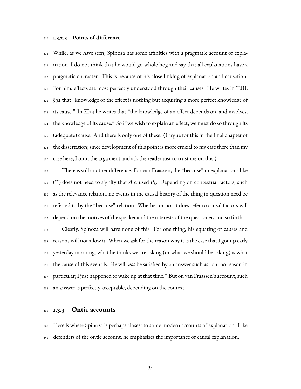#### **1.3.2.3 Points of difference**

 While, as we have seen, Spinoza has some affinities with a pragmatic account of expla- nation, I do not think that he would go whole-hog and say that all explanations have a pragmatic character. This is because of his close linking of explanation and causation. For him, effects are most perfectly understood through their causes. He writes in TdIE §92 that "knowledge of the effect is nothing but acquiring a more perfect knowledge of its cause." In EIa4 he writes that "the knowledge of an effect depends on, and involves, the knowledge of its cause." So if we wish to explain an effect, we must do so through its (adequate) cause. And there is only one of these. (I argue for this in the final chapter of the dissertation; since development of this point is more crucial to my case there than my case here, I omit the argument and ask the reader just to trust me on this.)

 There is still another difference. For van Fraassen, the "because" in explanations like  $\epsilon$ 29  $\;\;$  (\*\*) does not need to signify that  $A$  caused  $P_k.$  Depending on contextual factors, such as the relevance relation, no events in the causal history of the thing in question need be referred to by the "because" relation. Whether or not it does refer to causal factors will depend on the motives of the speaker and the interests of the questioner, and so forth.

 Clearly, Spinoza will have none of this. For one thing, his equating of causes and reasons will not allow it. When we ask for the reason why it is the case that I got up early yesterday morning, what he thinks we are asking (or what we should be asking) is what the cause of this event is. He will *not* be satisfied by an answer such as "oh, no reason in particular; I just happened to wake up at that time." But on van Fraassen's account, such an answer is perfectly acceptable, depending on the context.

#### **1.3.3 Ontic accounts**

 Here is where Spinoza is perhaps closest to some modern accounts of explanation. Like defenders of the ontic account, he emphasizes the importance of causal explanation.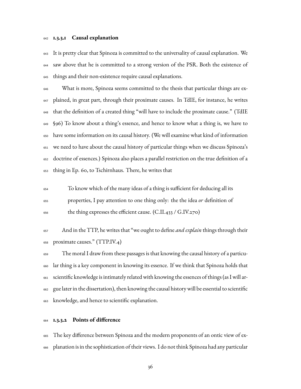#### **1.3.3.1 Causal explanation**

 It is pretty clear that Spinoza is committed to the universality of causal explanation. We saw above that he is committed to a strong version of the PSR. Both the existence of things and their non-existence require causal explanations.

 What is more, Spinoza seems committed to the thesis that particular things are ex- plained, in great part, through their proximate causes. In TdIE, for instance, he writes that the definition of a created thing "will have to include the proximate cause." (TdIE §96) To know about a thing's essence, and hence to know what a thing is, we have to have some information on its causal history. (We will examine what kind of information we need to have about the causal history of particular things when we discuss Spinoza's doctrine of essences.) Spinoza also places a parallel restriction on the true definition of a thing in Ep. 60, to Tschirnhaus. There, he writes that

 To know which of the many ideas of a thing is sufficient for deducing all its properties, I pay attention to one thing only: the the idea *or* definition of the thing expresses the efficient cause. (C.II.433 / G.IV.270)

 And in the TTP, he writes that "we ought to define *and explain* things through their proximate causes." (TTP.IV.4)

 The moral I draw from these passages is that knowing the causal history of a particu- lar thing is a key component in knowing its essence. If we think that Spinoza holds that scientific knowledge is intimately related with knowing the essences of things (as I will ar- gue later in the dissertation), then knowing the causal history will be essential to scientific knowledge, and hence to scientific explanation.

#### **1.3.3.2 Points of difference**

 The key difference between Spinoza and the modern proponents of an ontic view of ex-planation is in the sophistication of their views. I do not think Spinoza had any particular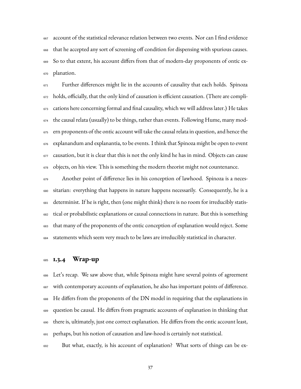account of the statistical relevance relation between two events. Nor can I find evidence that he accepted any sort of screening off condition for dispensing with spurious causes. So to that extent, his account differs from that of modern-day proponents of ontic ex-planation.

 Further differences might lie in the accounts of causality that each holds. Spinoza holds, officially, that the only kind of causation is efficient causation. (There are compli- cations here concerning formal and final causality, which we will address later.) He takes the causal relata (usually) to be things, rather than events. Following Hume, many mod- ern proponents of the ontic account will take the causal relata in question, and hence the explanandum and explanantia, to be events. I think that Spinoza might be open to event causation, but it is clear that this is not the only kind he has in mind. Objects can cause objects, on his view. This is something the modern theorist might not countenance.

 Another point of difference lies in his conception of lawhood. Spinoza is a neces- sitarian: everything that happens in nature happens necessarily. Consequently, he is a determinist. If he is right, then (one might think) there is no room for irreducibly statis- tical or probabilistic explanations or causal connections in nature. But this is something that many of the proponents of the ontic conception of explanation would reject. Some statements which seem very much to be laws are irreducibly statistical in character.

#### **1.3.4 Wrap-up**

 Let's recap. We saw above that, while Spinoza might have several points of agreement with contemporary accounts of explanation, he also has important points of difference. He differs from the proponents of the DN model in requiring that the explanations in question be causal. He differs from pragmatic accounts of explanation in thinking that there is, ultimately, just one correct explanation. He differs from the ontic account least, perhaps, but his notion of causation and law-hood is certainly not statistical.

But what, exactly, is his account of explanation? What sorts of things can be ex-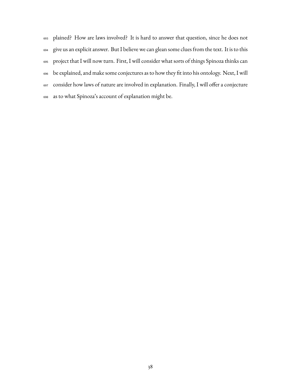plained? How are laws involved? It is hard to answer that question, since he does not give us an explicit answer. But I believe we can glean some clues from the text. It is to this project that I will now turn. First, I will consider what sorts of things Spinoza thinks can be explained, and make some conjectures as to how they fit into his ontology. Next, I will consider how laws of nature are involved in explanation. Finally, I will offer a conjecture as to what Spinoza's account of explanation might be.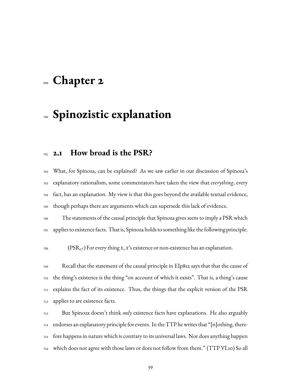## **Chapter 2**

## **Spinozistic explanation**

**2.1 How broad is the PSR?**

 What, for Spinoza, can be explained? As we saw earlier in our discussion of Spinoza's explanatory rationalism, some commentators have taken the view that *everything*, every fact, has an explanation. My view is that this goes beyond the available textual evidence, though perhaps there are arguments which can supersede this lack of evidence.

 The statements of the causal principle that Spinoza gives seem to imply a PSR which applies to existence facts. That is, Spinoza holds to something like the following principle:

(PSR<sub>ef</sub>) For every thing *x*, *x*'s existence or non-existence has an explanation.

 Recall that the statement of the causal principle in EIp8s2 says that that the cause of the thing's existence is the thing "on account of which it exists". That is, a thing's cause explains the fact of its existence. Thus, the things that the explicit version of the PSR applies to are existence facts.

 But Spinoza doesn't think *only* existence facts have explanations. He also arguably endorses an explanatory principle for events. In the TTP he writes that "[n]othing, there- fore happens in nature which is contrary to its universal laws. Nor does anything happen which does not agree with those laws or does not follow from them." (TTP VI.10) So all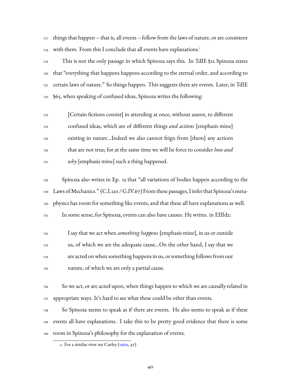things that happen – that is, all events – follow from the laws of nature, or are consistent with them. From this I conclude that all events have explanations.<sup>[1](#page-42-0)</sup> 

 This is not the only passage in which Spinoza says this. In TdIE §12 Spinoza states that "everything that happens happens according to the eternal order, and according to certain laws of nature." So things happen. This suggests there are events. Later, in TdIE §65, when speaking of confused ideas, Spinoza writes the following:

 [Certain fictions consist] in attending at once, without assent, to different confused ideas, which are of different things *and actions* [emphasis mine] existing in nature…Indeed we also cannot feign from [them] any actions that are not true; for at the same time we will be force to consider *how and why* [emphasis mine] such a thing happened.

 Spinoza also writes in Ep. 13 that "all variations of bodies happen according to the Laws ofMechanics." (C.I.210 / G.IV.67) From these passages, I infer that Spinoza's meta- physics has room for something like events, and that these all have explanations as well. In some sense, for Spinoza, events can also have causes. He writes. in EIIId2:

 I say that we act when *something happens* [emphasis mine], in us or outside us, of which we are the adequate cause…On the other hand, I say that we are acted on when something happens in us, or something follows from our nature, of which we are only a partial cause.

 So we act, or are acted upon, when things happen to which we are causally related in appropriate ways. It's hard to see what these could be other than events.

 So Spinoza seems to speak as if there are events. He also seems to speak as if these events all have explanations. I take this to be pretty good evidence that there is some room in Spinoza's philosophy for the explanation of events.

<span id="page-42-0"></span><sup>1.</sup> For a similar view see Curley  $(1969, 47)$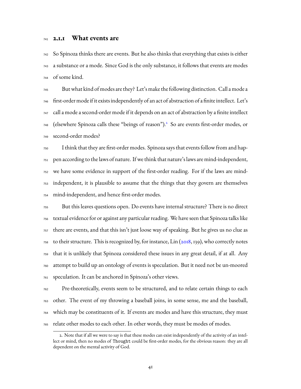#### **2.1.1 What events are**

 So Spinoza thinks there are events. But he also thinks that everything that exists is either a substance or a mode. Since God is the only substance, it follows that events are modes of some kind.

 But what kind of modes are they? Let's make the following distinction. Call a mode a first-order mode if it exists independently of an act of abstraction of a finite intellect. Let's call a mode a second-order mode if it depends on an act of abstraction by a finite intellect 748 (elsewhere Spinoza calls these "beings of reason").<sup>[2](#page-43-0)</sup> So are events first-order modes, or second-order modes?

 I think that they are first-order modes. Spinoza says that events follow from and hap- pen according to the laws of nature. If we think that nature's laws are mind-independent, we have some evidence in support of the first-order reading. For if the laws are mind- independent, it is plausible to assume that the things that they govern are themselves mind-independent, and hence first-order modes.

 But this leaves questions open. Do events have internal structure? There is no direct textual evidence for or against any particular reading. We have seen that Spinoza talks like there are events, and that this isn't just loose way of speaking. But he gives us no clue as to their structure. This is recognized by, for instance, Lin ( $2018$ , 139), who correctly notes that it is unlikely that Spinoza considered these issues in any great detail, if at all. Any attempt to build up an ontology of events is speculation. But it need not be un-moored speculation. It can be anchored in Spinoza's other views.

 Pre-theoretically, events seem to be structured, and to relate certain things to each other. The event of my throwing a baseball joins, in some sense, me and the baseball, which may be constituents of it. If events are modes and have this structure, they must relate other modes to each other. In other words, they must be modes of modes.

<span id="page-43-0"></span><sup>2.</sup> Note that if all we were to say is that these modes can exist independently of the activity of an intellect or mind, then no modes of Thought could be first-order modes, for the obvious reason: they are all dependent on the mental activity of God.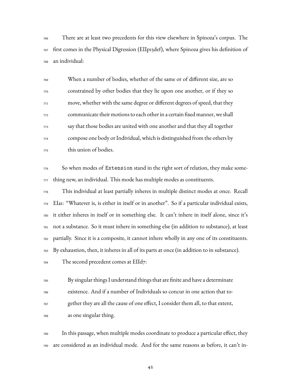There are at least two precedents for this view elsewhere in Spinoza's corpus. The first comes in the Physical Digression (EIIp13def), where Spinoza gives his definition of an individual:

 When a number of bodies, whether of the same or of different size, are so constrained by other bodies that they lie upon one another, or if they so move, whether with the same degree or different degrees of speed, that they communicate their motions to each other in a certain fixed manner, we shall say that those bodies are united with one another and that they all together compose one body or Individual, which is distinguished from the others by this union of bodies.

 So when modes of Extension stand in the right sort of relation, they make some-thing new, an individual. This mode has multiple modes as constituents.

 This individual at least partially inheres in multiple distinct modes at once. Recall  $_{779}$  EIa1: "Whatever is, is either in itself or in another". So if a particular individual exists, it either inheres in itself or in something else. It can't inhere in itself alone, since it's not a substance. So it must inhere in something else (in addition to substance), at least partially. Since it is a composite, it cannot inhere wholly in any one of its constituents. By exhaustion, then, it inheres in all of its parts at once (in addition to in substance).

The second precedent comes at EIId7:

 By singular things I understand things that are finite and have a determinate existence. And if a number of Individuals so concur in one action that to- gether they are all the cause of one effect, I consider them all, to that extent, as one singular thing.

 In this passage, when multiple modes coordinate to produce a particular effect, they are considered as an individual mode. And for the same reasons as before, it can't in-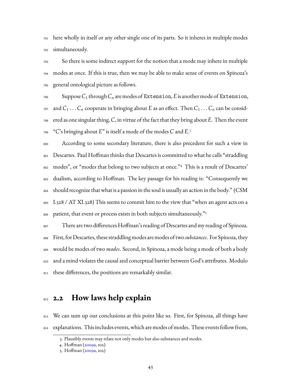here wholly in itself or any other single one of its parts. So it inheres in multiple modes simultaneously.

 So there is some indirect support for the notion that a mode may inhere in multiple modes at once. If this is true, then we may be able to make sense of events on Spinoza's general ontological picture as follows.

 $_{796}$  Suppose  $C_1$  through  $C_n$  are modes of Extension, *E* is another mode of Extension,  $T^{97}$  and  $C_1 \ldots C_n$  cooperate in bringing about *E* as an effect. Then  $C_1 \ldots C_n$  can be consid- ered as one singular thing, *C*, in virtue of the fact that they bring about *E*. Then the event "*C*'s bringing about *E*" is itself a mode of the modes *C* and *E*. [3](#page-45-0) 

 According to some secondary literature, there is also precedent for such a view in Descartes. Paul Hoffman thinks that Descartes is committed to what he calls "straddling 802 modes", or "modes that belong to two subjects at once."<sup>[4](#page-45-1)</sup> This is a result of Descartes' dualism, according to Hoffman. The key passage for his reading is: "Consequently we  $_{804}$  should recognize that what is a passion in the soul is usually an action in the body." (CSM I.328 / AT XI.328) This seems to commit him to the view that "when an agent acts on a patient, that event or process exists in both subjects simultaneously."[5](#page-45-2) 

 There are two differences Hoffman's reading of Descartes and my reading of Spinoza. First, for Descartes, these straddling modes are modes of two *substances*. For Spinoza, they would be modes of two *modes*. Second, in Spinoza, a mode being a mode of both a body and a mind violates the causal and conceptual barrier between God's attributes. Modulo 811 these differences, the positions are remarkably similar.

#### **2.2** How laws help explain

813 We can sum up our conclusions at this point like so. First, for Spinoza, all things have explanations. This includes events, which are modes of modes. These events follow from,

<span id="page-45-0"></span><sup>3.</sup> Plausibly events may relate not only modes but also substances and modes.

<span id="page-45-1"></span><sup>4.</sup> Hoffman([2009a,](#page-230-0) 102)

<span id="page-45-2"></span><sup>5.</sup> Hoffman([2009a,](#page-230-0) 102)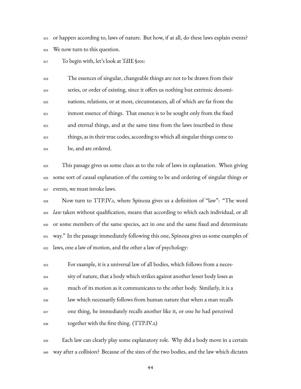815 or happen according to, laws of nature. But how, if at all, do these laws explain events? We now turn to this question.

To begin with, let's look at TdIE §101:

 The essences of singular, changeable things are not to be drawn from their 819 series, or order of existing, since it offers us nothing but extrinsic denomi- nations, relations, or at most, circumstances, all of which are far from the inmost essence of things. That essence is to be sought only from the fixed and eternal things, and at the same time from the laws inscribed in these things, as in their true codes, according to which all singular things come to be, and are ordered.

 This passage gives us some clues as to the role of laws in explanation. When giving 826 some sort of causal explanation of the coming to be and ordering of singular things or events, we must invoke laws.

828 Now turn to TTP.IV.1, where Spinoza gives us a definition of "law": "The word <sup>829</sup> *law* taken without qualification, means that according to which each individual, or all 830 or some members of the same species, act in one and the same fixed and determinate way." In the passage immediately following this one, Spinoza gives us some examples of laws, one a law of motion, and the other a law of psychology:

 For example, it is a universal law of all bodies, which follows from a neces- sity of nature, that a body which strikes against another lesser body loses as much of its motion as it communicates to the other body. Similarly, it is a law which necessarily follows from human nature that when a man recalls one thing, he immediately recalls another like it, or one he had perceived together with the first thing. (TTP.IV.2)

 Each law can clearly play some explanatory role. Why did a body move in a certain way after a collision? Because of the sizes of the two bodies, and the law which dictates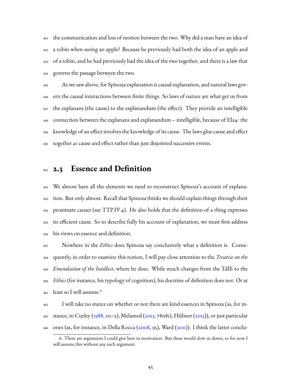841 the communication and loss of motion between the two. Why did a man have an idea of <sup>842</sup> a robin when seeing an apple? Because he previously had both the idea of an apple and 843 of a robin, and he had previously had the idea of the two together, and there is a law that governs the passage between the two.

 As we saw above, for Spinoza explanation is causal explanation, and natural laws gov- ern the causal interactions between finite things. So laws of nature are what get us from the explanans (the cause) to the explanandum (the effect). They provide an intelligible connection between the explanans and explanandum – intelligible, because of EIa4: the knowledge of an effect involves the knowledge of its cause. The laws glue cause and effect together *as* cause and effect rather than just disjointed successive events.

#### **2.3 Essence and Definition**

 We almost have all the elements we need to reconstruct Spinoza's account of explana- tion. But only almost. Recall that Spinoza thinks we should explain things through their proximate causes (see TTP.IV.4). He also holds that the definition of a thing expresses its efficient cause. So to describe fully his account of explanation, we must first address his views on essence and definition.

 Nowhere in the *Ethics* does Spinoza say conclusively what a definition is. Conse- quently, in order to examine this notion, I will pay close attention to the *Treatise on the Emendation of the Intellect*, where he does. While much changes from the TdIE to the *Ethics* (for instance, his typology of cognition), his doctrine of definition does not. Or at least so I will assume.<sup>[6](#page-47-0)</sup> 

 I will take no stance on whether or not there are kind essences in Spinoza (as, for in-863 stance, in Curley [\(1988,](#page-227-1)111–2), Melamed ([2013](#page-233-0), 78n81), Hübner [\(2015](#page-230-1))), or just particular ones (as, for instance, in Della Rocca [\(2008](#page-228-0), 95), Ward([2011\)](#page-237-0)). I think the latter conclu-

<span id="page-47-0"></span><sup>6.</sup> There are arguments I could give here in motivation. But these would slow us down, so for now I will assume this without any such argument.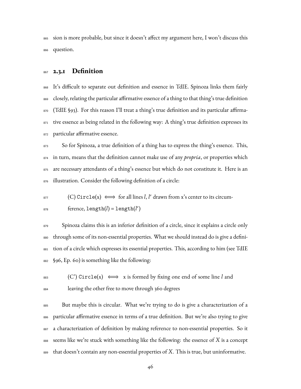sion is more probable, but since it doesn't affect my argument here, I won't discuss this question.

#### **2.3.1 Definition**

 It's difficult to separate out definition and essence in TdIE. Spinoza links them fairly closely, relating the particular affirmative essence of a thing to that thing's true definition 870 (TdIE §93). For this reason I'll treat a thing's true definition and its particular affirma-871 tive essence as being related in the following way: A thing's true definition expresses its particular affirmative essence.

873 So for Spinoza, a true definition of a thing has to express the thing's essence. This, in turn, means that the definition cannot make use of any *propria*, or properties which 875 are necessary attendants of a thing's essence but which do not constitute it. Here is an 876 illustration. Consider the following definition of a circle:

 $\text{S}$ <sup>877</sup> (C) Circle(x)  $\iff$  for all lines *l*, *l'* drawn from x's center to its circumference, length(*l*) = length(*l* ′ )

879 Spinoza claims this is an inferior definition of a circle, since it explains a circle only through some of its non-essential properties. What we should instead do is give a defini- tion of a circle which expresses its essential properties. This, according to him (see TdIE §96, Ep. 60) is something like the following:

 (C') Circle(x) ⇐⇒ x is formed by fixing one end of some line *l* and leaving the other free to move through 360 degrees

 But maybe this is circular. What we're trying to do is give a characterization of a particular affirmative essence in terms of a true definition. But we're also trying to give a characterization of definition by making reference to non-essential properties. So it seems like we're stuck with something like the following: the essence of *X* is a concept that doesn't contain any non-essential properties of *X*. This is true, but uninformative.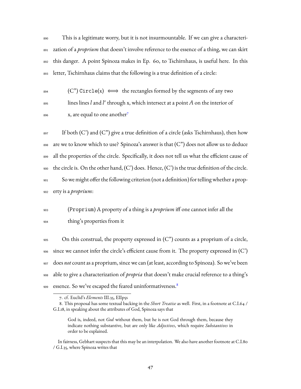This is a legitimate worry, but it is not insurmountable. If we can give a characteri- zation of a *proprium* that doesn't involve reference to the essence of a thing, we can skirt this danger. A point Spinoza makes in Ep. 60, to Tschirnhaus, is useful here. In this letter, Tschirnhaus claims that the following is a true definition of a circle:

 $\mathcal{C}$  (C") Circle(x)  $\iff$  the rectangles formed by the segments of any two lines lines *l*and *l* ′ <sup>895</sup> through x, which intersect at a point *A* on the interior of x, are equal to one another<sup>[7](#page-49-0)</sup> 896

 If both (C') and (C") give a true definition of a circle (asks Tschirnhaus), then how 898 are we to know which to use? Spinoza's answer is that  $(C<sup>n</sup>)$  does not allow us to deduce all the properties of the circle. Specifically, it does not tell us what the efficient cause of  $_{900}$  the circle is. On the other hand, (C') does. Hence, (C') is the true definition of the circle. So we might offer the following criterion (not a definition) for telling whether a prop-erty is a *proprium*:

<sup>903</sup> (Proprium) A property of a thing is a *proprium* iff one cannot infer all the <sup>904</sup> thing's properties from it

 On this construal, the property expressed in (C") counts as a proprium of a circle, since we cannot infer the circle's efficient cause from it. The property expressed in  $(C)$  does *not* count as a proprium, since we can (at least, according to Spinoza). So we've been able to give a characterization of *propria* that doesn't make crucial reference to a thing's essence. So we've escaped the feared uninformativeness.<sup>[8](#page-49-1)</sup> 909

<span id="page-49-1"></span><span id="page-49-0"></span><sup>7.</sup> cf. Euclid's *Elements* III.35, EIIp5s

<sup>8.</sup> This proposal has some textual backing in the *Short Treatise* as well. First, in a footnote at C.I.64 / G.I.18, in speaking about the attributes of God, Spinoza says that

God is, indeed, not *God* without them, but he is not God through them, because they indicate nothing substantive, but are only like *Adjectives*, which require *Substantives* in order to be explained.

In fairness, Gebhart suspects that this may be an interpolation. We also have another footnote at C.I.80 / G.I.35, where Spinoza writes that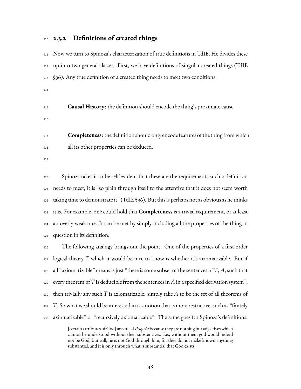#### **2.3.2 Definitions of created things**

 Now we turn to Spinoza's characterization of true definitions in TdIE. He divides these up into two general classes. First, we have definitions of singular created things (TdIE §96). Any true definition of a created thing needs to meet two conditions: 

- **Causal History:** the definition should encode the thing's proximate cause.
- 

 **Completeness:** the definition should only encode features of the thing fromwhich all its other properties can be deduced.

 Spinoza takes it to be self-evident that these are the requirements such a definition needs to meet; it is "so plain through itself to the attentive that it does not seem worth taking time to demonstrate it" (TdIE §96). But this is perhaps not as obvious as he thinks it is. For example, one could hold that **Completeness** is a trivial requirement, or at least an overly weak one. It can be met by simply including all the properties of the thing in question in its definition.

 The following analogy brings out the point. One of the properties of a first-order logical theory *T* which it would be nice to know is whether it's axiomatizable. But if all "axiomatizable" means is just "there is some subset of the sentences of *T*, *A*, such that every theorem of *T* is deducible from the sentences in *A* in a specified derivation system", then trivially any such *T* is axiomatizable: simply take *A* to be the set of all theorems of *T*. So what we should be interested in is a notion that is more restrictive, such as "finitely axiomatizable" or "recursively axiomatizable". The same goes for Spinoza's definitions:

<sup>[</sup>certain attributes of God] are called *Propria* because they are nothing but adjectives which cannot be understood without their substantives. I.e., without them god would indeed not be God; but still, he is not God through him, for they do not make known anything substantial, and it is only through what is substantial that God exists.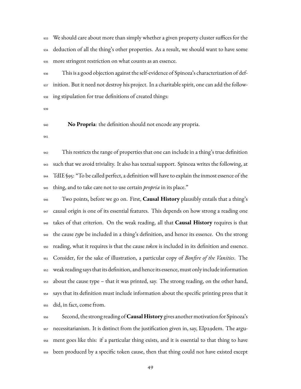We should care about more than simply whether a given property cluster suffices for the deduction of all the thing's other properties. As a result, we should want to have some more stringent restriction on what counts as an essence.

 This is a good objection against the self-evidence of Spinoza's characterization of def- inition. But it need not destroy his project. In a charitable spirit, one can add the follow-ing stipulation for true definitions of created things:

**No Propria**: the definition should not encode any propria.

 This restricts the range of properties that one can include in a thing's true definition such that we avoid triviality. It also has textual support. Spinoza writes the following, at TdIE §95: "To be called perfect, a definition will have to explain the inmost essence of the thing, and to take care not to use certain *propria* in its place."

 Two points, before we go on. First, **Causal History** plausibly entails that a thing's 947 causal origin is one of its essential features. This depends on how strong a reading one takes of that criterion. On the weak reading, all that **Causal History** requires is that the cause *type* be included in a thing's definition, and hence its essence. On the strong reading, what it requires is that the cause *token* is included in its definition and essence. Consider, for the sake of illustration, a particular copy of *Bonfire of the Vanities*. The weak reading says that its definition, and hence its essence, must only include information about the cause type – that it was printed, say. The strong reading, on the other hand, says that its definition must include information about the specific printing press that it did, in fact, come from.

 Second, the strong reading of **Causal History** gives another motivation for Spinoza's necessitarianism. It is distinct from the justification given in, say, EIp29dem. The argu- ment goes like this: if a particular thing exists, and it is essential to that thing to have been produced by a specific token cause, then that thing could not have existed except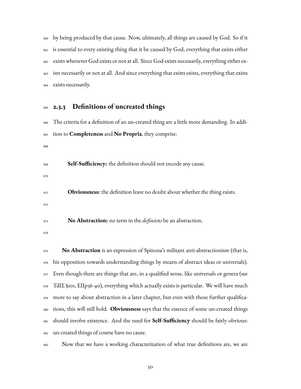by being produced by that cause. Now, ultimately, all things are caused by God. So if it is essential to every existing thing that it be caused by God, everything that exists either exists whenever God exists or not at all. Since God exists necessarily, everything either ex- ists necessarily or not at all. And since everything that exists exists, everything that exists exists necessarily.

#### **2.3.3 Definitions of uncreated things**

|     | 966 The criteria for a definition of an un-created thing are a little more demanding. In addi- |
|-----|------------------------------------------------------------------------------------------------|
| 967 | tion to <b>Completeness</b> and <b>No Propria</b> , they comprise:                             |
| 968 |                                                                                                |
| 969 | Self-Sufficiency: the definition should not encode any cause.                                  |
| 970 |                                                                                                |
| 971 | <b>Obviousness:</b> the definition leave no doubt about whether the thing exists.              |
| 972 |                                                                                                |
| 973 | No Abstraction: no term in the <i>definiens</i> be an abstraction.                             |

 **No Abstraction** is an expression of Spinoza's militant anti-abstractionism (that is, his opposition towards understanding things by means of abstract ideas or universals). 977 Even though there are things that are, in a qualified sense, like universals or genera (see TdIE §101, EIIp36-40), everything which actually exists is particular. We will have much 979 more to say about abstraction in a later chapter, but even with those further qualifica- tions, this will still hold. **Obviousness** says that the essence of some un-created things should involve existence. And the need for **Self-Sufficiency** should be fairly obvious: un-created things of course have no cause.



Now that we have a working characterization of what true definitions are, we are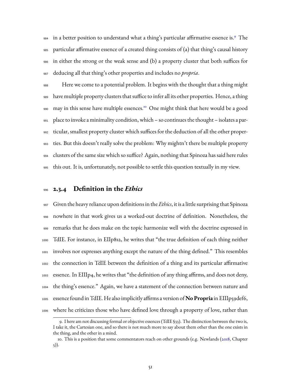84 in a better position to understand what a thing's particular affirmative essence is.<sup>9</sup> The particular affirmative essence of a created thing consists of (a) that thing's causal history in either the strong or the weak sense and (b) a property cluster that both suffices for deducing all that thing's other properties and includes no *propria*.

 Here we come to a potential problem. It begins with the thought that a thing might have multiple property clusters that suffice to infer all its other properties. Hence, a thing 990 may in this sense have multiple essences.<sup>[10](#page-53-1)</sup> One might think that here would be a good place to invoke a minimality condition, which – so continues the thought – isolates a par- ticular, smallest property cluster which suffices for the deduction of all the other proper- ties. But this doesn't really solve the problem: Why mightn't there be multiple property clusters of the same size which so suffice? Again, nothing that Spinoza has said here rules this out. It is, unfortunately, not possible to settle this question textually in my view.

#### **2.3.4 Definition in the** *Ethics*

 Given the heavy reliance upon definitions in the *Ethics*, it is a little surprising that Spinoza nowhere in that work gives us a worked-out doctrine of definition. Nonetheless, the remarks that he does make on the topic harmonize well with the doctrine expressed in TdIE. For instance, in EIIp8s2, he writes that "the true definition of each thing neither involves nor expresses anything except the nature of the thing defined." This resembles the connection in TdIE between the definition of a thing and its particular affirmative essence. In EIIIp4, he writes that "the definition of any thing affirms, and does not deny, the thing's essence." Again, we have a statement of the connection between nature and essence found in TdIE. He also implicitly affirms a version of **No Propria** in EIIIp59def6, where he criticizes those who have defined love through a property of love, rather than

<span id="page-53-0"></span><sup>9.</sup> I here am not discussing formal or objective essences (TdIE §33). The distinction between the two is, I take it, the Cartesian one, and so there is not much more to say about them other than the one exists in the thing, and the other in a mind.

<span id="page-53-1"></span><sup>10.</sup> This is a position that some commentators reach on other grounds (e.g. Newlands([2018,](#page-234-0) Chapter 5)).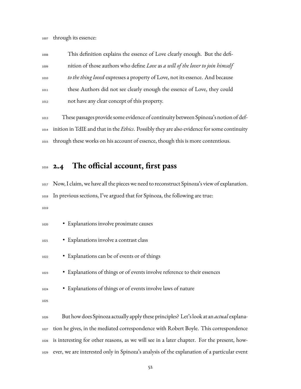through its essence:

 This definition explains the essence of Love clearly enough. But the defi- nition of those authors who define *Love* as *a will of the lover to join himself to the thing loved* expresses a property of Love, not its essence. And because these Authors did not see clearly enough the essence of Love, they could not have any clear concept of this property.

 These passages provide some evidence of continuity between Spinoza's notion of def- inition in TdIE and that in the *Ethics*. Possibly they are also evidence for some continuity through these works on his account of essence, though this is more contentious.

#### **2.4 The official account, first pass**

 Now, I claim, we have all the pieces we need to reconstruct Spinoza's view of explanation. In previous sections, I've argued that for Spinoza, the following are true: 

| 1020 | • Explanations involve proximate causes                                                       |
|------|-----------------------------------------------------------------------------------------------|
| 1021 | • Explanations involve a contrast class                                                       |
| 1022 | • Explanations can be of events or of things                                                  |
| 1023 | • Explanations of things or of events involve reference to their essences                     |
| 1024 | • Explanations of things or of events involve laws of nature                                  |
| 1025 |                                                                                               |
| 1026 | But how does Spinoza actually apply these principles? Let's look at an <i>actual</i> explana- |
| 1027 | tion he gives, in the mediated correspondence with Robert Boyle. This correspondence          |

is interesting for other reasons, as we will see in a later chapter. For the present, how-

ever, we are interested only in Spinoza's analysis of the explanation of a particular event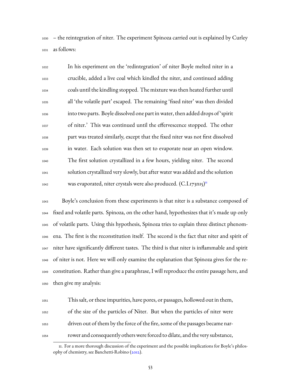– the reintegration of niter. The experiment Spinoza carried out is explained by Curley as follows:

| 1032 | In his experiment on the 'redintegration' of niter Boyle melted niter in a      |
|------|---------------------------------------------------------------------------------|
| 1033 | crucible, added a live coal which kindled the niter, and continued adding       |
| 1034 | coals until the kindling stopped. The mixture was then heated further until     |
| 1035 | all 'the volatile part' escaped. The remaining 'fixed niter' was then divided   |
| 1036 | into two parts. Boyle dissolved one part in water, then added drops of 'spirit  |
| 1037 | of niter.' This was continued until the effervescence stopped. The other        |
| 1038 | part was treated similarly, except that the fixed niter was not first dissolved |
| 1039 | in water. Each solution was then set to evaporate near an open window.          |
| 1040 | The first solution crystallized in a few hours, yielding niter. The second      |
| 1041 | solution crystallized very slowly, but after water was added and the solution   |
| 1042 | was evaporated, niter crystals were also produced. (C.I.173n15) <sup>II</sup>   |

 Boyle's conclusion from these experiments is that niter is a substance composed of fixed and volatile parts. Spinoza, on the other hand, hypothesizes that it's made up only of volatile parts. Using this hypothesis, Spinoza tries to explain three distinct phenom- ena. The first is the reconstitution itself. The second is the fact that niter and spirit of niter have significantly different tastes. The third is that niter is inflammable and spirit of niter is not. Here we will only examine the explanation that Spinoza gives for the re- constitution. Rather than give a paraphrase, I will reproduce the entire passage here, and then give my analysis:

 This salt, or these impurities, have pores, or passages, hollowed out in them, of the size of the particles of Niter. But when the particles of niter were driven out of them by the force of the fire, some of the passages became nar-rower and consequently others were forced to dilate, and the very substance,

<span id="page-55-0"></span><sup>11.</sup> For a more thorough discussion of the experiment and the possible implications for Boyle's philosophy of chemistry, see Banchetti-Robino [\(2012](#page-226-0)).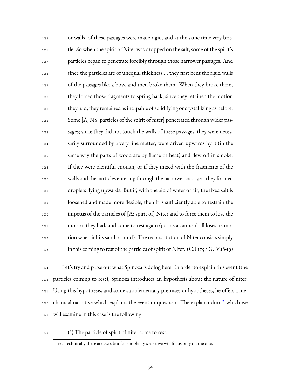or walls, of these passages were made rigid, and at the same time very brit- tle. So when the spirit of Niter was dropped on the salt, some of the spirit's particles began to penetrate forcibly through those narrower passages. And since the particles are of unequal thickness…, they first bent the rigid walls of the passages like a bow, and then broke them. When they broke them, they forced those fragments to spring back; since they retained the motion they had, they remained as incapable of solidifying or crystallizing as before. Some [A, NS: particles of the spirit of niter] penetrated through wider pas- sages; since they did not touch the walls of these passages, they were neces- sarily surrounded by a very fine matter, were driven upwards by it (in the same way the parts of wood are by flame or heat) and flew off in smoke. If they were plentiful enough, or if they mixed with the fragments of the walls and the particles entering through the narrower passages, they formed droplets flying upwards. But if, with the aid of water or air, the fixed salt is loosened and made more flexible, then it is sufficiently able to restrain the impetus of the particles of [A: spirit of] Niter and to force them to lose the motion they had, and come to rest again (just as a cannonball loses its mo- tion when it hits sand or mud). The reconstitution of Niter consists simply  $_{1073}$  in this coming to rest of the particles of spirit of Niter. (C.I.175 / G.IV.18-19)

 Let's try and parse out what Spinoza is doing here. In order to explain this event (the particles coming to rest), Spinoza introduces an hypothesis about the nature of niter. Using this hypothesis, and some supplementary premises or hypotheses, he offers a me-1077 chanical narrative which explains the event in question. The explanandum<sup>[12](#page-56-0)</sup> which we will examine in this case is the following:

(\*) The particle of spirit of niter came to rest.

<span id="page-56-0"></span><sup>12.</sup> Technically there are two, but for simplicity's sake we will focus only on the one.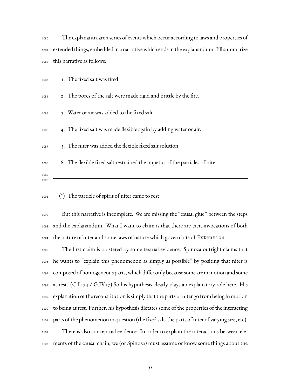| 1080 | The explanantia are a series of events which occur according to laws and properties of      |
|------|---------------------------------------------------------------------------------------------|
|      | 1081 extended things, embedded in a narrative which ends in the explanandum. I'll summarize |
|      | 1082 this narrative as follows:                                                             |

| 1083         | I. The fixed salt was fired                                                 |
|--------------|-----------------------------------------------------------------------------|
| 1084         | 2. The pores of the salt were made rigid and brittle by the fire.           |
| 1085         | 3. Water or air was added to the fixed salt                                 |
| 1086         | 4. The fixed salt was made flexible again by adding water or air.           |
| 1087         | 5. The niter was added the flexible fixed salt solution                     |
| 1088         | 6. The flexible fixed salt restrained the impetus of the particles of niter |
| 1089<br>1090 |                                                                             |

(\*) The particle of spirit of niter came to rest

 But this narrative is incomplete. We are missing the "causal glue" between the steps and the explanandum. What I want to claim is that there are tacit invocations of both the nature of niter and some laws of nature which govern bits of Extension.

 The first claim is bolstered by some textual evidence. Spinoza outright claims that he wants to "explain this phenomenon as simply as possible" by positing that niter is composed of homogeneous parts, which differ only because some are in motion and some at rest. (C.I.174 / G.IV.17) So his hypothesis clearly plays an explanatory role here. His explanation of the reconstitution is simply that the parts of niter go from being in motion to being at rest. Further, his hypothesis dictates some of the properties of the interacting parts of the phenomenon in question (the fixed salt, the parts of niter of varying size, etc). There is also conceptual evidence. In order to explain the interactions between ele-ments of the causal chain, we (or Spinoza) must assume or know some things about the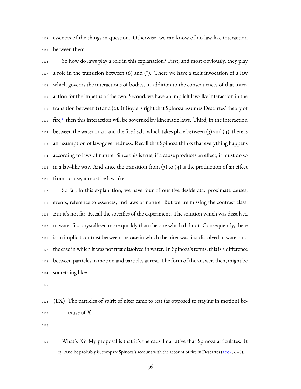essences of the things in question. Otherwise, we can know of no law-like interaction between them.

 So how do laws play a role in this explanation? First, and most obviously, they play 1107 a role in the transition between (6) and (\*). There we have a tacit invocation of a law which governs the interactions of bodies, in addition to the consequences of that inter- action for the impetus of the two. Second, we have an implicit law-like interaction in the transition between (1) and (2). If Boyle is right that Spinoza assumes Descartes' theory of 1111 fire,<sup>[13](#page-58-0)</sup> then this interaction will be governed by kinematic laws. Third, in the interaction 1112 between the water or air and the fired salt, which takes place between  $(3)$  and  $(4)$ , there is an assumption of law-governedness. Recall that Spinoza thinks that everything happens according to laws of nature. Since this is true, if a cause produces an effect, it must do so 1115 in a law-like way. And since the transition from  $(3)$  to  $(4)$  is the production of an effect from a cause, it must be law-like.

 So far, in this explanation, we have four of our five desiderata: proximate causes, events, reference to essences, and laws of nature. But we are missing the contrast class. But it's not far. Recall the specifics of the experiment. The solution which was dissolved in water first crystallized more quickly than the one which did not. Consequently, there is an implicit contrast between the case in which the niter was first dissolved in water and the case in which it was not first dissolved in water. In Spinoza's terms, this is a difference between particles in motion and particles at rest. The form of the answer, then, might be something like:

 (EX) The particles of spirit of niter came to rest (as opposed to staying in motion) be-cause of *X*.

<span id="page-58-0"></span> What's *X*? My proposal is that it's the causal narrative that Spinoza articulates. It 13. And he probably is; compare Spinoza's account with the account of fire in Descartes([2004](#page-223-0), 6–8).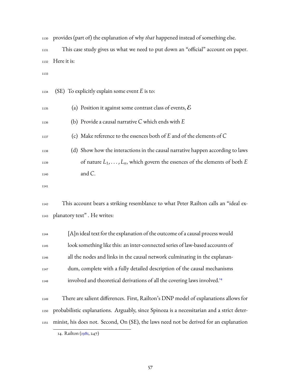| 1130 | provides (part of) the explanation of why that happened instead of something else.  |
|------|-------------------------------------------------------------------------------------|
| 1131 | This case study gives us what we need to put down an "official" account on paper.   |
| 1132 | Here it is:                                                                         |
| 1133 |                                                                                     |
| 1134 | (SE) To explicitly explain some event $E$ is to:                                    |
| 1135 | (a) Position it against some contrast class of events, $\mathcal E$                 |
| 1136 | (b) Provide a causal narrative $C$ which ends with $E$                              |
| 1137 | (c) Make reference to the essences both of $E$ and of the elements of $C$           |
| 1138 | (d) Show how the interactions in the causal narrative happen according to laws      |
| 1139 | of nature $L_1, \ldots, L_n$ , which govern the essences of the elements of both E  |
| 1140 | and C.                                                                              |
| 1141 |                                                                                     |
| 1142 | This account bears a striking resemblance to what Peter Railton calls an "ideal ex- |
| 1143 | planatory text". He writes:                                                         |
| 1144 | [A]n ideal text for the explanation of the outcome of a causal process would        |
| 1145 | look something like this: an inter-connected series of law-based accounts of        |
| 1146 | all the nodes and links in the causal network culminating in the explanan-          |
| 1147 | dum, complete with a fully detailed description of the causal mechanisms            |

 There are salient differences. First, Railton's DNP model of explanations allows for probabilistic explanations. Arguably, since Spinoza is a necessitarian and a strict deter-minist, his does not. Second, On (SE), the laws need not be derived for an explanation

involved and theoretical derivations of all the covering laws involved.<sup>[14](#page-59-0)</sup>

<span id="page-59-0"></span>14. Railton [\(1981](#page-235-0), 247)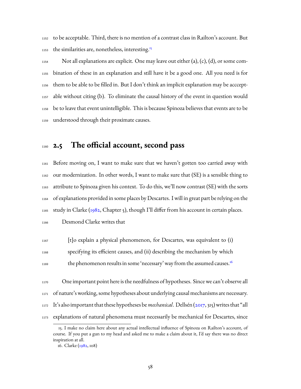to be acceptable. Third, there is no mention of a contrast class in Railton's account. But the similarities are, nonetheless, interesting.<sup>[15](#page-60-0)</sup> 

1154 Not all explanations are explicit. One may leave out either (a), (c), (d), or some com- bination of these in an explanation and still have it be a good one. All you need is for them to be able to be filled in. But I don't think an implicit explanation may be acccept- able without citing (b). To eliminate the causal history of the event in question would be to leave that event unintelligible. This is because Spinoza believes that events are to be understood through their proximate causes.

#### **2.5 The official account, second pass**

 Before moving on, I want to make sure that we haven't gotten too carried away with our modernization. In other words, I want to make sure that (SE) is a sensible thing to attribute to Spinoza given his context. To do this, we'll now contrast (SE) with the sorts of explanations provided in some places by Descartes. I will in great part be relying on the study in Clarke ([1982](#page-227-2), Chapter 5), though I'll differ from his account in certain places.

Desmond Clarke writes that

 [t]o explain a physical phenomenon, for Descartes, was equivalent to (i) specifying its efficient causes, and (ii) describing the mechanism by which the phenomenon results in some 'necessary' way from the assumed causes.<sup>[16](#page-60-1)</sup> 

 One important point here is the needfulness of hypotheses. Since we can't observe all of nature's working, some hypotheses about underlying causal mechanisms are necessary. It's also important that these hypotheses be*mechanical*. Dellsén([2017](#page-228-1), 315) writes that "all explanations of natural phenomena must necessarily be mechanical for Descartes, since

<span id="page-60-0"></span><sup>15.</sup> I make no claim here about any actual intellectual influence of Spinoza on Railton's account, of course. If you put a gun to my head and asked me to make a claim about it, I'd say there was no direct inspiration at all.

<span id="page-60-1"></span><sup>16.</sup> Clarke [\(1982,](#page-227-2) 108)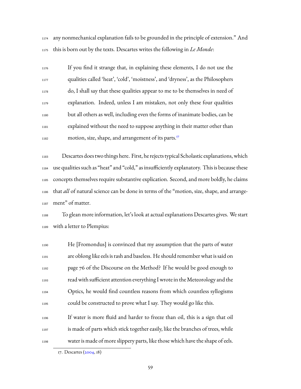any nonmechanical explanation fails to be grounded in the principle of extension." And this is born out by the texts. Descartes writes the following in *Le Monde*:

 If you find it strange that, in explaining these elements, I do not use the qualities called 'heat', 'cold', 'moistness', and 'dryness', as the Philosophers do, I shall say that these qualities appear to me to be themselves in need of explanation. Indeed, unless I am mistaken, not only these four qualities but all others as well, including even the forms of inanimate bodies, can be explained without the need to suppose anything in their matter other than motion, size, shape, and arrangement of its parts.<sup>[17](#page-61-0)</sup> 

 Descartes does two things here. First, he rejects typical Scholastic explanations, which use qualities such as "heat" and "cold," as insufficiently explanatory. This is because these concepts themselves require substantive explication. Second, and more boldly, he claims that *all* of natural science can be done in terms of the "motion, size, shape, and arrange-ment" of matter.

 To glean more information, let's look at actual explanations Descartes gives. We start with a letter to Plempius:

 He [Fromondus] is convinced that my assumption that the parts of water are oblong like eels is rash and baseless. He should remember what is said on page 76 of the Discourse on the Method? If he would be good enough to read with sufficient attention everything I wrote in theMeteorology and the Optics, he would find countless reasons from which countless syllogisms could be constructed to prove what I say. They would go like this.

 If water is more fluid and harder to freeze than oil, this is a sign that oil is made of parts which stick together easily, like the branches of trees, while water is made of more slippery parts, like those which have the shape of eels.

<span id="page-61-0"></span><sup>17.</sup> Descartes [\(2004](#page-223-0), 18)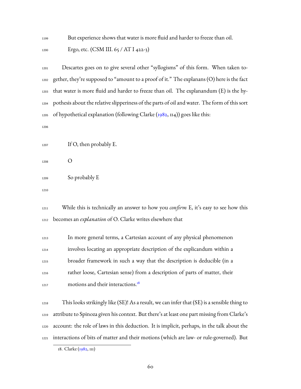But experience shows that water is more fluid and harder to freeze than oil.

1200 Ergo, etc. (CSM III. 65 / AT I 422-3)

 Descartes goes on to give several other "syllogisms" of this form. When taken to- gether, they're supposed to "amount to a proof of it." The explanans (O) here is the fact that water is more fluid and harder to freeze than oil. The explanandum (E) is the hy- pothesis about the relative slipperiness of the parts of oil and water. The form of this sort of hypothetical explanation (following Clarke  $(1982, 114)$  $(1982, 114)$  $(1982, 114)$ ) goes like this:

 $_{1207}$  If O, then probably E.

O

So probably E

 While this is technically an answer to how you *confirm* E, it's easy to see how this becomes an *explanation* of O. Clarke writes elsewhere that

 In more general terms, a Cartesian account of any physical phenomenon involves locating an appropriate description of the explicandum within a broader framework in such a way that the description is deducible (in a rather loose, Cartesian sense) from a description of parts of matter, their motions and their interactions.<sup>[18](#page-62-0)</sup> 

 This looks strikingly like (SE)! As a result, we can infer that (SE) is a sensible thing to attribute to Spinoza given his context. But there's at least one part missing from Clarke's account: the role of laws in this deduction. It is implicit, perhaps, in the talk about the interactions of bits of matter and their motions (which are law- or rule-governed). But

<span id="page-62-0"></span>18. Clarke [\(1982,](#page-227-2) 111)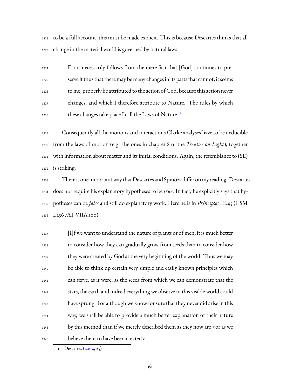to be a full account, this must be made explicit. This is because Descartes thinks that all change in the material world is governed by natural laws:

 For it necessarily follows from the mere fact that [God] continues to pre- serve it thus that there may be many changes in its parts that cannot, it seems to me, properly be attributed to the action of God, because this action never changes, and which I therefore attribute to Nature. The rules by which these changes take place I call the Laws of Nature.[19](#page-63-0) 

 Consequently all the motions and interactions Clarke analyses have to be deducible from the laws of motion (e.g. the ones in chapter 8 of the *Treatise on Light*), together with information about matter and its initial conditions. Again, the resemblance to (SE) is striking.

 There is one importantway that Descartes and Spinoza differ on my reading. Descartes does not require his explanatory hypotheses to be *true*. In fact, he explicitly says that hy- potheses can be *false* and still do explanatory work. Here he is in *Principles* III.45 (CSM I.256 /AT VIIA.100):

 $[1]$ f we want to understand the nature of plants or of men, it is much better to consider how they can gradually grow from seeds than to consider how they were created by God at the very beginning of the world. Thus we may be able to think up certain very simple and easily known principles which can serve, as it were, as the seeds from which we can demonstrate that the stars, the earth and indeed everything we observe in this visible world could have sprung. For although we know for sure that they never did arise in this way, we shall be able to provide a much better explanation of their nature by this method than if we merely described them as they now are <or as we believe them to have been created>.

<span id="page-63-0"></span><sup>19.</sup> Descartes [\(2004](#page-223-0), 25)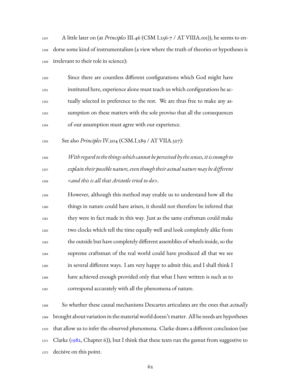A little later on (at *Principles* III.46 (CSM I.256-7 / AT VIIIA.101)), he seems to en- dorse some kind of instrumentalism (a view where the truth of theories or hypotheses is irrelevant to their role in science):

| 1250 | Since there are countless different configurations which God might have     |
|------|-----------------------------------------------------------------------------|
| 1251 | instituted here, experience alone must teach us which configurations he ac- |
| 1252 | tually selected in preference to the rest. We are thus free to make any as- |
| 1253 | sumption on these matters with the sole proviso that all the consequences   |
| 1254 | of our assumption must agree with our experience.                           |

See also *Principles* IV.204 (CSM.I.289 / AT VIIA.327):

 *With regardtothethings which cannot be perceived bythesenses, itis enoughto explain their possible nature, even thoughtheir actual nature may be different <and this is all that Aristotle tried to do>.*

 However, although this method may enable us to understand how all the things in nature could have arisen, it should not therefore be inferred that they were in fact made in this way. Just as the same craftsman could make two clocks which tell the time equally well and look completely alike from the outside but have completely different assemblies of wheels inside, so the supreme craftsman of the real world could have produced all that we see in several different ways. I am very happy to admit this; and I shall think I have achieved enough provided only that what I have written is such as to correspond accurately with all the phenomena of nature.

 So whether these causal mechanisms Descartes articulates are the ones that *actually* brought about variation in the material world doesn't matter. All he needs are hypotheses that allow us to infer the observed phenomena. Clarke draws a different conclusion (see Clarke ([1982](#page-227-2), Chapter 6)), but I think that these texts run the gamut from suggestive to decisive on this point.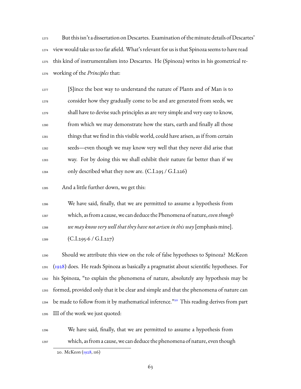But this isn't a dissertation on Descartes. Examination of the minute details of Descartes' view would take us too far afield. What's relevant for us is that Spinoza seems to have read this kind of instrumentalism into Descartes. He (Spinoza) writes in his geometrical re-working of the *Principles* that:

 $\sum_{1277}$  [S]ince the best way to understand the nature of Plants and of Man is to consider how they gradually come to be and are generated from seeds, we shall have to devise such principles as are very simple and very easy to know, from which we may demonstrate how the stars, earth and finally all those things that we find in this visible world, could have arisen, as if from certain seeds—even though we may know very well that they never did arise that way. For by doing this we shall exhibit their nature far better than if we  $_{1284}$  only described what they now are. (C.I.295 / G.I.226)

And a little further down, we get this:

 We have said, finally, that we are permitted to assume a hypothesis from which, as from a cause, we can deduce the Phenomena of nature,*eventhough we may know very well that they have not arisen in this way* [emphasis mine].

1289  $(C.I.295-6 / G.I.227)$ 

 Should we attribute this view on the role of false hypotheses to Spinoza? McKeon ([1928](#page-233-1)) does. He reads Spinoza as basically a pragmatist about scientific hypotheses. For his Spinoza, "to explain the phenomena of nature, absolutely any hypothesis may be formed, provided only that it be clear and simple and that the phenomena of nature can 1294 be made to follow from it by mathematical inference."<sup>[20](#page-65-0)</sup> This reading derives from part III of the work we just quoted:

We have said, finally, that we are permitted to assume a hypothesis from

which, as from a cause, we can deduce the phenomena of nature, even though

<span id="page-65-0"></span><sup>20.</sup> McKeon([1928](#page-233-1), 116)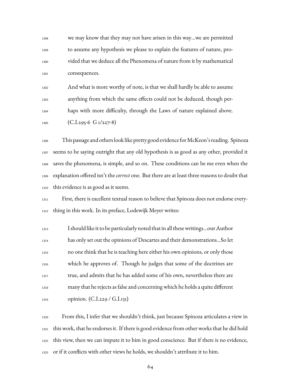we may know that they may not have arisen in this way…we are permitted to assume any hypothesis we please to explain the features of nature, pro- vided that we deduce all the Phenomena of nature from it by mathematical consequences.

 And what is more worthy of note, is that we shall hardly be able to assume anything from which the same effects could not be deduced, though per-haps with more difficulty, through the Laws of nature explained above.

1305 (C.I.295-6 G 1/227-8)

 This passage and others look like pretty good evidence forMcKeon's reading. Spinoza seems to be saying outright that any old hypothesis is as good as any other, provided it saves the phenomena, is simple, and so on. These conditions can be me even when the explanation offered isn't the*correct* one. But there are at least three reasons to doubt that this evidence is as good as it seems.

 First, there is excellent textual reason to believe that Spinoza does not endorse every-thing in this work. In its preface, Lodewijk Meyer writes:

 I should like it to be particularly noted that in all these writings…our Author has only set out the opinions of Descartes and their demonstrations…So let no one think that he is teaching here either his own opinions, or only those which he approves of. Though he judges that some of the doctrines are true, and admits that he has added some of his own, nevertheless there are many that he rejects as false and concerning which he holds a quite different opinion. (C.I.229 / G.I.131)

 From this, I infer that we shouldn't think, just because Spinoza articulates a view in this work, that he endorses it. If there is good evidence from other works that he did hold this view, then we can impute it to him in good conscience. But if there is no evidence, or if it conflicts with other views he holds, we shouldn't attribute it to him.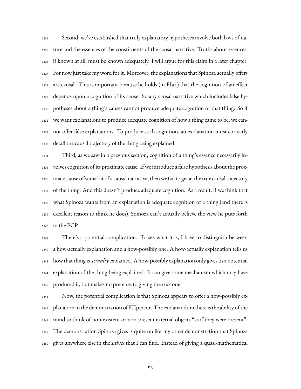Second, we've established that truly explanatory hypotheses involve both laws of na- ture and the essences of the constituents of the causal narrative. Truths about essences, if known at all, must be known adequately. I will argue for this claim in a later chapter. For now just take my word for it. Moreover, the explanations that Spinoza actually offers are causal. This is important because he holds (in EIa4) that the cognition of an effect depends upon a cognition of its cause. So any causal narrative which includes false hy- potheses about a thing's causes cannot produce adequate cognition of that thing. So if we want explanations to produce adequate cognition of how a thing came to be, we can- not offer false explanations. To produce such cognition, an explanation must correctly detail the causal trajectory of the thing being explained.

 Third, as we saw in a previous section, cognition of a thing's essence necessarily in- volves cognition of its proximate cause. If we introduce a false hypothesis about the prox- imate cause of some bit of a causal narrative, then we fail to get at the true causal trajectory of the thing. And this doesn't produce adequate cognition. As a result, if we think that what Spinoza wants from an explanation is adequate cognition of a thing (and there is excellent reason to think he does), Spinoza can't actually believe the view he puts forth in the PCP.

 There's a potential complication. To see what it is, I have to distinguish between a how-actually explanation and a how-possibly one. A how-actually explanation tells us how that thing is *actually* explained. A how-possibly explanation only gives us a potential explanation of the thing being explained. It can give some mechanism which may have produced it, but makes no pretense to giving the *true* one.

 Now, the potential complication is that Spinoza appears to offer a how-possibly ex- planation in the demonstration of EIIp17cor. The explanandum there is the ability of the mind to think of non-existent or non-present external objects "as if they were present". The demonstration Spinoza gives is quite unlike any other demonstration that Spinoza gives anywhere else in the *Ethics* that I can find. Instead of giving a quasi-mathematical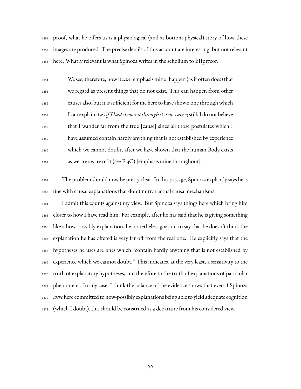proof, what he offers us is a physiological (and at bottom physical) story of how these images are produced. The precise details of this account are interesting, but not relevant here. What *is* relevant is what Spinoza writes in the scholium to EIIp17cor:

| 1354 | We see, therefore, how it <i>can</i> [emphasis mine] happen (as it often does) that   |
|------|---------------------------------------------------------------------------------------|
| 1355 | we regard as present things that do not exist. This can happen from other             |
| 1356 | causes also, but it is sufficient for me here to have shown one through which         |
| 1357 | I can explain it as if I had shown it through its true cause; still, I do not believe |
| 1358 | that I wander far from the true [cause] since all those postulates which I            |
| 1359 | have assumed contain hardly anything that is not established by experience            |
| 1360 | which we cannot doubt, after we have shown that the human Body exists                 |
| 1361 | as we are aware of it (see P13C) [emphasis mine throughout].                          |

 The problem should now be pretty clear. In this passage, Spinoza explicitly says he is fine with causal explanations that don't mirror actual causal mechanisms.

 I admit this counts against my view. But Spinoza says things here which bring him closer to how I have read him. For example, after he has said that he is giving something like a how-possibly explanation, he nonetheless goes on to say that he doesn't think the explanation he has offered is very far off from the real one. He explicitly says that the hypotheses he uses are ones which "contain hardly anything that is not established by experience which we cannot doubt." This indicates, at the very least, a sensitivity to the truth of explanatory hypotheses, and therefore to the truth of explanations of particular phenomena. In any case, I think the balance of the evidence shows that even if Spinoza *were* here committed to how-possibly explanations being able to yield adequate cognition (which I doubt), this should be construed as a departure from his considered view.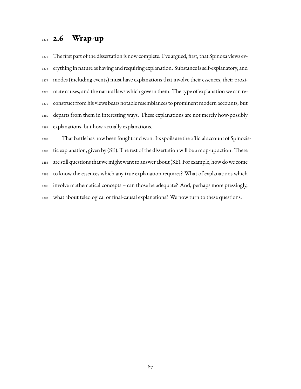### **2.6 Wrap-up**

 The first part of the dissertation is now complete. I've argued, first, that Spinoza views ev- erything in nature as having and requiring explanation. Substance is self-explanatory, and modes (including events) must have explanations that involve their essences, their proxi- mate causes, and the natural laws which govern them. The type of explanation we can re- construct from his views bears notable resemblances to prominent modern accounts, but departs from them in interesting ways. These explanations are not merely how-possibly explanations, but how-actually explanations.

 That battle has now been fought andwon. Its spoils are the official account of Spinozis- tic explanation, given by (SE). The rest of the dissertation will be a mop-up action. There 1384 are still questions that we might want to answer about (SE). For example, how do we come to know the essences which any true explanation requires? What of explanations which involve mathematical concepts – can those be adequate? And, perhaps more pressingly, what about teleological or final-causal explanations? We now turn to these questions.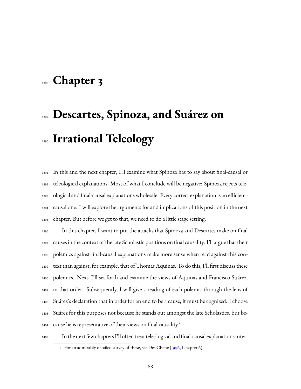## **Chapter 3**

# **Descartes, Spinoza, and Suárez on Irrational Teleology**

 In this and the next chapter, I'll examine what Spinoza has to say about final-causal or teleological explanations. Most of what I conclude will be negative: Spinoza rejects tele- ological and final-causal explanations wholesale. Every correct explanation is an efficient- causal one. I will explore the arguments for and implications of this position in the next chapter. But before we get to that, we need to do a little stage setting.

 In this chapter, I want to put the attacks that Spinoza and Descartes make on final causes in the context of the late Scholastic positions on final causality. I'll argue that their polemics against final-causal explanations make more sense when read against this con- text than against, for example, that of Thomas Aquinas. To do this, I'll first discuss these polemics. Next, I'll set forth and examine the views of Aquinas and Francisco Suárez, in that order. Subsequently, I will give a reading of each polemic through the lens of Suárez's declaration that in order for an end to be a cause, it must be cognized. I choose Suárez for this purposes not because he stands out amongst the late Scholastics, but be-cause he is representative of their views on final causality.<sup>[1](#page-70-0)</sup> 

In the next few chapters I'll often treat teleological and final-causal explanations inter-

<span id="page-70-0"></span><sup>1.</sup> For an admirably detailed survey of these, see Des Chene([1996,](#page-228-2) Chapter 6)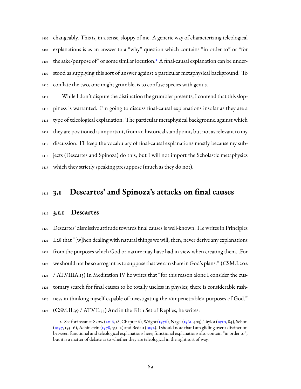changeably. This is, in a sense, sloppy of me. A generic way of characterizing teleological explanations is as an answer to a "why" question which contains "in order to" or "for 1408 the sake/purpose of" or some similar locution.<sup>[2](#page-71-0)</sup> A final-causal explanation can be under- stood as supplying this sort of answer against a particular metaphysical background. To conflate the two, one might grumble, is to confuse species with genus.

 While I don't dispute the distinction the grumbler presents, I contend that this slop- piness is warranted. I'm going to discuss final-causal explanations insofar as they are a type of teleological explanation. The particular metaphysical background against which they are positioned is important, from an historical standpoint, but not as relevant to my discussion. I'll keep the vocabulary of final-causal explanations mostly because my sub- jects (Descartes and Spinoza) do this, but I will not import the Scholastic metaphysics which they strictly speaking presuppose (much as they do not).

### **3.1 Descartes' and Spinoza's attacks on final causes**

#### **3.1.1 Descartes**

 Descartes' dismissive attitude towards final causes is well-known. He writes in Principles I.28 that "[w]hen dealing with natural things we will, then, never derive any explanations from the purposes which God or nature may have had in view when creating them…For we should not be so arrogant as to suppose that we can share in God's plans." (CSM.I.202 / AT.VIIIA.15) In Meditation IV he writes that "for this reason alone I consider the cus- tomary search for final causes to be totally useless in physics; there is considerable rash- ness in thinking myself capable of investigating the <impenetrable> purposes of God." (CSM.II.39 / AT.VII.55) And in the Fifth Set of Replies, he writes:

<span id="page-71-0"></span><sup>2.</sup> See for instance Skow [\(2016](#page-236-0), 18, Chapter 6),Wright [\(1976](#page-237-1)), Nagel [\(1961](#page-234-1), 403), Taylor([1970](#page-237-2), 84), Sehon  $(1997, 195-6)$  $(1997, 195-6)$ , Achinstein [\(1978](#page-225-0), 551–2) and Bedau [\(1992\)](#page-226-1). I should note that I am gliding over a distinction between functional and teleological explanations here; functional explanations also contain "in order to", but it is a matter of debate as to whether they are teleological in the right sort of way.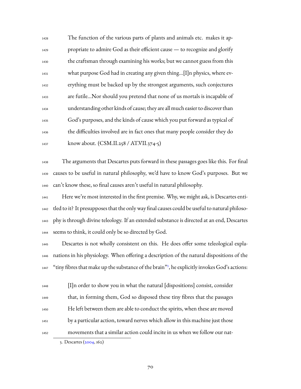The function of the various parts of plants and animals etc. makes it ap- propriate to admire God as their efficient cause — to recognize and glorify the craftsman through examining his works; but we cannot guess from this what purpose God had in creating any given thing…[I]n physics, where ev- erything must be backed up by the strongest arguments, such conjectures are futile…Nor should you pretend that none of us mortals is incapable of understanding other kinds of cause; they are all much easier to discover than God's purposes, and the kinds of cause which you put forward as typical of the difficulties involved are in fact ones that many people consider they do know about. (CSM.II.258 / AT.VII.374-5)

 The arguments that Descartes puts forward in these passages goes like this. For final causes to be useful in natural philosophy, we'd have to know God's purposes. But we can't know these, so final causes aren't useful in natural philosophy.

 Here we're most interested in the first premise. Why, we might ask, is Descartes enti- tled to it? It presupposes that the only way final causes could be useful to natural philoso- phy is through divine teleology. If an extended substance is directed at an end, Descartes seems to think, it could only be so directed by God.

 Descartes is not wholly consistent on this. He does offer some teleological expla- nations in his physiology. When offering a description of the natural dispositions of the 1447 "tiny fibres that make up the substance of the brain"<sup>[3](#page-72-0)</sup>, he explicitly invokes God's actions:

 $\text{I}^{1448}$  [I]n order to show you in what the natural [dispositions] consist, consider that, in forming them, God so disposed these tiny fibres that the passages He left between them are able to conduct the spirits, when these are moved by a particular action, toward nerves which allow in this machine just those movements that a similar action could incite in us when we follow our nat-

<span id="page-72-0"></span><sup>3.</sup> Descartes [\(2004](#page-223-0), 162)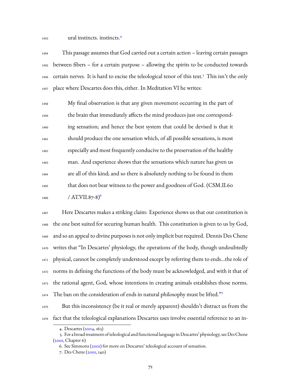ural instincts. instincts.[4](#page-73-0)

 This passage assumes that God carried out a certain action – leaving certain passages between fibers – for a certain purpose – allowing the spirits to be conducted towards [5](#page-73-1)6 certain nerves. It is hard to excise the teleological tenor of this text.<sup>5</sup> This isn't the only place where Descartes does this, either. In Meditation VI he writes:

 My final observation is that any given movement occurring in the part of the brain that immediately affects the mind produces just one correspond- ing sensation; and hence the best system that could be devised is that it should produce the one sensation which, of all possible sensations, is most especially and most frequently conducive to the preservation of the healthy man. And experience shows that the sensations which nature has given us are all of this kind; and so there is absolutely nothing to be found in them that does not bear witness to the power and goodness of God. (CSM.II.60 /  $AT.VII.87-8)$ <sup>[6](#page-73-2)</sup> 

 Here Descartes makes a striking claim: Experience shows us that our constitution is the one best suited for securing human health. This constitution is given to us by God, and so an appeal to divine purposes is not only implicit but required. Dennis Des Chene writes that "In Descartes' physiology, the operations of the body, though undoubtedly physical, cannot be completely understood except by referring them to ends…the role of norms in defining the functions of the body must be acknowledged, and with it that of the rational agent, God, whose intentions in creating animals establishes those norms. The ban on the consideration of ends in natural philosophy must be lifted."[7](#page-73-3) 

 But this inconsistency (be it real or merely apparent) shouldn't distract us from the fact that the teleological explanations Descartes uses involve essential reference to an in-

<span id="page-73-1"></span><span id="page-73-0"></span><sup>4.</sup> Descartes [\(2004](#page-223-0), 163)

<sup>5.</sup> For a broad treatment of teleological and functional language in Descartes' physiology, see Des Chene  $(200I, Chapter 6)$ 

<span id="page-73-2"></span><sup>6.</sup> See Simmons [\(2001\)](#page-236-0) for more on Descartes' teleological account of sensation.

<span id="page-73-3"></span><sup>7.</sup> Des Chene([2001](#page-228-0), 140)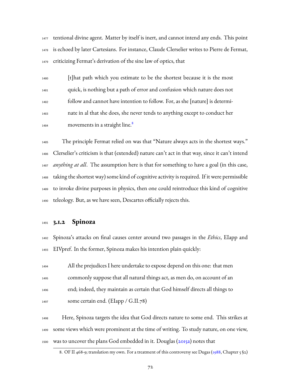tentional divine agent. Matter by itself is inert, and cannot intend any ends. This point is echoed by later Cartesians. For instance, Claude Clerselier writes to Pierre de Fermat, criticizing Fermat's derivation of the sine law of optics, that

 [t]hat path which you estimate to be the shortest because it is the most quick, is nothing but a path of error and confusion which nature does not follow and cannot have intention to follow. For, as she [nature] is determi- nate in al that she does, she never tends to anything except to conduct her movements in a straight line.<sup>[8](#page-74-0)</sup> 

 The principle Fermat relied on was that "Nature always acts in the shortest ways." Clerselier's criticism is that (extended) nature can't act in that way, since it can't intend *anything at all*. The assumption here is that for something to have a goal (in this case, taking the shortest way) some kind of cognitive activity is required. If it were permissible to invoke divine purposes in physics, then one could reintroduce this kind of cognitive teleology. But, as we have seen, Descartes officially rejects this.

#### **3.1.2 Spinoza**

 Spinoza's attacks on final causes center around two passages in the *Ethics*, EIapp and EIVpref. In the former, Spinoza makes his intention plain quickly:

 All the prejudices I here undertake to expose depend on this one: that men commonly suppose that all natural things act, as men do, on account of an end; indeed, they maintain as certain that God himself directs all things to some certain end. (EIapp / G.II.78)

 Here, Spinoza targets the idea that God directs nature to some end. This strikes at some views which were prominent at the time of writing. To study nature, on one view, 1500 was to uncover the plans God embedded in it. Douglas [\(2015a](#page-228-1)) notes that

<span id="page-74-0"></span><sup>8.</sup> OF II 468-9; translation my own. For a treatment of this controversy see Dugas([1988](#page-228-2), Chapter 5 §2)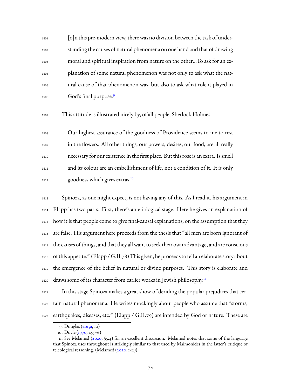[o]n this pre-modern view, there was no division between the task of under- standing the causes of natural phenomena on one hand and that of drawing moral and spiritual inspiration from nature on the other…To ask for an ex- planation of some natural phenomenon was not only to ask what the nat- ural cause of that phenomenon was, but also to ask what role it played in God's final purpose.[9](#page-75-0) 

This attitude is illustrated nicely by, of all people, Sherlock Holmes:

 Our highest assurance of the goodness of Providence seems to me to rest in the flowers. All other things, our powers, desires, our food, are all really necessary for our existence in the first place. But this rose is an extra. Is smell and its colour are an embellishment of life, not a condition of it. It is only goodness which gives extras.[10](#page-75-1) 

 Spinoza, as one might expect, is not having any of this. As I read it, his argument in EIapp has two parts. First, there's an etiological stage. Here he gives an explanation of how it is that people come to give final-causal explanations, on the assumption that they are false. His argument here proceeds from the thesis that "all men are born ignorant of the causes of things, and that they all want to seek their own advantage, and are conscious  $_{1518}$  of this appetite." (EIapp / G.II.78) This given, he proceeds to tell an elaborate story about the emergence of the belief in natural or divine purposes. This story is elaborate and draws some of its character from earlier works in Jewish philosophy.<sup>[11](#page-75-2)</sup> 

 In this stage Spinoza makes a great show of deriding the popular prejudices that cer- tain natural phenomena. He writes mockingly about people who assume that "storms, earthquakes, diseases, etc." (EIapp / G.II.79) are intended by God or nature. These are

<span id="page-75-1"></span><span id="page-75-0"></span><sup>9.</sup> Douglas([2015a,](#page-228-1) 10)

<span id="page-75-2"></span><sup>10.</sup> Doyle([1970](#page-223-1), 455–6)

<sup>11.</sup>See Melamed (,  $\S$ 5.4) for an excellent discussion. Melamed notes that some of the language that Spinoza uses throughout is strikingly similar to that used by Maimonides in the latter's critique of teleological reasoning. (Melamed([2020,](#page-233-0) 142))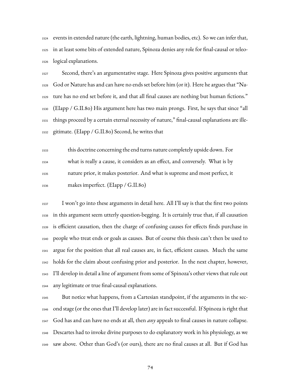events in extended nature (the earth, lightning, human bodies, etc). So we can infer that, in at least some bits of extended nature, Spinoza denies any role for final-causal or teleo-logical explanations.

 Second, there's an argumentative stage. Here Spinoza gives positive arguments that God or Nature has and can have no ends set before him (or it). Here he argues that "Na- ture has no end set before it, and that all final causes are nothing but human fictions." (EIapp / G.II.80) His argument here has two main prongs. First, he says that since "all things proceed by a certain eternal necessity of nature," final-causal explanations are ille-gitimate. (EIapp / G.II.80) Second, he writes that

 this doctrine concerning the end turns nature completely upside down. For what is really a cause, it considers as an effect, and conversely. What is by nature prior, it makes posterior. And what is supreme and most perfect, it makes imperfect. (EIapp / G.II.80)

 I won't go into these arguments in detail here. All I'll say is that the first two points in this argument seem utterly question-begging. It is certainly true that, if all causation is efficient causation, then the charge of confusing causes for effects finds purchase in people who treat ends or goals as causes. But of course this thesis can't then be used to argue for the position that all real causes are, in fact, efficient causes. Much the same holds for the claim about confusing prior and posterior. In the next chapter, however, I'll develop in detail a line of argument from some of Spinoza's other views that rule out any legitimate or true final-causal explanations.

 But notice what happens, from a Cartesian standpoint, if the arguments in the sec- ond stage (or the ones that I'll develop later) are in fact successful. If Spinoza is right that God has and can have no ends at all, then *any* appeals to final causes in nature collapse. Descartes had to invoke divine purposes to do explanatory work in his physiology, as we saw above. Other than God's (or ours), there are no final causes at all. But if God has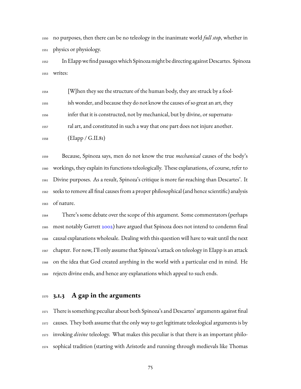no purposes, then there can be no teleology in the inanimate world *full stop*, whether in physics or physiology.

 In EIappwe find passageswhich Spinoza might be directing against Descartes. Spinoza writes:

 [W]hen they see the structure of the human body, they are struck by a fool- ish wonder, and because they do not know the causes of so great an art, they infer that it is constructed, not by mechanical, but by divine, or supernatu- ral art, and constituted in such a way that one part does not injure another. (EIapp / G.II.81)

 Because, Spinoza says, men do not know the true *mechanical* causes of the body's workings, they explain its functions teleologically. These explanations, of course, refer to Divine purposes. As a result, Spinoza's critique is more far-reaching than Descartes'. It seeks to remove all final causes from a proper philosophical (and hence scientific) analysis of nature.

 There's some debate over the scope of this argument. Some commentators (perhaps most notably Garrett [2002\)](#page-229-0) have argued that Spinoza does not intend to condemn final causal explanations wholesale. Dealing with this question will have to wait until the next chapter. For now, I'll only assume that Spinoza's attack on teleology in EIapp is an attack on the idea that God created anything in the world with a particular end in mind. He rejects divine ends, and hence any explanations which appeal to such ends.

### **3.1.3 A gap in the arguments**

 There is something peculiar about both Spinoza's and Descartes' arguments against final causes. They both assume that the only way to get legitimate teleological arguments is by invoking *divine* teleology. What makes this peculiar is that there is an important philo-sophical tradition (starting with Aristotle and running through medievals like Thomas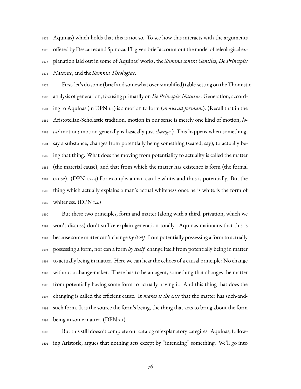Aquinas) which holds that this is not so. To see how this interacts with the arguments offered by Descartes and Spinoza, I'll give a brief account out the model of teleological ex- planation laid out in some of Aquinas' works, the *Summa contra Gentiles*, *De Principiis Naturae*, and the *Summa Theologiae*.

 First, let's do some (brief and somewhat over-simplified) table-setting on the Thomistic analysis of generation, focusing primarily on *De Principiis Naturae*. Generation, accord- ing to Aquinas (in DPN 1.5) is a motion to form (*motus ad formam*). (Recall that in the Aristotelian-Scholastic tradition, motion in our sense is merely one kind of motion, *lo- cal* motion; motion generally is basically just *change*.) This happens when something, say a substance, changes from potentially being something (seated, say), to actually be- ing that thing. What does the moving from potentiality to actuality is called the matter (the material cause), and that from which the matter has existence is form (the formal cause). (DPN 1.2,4) For example, a man can be white, and thus is potentially. But the thing which actually explains a man's actual whiteness once he is white is the form of whiteness. (DPN 1.4)

 But these two principles, form and matter (along with a third, privation, which we won't discuss) don't suffice explain generation totally. Aquinas maintains that this is because some matter can't change *by itself* from potentially possessing a form to actually possessing a form, nor can a form *by itself* change itself from potentially being in matter to actually being in matter. Here we can hear the echoes of a causal principle: No change without a change-maker. There has to be an agent, something that changes the matter from potentially having some form to actually having it. And this thing that does the changing is called the efficient cause. It *makes it the case* that the matter has such-and- such form. It is the source the form's being, the thing that acts to bring about the form being in some matter. (DPN 3.1)

 But this still doesn't complete our catalog of explanatory categires. Aquinas, follow-ing Aristotle, argues that nothing acts except by "intending" something. We'll go into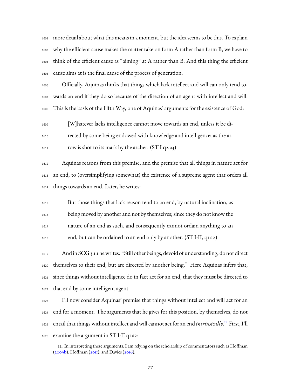more detail about what this means in a moment, but the idea seems to be this. To explain why the efficient cause makes the matter take on form A rather than form B, we have to think of the efficient cause as "aiming" at A rather than B. And this thing the efficient cause aims at is the final cause of the process of generation.

 Officially, Aquinas thinks that things which lack intellect and will can only tend to- wards an end if they do so because of the direction of an agent with intellect and will. This is the basis of the Fifth Way, one of Aquinas' arguments for the existence of God:

 [W]hatever lacks intelligence cannot move towards an end, unless it be di- rected by some being endowed with knowledge and intelligence; as the ar- $_{1611}$  row is shot to its mark by the archer. (ST I q2 a3)

 Aquinas reasons from this premise, and the premise that all things in nature act for an end, to (oversimplifying somewhat) the existence of a supreme agent that orders all things towards an end. Later, he writes:

 But those things that lack reason tend to an end, by natural inclination, as being moved by another and not by themselves; since they do not know the nature of an end as such, and consequently cannot ordain anything to an end, but can be ordained to an end only by another. (ST I-II, q1 a2)

 And in SCG 3.1.1 he writes: "Still other beings, devoid of understanding, do not direct themselves to their end, but are directed by another being." Here Aquinas infers that, since things without intelligence do in fact act for an end, that they must be directed to that end by some intelligent agent.

 I'll now consider Aquinas' premise that things without intellect and will act for an end for a moment. The arguments that he gives for this position, by themselves, do not 1625 entail that things without intellect and will cannot act for an end *intrinsically*.<sup>[12](#page-79-0)</sup> First, I'll examine the argument in ST I-II q1 a2:

<span id="page-79-0"></span><sup>12.</sup> In interpreting these arguments, I am relying on the scholarship of commentators such as Hoffman  $(2009b)$  $(2009b)$ ,Hoffman  $(2011)$  $(2011)$ , and Davies  $(2016)$  $(2016)$  $(2016)$ .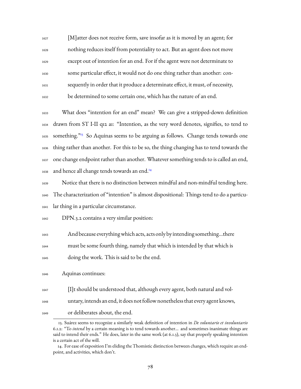[M]atter does not receive form, save insofar as it is moved by an agent; for nothing reduces itself from potentiality to act. But an agent does not move except out of intention for an end. For if the agent were not determinate to some particular effect, it would not do one thing rather than another: con- sequently in order that it produce a determinate effect, it must, of necessity, be determined to some certain one, which has the nature of an end.

 What does "intention for an end" mean? We can give a stripped-down definition drawn from ST I-II q12 a1: "Intention, as the very word denotes, signifies, to tend to 1635 something.<sup>"[13](#page-80-0)</sup> So Aquinas seems to be arguing as follows. Change tends towards one thing rather than another. For this to be so, the thing changing has to tend towards the one change endpoint rather than another. Whatever something tends to is called an end, and hence all change tends towards an end.<sup>[14](#page-80-1)</sup> 

 Notice that there is no distinction between mindful and non-mindful tending here. The characterization of "intention" is almost dispositional: Things tend to do a particu-lar thing in a particular circumstance.

DPN.3.2 contains a very similar position:

 And because everythingwhich acts, acts only by intending something…there must be some fourth thing, namely that which is intended by that which is

doing the work. This is said to be the end.

Aquinas continues:

[I]t should be understood that, although every agent, both natural and vol-

untary, intends an end, it does not follow nonetheless that every agent knows,

or deliberates about, the end.

<span id="page-80-0"></span><sup>13.</sup> Suárez seems to recognize a similarly weak definition of intention in *De voluntario et involuntario* 6.1.2: "To *intend* by a certain meaning is to tend towards another... and sometimes inanimate things are said to intend their ends." He does, later in the same work (at 6.1.3), say that properly speaking intention is a certain act of the will.

<span id="page-80-1"></span><sup>14.</sup> For ease of exposition I'm eliding the Thomistic distinction between changes, which require an endpoint, and activities, which don't.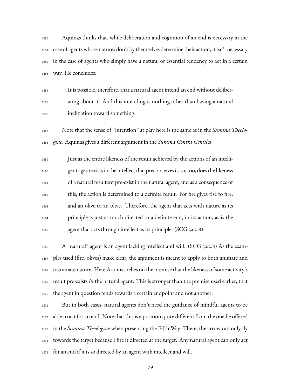Aquinas thinks that, while deliberation and cognition of an end is necessary in the case of agents whose natures don't by themselves determine their action, it isn't necessary in the case of agents who simply have a natural or essential tendency to act in a certain way. He concludes:

 It is possible, therefore, that a natural agent intend an end without deliber- ating about it. And this intending is nothing other than having a natural inclination toward something.

 Note that the sense of "intention" at play here is the same as in the *Summa Theolo-giae*. Aquinas gives a different argument in the *Summa Contra Gentiles*:

 Just as the entire likeness of the result achieved by the actions of an intelli- gent agent exists in the intellect that preconceives it, so, too, does the likeness of a natural resultant pre-exist in the natural agent; and as a consequence of this, the action is determined to a definite result. For fire gives rise to fire, and an olive to an olive. Therefore, the agent that acts with nature as its principle is just as much directed to a definite end, in its action, as is the agent that acts through intellect as its principle. (SCG 3a.2.8)

 A "natural" agent is an agent lacking intellect and will. (SCG 3a.2.8) As the exam- ples used (fire, olives) make clear, the argument is meant to apply to both animate and inanimate nature. Here Aquinas relies on the premise that the likeness of some activity's result pre-exists *in* the natural agent. This is stronger than the premise used earlier, that the agent in question tends towards a certain endpoint and not another.

 But in both cases, natural agents don't need the guidance of mindful agents to be able to act for an end. Note that this is a position quite different from the one he offered in the *Summa Theologiae* when presenting the Fifth Way. There, the arrow can only fly towards the target because I fire it directed at the target. Any natural agent can only act for an end if it is so directed by an agent with intellect and will.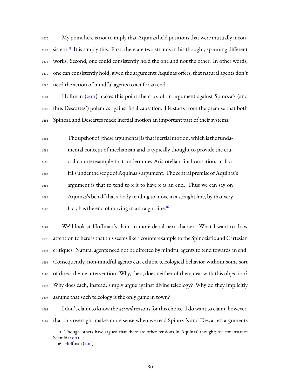My point here is not to imply that Aquinas held positions that were mutually incon-1677 sistent.<sup>[15](#page-82-0)</sup> It is simply this. First, there are two strands in his thought, spanning different works. Second, one could consistently hold the one and not the other. In other words, one can consistently hold, given the arguments Aquinas offers, that natural agents don't need the action of mindful agents to act for an end.

 Hoffman [\(2011](#page-230-1)) makes this point the crux of an argument against Spinoza's (and thus Descartes') polemics against final causation. He starts from the premise that both Spinoza and Descartes made inertial motion an important part of their systems:

 The upshot of [these arguments] is that inertial motion, which is the funda- mental concept of mechanism and is typically thought to provide the cru- cial counterexample that undermines Aristotelian final causation, in fact falls under the scope ofAquinas's argument. The central premise ofAquinas's argument is that to tend to x is to have x as an end. Thus we can say on Aquinas's behalf that a body tending to move in a straight line, by that very fact, has the end of moving in a straight line.<sup>[16](#page-82-1)</sup> 

 We'll look at Hoffman's claim in more detail next chapter. What I want to draw attention to here is that this seems like a counterexample to the Spinozistic and Cartesian critiques. Natural agents need not be directed by mindful agents to tend towards an end. Consequently, non-mindful agents can exhibit teleological behavior without some sort of direct divine intervention. Why, then, does neither of them deal with this objection? Why does each, instead, simply argue against divine teleology? Why do they implicitly assume that such teleology is the only game in town?

 I don't claim to know the *actual* reasons for this choice. I do want to claim, however, that this oversight makes more sense when we read Spinoza's and Descartes' arguments

<span id="page-82-0"></span><sup>15.</sup> Though others have argued that there are other tensions in Aquinas' thought; see for instance Schmid  $(20II)$ .

<span id="page-82-1"></span><sup>16.</sup> Hoffman([2011\)](#page-230-1)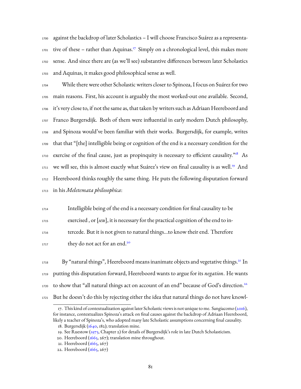against the backdrop of later Scholastics – I will choose Francisco Suárez as a representa-01 tive of these - rather than Aquinas.<sup>17</sup> Simply on a chronological level, this makes more sense. And since there are (as we'll see) substantive differences between later Scholastics and Aquinas, it makes good philosophical sense as well.

 While there were other Scholastic writers closer to Spinoza, I focus on Suárez for two main reasons. First, his account is arguably the most worked-out one available. Second, it's very close to, if not the same as, that taken by writers such as Adriaan Heereboord and Franco Burgersdijk. Both of them were influential in early modern Dutch philosophy, and Spinoza would've been familiar with their works. Burgersdijk, for example, writes that that "[the] intelligible being or cognition of the end is a necessary condition for the 1710 exercise of the final cause, just as propinquity is necessary to efficient causality."<sup>[18](#page-83-1)</sup> As 1711 we will see, this is almost exactly what Suárez's view on final causality is as well.<sup>[19](#page-83-2)</sup> And Heereboord thinks roughly the same thing. He puts the following disputation forward in his *Meletemata philosophica*:

 Intelligible being of the end is a necessary condition for final causality to be exercised , or [*seu*], it is necessary for the practical cognition of the end to in-tercede. But it is not given to natural things…to know their end. Therefore

they do not act for an end.<sup>[20](#page-83-3)</sup> 

 $_{1718}$  By "natural things", Heereboord means inanimate objects and vegetative things. $^{21}$  $^{21}$  $^{21}$  In putting this disputation forward, Heereboord wants to argue for its *negation*. He wants to show that "all natural things act on account of an end" because of God's direction.<sup>[22](#page-83-5)</sup> But he doesn't do this by rejecting either the idea that natural things do not have knowl-

<span id="page-83-0"></span><sup>17.</sup> This kind of contextualization against later Scholastic views is not unique to me. Sangiacomo [\(2016\)](#page-235-0), for instance, contextualizes Spinoza's attack on final causes against the backdrop of Adriaan Heereboord, likely a teacher of Spinoza's, who adopted many late Scholastic assumptions concerning final causality.

<span id="page-83-1"></span><sup>18.</sup> Burgersdijk([1640](#page-223-2), 182); translation mine.

<span id="page-83-2"></span><sup>19.</sup> See Ruestow([1973](#page-235-1), Chapter 2) for details of Burgersdijk's role in late Dutch Scholasticism.

<span id="page-83-3"></span><sup>20.</sup> Heereboord ( $1665$ , 267); translation mine throughout.

<span id="page-83-5"></span><span id="page-83-4"></span><sup>21.</sup> Heereboord [\(1665,](#page-224-0) 267)

<sup>22.</sup> Heereboord [\(1665,](#page-224-0) 267)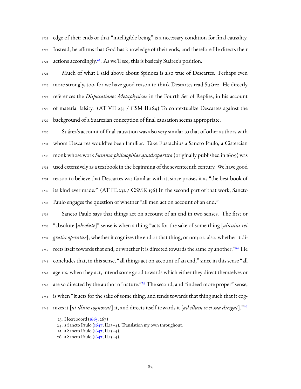edge of their ends or that "intelligible being" is a necessary condition for final causality. Instead, he affirms that God has knowledge of their ends, and therefore He directs their 1724 actions accordingly.<sup>[23](#page-84-0)</sup>. As we'll see, this is basicaly Suárez's position.

 Much of what I said above about Spinoza is also true of Descartes. Perhaps even more strongly, too, for we have good reason to think Descartes read Suárez. He directly references the *Disputationes Metaphysicae* in the Fourth Set of Replies, in his account of material falsity. (AT VII 235 / CSM II.164) To contextualize Descartes against the background of a Suarezian conception of final causation seems appropriate.

 Suárez's account of final causation was also very similar to that of other authors with whom Descartes would've been familiar. Take Eustachius a Sancto Paulo, a Cistercian monk whose work *Summa philosophiae quadripartita* (originally published in 1609) was used extensively as a textbook in the beginning of the seventeenth century. We have good reason to believe that Descartes was familiar with it, since praises it as "the best book of its kind ever made." (AT III.232 / CSMK 156) In the second part of that work, Sancto Paulo engages the question of whether "all men act on account of an end."

 Sancto Paulo says that things act on account of an end in two senses. The first or "absolute [*absolute*]" sense is when a thing "acts for the sake of some thing [*alicuius rei gratia operatur*], whether it cognizes the end or that thing, or not; or, also, whether it di-1740 rects itself towards that end, or whether it is directed towards the same by another."<sup>[24](#page-84-1)</sup> He concludes that, in this sense, "all things act on account of an end," since in this sense "all agents, when they act, intend some good towards which either they direct themselves or 1743 are so directed by the author of nature."<sup>[25](#page-84-2)</sup> The second, and "indeed more proper" sense, is when "it acts for the sake of some thing, and tends towards that thing such that it cognizes it [*ut illum cognoscat*] it, and directs itself towards it [*ad illum se et sua dirigat*]."[26](#page-84-3) 

<span id="page-84-0"></span><sup>23.</sup> Heereboord  $(1665, 267)$ 

<span id="page-84-1"></span><sup>24.</sup>a Sancto Paulo  $(1647, H.13-4)$  $(1647, H.13-4)$  $(1647, H.13-4)$ . Translation my own throughout.

<span id="page-84-2"></span><sup>25.</sup> a Sancto Paulo([1647,](#page-222-0) II.13–4).

<span id="page-84-3"></span><sup>26.</sup> a Sancto Paulo([1647,](#page-222-0) II.13–4).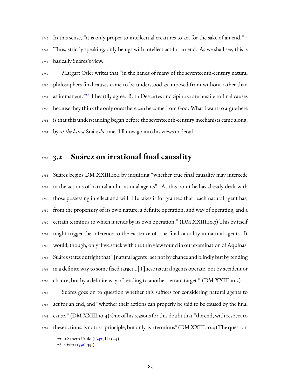In this sense, "it is only proper to intellectual creatures to act for the sake of an end." Thus, strictly speaking, only beings with intellect act for an end. As we shall see, this is basically Suárez's view.

 Margart Osler writes that "in the hands of many of the seventeenth-century natural philosophers final causes came to be understood as imposed from without rather than as immanent." $28$  I heartily agree. Both Descartes and Spinoza are hostile to final causes because they think the only ones there can be come from God. What I want to argue here is that this understanding began before the seventeenth-century mechanists came along, by *at the latest* Suárez's time. I'll now go into his views in detail.

## **3.2 Suárez on irrational final causality**

 Suárez begins DM XXIII.10.1 by inquiring "whether true final causality may intercede in the actions of natural and irrational agents". At this point he has already dealt with those possessing intellect and will. He takes it for granted that "each natural agent has, from the propensity of its own nature, a definite operation, and way of operating, and a certain terminus to which it tends by its own operation." (DM XXIII.10.3) This by itself might trigger the inference to the existence of true final causality in natural agents. It would, though, only if we stuck with the thin view found in our examination of Aquinas. Suárez states outright that "[natural agents] act not by chance and blindly but by tending  $_{1764}$  in a definite way to some fixed target...[T]hese natural agents operate, not by accident or chance, but by a definite way of tending to another certain target." (DM XXIII.10.3)

 Suárez goes on to question whether this suffices for considering natural agents to act for an end, and "whether their actions can properly be said to be caused by the final cause." (DM XXIII.10.4) One of his reasons for this doubt that "the end, with respect to  $_{1769}$  these actions, is not as a principle, but only as a terminus" (DM XXIII.10.4) The question

<span id="page-85-0"></span><sup>27.</sup> a Sancto Paulo([1647,](#page-222-0) II.13–4).

<span id="page-85-1"></span><sup>28.</sup> Osler [\(1996,](#page-234-0) 391)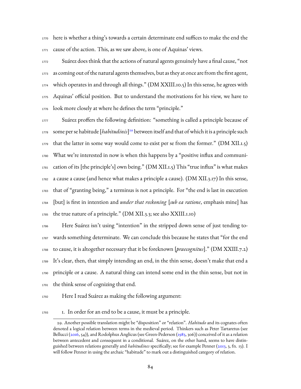1770 here is whether a thing's towards a certain determinate end suffices to make the end the cause of the action. This, as we saw above, is one of Aquinas' views.

 Suárez does think that the actions of natural agents genuinely have a final cause, "not as coming out of the natural agents themselves, but as they at once are from the first agent, 1774 which operates in and through all things." (DM XXIII.10.5) In this sense, he agrees with Aquinas' official position. But to understand the motivations for his view, we have to look more closely at where he defines the term "principle."

1777 Suárez proffers the following definition: "something is called a principle because of 1778 some per se habitude [*habitudinis*]<sup>[29](#page-86-0)</sup> between itself and that of which it is a principle such that the latter in some way would come to exist per se from the former." (DM XII.1.5) What we're interested in now is when this happens by a "positive influx and communi- cation of its [the principle's] own being." (DM XII.1.5) This "true influx" is what makes a cause a cause (and hence what makes a principle a cause). (DM XII.3.17) In this sense, that of "granting being," a terminus is not a principle. For "the end is last in execution [but] is first in intention and *under that reckoning* [*sub ea ratione*, emphasis mine] has the true nature of a principle." (DM XII.3.3; see also XXIII.1.10)

 Here Suárez isn't using "intention" in the stripped down sense of just tending to- wards something determinate. We can conclude this because he states that "for the end to cause, it is altogether necessary that it be foreknown [*praecognitus*]." (DM XXIII.7.2) It's clear, then, that simply intending an end, in the thin sense, doesn't make that end a principle or a cause. A natural thing can intend some end in the thin sense, but not in the think sense of cognizing that end.

Here I read Suárez as making the following argument:

1. In order for an end to be a cause, it must be a principle.

<span id="page-86-0"></span><sup>29.</sup> Another possible translation might be "disposition" or "relation". *Habitudo* and its cognates often denoted a logical relation between terms in the medieval period. Thinkers such as Peter Tartaretus (see Bellucci [\(2016](#page-226-0),54)), and Rodolphus Anglicus (see Green-Pederson ([1983](#page-229-1), 306)) conceived of it as a relation between antecedent and consequent in a conditional. Suárez, on the other hand, seems to have distinguished between relations generally and *habitudines* specifically; see for example Penner [\(2013](#page-234-1), 3, fn. 13). I will follow Penner in using the archaic "habitude" to mark out a distinguished category of relation.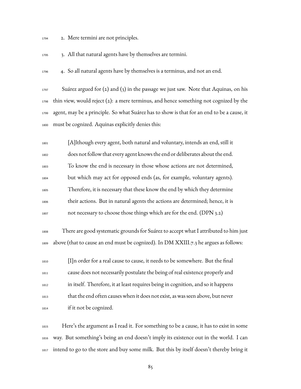- 2. Mere termini are not principles.
- 3. All that natural agents have by themselves are termini.
- 4. So all natural agents have by themselves is a terminus, and not an end.

 Suárez argued for (2) and (3) in the passage we just saw. Note that Aquinas, on his thin view, would reject (2): a mere terminus, and hence something not cognized by the agent, may be a principle. So what Suárez has to show is that for an end to be a cause, it must be cognized. Aquinas explicitly denies this:

 [A]lthough every agent, both natural and voluntary, intends an end, still it does not follow that every agent knows the end or deliberates about the end. To know the end is necessary in those whose actions are not determined, but which may act for opposed ends (as, for example, voluntary agents). Therefore, it is necessary that these know the end by which they determine their actions. But in natural agents the actions are determined; hence, it is  $_{1807}$  not necessary to choose those things which are for the end. (DPN 3.2)

 There are good systematic grounds for Suárez to accept what I attributed to him just above (that to cause an end must be cognized). In DM XXIII.7.3 he argues as follows:

 [I]n order for a real cause to cause, it needs to be somewhere. But the final cause does not necessarily postulate the being of real existence properly and in itself. Therefore, it at least requires being in cognition, and so it happens that the end often causes when it does not exist, as was seen above, but never if it not be cognized.

 Here's the argument as I read it. For something to be a cause, it has to exist in some way. But something's being an end doesn't imply its existence out in the world. I can intend to go to the store and buy some milk. But this by itself doesn't thereby bring it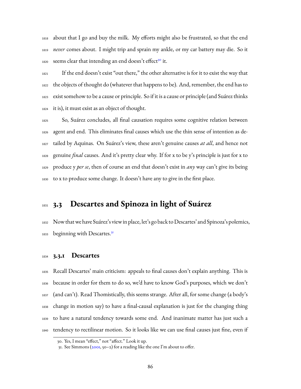about that I go and buy the milk. My efforts might also be frustrated, so that the end *never* comes about. I might trip and sprain my ankle, or my car battery may die. So it 1820 seems clear that intending an end doesn't effect<sup>[30](#page-88-0)</sup> it.

 If the end doesn't exist "out there," the other alternative is for it to exist the way that the objects of thought do (whatever that happens to be). And, remember, the end has to exist somehow to be a cause or principle. So if it is a cause or principle (and Suárez thinks it is), it must exist as an object of thought.

 So, Suárez concludes, all final causation requires some cognitive relation between agent and end. This eliminates final causes which use the thin sense of intention as de- tailed by Aquinas. On Suárez's view, these aren't genuine causes *at all*, and hence not genuine *final* causes. And it's pretty clear why. If for x to be y's principle is just for x to produce y *per se*, then of course an end that doesn't exist in *any* way can't give its being to x to produce some change. It doesn't have any to give in the first place.

## **3.3 Descartes and Spinoza in light of Suárez**

 Now thatwe have Suárez's view in place, let's go back to Descartes' and Spinoza's polemics, beginning with Descartes.<sup>[31](#page-88-1)</sup> 

#### **3.3.1 Descartes**

 Recall Descartes' main criticism: appeals to final causes don't explain anything. This is because in order for them to do so, we'd have to know God's purposes, which we don't (and can't). Read Thomistically, this seems strange. After all, for some change (a body's change in motion say) to have a final-causal explanation is just for the changing thing to have a natural tendency towards some end. And inanimate matter has just such a tendency to rectilinear motion. So it looks like we can use final causes just fine, even if

<span id="page-88-0"></span><sup>30.</sup> Yes, I mean "effect," not "affect." Look it up.

<span id="page-88-1"></span><sup>31.</sup> See Simmons  $(200I, 50-2)$  for a reading like the one I'm about to offer.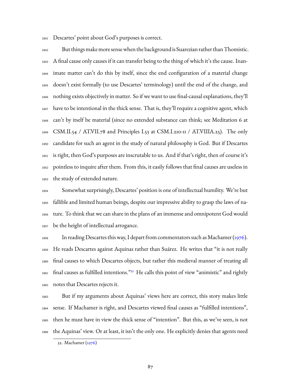Descartes' point about God's purposes is correct.

 But things make more sensewhen the background is Suarezian rather than Thomistic. A final cause only causes if it can transfer being to the thing of which it's the cause. Inan- imate matter can't do this by itself, since the end configuration of a material change doesn't exist formally (to use Descartes' terminology) until the end of the change, and nothing exists objectively in matter. So if we want to use final-causal explanations, they'll have to be intentional in the thick sense. That is, they'll require a cognitive agent, which can't by itself be material (since no extended substance can think; see Meditation 6 at CSM.II.54 / AT.VII.78 and Principles I.53 at CSM.I.210-11 / AT.VIIIA.25). The only candidate for such an agent in the study of natural philosophy is God. But if Descartes is right, then God's purposes are inscrutable to us. And if that's right, then of course it's pointless to inquire after them. From this, it easily follows that final causes are useless in the study of extended nature.

 Somewhat surprisingly, Descartes' position is one of intellectual humility. We're but fallible and limited human beings, despite our impressive ability to grasp the laws of na- ture. To think that we can share in the plans of an immense and omnipotent God would be the height of intellectual arrogance.

1858 In reading Descartes this way, I depart from commentators such as Machamer ( $\frac{1976}{2}$ ). He reads Descartes against Aquinas rather than Suárez. He writes that "it is not really final causes to which Descartes objects, but rather this medieval manner of treating all 1861 final causes as fulfilled intentions."<sup>[32](#page-89-0)</sup> He calls this point of view "animistic" and rightly notes that Descartes rejects it.

 But if my arguments about Aquinas' views here are correct, this story makes little sense. If Machamer is right, and Descartes viewed final causes as "fulfilled intentions", then he must have in view the thick sense of "intention". But this, as we've seen, is not the Aquinas' view. Or at least, it isn't the only one. He explicitly denies that agents need

<span id="page-89-0"></span><sup>32.</sup> Machamer([1976\)](#page-231-0)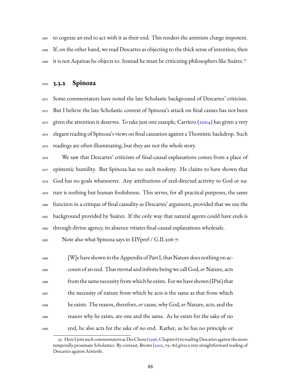to cognize an end to act with it as their end. This renders the animism charge impotent. If, on the other hand, we read Descartes as objecting to the thick sense of intention, then it is not Aquinas he objects to. Instead he must be criticizing philosophers like Suárez.[33](#page-90-0) 

#### **3.3.2 Spinoza**

 Some commentators have noted the late Scholastic background of Descartes' criticism. But I believe the late Scholastic context of Spinoza's attack on final causes has not been  $_{1873}$  given the attention it deserves. To take just one exanple, Carriero [\(2004\)](#page-227-1) has given a very elegant reading of Spinoza's views on final causation against a Thomistic backdrop. Such readings are often illuminating, but they are not the whole story.

 We saw that Descartes' criticism of final-causal explanations comes from a place of epistemic humility. But Spinoza has no such modesty. He claims to have shown that God has no goals whatsoever. Any attributions of end-directed activity to God or na- ture is nothing but human foolishness. This serves, for all practical purposes, the same function in a critique of final causality as Descartes' argument, provided that we use the background provided by Suárez. If the only way that natural agents could have ends is through divine agency, its absence vitiates final-causal explanations wholesale.

Note also what Spinoza says in EIVpref / G.II.206-7:

 [W]e have shown in the Appendix of Part I, that Nature does nothing on ac- count of an end. That eternal and infinite being we call God,*or* Nature, acts from the same necessity from which he exists. Forwe have shown (IP16) that the necessity of nature from which he acts is the same as that from which he exists. The reason, therefore,*or* cause, why God,*or* Nature, acts, and the reason why he exists, are one and the same. As he exists for the sake of no end, he also acts for the sake of no end. Rather, as he has no principle or

<span id="page-90-0"></span><sup>33.</sup> Here I join such commentators as Des Chene([1996,](#page-228-3) Chapter 6) in reading Descartes against the more temporally proximate Scholastics. By contrast, Brown([2012,](#page-226-1) 79–81) gives a very straightforward reading of Descartes against Aristotle.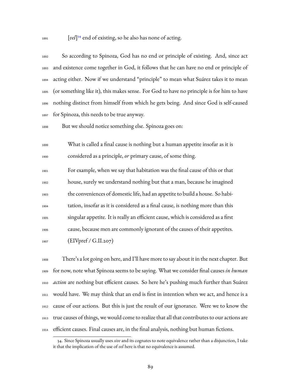1891 [*vel*]<sup>[34](#page-91-0)</sup> end of existing, so he also has none of acting.

| 1892 | So according to Spinoza, God has no end or principle of existing. And, since act               |
|------|------------------------------------------------------------------------------------------------|
| 1893 | and existence come together in God, it follows that he can have no end or principle of         |
| 1894 | acting either. Now if we understand "principle" to mean what Suárez takes it to mean           |
|      | 1895 (or something like it), this makes sense. For God to have no principle is for him to have |
|      | 1896 nothing distinct from himself from which he gets being. And since God is self-caused      |
|      | 1897 for Spinoza, this needs to be true anyway.                                                |

But we should notice something else. Spinoza goes on:

 What is called a final cause is nothing but a human appetite insofar as it is considered as a principle, *or* primary cause, of some thing.

 For example, when we say that habitation was the final cause of this or that house, surely we understand nothing but that a man, because he imagined the conveniences of domestic life, had an appetite to build a house. So habi- tation, insofar as it is considered as a final cause, is nothing more than this singular appetite. It is really an efficient cause, which is considered as a first cause, because men are commonly ignorant of the causes of their appetites. (EIVpref / G.II.207)

 There's a lot going on here, and I'll have more to say about it in the next chapter. But for now, note what Spinoza seems to be saying. What we consider final causes *in human action* are nothing but efficient causes. So here he's pushing much further than Suárez would have. We may think that an end is first in intention when we act, and hence is a cause of our actions. But this is just the result of our ignorance. Were we to know the true causes of things, we would come to realize that all that contributes to our actions are efficient causes. Final causes are, in the final analysis, nothing but human fictions.

<span id="page-91-0"></span><sup>34.</sup> Since Spinoza usually uses *sive* and its cognates to note equivalence rather than a disjunction, I take it that the implication of the use of *vel* here is that no equivalence is assumed.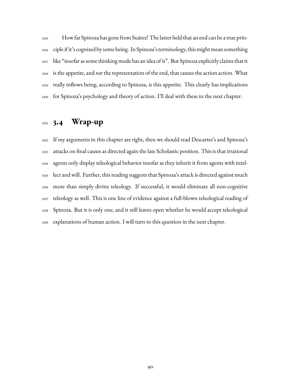How far Spinoza has gone from Suárez! The latter held that an end can be a true prin- ciple if it's cognized by some being. In Spinoza's terminology, this might mean something like "insofar as some thinking mode has an idea of it". But Spinoza explicitly claims that it is the appetite, and *not* the representation of the end, that causes the action action. What really inflows being, according to Spinoza, is this appetite. This clearly has implications for Spinoza's psychology and theory of action. I'll deal with these in the next chapter.

# **3.4 Wrap-up**

 If my arguments in this chapter are right, then we should read Descartes's and Spinoza's attacks on final causes as directed again the late Scholastic position. This is that irrational agents only display teleological behavior insofar as they inherit it from agents with intel- lect and will. Further, this reading suggests that Spinoza's attack is directed against much more than simply divine teleology. If successful, it would eliminate all non-cognitive teleology as well. This is one line of evidence against a full-blown teleological reading of Spinoza. But it is only one, and it still leaves open whether he would accept teleological explanations of human action. I will turn to this question in the next chapter.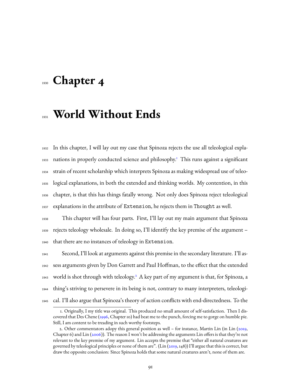# **Chapter 4**

# **World Without Ends**

 In this chapter, I will lay out my case that Spinoza rejects the use all teleological expla-933 nations in properly conducted science and philosophy.<sup>1</sup> This runs against a significant strain of recent scholarship which interprets Spinoza as making widespread use of teleo- logical explanations, in both the extended and thinking worlds. My contention, in this chapter, is that this has things fatally wrong. Not only does Spinoza reject teleological explanations in the attribute of Extension, he rejects them in Thought as well.

 This chapter will has four parts. First, I'll lay out my main argument that Spinoza rejects teleology wholesale. In doing so, I'll identify the key premise of the argument – that there are no instances of teleology in Extension.

 Second, I'll look at arguments against this premise in the secondary literature. I'll as- sess arguments given by Don Garrett and Paul Hoffman, to the effect that the extended 1943 world is shot through with teleology.<sup>[2](#page-93-1)</sup> A key part of my argument is that, for Spinoza, a thing's striving to persevere in its being is not, contrary to many interpreters, teleologi-cal. I'll also argue that Spinoza's theory of action conflicts with end-directedness. To the

<span id="page-93-0"></span><sup>1.</sup> Originally, I my title was original. This produced no small amount of self-satisfaction. Then I discovered that Des Chene([1996,](#page-228-3) Chapter 10) had beat me to the punch, forcing me to gorge on humble pie. Still, I am content to be treading in such worthy footsteps.

<span id="page-93-1"></span><sup>2.</sup> Other commentators adopy this general position as well – for instance, Martin Lin (in Lin([2019,](#page-231-1) Chapter 6) and Lin [\(2006\)](#page-231-2)). The reason I won't be addressing the arguments Lin offers is that they're not relevant to the key premise of my argument. Lin accepts the premise that "either all natural creatures are governed by teleological principles or none of them are". (Lin [\(2019](#page-231-1), 148)) I'll argue that this is correct, but draw the opposite conclusion: Since Spinoza holds that some natural creatures aren't, none of them are.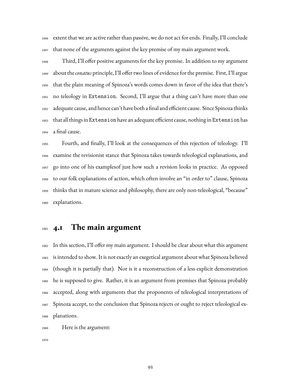extent that we are active rather than passive, we do not act for ends. Finally, I'll conclude that none of the arguments against the key premise of my main argument work.

 Third, I'll offer positive arguments for the key premise. In addition to my argument about the*conatus* principle, I'll offer two lines of evidence for the premise. First, I'll argue that the plain meaning of Spinoza's words comes down in favor of the idea that there's no teleology in Extension. Second, I'll argue that a thing can't have more than one adequate cause, and hence can't have both a final and efficient cause. Since Spinoza thinks that all things in Extension have an adequate efficient cause, nothing in Extension has a final cause.

 Fourth, and finally, I'll look at the consequences of this rejection of teleology. I'll examine the revisionist stance that Spinoza takes towards teleological explanations, and go into one of his examplesof just how such a revision looks in practice. As opposed to our folk explanations of action, which often involve an "in order to" clause, Spinoza thinks that in mature science and philosophy, there are only non-teleological, "because" explanations.

# **4.1 The main argument**

 In this section, I'll offer my main argument. I should be clear about what this argument is intended to show. It is not exactly an exegetical argument about what Spinoza believed (though it is partially that). Nor is it a reconstruction of a less explicit demonstration he is supposed to give. Rather, it is an argument from premises that Spinoza probably accepted, along with arguments that the proponents of teleological interpretations of Spinoza accept, to the conclusion that Spinoza rejects or ought to reject teleological ex-planations.

Here is the argument: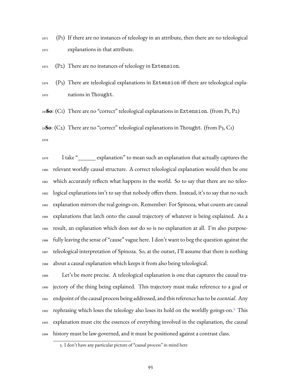(P1) If there are no instances of teleology in an attribute, then there are no teleological explanations in that attribute.

(P2) There are no instances of teleology in Extension.

  $(P_3)$  There are teleological explanations in Extension iff there are teleological expla-nations in Thought.

**So**: (C1) There are no "correct" teleological explanations in Extension. (from P1, P2)

**So**: (C2) There are no "correct" teleological explanations in Thought. (from P3, C1) 

 I take "\_\_\_\_\_\_ explanation" to mean such an explanation that actually captures the relevant worldly causal structure. A correct teleological explanation would then be one which accurately reflects what happens in the world. So to say that there are no teleo- logical explanations isn't to say that nobody offers them. Instead, it's to say that no such explanation mirrors the real goings-on. Remember: For Spinoza, what counts are causal explanations that latch onto the causal trajectory of whatever is being explained. As a result, an explanation which does *not* do so is no explanation at all. I'm also purpose- fully leaving the sense of "cause" vague here. I don't want to beg the question against the teleological interpretation of Spinoza. So, at the outset, I'll assume that there is nothing about a causal explanation which keeps it from also being teleological.

 Let's be more precise. A teleological explanation is one that captures the causal tra- jectory of the thing being explained. This trajectory must make reference to a goal or endpoint of the causal process being addressed, and this reference has to be*essential*. Any 1992 rephrasing which loses the teleology also loses its hold on the worldly goings-on.<sup>[3](#page-95-0)</sup> This explanation must cite the essences of everything involved in the explanation, the causal history must be law-governed, and it must be positioned against a contrast class.

<span id="page-95-0"></span><sup>3.</sup> I don't have any particular picture of "causal process" in mind here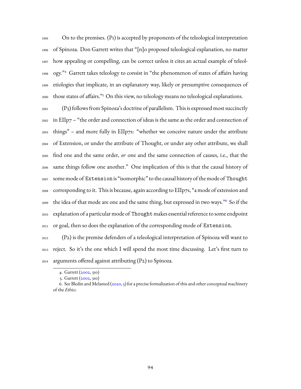On to the premises. (P1) is accepted by proponents of the teleological interpretation of Spinoza. Don Garrett writes that "[n]o proposed teleological explanation, no matter how appealing or compelling, can be correct unless it cites an actual example of teleol-1998 ogy."<sup>[4](#page-96-0)</sup> Garrett takes teleology to consist in "the phenomenon of states of affairs having etiologies that implicate, in an explanatory way, likely or presumptive consequences of 2000 those states of affairs."<sup>[5](#page-96-1)</sup> On this view, no teleology means no teleological explanations.

 (P3) follows from Spinoza's doctrine of parallelism. This is expressed most succinctly in EIIp7 – "the order and connection of ideas is the same as the order and connection of things" – and more fully in EIIp7s: "whether we conceive nature under the attribute of Extension, or under the attribute of Thought, or under any other attribute, we shall find one and the same order, *or* one and the same connection of causes, i.e., that the same things follow one another." One implication of this is that the causal history of some mode of Extension is "isomorphic" to the causal history of the mode of Thought corresponding to it. This is because, again according to EIIp7s, "a mode of extension and  $_{2009}$  the idea of that mode are one and the same thing, but expressed in two ways." $^6$  $^6$  So if the explanation of a particular mode of Thoughtmakes essential reference to some endpoint or goal, then so does the explanation of the corresponding mode of Extension.

 (P2) is the premise defenders of a teleological interpretation of Spinoza will want to reject. So it's the one which I will spend the most time discussing. Let's first turn to arguments offered against attributing (P2) to Spinoza.

<span id="page-96-0"></span><sup>4.</sup> Garrett [\(2002,](#page-229-0) 310)

<span id="page-96-2"></span><span id="page-96-1"></span><sup>5.</sup> Garrett [\(2002,](#page-229-0) 310)

<sup>6.</sup> See Bledin and Melamed [\(2020](#page-226-2), 5) for a precise formalization of this and other conceptual machinery of the *Ethics*.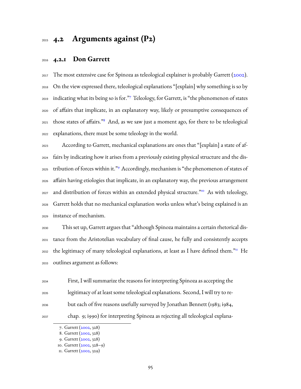## **4.2 Arguments against (P2)**

### **4.2.1 Don Garrett**

 The most extensive case for Spinoza as teleological explainer is probably Garrett([2002](#page-229-0)). On the view expressed there, teleological explanations "[explain] why something is so by 2019 indicating what its being so is for."[7](#page-97-0) Teleology, for Garrett, is "the phenomenon of states of affairs that implicate, in an explanatory way, likely or presumptive consequences of 2021 those states of affairs."<sup>[8](#page-97-1)</sup> And, as we saw just a moment ago, for there to be teleological explanations, there must be some teleology in the world.

 According to Garrett, mechanical explanations are ones that "[explain] a state of af- fairs by indicating how it arises from a previously existing physical structure and the dis-2025 tribution of forces within it."<sup>[9](#page-97-2)</sup> Accordingly, mechanism is "the phenomenon of states of affairs having etiologies that implicate, in an explanatory way, the previous arrangement 2027 and distribution of forces within an extended physical structure."<sup>[10](#page-97-3)</sup> As with teleology, Garrett holds that no mechanical explanation works unless what's being explained is an instance of mechanism.

 This set up, Garrett argues that "although Spinoza maintains a certain rhetorical dis- tance from the Aristotelian vocabulary of final cause, he fully and consistently accepts  $_{2032}$  the legitimacy of many teleological explanations, at least as I have defined them."<sup>II</sup> He outlines argument as follows:

 First, I will summarize the reasons for interpreting Spinoza as accepting the legitimacy of at least some teleological explanations. Second, I will try to re- but each of five reasons usefully surveyed by Jonathan Bennett (1983; i984, chap. 9; i990) for interpreting Spinoza as rejecting all teleological explana-

<span id="page-97-0"></span><sup>7.</sup> Garrett [\(2002,](#page-229-0) 328)

<span id="page-97-2"></span><span id="page-97-1"></span><sup>8.</sup> Garrett [\(2002,](#page-229-0) 328)

<sup>9.</sup> Garrett [\(2002,](#page-229-0) 328)

<span id="page-97-3"></span><sup>10.</sup> Garrett [\(2002,](#page-229-0) 328–9)

<span id="page-97-4"></span><sup>11.</sup> Garrett [\(2002,](#page-229-0) 329)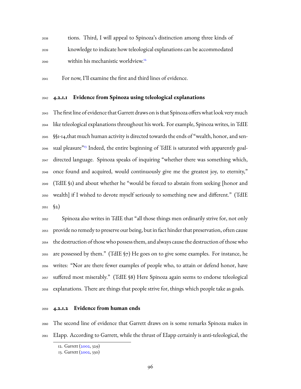tions. Third, I will appeal to Spinoza's distinction among three kinds of knowledge to indicate how teleological explanations can be accommodated within his mechanistic worldview.<sup>[12](#page-98-0)</sup> 

For now, I'll examine the first and third lines of evidence.

#### **4.2.1.1 Evidence from Spinoza using teleological explanations**

 The first line of evidence that Garrett draws on is that Spinoza offers what look very much like teleological explanations throughout his work. For example, Spinoza writes, in TdIE §§1-14,that much human activity is directed towards the ends of "wealth, honor, and sen-2046 sual pleasure<sup>"[13](#page-98-1)</sup> Indeed, the entire beginning of TdIE is saturated with apparently goal- directed language. Spinoza speaks of inquiring "whether there was something which, once found and acquired, would continuously give me the greatest joy, to eternity," (TdIE §1) and about whether he "would be forced to abstain from seeking [honor and wealth] if I wished to devote myself seriously to something new and different." (TdIE §2)

 Spinoza also writes in TdIE that "all those things men ordinarily strive for, not only provide no remedy to preserve our being, but in fact hinder that preservation, often cause the destruction of those who possess them, and always cause the destruction of those who are possessed by them." (TdIE §7) He goes on to give some examples. For instance, he writes: "Nor are there fewer examples of people who, to attain or defend honor, have suffered most miserably." (TdIE §8) Here Spinoza again seems to endorse teleological explanations. There are things that people strive for, things which people take as goals.

#### **4.2.1.2 Evidence from human ends**

 The second line of evidence that Garrett draws on is some remarks Spinoza makes in EIapp. According to Garrett, while the thrust of EIapp certainly is anti-teleological, the

<span id="page-98-0"></span><sup>12.</sup> Garrett [\(2002,](#page-229-0) 329)

<span id="page-98-1"></span><sup>13.</sup> Garrett [\(2002,](#page-229-0) 330)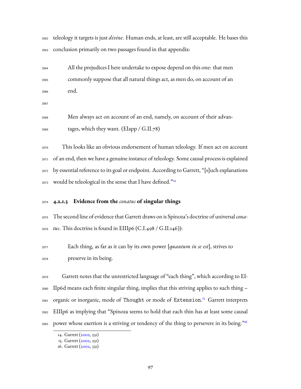teleology it targets is just *divine*. Human ends, at least, are still acceptable. He bases this conclusion primarily on two passages found in that appendix:

 All the prejudices I here undertake to expose depend on this one: that men commonly suppose that all natural things act, as men do, on account of an end.

 Men always act on account of an end, namely, on account of their advan-tages, which they want. (EIapp / G.II.78)

 This looks like an obvious endorsement of human teleology. If men act on account of an end, then we have a genuine instance of teleology. Some causal process is explained by essential reference to its goal or endpoint. According to Garrett, "[s]uch explanations would be teleological in the sense that I have defined."<sup>[14](#page-99-0)</sup> 

#### **4.2.1.3 Evidence from the** *conatus* **of singular things**

 The second line of evidence that Garrett draws on is Spinoza's doctrine of universal *cona-tus*. This doctrine is found in EIIIp6 (C.I.498 / G.II.146)):

 Each thing, as far as it can by its own power [*quantum in se est*], strives to preserve in its being.

 Garrett notes that the unrestricted language of "each thing", which according to EI- IIp6d means each finite singular thing, implies that this striving applies to such thing – 2081 organic or inorganic, mode of Thought or mode of Extension.<sup>[15](#page-99-1)</sup> Garrett interprets EIIIp6 as implying that "Spinoza seems to hold that each thin has at least some causal power whose exertion is a striving or tendency of the thing to persevere in its being."<sup>[16](#page-99-2)</sup> 

<span id="page-99-0"></span><sup>14.</sup> Garrett [\(2002,](#page-229-0) 331)

<span id="page-99-2"></span><span id="page-99-1"></span><sup>15.</sup> Garrett [\(2002,](#page-229-0) 331)

<sup>16.</sup> Garrett [\(2002,](#page-229-0) 331)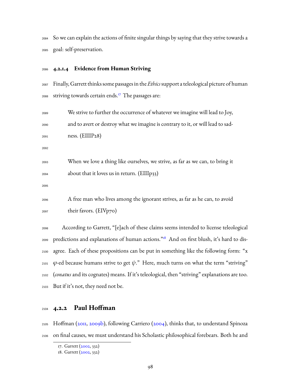So we can explain the actions of finite singular things by saying that they strive towards a goal: self-preservation.

#### **4.2.1.4 Evidence from Human Striving**

 Finally, Garrett thinks some passages in the *Ethics*support a teleological picture of human 2088 striving towards certain ends.<sup>[17](#page-100-0)</sup> The passages are:

 We strive to further the occurrence of whatever we imagine will lead to Joy, and to avert or destroy what we imagine is contrary to it, or will lead to sad-ness. (EIIIP28)

 When we love a thing like ourselves, we strive, as far as we can, to bring it about that it loves us in return. (EIIIp33)

 A free man who lives among the ignorant strives, as far as he can, to avoid their favors. (EIVp70)

 According to Garrett, "[e]ach of these claims seems intended to license teleological 2099 predictions and explanations of human actions."<sup>[18](#page-100-1)</sup> And on first blush, it's hard to dis- agree. Each of these propositions can be put in something like the following form: "x  $\varphi$ -ed because humans strive to get  $\psi$ ." Here, much turns on what the term "striving" (*conatus*and its cognates) means. If it's teleological, then "striving" explanations are too. But if it's not, they need not be.

#### **4.2.2 Paul Hoffman**

 Hoffman([2011,](#page-230-1) [2009b\)](#page-230-0), following Carriero([2004](#page-227-1)), thinks that, to understand Spinoza on final causes, we must understand his Scholastic philosophical forebears. Both he and

<span id="page-100-0"></span><sup>17.</sup> Garrett [\(2002,](#page-229-0) 332)

<span id="page-100-1"></span><sup>18.</sup> Garrett [\(2002,](#page-229-0) 332)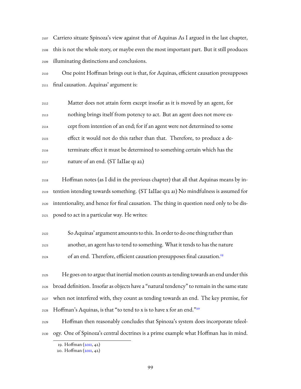Carriero situate Spinoza's view against that of Aquinas As I argued in the last chapter, this is not the whole story, or maybe even the most important part. But it still produces illuminating distinctions and conclusions.

 One point Hoffman brings out is that, for Aquinas, efficient causation presupposes final causation. Aquinas' argument is:

 Matter does not attain form except insofar as it is moved by an agent, for nothing brings itself from potency to act. But an agent does not move ex- cept from intention of an end; for if an agent were not determined to some effect it would not do this rather than that. Therefore, to produce a de- terminate effect it must be determined to something certain which has the nature of an end. (ST IaIIae q1 a2)

 Hoffman notes (as I did in the previous chapter) that all that Aquinas means by in- tention istending towards something. (ST IaIIae q12 a1) No mindfulness is assumed for intentionality, and hence for final causation. The thing in question need only to be dis-posed to act in a particular way. He writes:

 So Aquinas' argument amounts to this. In order to do one thing rather than another, an agent has to tend to something. What it tends to has the nature of an end. Therefore, efficient causation presupposes final causation.[19](#page-101-0)

 He goes on to argue that inertial motion counts as tending towards an end under this broad definition. Insofar as objects have a "natural tendency" to remain in the same state when not interfered with, they count as tending towards an end. The key premise, for Hoffman's Aquinas, is that "to tend to x is to have x for an end."[20](#page-101-1) 

 Hoffman then reasonably concludes that Spinoza's system does incorporate teleol-ogy. One of Spinoza's central doctrines is a prime example what Hoffman has in mind.

<span id="page-101-0"></span><sup>19.</sup> Hoffman([2011,](#page-230-1) 42)

<span id="page-101-1"></span><sup>20.</sup> Hoffman([2011,](#page-230-1) 42)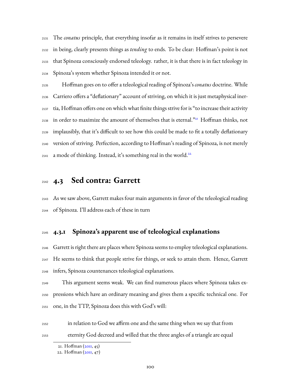The *conatus* principle, that everything insofar as it remains in itself strives to persevere in being, clearly presents things as *tending* to ends. To be clear: Hoffman's point is not that Spinoza consciously endorsed teleology. rather, it is that there is in fact teleology in Spinoza's system whether Spinoza intended it or not.

 Hoffman goes on to offer a teleological reading of Spinoza's *conatus* doctrine. While Carriero offers a "deflationary" account of striving, on which it is just metaphysical iner- tia, Hoffman offers one on which what finite things strive for is "to increase their activity  $_{2138}$  $_{2138}$  $_{2138}$  in order to maximize the amount of themselves that is eternal. $^{321}$  Hoffman thinks, not implausibly, that it's difficult to see how this could be made to fit a totally deflationary version of striving. Perfection, according to Hoffman's reading of Spinoza, is not merely a mode of thinking. Instead, it's something real in the world.<sup>[22](#page-102-1)</sup> 

## **4.3 Sed contra: Garrett**

 As we saw above, Garrett makes four main arguments in favor of the teleological reading of Spinoza. I'll address each of these in turn

## **4.3.1 Spinoza's apparent use of teleological explanations**

 Garrett is right there are places where Spinoza seems to employ teleological explanations. He seems to think that people strive for things, or seek to attain them. Hence, Garrett infers, Spinoza countenances teleological explanations.

 This argument seems weak. We can find numerous places where Spinoza takes ex- pressions which have an ordinary meaning and gives them a specific technical one. For one, in the TTP, Spinoza does this with God's will:

 in relation to God we affirm one and the same thing when we say that from eternity God decreed and willed that the three angles of a triangle are equal

<span id="page-102-0"></span><sup>21.</sup> Hoffman([2011,](#page-230-1) 45)

<span id="page-102-1"></span><sup>22.</sup> Hoffman([2011,](#page-230-1) 47)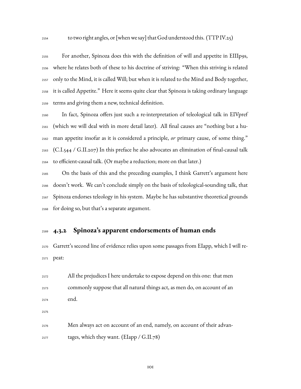For another, Spinoza does this with the definition of will and appetite in EIIIp9s, where he relates both of these to his doctrine of striving: "When this striving is related only to the Mind, it is called Will; but when it is related to the Mind and Body together, it is called Appetite." Here it seems quite clear that Spinoza is taking ordinary language terms and giving them a new, technical definition.

 In fact, Spinoza offers just such a re-interpretation of teleological talk in EIVpref (which we will deal with in more detail later). All final causes are "nothing but a hu- man appetite insofar as it is considered a principle, *or* primary cause, of some thing." (C.I.544 / G.II.207) In this preface he also advocates an elimination of final-causal talk to efficient-causal talk. (Or maybe a reduction; more on that later.)

 On the basis of this and the preceding examples, I think Garrett's argument here doesn't work. We can't conclude simply on the basis of teleological-sounding talk, that Spinoza endorses teleology in his system. Maybe he has substantive theoretical grounds for doing so, but that's a separate argument.

## **4.3.2 Spinoza's apparent endorsements of human ends**

 Garrett's second line of evidence relies upon some passages from EIapp, which I will re-peat:

 All the prejudices I here undertake to expose depend on this one: that men commonly suppose that all natural things act, as men do, on account of an end. Men always act on account of an end, namely, on account of their advan-tages, which they want. (EIapp / G.II.78)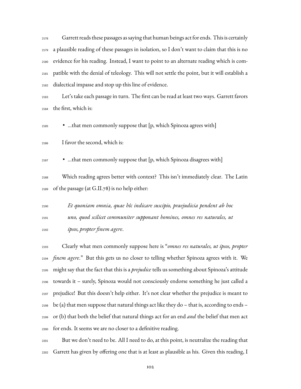Garrett reads these passages as saying that human beings act for ends. This is certainly a plausible reading of these passages in isolation, so I don't want to claim that this is no evidence for his reading. Instead, I want to point to an alternate reading which is com- patible with the denial of teleology. This will not settle the point, but it will establish a dialectical impasse and stop up this line of evidence.

 Let's take each passage in turn. The first can be read at least two ways. Garrett favors the first, which is:

• …that men commonly suppose that [p, which Spinoza agrees with]

I favor the second, which is:

• …that men commonly suppose that [p, which Spinoza disagrees with]

 Which reading agrees better with context? This isn't immediately clear. The Latin of the passage (at G.II.78) is no help either:

 *Et quoniam omnia, quae hîc indicare suscipio, praejudicia pendent ab hoc uno, quod scilicet communiter supponant homines, omnes res naturales, ut ipsos, propter finem agere*.

 Clearly what men commonly suppose here is "*omnes res naturales, ut ipsos, propter finem agere*." But this gets us no closer to telling whether Spinoza agrees with it. We might say that the fact that this is a *prejudice* tells us something about Spinoza's attitude towards it – surely, Spinoza would not consciously endorse something he just called a prejudice! But this doesn't help either. It's not clear whether the prejudice is meant to  $_{2198}$  be (a) that men suppose that natural things act like they do – that is, according to ends – or (b) that both the belief that natural things act for an end *and* the belief that men act for ends. It seems we are no closer to a definitive reading.

 But we don't need to be. All I need to do, at this point, is neutralize the reading that Garrett has given by offering one that is at least as plausible as his. Given this reading, I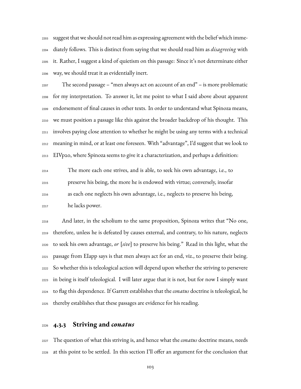suggest that we should not read him as expressing agreement with the belief which imme- diately follows. This is distinct from saying that we should read him as *disagreeing* with it. Rather, I suggest a kind of quietism on this passage: Since it's not determinate either way, we should treat it as evidentially inert.

 The second passage – "men always act on account of an end" – is more problematic for my interpretation. To answer it, let me point to what I said above about apparent endorsement of final causes in other texts. In order to understand what Spinoza means, we must position a passage like this against the broader backdrop of his thought. This involves paying close attention to whether he might be using any terms with a technical meaning in mind, or at least one foreseen. With "advantage", I'd suggest that we look to EIVp20, where Spinoza seems to give it a characterization, and perhaps a definition:

 The more each one strives, and is able, to seek his own advantage, i.e., to preserve his being, the more he is endowed with virtue; conversely, insofar as each one neglects his own advantage, i.e., neglects to preserve his being, he lacks power.

 And later, in the scholium to the same proposition, Spinoza writes that "No one, therefore, unless he is defeated by causes external, and contrary, to his nature, neglects to seek his own advantage, *or* [*sive*] to preserve his being." Read in this light, what the passage from EIapp says is that men always act for an end, viz., to preserve their being. So whether this is teleological action will depend upon whether the striving to persevere in being is itself teleological. I will later argue that it is not, but for now I simply want to flag this dependence. If Garrett establishes that the *conatus* doctrine is teleological, he thereby establishes that these passages are evidence for his reading.

#### **4.3.3 Striving and** *conatus*

 The question of what this striving is, and hence what the *conatus* doctrine means, needs at this point to be settled. In this section I'll offer an argument for the conclusion that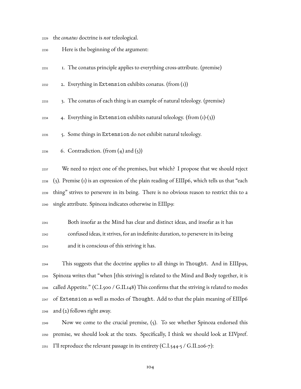the *conatus* doctrine is *not* teleological.

- Here is the beginning of the argument:
- 1. The conatus principle applies to everything cross-attribute. (premise)
- $_{2232}$  2. Everything in Extension exhibits conatus. (from (1))
- 3. The conatus of each thing is an example of natural teleology. (premise)
- $_{2234}$  4. Everything in Extension exhibits natural teleology. (from (1)-(3))
- 5. Some things in Extension do not exhibit natural teleology.
- 6. Contradiction. (from  $(4)$  and  $(5)$ )

 We need to reject one of the premises, but which? I propose that we should reject (3). Premise (1) is an expression of the plain reading of EIIIp6, which tells us that "each thing" strives to persevere in its being. There is no obvious reason to restrict this to a single attribute. Spinoza indicates otherwise in EIIIp9:

 Both insofar as the Mind has clear and distinct ideas, and insofar as it has confused ideas, it strives, for an indefinite duration, to persevere in its being and it is conscious of this striving it has.

 This suggests that the doctrine applies to all things in Thought. And in EIIIp9s, Spinoza writes that "when [this striving] is related to the Mind and Body together, it is  $_{2246}$  called Appetite." (C.I.500 / G.II.148) This confirms that the striving is related to modes of Extension as well as modes of Thought. Add to that the plain meaning of EIIIp6  $_{2248}$  and (2) follows right away.

 Now we come to the crucial premise, (5). To see whether Spinoza endorsed this premise, we should look at the texts. Specifically, I think we should look at EIVpref. 2251 I'll reproduce the relevant passage in its entirety (C.I.544-5 / G.II.206-7):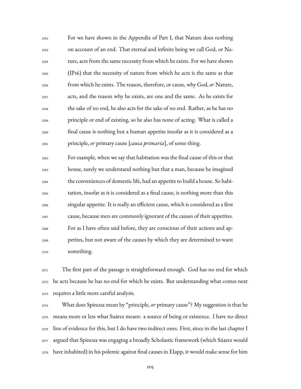For we have shown in the Appendix of Part I, that Nature does nothing on account of an end. That eternal and infinite being we call God, or Na- ture, acts from the same necessity from which he exists. For we have shown (IP16) that the necessity of nature from which he acts is the same as that from which he exists. The reason, therefore, or cause, why God,*or* Nature, acts, and the reason why he exists, are one and the same. As he exists for the sake of no end, he also acts for the sake of no end. Rather, as he has no principle or end of existing, so he also has none of acting. What is called a final cause is nothing but a human appetite insofar as it is considered as a principle, *or* primary cause [*causa primaria*], of some thing.

 For example, when we say that habitation was the final cause of this or that house, surely we understand nothing but that a man, because he imagined the conveniences of domestic life, had an appetite to build a house. So habi- tation, insofar as it is considered as a final cause, is nothing more than this singular appetite. It is really an efficient cause, which is considered as a first cause, because men are commonly ignorant of the causes of their appetites. For as I have often said before, they are conscious of their actions and ap- petites, but not aware of the causes by which they are determined to want something.

 The first part of the passage is straightforward enough. God has no end for which he acts because he has no end for which he exists. But understanding what comes next requires a little more careful analysis.

 What does Spinoza mean by "principle, *or* primary cause"? My suggestion is that he means more or less what Suárez meant: a source of being or existence. I have no direct line of evidence for this, but I do have two indirect ones. First, since in the last chapter I argued that Spinoza was engaging a broadly Scholastic framework (which Súarez would have inhabited) in his polemic against final causes in EIapp, it would make sense for him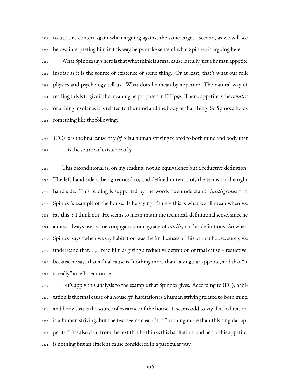to use this context again when arguing against the same target. Second, as we will see below, interpreting him in this way helps make sense of what Spinoza is arguing here.

 What Spinoza says here is that what think is a final cause is really just a human appetite insofar as it is the source of existence of some thing. Or at least, that's what our folk physics and psychology tell us. What does he mean by appetite? The natural way of reading this is to give it the meaning he proposed in EIIIp9s. There, appetite is the*conatus* of a thing insofar as it is related to the mind and the body of that thing. So Spinoza holds something like the following:

## $_{2287}$  (FC) x is the final cause of y  $\mathit{iff}$  x is a human striving related to both mind and body that is the source of existence of y

 This biconditional is, on my reading, not an equivalence but a reductive definition. The left hand side is being reduced to, and defined in terms of, the terms on the right hand side. This reading is supported by the words "we understand [*intelligemus*]" in Spinoza's example of the house. Is he saying: "surely this is what we all mean when we say this"? I think not. He seems to mean this in the technical, definitional sense, since he almost always uses some conjugation or cognate of *intelligo* in his definitions. So when Spinoza says "when we say habitation was the final causes of this or that house, surely we understand that…", I read him as giving a reductive definition of final cause – reductive, because he says that a final cause is "nothing more than" a singular appetite, and that "it is really" an efficient cause.

 Let's apply this analysis to the example that Spinoza gives. According to (FC), habi- tation is the final cause of a house*iff* habitation is a human striving related to both mind and body that is the source of existence of the house. It seems odd to say that habitation is a human striving, but the text seems clear: It is "nothing more than this singular ap- petite." It's also clear from the text that he thinks this habitation, and hence this appetite, is nothing but an efficient cause considered in a particular way.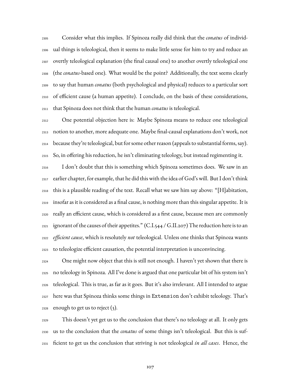Consider what this implies. If Spinoza really did think that the *conatus* of individ- ual things is teleological, then it seems to make little sense for him to try and reduce an overtly teleological explanation (the final causal one) to another overtly teleological one (the *conatus*-based one). What would be the point? Additionally, the text seems clearly to say that human *conatus* (both psychological and physical) reduces to a particular sort of efficient cause (a human appetite). I conclude, on the basis of these considerations, that Spinoza does not think that the human *conatus* is teleological.

 One potential objection here is: Maybe Spinoza means to reduce one teleological notion to another, more adequate one. Maybe final-causal explanations don't work, not because they're teleological, but for some other reason (appeals to substantial forms, say). So, in offering his reduction, he isn't eliminating teleology, but instead regimenting it.

 I don't doubt that this is something which Spinoza sometimes does. We saw in an earlier chapter, for example, that he did this with the idea of God's will. But I don't think this is a plausible reading of the text. Recall what we saw him say above: "[H]abitation, insofar as it is considered as a final cause, is nothing more than this singular appetite. It is really an efficient cause, which is considered as a first cause, because men are commonly 2321 ignorant of the causes of their appetites."  $(C.I.544/G.II.207)$  The reduction here is to an *efficient cause*, which is resolutely *not* teleological. Unless one thinks that Spinoza wants to teleologize efficient causation, the potential interpretation is unconvincing.

 One might now object that this is still not enough. I haven't yet shown that there is no teleology in Spinoza. All I've done is argued that one particular bit of his system isn't teleological. This is true, as far as it goes. But it's also irrelevant. All I intended to argue here was that Spinoza thinks some things in Extension don't exhibit teleology. That's enough to get us to reject  $(3)$ .

 This doesn't yet get us to the conclusion that there's no teleology at all. It only gets us to the conclusion that the *conatus* of some things isn't teleological. But this is suf-ficient to get us the conclusion that striving is not teleological *in all cases*. Hence, the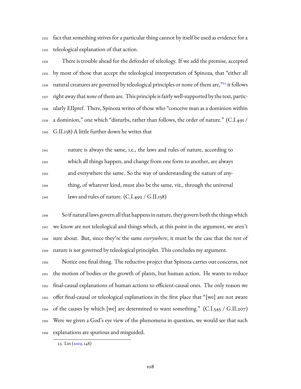fact that something strives for a particular thing cannot by itself be used as evidence for a teleological explanation of that action.

 There is trouble ahead for the defender of teleology. If we add the premise, accepted by most of those that accept the teleological interpretation of Spinoza, that "either all  $_{2336}$  $_{2336}$  $_{2336}$  natural creatures are governed by teleological principles or none of them are, $^{323}$  it follows right away that *none* of them are. This principle is fairly well-supported by the text, partic- ularly EIIpref. There, Spinoza writes of those who "conceive man as a dominion within a dominion," one which "disturbs, rather than follows, the order of nature." (C.I.491 / G.II.138) A little further down he writes that

 nature is always the same, i.e., the laws and rules of nature, according to which all things happen, and change from one form to another, are always and everywhere the same. So the way of understanding the nature of any- thing, of whatever kind, must also be the same, viz., through the universal laws and rules of nature. (C.I.492 / G.II.138)

 So if natural laws govern all that happens in nature, they govern both the thingswhich we know are not teleological and things which, at this point in the argument, we aren't sure about. But, since they're the same *everywhere*, it must be the case that the rest of nature is *not* governed by teleological principles. This concludes my argument.

 Notice one final thing. The reductive project that Spinoza carries out concerns, not the motion of bodies or the growth of plants, but human action. He wants to reduce final-causal explanations of human actions to efficient-causal ones. The only reason we offer final-causal or teleological explanations in the first place that "[we] are not aware  $_{2354}$  of the causes by which [we] are determined to want something." (C.I.545 / G.II.207) Were we given a God's eye view of the phenomena in question, we would see that such explanations are spurious and misguided.

<span id="page-110-0"></span>23. Lin([2019,](#page-231-0) 148)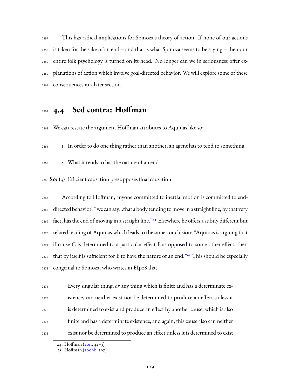This has radical implications for Spinoza's theory of action. If none of our actions is taken for the sake of an end – and that is what Spinoza seems to be saying – then our entire folk psychology is turned on its head. No longer can we in seriousness offer ex- planations of action which involve goal-directed behavior. We will explore some of these consequences in a later section.

## **4.4 Sed contra: Hoffman**

We can restate the argument Hoffman attributes to Aquinas like so:

1. In order to do one thing rather than another, an agent has to tend to something.

2. What it tends to has the nature of an end

**So:** (3) Efficient causation presupposes final causation

 According to Hoffman, anyone committed to inertial motion is committed to end- directed behavior: "we can say…that a body tending to move in a straight line, by that very 2369 fact, has the end of moving in a straight line."<sup>[24](#page-111-0)</sup> Elsewhere he offers a subtly different but related reading of Aquinas which leads to the same conclusion: "Aquinas is arguing that  $_{2371}$  if cause C is determined to a particular effect E as opposed to some other effect, then  $_{2372}$  that by itself is sufficient for E to have the nature of an end." $^{25}$  $^{25}$  $^{25}$  This should be especially congenial to Spinoza, who writes in EIp28 that

 Every singular thing, *or* any thing which is finite and has a determinate ex- istence, can neither exist nor be determined to produce an effect unless it is determined to exist and produce an effect by another cause, which is also finite and has a determinate existence; and again, this cause also can neither exist nor be determined to produce an effect unless it is determined to exist

<span id="page-111-0"></span><sup>24.</sup> Hoffman([2011,](#page-230-0) 42–3)

<span id="page-111-1"></span><sup>25.</sup> Hoffman([2009b](#page-230-1), 297)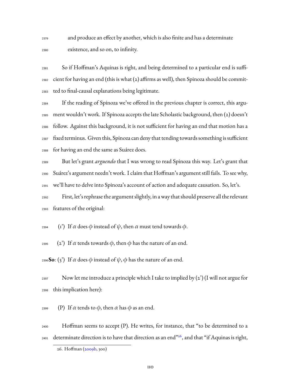and produce an effect by another, which is also finite and has a determinate existence, and so on, to infinity.

 So if Hoffman's Aquinas is right, and being determined to a particular end is suffi- $_{2382}$  cient for having an end (this is what (2) affirms as well), then Spinoza should be commit-ted to final-causal explanations being legitimate.

 If the reading of Spinoza we've offered in the previous chapter is correct, this argu- ment wouldn't work. If Spinoza accepts the late Scholastic background, then (2) doesn't follow. Against this background, it is not sufficient for having an end that motion has a fixed terminus. Given this, Spinoza can deny that tending towards something is sufficient for having an end the same as Suárez does.

 But let's grant *arguendo* that I was wrong to read Spinoza this way. Let's grant that Suárez's argument needn't work. I claim that Hoffman's argument still fails. To see why, we'll have to delve into Spinoza's account of action and adequate causation. So, let's.

 First, let's rephrase the argument slightly, in a way that should preserve all the relevant features of the original:

<sup>2394</sup> (1<sup>'</sup>) If α does φ instead of  $ψ$ , then α must tend towards φ.

2395 (2') If  $\alpha$  tends towards  $\phi$ , then  $\phi$  has the nature of an end.

<sup>2396</sup>**So**: (3<sup>2</sup>) If α does φ instead of  $ψ$ , φ has the nature of an end.

 $_{2397}$  Now let me introduce a principle which I take to implied by (2') (I will not argue for this implication here):

2399 (P) If  $\alpha$  tends to  $\phi$ , then  $\alpha$  has  $\phi$  as an end.

 Hoffman seems to accept (P). He writes, for instance, that "to be determined to a  $_{\rm 2401}$  determinate direction is to have that direction as an end" $^{26}$  $^{26}$  $^{26}$ , and that "if Aquinas is right,

<span id="page-112-0"></span><sup>26.</sup> Hoffman([2009b](#page-230-1), 300)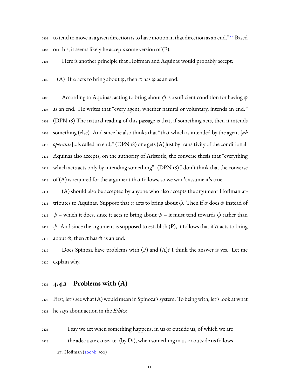$_{2402}$  to tend to move in a given direction is to have motion in that direction as an end." $^{27}$  $^{27}$  $^{27}$  Based  $2403$  on this, it seems likely he accepts some version of (P).

<sup>2404</sup> Here is another principle that Hoffman and Aquinas would probably accept:

2405 (A) If  $\alpha$  acts to bring about  $\phi$ , then  $\alpha$  has  $\phi$  as an end.

2406 According to Aquinas, acting to bring about  $\phi$  is a sufficient condition for having  $\phi$  as an end. He writes that "every agent, whether natural or voluntary, intends an end." (DPN 18) The natural reading of this passage is that, if something acts, then it intends something (else). And since he also thinks that "that which is intended by the agent [*ab operante*]…is called an end," (DPN 18) one gets (A) just by transitivity of the conditional. Aquinas also accepts, on the authority of Aristotle, the converse thesis that "everything which acts acts only by intending something". (DPN 18) I don't think that the converse 2413 of  $(A)$  is required for the argument that follows, so we won't assume it's true.

<sup>2414</sup> (A) should also be accepted by anyone who also accepts the argument Hoffman at-<sup>2415</sup> tributes to Aquinas. Suppose that α acts to bring about φ. Then if α does φ instead of 2416  $\psi$  – which it does, since it acts to bring about  $\psi$  – it must tend towards φ rather than <sup>2417</sup> ψ. And since the argument is supposed to establish (P), it follows that if  $\alpha$  acts to bring 2418 about  $\phi$ , then  $\alpha$  has  $\phi$  as an end.

 $_{2419}$  Does Spinoza have problems with (P) and (A)? I think the answer is yes. Let me <sup>2420</sup> explain why.

### <sup>2421</sup> **4.4.1 Problems with (A)**

<sup>2422</sup> First, let's see what (A) would mean in Spinoza's system. To being with, let's look at what <sup>2423</sup> he says about action in the *Ethics*:

<sup>2424</sup> I say we act when something happens, in us or outside us, of which we are  $_{2425}$  the adequate cause, i.e. (by D1), when something in us or outside us follows

<span id="page-113-0"></span><sup>27.</sup> Hoffman([2009b](#page-230-1), 300)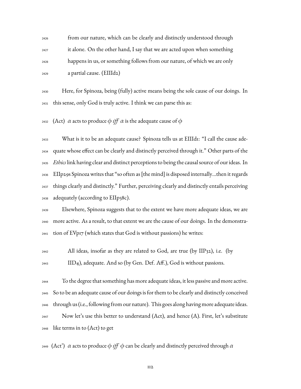from our nature, which can be clearly and distinctly understood through  $_{2427}$  it alone. On the other hand, I say that we are acted upon when something happens in us, or something follows from our nature, of which we are only a partial cause. (EIIId2)

 Here, for Spinoza, being (fully) active means being the sole cause of our doings. In this sense, only God is truly active. I think we can parse this as:

2432 (Act)  $\alpha$  acts to produce  $\phi$  *iff*  $\alpha$  is the adequate cause of  $\phi$ 

 What is it to be an adequate cause? Spinoza tells us at EIIId1: "I call the cause ade- quate whose effect can be clearly and distinctly perceived through it." Other parts of the *Ethics* link having clear and distinct perceptions to being the causal source of our ideas. In EIIp29s Spinoza writes that "so often as [the mind] is disposed internally…then it regards things clearly and distinctly." Further, perceiving clearly and distinctly entails perceiving adequately (according to EIIp38c).

 Elsewhere, Spinoza suggests that to the extent we have more adequate ideas, we are more active. As a result, to that extent we are the cause of our doings. In the demonstra- $_{2441}$  tion of EVp17 (which states that God is without passions) he writes:

 All ideas, insofar as they are related to God, are true (by IIP32), i.e. (by  $\text{IID}_4$ ), adequate. And so (by Gen. Def. Aff.), God is without passions.

 To the degree that something has more adequate ideas, it less passive and more active. So to be an adequate cause of our doings is for them to be clearly and distinctly conceived through us (i.e., following from our nature). This goes along having more adequate ideas. Now let's use this better to understand (Act), and hence (A). First, let's substitute like terms in to (Act) to get

2449 (Act<sup>2</sup>)  $\alpha$  acts to produce  $\phi$  *iff*  $\phi$  can be clearly and distinctly perceived through  $\alpha$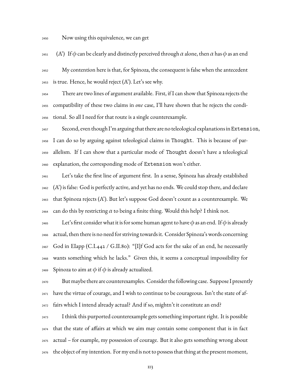Now using this equivalence, we can get

 $(A')$  If  $\phi$  can be clearly and distinctly perceived through  $\alpha$  alone, then  $\alpha$  has  $\phi$  as an end

 My contention here is that, for Spinoza, the consequent is false when the antecedent is true. Hence, he would reject  $(A')$ . Let's see why.

 There are two lines of argument available. First, if I can show that Spinoza rejects the compatibility of these two claims in *one* case, I'll have shown that he rejects the condi-tional. So all I need for that route is a single counterexample.

 Second, even though I'm arguing that there are no teleological explanations in Extension, I can do so by arguing against teleological claims in Thought. This is because of par- allelism. If I can show that a particular mode of Thought doesn't have a teleological explanation, the corresponding mode of Extension won't either.

 Let's take the first line of argument first. In a sense, Spinoza has already established  $_{2462}$  (A') is false: God is perfectly active, and yet has no ends. We could stop there, and declare that Spinoza rejects (A'). But let's suppose God doesn't count as a counterexample. We 2464 can do this by restricting  $\alpha$  to being a finite thing. Would this help? I think not.

2465 Let's first consider what it is for some human agent to have  $\phi$  as an end. If  $\phi$  is already actual, then there is no need for striving towards it. Consider Spinoza's words concerning God in EIapp (C.I.442 / G.II.80): "[I]f God acts for the sake of an end, he necessarily wants something which he lacks." Given this, it seems a conceptual impossibility for 2469 Spinoza to aim at  $\phi$  if  $\phi$  is already actualized.

 But maybe there are counterexamples. Consider the following case. Suppose I presently  $_{2471}$  have the virtue of courage, and I wish to continue to be courageous. Isn't the state of af-fairs which I intend already actual? And if so, mightn't it constitute an end?

 I think this purported counterexample gets something important right. It is possible that the state of affairs at which we aim may contain some component that is in fact actual – for example, my possession of courage. But it also gets something wrong about the object of my intention. For my end is not to possess that thing at the present moment,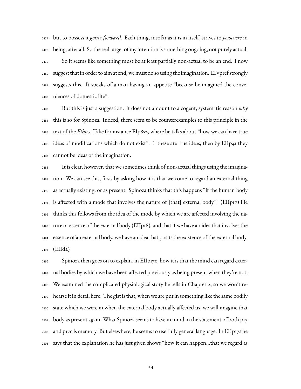but to possess it *going forward*. Each thing, insofar as it is in itself, strives to *persevere* in being, after all. So the real target of my intention is something ongoing, not purely actual. So it seems like something must be at least partially non-actual to be an end. I now suggest that in order to aim at end, we must do so using the imagination. EIVpref strongly suggests this. It speaks of a man having an appetite "because he imagined the conve-niences of domestic life".

 But this is just a suggestion. It does not amount to a cogent, systematic reason *why* this is so for Spinoza. Indeed, there seem to be counterexamples to this principle in the text of the *Ethics*. Take for instance EIp8s2, where he talks about "how we can have true ideas of modifications which do not exist". If these are true ideas, then by EIIp41 they cannot be ideas of the imagination.

 It is clear, however, that we sometimes think of non-actual things using the imagina- tion. We can see this, first, by asking how it is that we come to regard an external thing as actually existing, or as present. Spinoza thinks that this happens "if the human body  $_{2491}$  is affected with a mode that involves the nature of [that] external body". (EIIp17) He thinks this follows from the idea of the mode by which we are affected involving the na- ture or essence of the external body (EIIp16), and that if we have an idea that involves the essence of an external body, we have an idea that posits the existence of the external body. (EIId2)

 $_{2496}$  Spinoza then goes on to explain, in EIIp17c, how it is that the mind can regard exter- nal bodies by which we have been affected previously as being present when they're not. We examined the complicated physiological story he tells in Chapter 2, so we won't re- hearse it in detail here. The gist is that, when we are put in something like the same bodily state which we were in when the external body actually affected us, we will imagine that body as present again. What Spinoza seems to have in mind in the statement of both p17 and p17c is memory. But elsewhere, he seems to use fully general language. In EIIp17s he says that the explanation he has just given shows "how it can happen…that we regard as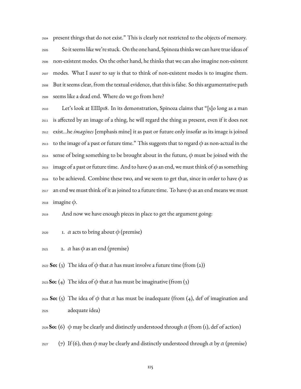<sup>2504</sup> present things that do not exist." This is clearly not restricted to the objects of memory.

 So it seems like we're stuck. On the one hand, Spinoza thinks we can have true ideas of non-existent modes. On the other hand, he thinks that we can also imagine non-existent modes. What I *want* to say is that to think of non-existent modes is to imagine them. But it seems clear, from the textual evidence, that this is false. So this argumentative path seems like a dead end. Where do we go from here?

<sup>2510</sup> Let's look at EIIIp18. In its demonstration, Spinoza claims that "[s]o long as a man <sup>2511</sup> is affected by an image of a thing, he will regard the thing as present, even if it does not <sup>2512</sup> exist…he *imagines* [emphasis mine] it as past or future only insofar as its image is joined 2513 to the image of a past or future time." This suggests that to regard  $\phi$  as non-actual in the <sup>2514</sup> sense of being something to be brought about in the future,  $\phi$  must be joined with the <sup>2515</sup> image of a past or future time. And to have  $\phi$  as an end, we must think of  $\phi$  as something 2516 to be achieved. Combine these two, and we seem to get that, since in order to have  $\phi$  as 2517 an end we must think of it as joined to a future time. To have  $\phi$  as an end means we must 2518 imagine  $\phi$ .

<sup>2519</sup> And now we have enough pieces in place to get the argument going:

- 2520 1.  $\alpha$  acts to bring about  $\phi$  (premise)
- 2521 2.  $\alpha$  has  $\phi$  as an end (premise)

<sup>2522</sup> **So:** (3) The idea of φ that  $\alpha$  has must involve a future time (from (2))

- <sup>2523</sup> **So:** (4) The idea of φ that  $\alpha$  has must be imaginative (from (3)
- <sup>2524</sup> **So:** (5) The idea of φ that  $\alpha$  has must be inadequate (from (4), def of imagination and <sup>2525</sup> adequate idea)
- <sup>2526</sup> **So:** (6)  $\phi$  may be clearly and distinctly understood through  $\alpha$  (from (1), def of action)
- 2527 (7) If (6), then  $\phi$  may be clearly and distinctly understood through  $\alpha$  by  $\alpha$  (premise)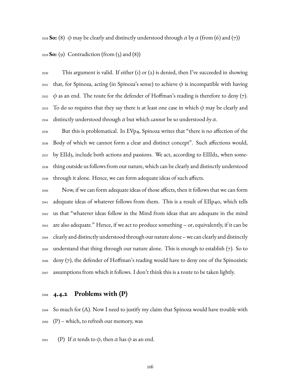<sup>2528</sup> **So:** (8)  $\phi$  may be clearly and distinctly understood through  $\alpha$  by  $\alpha$  (from (6) and (7))

**So:** (9) Contradiction (from (5) and (8))

 $_{2530}$  This argument is valid. If either (1) or (2) is denied, then I've succeeded in showing <sup>2531</sup> that, for Spinoza, acting (in Spinoza's sense) to achieve  $\phi$  is incompatible with having 2532  $\phi$  as an end. The route for the defender of Hoffman's reading is therefore to deny (7). 2533 To do so requires that they say there is at least one case in which  $\phi$  may be clearly and distinctly understood through α but which *cannot* be so understood *by* α.

 But this is problematical. In EVp4, Spinoza writes that "there is no affection of the Body of which we cannot form a clear and distinct concept". Such affections would, by EIId3, include both actions and passions. We act, according to EIIId2, when some- thing outside us follows from our nature, which can be clearly and distinctly understood through it alone. Hence, we can form adequate ideas of such affects.

 Now, if we can form adequate ideas of those affects, then it follows that we can form adequate ideas of whatever follows from them. This is a result of EIIp40, which tells us that "whatever ideas follow in the Mind from ideas that are adequate in the mind are also adequate." Hence, if we act to produce something – or, equivalently, if it can be clearly and distinctly understood through our nature alone – we can clearly and distinctly understand that thing through our nature alone. This is enough to establish (7). So to deny (7), the defender of Hoffman's reading would have to deny one of the Spinozistic assumptions from which it follows. I don't think this is a route to be taken lightly.

### **4.4.2 Problems with (P)**

 $_{2549}$  So much for (A). Now I need to justify my claim that Spinoza would have trouble with (P) – which, to refresh our memory, was

<sup>2551</sup> (P) If α tends to  $\phi$ , then α has  $\phi$  as an end.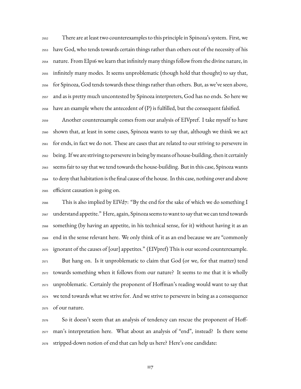There are at least two counterexamples to this principle in Spinoza's system. First, we have God, who tends towards certain things rather than others out of the necessity of his nature. From EIp16 we learn that infinitely many things follow from the divine nature, in infinitely many modes. It seems unproblematic (though hold that thought) to say that, for Spinoza, God tends towards these things rather than others. But, as we've seen above, and as is pretty much uncontested by Spinoza interpreters, God has no ends. So here we 2558 have an example where the antecedent of  $(P)$  is fulfilled, but the consequent falsified.

 Another counterexample comes from our analysis of EIVpref. I take myself to have shown that, at least in some cases, Spinoza wants to say that, although we think we act for ends, in fact we do not. These are cases that are related to our striving to persevere in being. If we are striving to persevere in being by means of house-building, then it certainly seems fair to say that we tend towards the house-building. But in this case, Spinoza wants to deny that habitation is the final cause of the house. In this case, nothing over and above efficient causation is going on.

 This is also implied by EIVd7: "By the end for the sake of which we do something I understand appetite." Here, again, Spinoza seems to want to say that we can tend towards something (by having an appetite, in his technical sense, for it) without having it as an end in the sense relevant here. We only think of it as an end because we are "commonly ignorant of the causes of [our] appetites." (EIVpref) This is our second counterexample. But hang on. Is it unproblematic to claim that God (or we, for that matter) tend towards something when it follows from our nature? It seems to me that it is wholly unproblematic. Certainly the proponent of Hoffman's reading would want to say that we tend towards what we strive for. And we strive to persevere in being as a consequence of our nature.

 So it doesn't seem that an analysis of tendency can rescue the proponent of Hoff- man's interpretation here. What about an analysis of "end", instead? Is there some stripped-down notion of end that can help us here? Here's one candidate: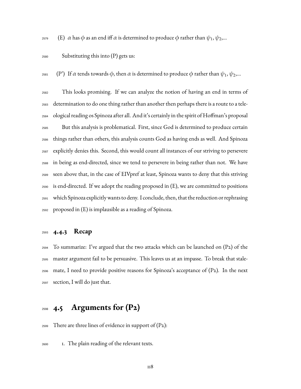<sup>2579</sup> (E) *α* has φ as an end iff *α* is determined to produce φ rather than  $\psi_1, \psi_2, ...$ 

#### Substituting this into (P) gets us:

<sup>2581</sup> (P<sup>o</sup>) If α tends towards φ, then α is determined to produce φ rather than  $\psi_1, \psi_2,...$ 

 This looks promising. If we can analyze the notion of having an end in terms of determination to do one thing rather than another then perhaps there is a route to a tele- ological reading os Spinoza after all. And it's certainly in the spirit of Hoffman's proposal But this analysis is problematical. First, since God is determined to produce certain things rather than others, this analysis counts God as having ends as well. And Spinoza explicitly denies this. Second, this would count all instances of our striving to persevere in being as end-directed, since we tend to persevere in being rather than not. We have seen above that, in the case of EIVpref at least, Spinoza wants to deny that this striving is end-directed. If we adopt the reading proposed in (E), we are committed to positions which Spinoza explicitlywants to deny. I conclude, then, that the reduction or rephrasing proposed in (E) is implausible as a reading of Spinoza.

### **4.4.3 Recap**

 $_{2594}$  To summarize: I've argued that the two attacks which can be launched on (P2) of the master argument fail to be persuasive. This leaves us at an impasse. To break that stale-2596 mate, I need to provide positive reasons for Spinoza's acceptance of  $(P_2)$ . In the next section, I will do just that.

## **4.5 Arguments for (P2)**

2599 There are three lines of evidence in support of  $(P_2)$ :

1. The plain reading of the relevant texts.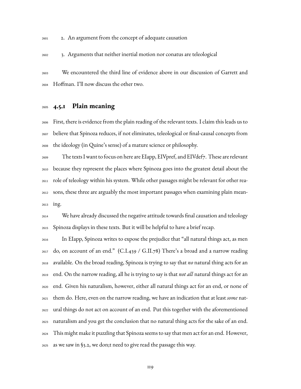2. An argument from the concept of adequate causation

3. Arguments that neither inertial motion nor conatus are teleological

 We encountered the third line of evidence above in our discussion of Garrett and Hoffman. I'll now discuss the other two.

### **4.5.1 Plain meaning**

 First, there is evidence from the plain reading of the relevant texts. I claim this leads us to believe that Spinoza reduces, if not eliminates, teleological or final-causal concepts from the ideology (in Quine's sense) of a mature science or philosophy.

 The texts I want to focus on here are EIapp, EIVpref, and EIVdef7. These are relevant because they represent the places where Spinoza goes into the greatest detail about the role of teleology within his system. While other passages might be relevant for other rea- sons, these three are arguably the most important passages when examining plain mean-ing.

 We have already discussed the negative attitude towards final causation and teleology Spinoza displays in these texts. But it will be helpful to have a brief recap.

 In EIapp, Spinoza writes to expose the prejudice that "all natural things act, as men do, on account of an end." (C.I.439 / G.II.78) There's a broad and a narrow reading available. On the broad reading, Spinoza is trying to say that *no* natural thing acts for an end. On the narrow reading, all he is trying to say is that *not all* natural things act for an end. Given his naturalism, however, either all natural things act for an end, or none of them do. Here, even on the narrow reading, we have an indication that at least *some* nat- ural things do not act on account of an end. Put this together with the aforementioned naturalism and you get the conclusion that no natural thing acts for the sake of an end. This might make it puzzling that Spinoza seems to say that men act for an end. However, as we saw in §3.2, we don;t need to give read the passage this way.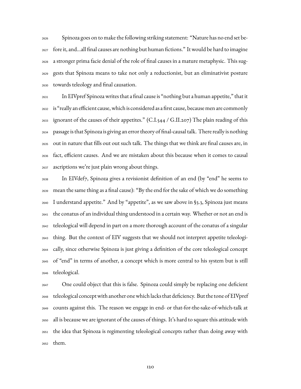Spinoza goes on to make the following striking statement: "Nature has no end set be- fore it, and…all final causes are nothing but human fictions." It would be hard to imagine a stronger prima facie denial of the role of final causes in a mature metaphysic. This sug- gests that Spinoza means to take not only a reductionist, but an eliminativist posture towards teleology and final causation.

 In EIVpref Spinoza writes that a final cause is "nothing but a human appetite," that it is "really an efficient cause, which is considered as a first cause, because men are commonly <sub>2633</sub> ignorant of the causes of their appetites." (C.I.544 / G.II.207) The plain reading of this passage is that Spinoza is giving an error theory of final-causal talk. There really is nothing out in nature that fills out out such talk. The things that we think are final causes are, in fact, efficient causes. And we are mistaken about this because when it comes to causal ascriptions we're just plain wrong about things.

 In EIVdef7, Spinoza gives a revisionist definition of an end (by "end" he seems to mean the same thing as a final cause): "By the end for the sake of which we do something I understand appetite." And by "appetite", as we saw above in §3.3, Spinoza just means the conatus of an individual thing understood in a certain way. Whether or not an end is teleological will depend in part on a more thorough account of the conatus of a singular thing. But the context of EIV suggests that we should not interpret appetite teleologi- cally, since otherwise Spinoza is just giving a definition of the core teleological concept of "end" in terms of another, a concept which is more central to his system but is still teleological.

 One could object that this is false. Spinoza could simply be replacing one deficient teleological conceptwith another onewhich lacks that deficiency. But the tone of EIVpref counts against this. The reason we engage in end- or that-for-the-sake-of-which-talk at all is because we are ignorant of the causes of things. It's hard to square this attitude with the idea that Spinoza is regimenting teleological concepts rather than doing away with them.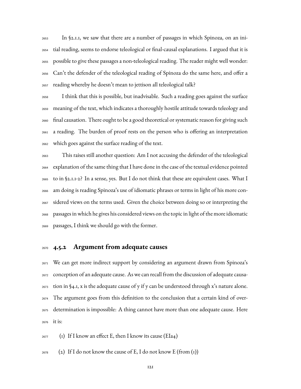In §2.1.1, we saw that there are a number of passages in which Spinoza, on an ini- tial reading, seems to endorse teleological or final-causal explanations. I argued that it is possible to give these passages a non-teleological reading. The reader might well wonder: Can't the defender of the teleological reading of Spinoza do the same here, and offer a reading whereby he doesn't mean to jettison all teleological talk?

 I think that this is possible, but inadvisable. Such a reading goes against the surface meaning of the text, which indicates a thoroughly hostile attitude towards teleology and final causation. There ought to be a good theoretical or systematic reason for giving such a reading. The burden of proof rests on the person who is offering an interpretation which goes against the surface reading of the text.

 This raises still another question: Am I not accusing the defender of the teleological explanation of the same thing that I have done in the case of the textual evidence pointed to in §2.1.1-2? In a sense, yes. But I do not think that these are equivalent cases. What I am doing is reading Spinoza's use of idiomatic phrases or terms in light of his more con- sidered views on the terms used. Given the choice between doing so or interpreting the passages in which he gives his considered views on the topic in light of the more idiomatic passages, I think we should go with the former.

### **4.5.2 Argument from adequate causes**

 We can get more indirect support by considering an argument drawn from Spinoza's conception of an adequate cause. As we can recall from the discussion of adequate causa- $_{2673}$  tion in §4.1, x is the adequate cause of y if y can be understood through x's nature alone. The argument goes from this definition to the conclusion that a certain kind of over- determination is impossible: A thing cannot have more than one adequate cause. Here it is:

 $_{2677}$  (1) If I know an effect E, then I know its cause (EIa4)

 $_{2678}$  (2) If I do not know the cause of E, I do not know E (from (1))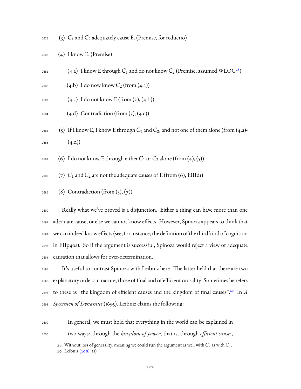$_{2679}$  (3)  $C_1$  and  $C_2$  adequately cause E. (Premise, for reductio)

- <sup>2680</sup> (4) I know E. (Premise)
- $_{2681}$  (4.a) I know E through  $C_1$  and do not know  $C_2$  (Premise, assumed WLOG<sup>[28](#page-124-0)</sup>)
- <sup>2682</sup> (4.b) I do now know *C*<sup>2</sup> (from (4.a))
- 2683  $(4.c)$  I do not know E (from  $(2), (4.b)$ )
- $_{2684}$  (4.d) Contradiction (from (3), (4.c))
- <sup>2685</sup> (5) If I know E, I know E through  $C_1$  and  $C_2$ , and not one of them alone (from (4.a)- $2686$   $(4 \text{.d}))$
- $_{2687}$  (6) I do not know E through either  $C_1$  or  $C_2$  alone (from (4), (5))
- $_{2688}$  (7)  $C_1$  and  $C_2$  are not the adequate causes of E (from (6), EIIId1)
- 2689 (8) Contradiction (from  $(3)$ ,  $(7)$ )

 Really what we've proved is a disjunction. Either a thing can have more than one adequate cause, or else we cannot know effects. However, Spinoza appears to think that we can indeed know effects (see, for instance, the definition of the third kind of cognition in EIIp40s). So if the argument is successful, Spinoza would reject a view of adequate causation that allows for over-determination.

 It's useful to contrast Spinoza with Leibniz here. The latter held that there are two explanatory orders in nature, those of final and of efficient causality. Sometimes he refers to these as "the kingdom of efficient causes and the kingdom of final causes".[29](#page-124-1) <sup>2697</sup> In *A Specimen of Dynamics* (1695), Leibniz claims the following:

<sup>2699</sup> In general, we must hold that everything in the world can be explained in <sup>2700</sup> two ways: through the *kingdom of power*, that is, through *efficient causes*,

<span id="page-124-1"></span><span id="page-124-0"></span><sup>28.</sup> Without loss of generality, meaning we could run the argument as well with  $C_2$  as with  $C_1$ . 29. Leibniz([2016,](#page-224-0) 21)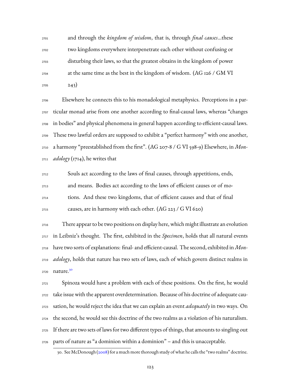and through the *kingdom of wisdom*, that is, through *final causes*…these two kingdoms everywhere interpenetrate each other without confusing or disturbing their laws, so that the greatest obtains in the kingdom of power at the same time as the best in the kingdom of wisdom. (AG 126 / GM VI 243)

 Elsewhere he connects this to his monadological metaphysics. Perceptions in a par- ticular monad arise from one another according to final-causal laws, whereas "changes in bodies" and physical phenomena in general happen according to efficient-causal laws. These two lawful orders are supposed to exhibit a "perfect harmony" with one another, a harmony "preestablished from the first". (AG 207-8 / G VI 598-9) Elsewhere, in *Mon-adology* (1714), he writes that

 Souls act according to the laws of final causes, through appetitions, ends, and means. Bodies act according to the laws of efficient causes or of mo- tions. And these two kingdoms, that of efficient causes and that of final  $_{2715}$  causes, are in harmony with each other. (AG 223 / G VI 620)

 There appear to be two positions on display here, which might illustrate an evolution in Leibniz's thought. The first, exhibited in the *Specimen*, holds that all natural events have two sorts of explanations: final- and efficient-causal. The second, exhibited in *Mon- adology*, holds that nature has two sets of laws, each of which govern distinct realms in nature.[30](#page-125-0) 

 Spinoza would have a problem with each of these positions. On the first, he would take issue with the apparent overdetermination. Because of his doctrine of adequate cau- sation, he would reject the idea that we can explain an event *adequately* in two ways. On the second, he would see this doctrine of the two realms as a violation of his naturalism. If there are two sets of laws for two different types of things, that amounts to singling out parts of nature as "a dominion within a dominion" – and this is unacceptable.

<span id="page-125-0"></span><sup>30.</sup> See McDonough([2008\)](#page-232-0) for a much more thorough study of what he calls the "two realms" doctrine.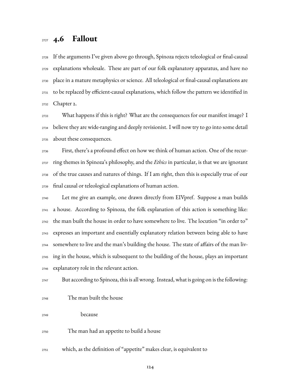## **4.6 Fallout**

 If the arguments I've given above go through, Spinoza rejects teleological or final-causal explanations wholesale. These are part of our folk explanatory apparatus, and have no place in a mature metaphysics or science. All teleological or final-causal explanations are to be replaced by efficient-causal explanations, which follow the pattern we identified in Chapter 2.

 What happens if this is right? What are the consequences for our manifest image? I believe they are wide-ranging and deeply revisionist. I will now try to go into some detail about these consequences.

 First, there's a profound effect on how we think of human action. One of the recur- ring themes in Spinoza's philosophy, and the *Ethics* in particular, is that we are ignorant of the true causes and natures of things. If I am right, then this is especially true of our final causal or teleological explanations of human action.

 Let me give an example, one drawn directly from EIVpref. Suppose a man builds a house. According to Spinoza, the folk explanation of this action is something like: the man built the house in order to have somewhere to live. The locution "in order to" expresses an important and essentially explanatory relation between being able to have somewhere to live and the man's building the house. The state of affairs of the man liv- ing in the house, which is subsequent to the building of the house, plays an important explanatory role in the relevant action.

But according to Spinoza, this is all wrong. Instead, what is going on is the following:

The man built the house

because

The man had an appetite to build a house

which, as the definition of "appetite" makes clear, is equivalent to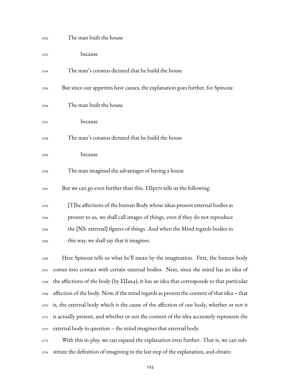| 2752 | The man built the house                                                                    |
|------|--------------------------------------------------------------------------------------------|
| 2753 | because                                                                                    |
| 2754 | The man's conatus dictated that he build the house                                         |
| 2755 | But since our appetites have causes, the explanation goes further, for Spinoza:            |
| 2756 | The man built the house                                                                    |
| 2757 | because                                                                                    |
| 2758 | The man's conatus dictated that he build the house                                         |
| 2759 | because                                                                                    |
| 2760 | The man imagined the advantages of having a house                                          |
| 2761 | But we can go even further than this. EIIp17s tells us the following:                      |
| 2762 | [T] he affections of the human Body whose ideas present external bodies as                 |
| 2763 | present to us, we shall call images of things, even if they do not reproduce               |
| 2764 | the [NS: external] figures of things. And when the Mind regards bodies in                  |
| 2765 | this way, we shall say that it imagines.                                                   |
| 2766 | Here Spinoza tells us what he'll mean by the imagination. First, the human body            |
| 2767 | comes into contact with certain external bodies. Next, since the mind has an idea of       |
| 2768 | the affections of the body (by EIIax4), it has an idea that corresponds to that particular |
| 2769 | affection of the body. Now, if the mind regards as present the content of that idea - that |
| 2770 | is, the external body which is the cause of the affection of our body, whether or not it   |
| 2771 | is actually present, and whether or not the content of the idea accurately represents the  |
| 2772 | external body in question - the mind imagines that external body.                          |
|      |                                                                                            |

 With this in play, we can expand the explanation even further. That is, we can sub-stitute the definition of imagining in the last step of the explanation, and obtain: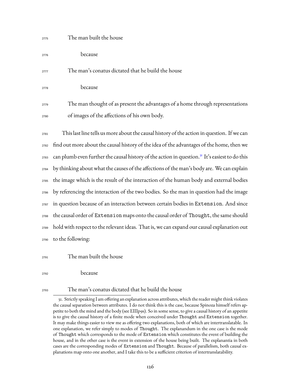## <sup>2775</sup> The man built the house <sup>2776</sup> because <sup>2777</sup> The man's conatus dictated that he build the house <sup>2778</sup> because <sup>2779</sup> The man thought of as present the advantages of a home through representations <sup>2780</sup> of images of the affections of his own body.

 This last line tells us more about the causal history of the action in question. If we can find out more about the causal history of the idea of the advantages of the home, then we 2783 can plumb even further the causal history of the action in question.<sup>[31](#page-128-0)</sup> It's easiest to do this by thinking about what the causes of the affections of the man's body are. We can explain the image which is the result of the interaction of the human body and external bodies by referencing the interaction of the two bodies. So the man in question had the image in question because of an interaction between certain bodies in Extension. And since 2788 the causal order of Extension maps onto the causal order of Thought, the same should hold with respect to the relevant ideas. That is, we can expand our causal explanation out to the following:

<sup>2791</sup> The man built the house

<sup>2792</sup> because

#### <sup>2793</sup> The man's conatus dictated that he build the house

<span id="page-128-0"></span><sup>31.</sup> Strictly speaking I am offering an explanation across attributes, which the reader might think violates the causal separation between attributes. I do not think this is the case, because Spinoza himself refers appetite to both the mind and the body (see EIIIp9s). So in some sense, to give a causal history of an appetite is to give the causal history of a finite mode when conceived under Thought and Extension together. It may make things easier to view me as offering two explanations, both of which are intertranslatable. In one explanation, we refer simply to modes of Thought. The explanandum in the one case is the mode of Thought which corresponds to the mode of Extension which constitutes the event of building the house, and in the other case is the event in extension of the house being built. The explanantia in both cases are the corresponding modes of Extension and Thought. Because of parallelism, both causal explanations map onto one another, and I take this to be a sufficient criterion of intertranslatability.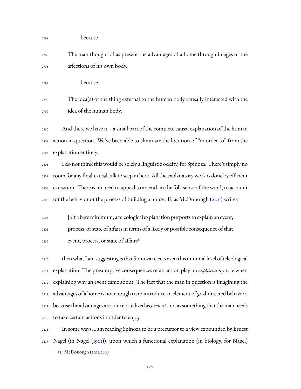| 2794 | because                                                                                           |
|------|---------------------------------------------------------------------------------------------------|
| 2795 | The man thought of as present the advantages of a home through images of the                      |
| 2796 | affections of his own body.                                                                       |
| 2797 | because                                                                                           |
| 2798 | The idea(s) of the thing external to the human body causally interacted with the                  |
| 2799 | idea of the human body.                                                                           |
| 2800 | And there we have it $-$ a small part of the complete causal explanation of the human             |
| 2801 | action in question. We've been able to eliminate the locution of "in order to" from the           |
| 2802 | explanation entirely.                                                                             |
| 2803 | I do not think this would be solely a linguistic oddity, for Spinoza. There's simply no           |
| 2804 | room for any final-causal talk to seep in here. All the explanatory work is done by efficient     |
| 2805 | causation. There is no need to appeal to an end, in the folk sense of the word, to account        |
| 2806 | for the behavior or the process of building a house. If, as McDonough (2011) writes,              |
| 2807 | [a]t a bare minimum, a teleological explanation purports to explain an event,                     |
| 2808 | process, or state of affairs in terms of a likely or possible consequence of that                 |
| 2809 | event, process, or state of affairs <sup>32</sup>                                                 |
| 2810 | then what I am suggesting is that Spinoza rejects even this minimal level of teleological         |
| 2811 | explanation. The presumptive consequences of an action play no explanatory role when              |
| 2812 | explaining why an event came about. The fact that the man in question is imagining the            |
| 2813 | advantages of a home is not enough to re-introduce an element of goal-directed behavior,          |
| 2814 | because the advantages are conceptualized as <i>present</i> , not as something that the man needs |
| 2815 | to take certain actions in order to enjoy.                                                        |
| 2816 | In some ways, I am reading Spinoza to be a precursor to a view expounded by Ernest                |
| 2817 | Nagel (in Nagel (1961)), upon which a functional explanation (in biology, for Nagel)              |

<span id="page-129-0"></span><sup>32.</sup> McDonough [\(2011](#page-232-1), 180)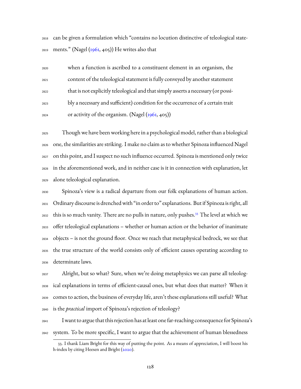can be given a formulation which "contains no locution distinctive of teleological state-ments." (Nagel([1961](#page-234-0), 405)) He writes also that

| 2820 | when a function is ascribed to a constituent element in an organism, the           |
|------|------------------------------------------------------------------------------------|
| 2821 | content of the teleological statement is fully conveyed by another statement       |
| 2822 | that is not explicitly teleological and that simply asserts a necessary (or possi- |
| 2823 | bly a necessary and sufficient) condition for the occurrence of a certain trait    |
| 2824 | or activity of the organism. (Nagel (1961, 405))                                   |

 Though we have been working here in a psychological model, rather than a biological one, the similarities are striking. I make no claim as to whether Spinoza influenced Nagel on this point, and I suspect no such influence occurred. Spinoza is mentioned only twice in the aforementioned work, and in neither case is it in connection with explanation, let alone teleological explanation.

 Spinoza's view is a radical departure from our folk explanations of human action. Ordinary discourse is drenched with "in order to" explanations. But if Spinoza is right, all 2832 this is so much vanity. There are no pulls in nature, only pushes.<sup>[33](#page-130-0)</sup> The level at which we offer teleological explanations – whether or human action or the behavior of inanimate objects – is not the ground floor. Once we reach that metaphysical bedrock, we see that the true structure of the world consists only of efficient causes operating according to determinate laws.

 Alright, but so what? Sure, when we're doing metaphysics we can parse all teleolog- ical explanations in terms of efficient-causal ones, but what does that matter? When it comes to action, the business of everyday life, aren't these explanations still useful? What is the *practical* import of Spinoza's rejection of teleology?

 Iwant to argue that this rejection has at least one far-reaching consequence for Spinoza's system. To be more specific, I want to argue that the achievement of human blessedness

<span id="page-130-0"></span><sup>33.</sup> I thank Liam Bright for this way of putting the point. As a means of appreciation, I will boost his h-index by citing Heesen and Bright [\(2020](#page-230-2)).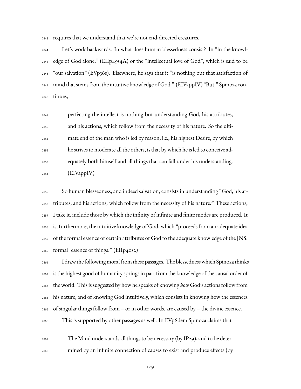requires that we understand that we're not end-directed creatures.

 Let's work backwards. In what does human blessedness consist? In "in the knowl- edge of God alone," (EIIp49s4A) or the "intellectual love of God", which is said to be "our salvation" (EVp36s). Elsewhere, he says that it "is nothing but that satisfaction of mind that stems from the intuitive knowledge of God." (EIVappIV) "But," Spinoza con-tinues,

 perfecting the intellect is nothing but understanding God, his attributes, and his actions, which follow from the necessity of his nature. So the ulti- mate end of the man who is led by reason, i.e., his highest Desire, by which he strives to moderate all the others, is that by which he is led to conceive ad- equately both himself and all things that can fall under his understanding.  $_{2854}$  (EIVappIV)

 So human blessedness, and indeed salvation, consists in understanding "God, his at- tributes, and his actions, which follow from the necessity of his nature." These actions, I take it, include those by which the infinity of infinite and finite modes are produced. It is, furthermore, the intuitive knowledge of God, which "proceeds from an adequate idea of the formal essence of certain attributes of God to the adequate knowledge of the [NS: formal] essence of things." (EIIp40s2)

 I draw the following moral from these passages. The blessednesswhich Spinoza thinks is the highest good of humanity springs in part from the knowledge of the causal order of the world. This is suggested by how he speaks of knowing *how* God's actions follow from his nature, and of knowing God intuitively, which consists in knowing how the essences of singular things follow from – or in other words, are caused by – the divine essence. This is supported by other passages as well. In EVp6dem Spinoza claims that

 $_{2867}$  The Mind understands all things to be necessary (by IP29), and to be deter-mined by an infinite connection of causes to exist and produce effects (by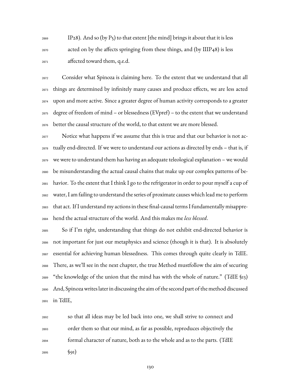IP28). And so (by P5) to that extent [the mind] brings it about that it is less acted on by the affects springing from these things, and (by IIIP48) is less affected toward them, q.e.d.

 Consider what Spinoza is claiming here. To the extent that we understand that all things are determined by infinitely many causes and produce effects, we are less acted upon and more active. Since a greater degree of human activity corresponds to a greater degree of freedom of mind – or blessedness (EVpref) – to the extent that we understand better the causal structure of the world, to that extent we are more blessed.

 Notice what happens if we assume that this is true and that our behavior is not ac- $_{2878}$  tually end-directed. If we were to understand our actions as directed by ends – that is, if we were to understand them has having an adequate teleological explanation – we would be misunderstanding the actual causal chains that make up our complex patterns of be- havior. To the extent that I think I go to the refrigerator in order to pour myself a cup of water, I am failing to understand the series of proximate causes which lead me to perform that act. If I understand my actions in these final-causal terms I fundamentally misappre-hend the actual structure of the world. And this makes me *less blessed*.

 So if I'm right, understanding that things do not exhibit end-directed behavior is not important for just our metaphysics and science (though it is that). It is absolutely essential for achieving human blessedness. This comes through quite clearly in TdIE. There, as we'll see in the next chapter, the true Method mustfollow the aim of securing  $_{2889}$  "the knowledge of the union that the mind has with the whole of nature." (TdIE §13) And, Spinoza writes later in discussing the aim of the second part of the method discussed in TdIE,

 so that all ideas may be led back into one, we shall strive to connect and order them so that our mind, as far as possible, reproduces objectively the formal character of nature, both as to the whole and as to the parts. (TdIE 2895 §91)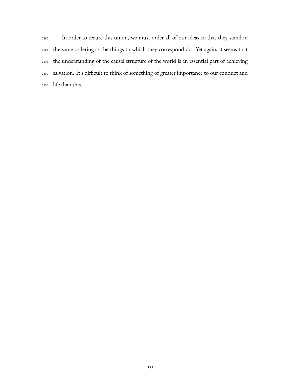In order to secure this union, we must order all of our ideas so that they stand in the same ordering as the things to which they correspond do. Yet again, it seems that the understanding of the causal structure of the world is an essential part of achieving salvation. It's difficult to think of something of greater importance to our conduct and life than this.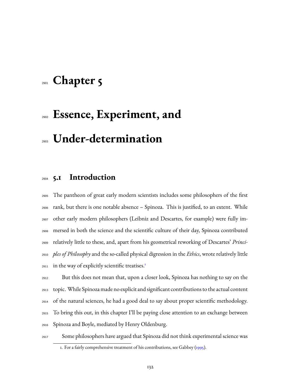## **Chapter 5**

# **Essence, Experiment, and Under-determination**

## **5.1 Introduction**

 The pantheon of great early modern scientists includes some philosophers of the first rank, but there is one notable absence – Spinoza. This is justified, to an extent. While other early modern philosophers (Leibniz and Descartes, for example) were fully im- mersed in both the science and the scientific culture of their day, Spinoza contributed relatively little to these, and, apart from his geometrical reworking of Descartes' *Princi- ples of Philosophy* and the so-called physical digression in the *Ethics*, wrote relatively little in the way of explicitly scientific treatises.<sup>[1](#page-134-0)</sup> 

 But this does not mean that, upon a closer look, Spinoza has nothing to say on the topic. While Spinoza made no explicit and significant contributions to the actual content of the natural sciences, he had a good deal to say about proper scientific methodology. To bring this out, in this chapter I'll be paying close attention to an exchange between Spinoza and Boyle, mediated by Henry Oldenburg.



Some philosophers have argued that Spinoza did not think experimental science was

<span id="page-134-0"></span><sup>1.</sup> For a fairly comprehensive treatment of his contributions, see Gabbey([1995\)](#page-228-0).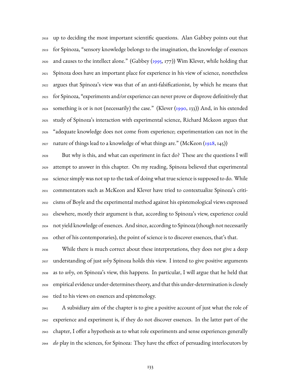up to deciding the most important scientific questions. Alan Gabbey points out that for Spinoza, "sensory knowledge belongs to the imagination, the knowledge of essences and causes to the intellect alone." (Gabbey [\(1995](#page-228-0), 177)) Wim Klever, while holding that Spinoza does have an important place for experience in his view of science, nonetheless argues that Spinoza's view was that of an anti-falsificationist, by which he means that for Spinoza, "experiments and/or experience can never prove or disprove definitively that 2924 something is or is not (necessarily) the case." (Klever  $(1990, 133)$ ) And, in his extended study of Spinoza's interaction with experimental science, Richard Mckeon argues that "adequate knowledge does not come from experience; experimentation can not in the nature of things lead to a knowledge of what things are." (McKeon ([1928,](#page-233-0) 145))

 But why is this, and what can experiment in fact do? These are the questions I will attempt to answer in this chapter. On my reading, Spinoza believed that experimental science simply was not up to the task of doing what true science is supposed to do. While commentators such as McKeon and Klever have tried to contextualize Spinoza's criti- cisms of Boyle and the experimental method against his epistemological views expressed elsewhere, mostly their argument is that, according to Spinoza's view, experience could not yield knowledge of essences. And since, according to Spinoza (though not necessarily other of his contemporaries), the point of science is to discover essences, that's that.

 While there is much correct about these interpretations, they does not give a deep understanding of just *why* Spinoza holds this view. I intend to give positive arguments as to *why*, on Spinoza's view, this happens. In particular, I will argue that he held that empirical evidence under-determines theory, and that this under-determination is closely tied to his views on essences and epistemology.

 A subsidiary aim of the chapter is to give a positive account of just what the role of experience and experiment is, if they do not discover essences. In the latter part of the chapter, I offer a hypothesis as to what role experiments and sense experiences generally *do* play in the sciences, for Spinoza: They have the effect of persuading interlocutors by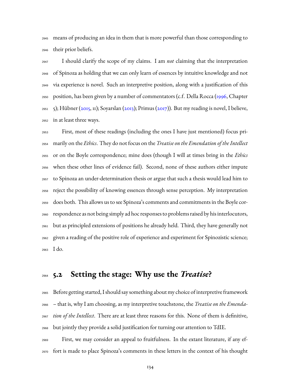means of producing an idea in them that is more powerful than those corresponding to their prior beliefs.

 I should clarify the scope of my claims. I am *not* claiming that the interpretation of Spinoza as holding that we can only learn of essences by intuitive knowledge and not via experience is novel. Such an interpretive position, along with a justification of this position, has been given by a number of commentators (c.f. Della Rocca [\(1996,](#page-227-0) Chapter 5); Hübner [\(2015](#page-230-3), 11); Soyarslan (2013); Primus([2017](#page-234-1))). But my reading is novel, I believe, in at least three ways.

 First, most of these readings (including the ones I have just mentioned) focus pri- marily on the *Ethics*. They do not focus on the *Treatise on the Emendation of the Intellect* or on the Boyle correspondence; mine does (though I will at times bring in the *Ethics* when these other lines of evidence fail). Second, none of these authors either impute to Spinoza an under-determination thesis or argue that such a thesis would lead him to reject the possibility of knowing essences through sense perception. My interpretation does both. This allows us to see Spinoza's comments and commitments in the Boyle cor- respondence as not being simply ad hoc responses to problems raised by his interlocutors, but as principled extensions of positions he already held. Third, they have generally not given a reading of the positive role of experience and experiment for Spinozistic science; I do.

### **5.2 Setting the stage: Why use the** *Treatise***?**

 Before getting started, I should say something about my choice of interpretive framework – that is, why I am choosing, as my interpretive touchstone, the *Treatise on the Emenda- tion of the Intellect*. There are at least three reasons for this. None of them is definitive, but jointly they provide a solid justification for turning our attention to TdIE.

 First, we may consider an appeal to fruitfulness. In the extant literature, if any ef-fort is made to place Spinoza's comments in these letters in the context of his thought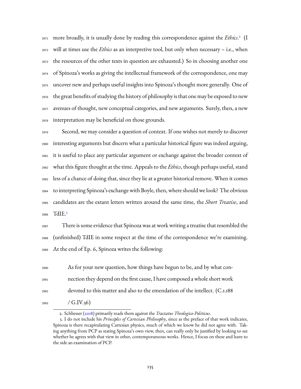971 more broadly, it is usually done by reading this correspondence against the *Ethics*.<sup>2</sup> (I will at times use the *Ethics* as an interpretive tool, but only when necessary – i.e., when the resources of the other texts in question are exhausted.) So in choosing another one of Spinoza's works as giving the intellectual framework of the correspondence, one may uncover new and perhaps useful insights into Spinoza's thought more generally. One of the great benefits of studying the history of philosophy is that one may be exposed to new avenues of thought, new conceptual categories, and new arguments. Surely, then, a new interpretation may be beneficial on those grounds.

 Second, we may consider a question of context. If one wishes not merely to discover interesting arguments but discern what a particular historical figure was indeed arguing, it is useful to place any particular argument or exchange against the broader context of what this figure thought at the time. Appeals to the *Ethics*, though perhaps useful, stand less of a chance of doing that, since they lie at a greater historical remove. When it comes to interpreting Spinoza's exchange with Boyle, then, where should we look? The obvious candidates are the extant letters written around the same time, the *Short Treatise*, and TdIE.[3](#page-137-1) 

 There is some evidence that Spinoza was at work writing a treatise that resembled the (unfinished) TdIE in some respect at the time of the correspondence we're examining. At the end of Ep. 6, Spinoza writes the following:

 As for your new question, how things have begun to be, and by what con- nection they depend on the first cause, I have composed a whole short work devoted to this matter and also to the emendation of the intellect. (C.1.188  $(993 \t / G.IV.36)$ 

<span id="page-137-1"></span><span id="page-137-0"></span>2. Schliesser [\(2018](#page-236-0)) primarily reads them against the *Tractatus Theologico-Politicus*.

<sup>3.</sup> I do not include his *Principles of Cartesian Philosophy*, since as the preface of that work indicates, Spinoza is there recapitulating Cartesian physics, much of which we know he did not agree with. Taking anything from PCP as stating Spinoza's own view, then, can really only be justified by looking to see whether he agrees with that view in other, contemporaneous works. Hence, I focus on these and leave to the side an examination of PCP.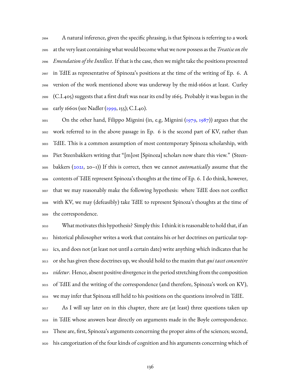A natural inference, given the specific phrasing, is that Spinoza is referring to a work at the very least containing what would become what we now possess as the*Treatise onthe Emendation of the Intellect*. If that is the case, then we might take the positions presented in TdIE as representative of Spinoza's positions at the time of the writing of Ep. 6. A version of the work mentioned above was underway by the mid-1660s at least. Curley (C.I.405) suggests that a first draft was near its end by 1665. Probably it was begun in the early 1660s (see Nadler([1999,](#page-234-2) 155); C.I.40).

On the other hand, Filippo Mignini (in, e.g, Mignini ([1979,](#page-233-1) [1987](#page-233-2))) argues that the work referred to in the above passage in Ep. 6 is the second part of KV, rather than TdIE. This is a common assumption of most contemporary Spinoza scholarship, with Piet Steenbakkers writing that "[m]ost [Spinoza] scholars now share this view." (Steen- bakkers([2021,](#page-236-1) 20–1)) If this is correct, then we cannot *automatically* assume that the contents of TdIE represent Spinoza's thoughts at the time of Ep. 6. I do think, however, that we may reasonably make the following hypothesis: where TdIE does not conflict with KV, we may (defeasibly) take TdIE to represent Spinoza's thoughts at the time of the correspondence.

 What motivates this hypothesis? Simply this: I think it is reasonable to hold that, if an historical philosopher writes a work that contains his or her doctrines on particular top- ics, and does not (at least not until a certain date) write anything which indicates that he or she has given these doctrines up, we should hold to the maxim that *qui tacet consentire videtur*. Hence, absent positive divergence in the period stretching from the composition of TdIE and the writing of the correspondence (and therefore, Spinoza's work on KV), we may infer that Spinoza still held to his positions on the questions involved in TdIE.

 As I will say later on in this chapter, there are (at least) three questions taken up in TdIE whose answers bear directly on arguments made in the Boyle correspondence. These are, first, Spinoza's arguments concerning the proper aims of the sciences; second, his categorization of the four kinds of cognition and his arguments concerning which of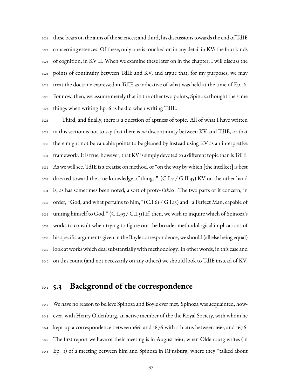these bears on the aims of the sciences; and third, his discussions towards the end of TdIE concerning essences. Of these, only one is touched on in any detail in KV: the four kinds of cognition, in KV II. When we examine these later on in the chapter, I will discuss the points of continuity between TdIE and KV, and argue that, for my purposes, we may treat the doctrine expressed in TdIE as indicative of what was held at the time of Ep. 6. For now, then, we assume merely that in the other two points, Spinoza thought the same things when writing Ep. 6 as he did when writing TdIE.

 Third, and finally, there is a question of aptness of topic. All of what I have written in this section is not to say that there is *no* discontinuity between KV and TdIE, or that there might not be valuable points to be gleaned by instead using KV as an interpretive framework. It is true, however, thatKV is simply devoted to a different topic than is TdIE. As we will see, TdIE is a treatise on method, or "on the way by which [the intellect] is best directed toward the true knowledge of things." (C.I.7 / G.II.35) KV on the other hand is, as has sometimes been noted, a sort of proto-*Ethics*. The two parts of it concern, in order, "God, and what pertains to him," (C.I.61 / G.I.15) and "a Perfect Man, capable of uniting himself to God." (C.I.93 / G.I.51) If, then, we wish to inquire which of Spinoza's works to consult when trying to figure out the broader methodological implications of his specific arguments given in the Boyle correspondence, we should (all else being equal) look at works which deal substantially with methodology. In other words, in this case and on this count (and not necessarily on any others) we should look to TdIE instead of KV.

## **5.3 Background of the correspondence**

 We have no reason to believe Spinoza and Boyle ever met. Spinoza was acquainted, how- ever, with Henry Oldenburg, an active member of the the Royal Society, with whom he kept up a correspondence between 1661 and 1676 with a hiatus between 1665 and 1676. The first report we have of their meeting is in August 1661, when Oldenburg writes (in Ep. 1) of a meeting between him and Spinoza in Rijnsburg, where they "talked about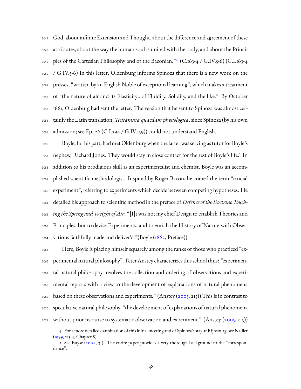God, about infinite Extension and Thought, about the difference and agreement of these attributes, about the way the human soul is united with the body, and about the Principles of the Cartesian Philosophy and of the Baconian."[4](#page-140-0) (C.163-4 / G.IV.5-6) (C.I.163-4 / G.IV.5-6) In this letter, Oldenburg informs Spinoza that there is a new work on the presses, "written by an English Noble of exceptional learning", which makes a treatment of "the nature of air and its Elasticity…of Fluidity, Solidity, and the like." By October 1661, Oldenburg had sent the letter. The version that he sent to Spinoza was almost cer- tainly the Latin translation, *Tentamina quaedam physiologica*, since Spinoza (by his own admission; see Ep. 26 (C.I.394 / G.IV.159)) could not understand English.

 Boyle, for his part, had met Oldenburg when the latter was serving as tutor for Boyle's [5](#page-140-1)7 nephew, Richard Jones. They would stay in close contact for the rest of Boyle's life.<sup>5</sup> In addition to his prodigious skill as an experimentalist and chemist, Boyle was an accom- plished scientific methodologist. Inspired by Roger Bacon, he coined the term "crucial experiment", referring to experiments which decide between competing hypotheses. He detailed his approach to scientific method in the preface of *Defence of the Doctrine Touch- ing the Spring andWeight of Air*: "[I]t was not my chief Design to establish Theories and Principles, but to devise Experiments, and to enrich the History of Nature with Obser-vations faithfully made and deliver'd."(Boyle [\(1662,](#page-223-0) Preface))

 Here, Boyle is placing himself squarely among the ranks of those who practiced "ex- perimental natural philosophy". Peter Anstey characterizes this school thus: "experimen- tal natural philosophy involves the collection and ordering of observations and experi- mental reports with a view to the development of explanations of natural phenomena  $\frac{3069}{2009}$ based on these observations and experiments." (Anstey ([2005,](#page-225-0) 215)) This is in contrast to speculative natural philosophy, "the development of explanations of natural phenomena  $_{3071}$  without prior recourse to systematic observation and experiment." (Anstey [\(2005](#page-225-0), 215))

<span id="page-140-0"></span><sup>4.</sup> For a more detailed examination of this initial meeting and of Spinoza's stay at Rijnsburg, see Nadler [\(1999,](#page-234-2) 213-4, Chapter 8).

<span id="page-140-1"></span><sup>5.</sup> See Buyse([2013a,](#page-226-0) §1). The entire paper provides a very thorough background to the "correspondence".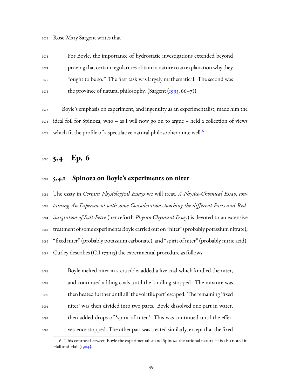For Boyle, the importance of hydrostatic investigations extended beyond proving that certain regularities obtain in nature to an explanation why they "ought to be so." The first task was largely mathematical. The second was 3076 the province of natural philosophy. (Sargent [\(1995](#page-235-0), 66–7))

 Boyle's emphasis on experiment, and ingenuity as an experimentalist, made him the ideal foil for Spinoza, who – as I will now go on to argue – held a collection of views which fit the profile of a speculative natural philosopher quite well.<sup>[6](#page-141-0)</sup> 

## **5.4 Ep. 6**

### **5.4.1 Spinoza on Boyle's experiments on niter**

 The essay in *Certain Physiological Essays* we will treat, *A Physico-Chymical Essay, con- taining An Experiment with some Considerations touching the different Parts and Red- intigration of Salt-Petre* (henceforth *Physico-Chymical Essay*) is devoted to an extensive treatment of some experiments Boyle carried out on "niter" (probably potassium nitrate), "fixed niter" (probably potassium carbonate), and "spirit of niter" (probably nitric acid). Curley describes (C.I.173n15) the experimental procedure as follows:

| 3088 | Boyle melted niter in a crucible, added a live coal which kindled the niter,    |
|------|---------------------------------------------------------------------------------|
| 3089 | and continued adding coals until the kindling stopped. The mixture was          |
| 3090 | then heated further until all 'the volatile part' escaped. The remaining 'fixed |
| 3091 | niter' was then divided into two parts. Boyle dissolved one part in water,      |
| 3092 | then added drops of 'spirit of niter.' This was continued until the effer-      |
| 3093 | vescence stopped. The other part was treated similarly, except that the fixed   |

<span id="page-141-0"></span><sup>6.</sup> This contrast between Boyle the experimentalist and Spinoza the rational naturalist is also noted in Hall and Hall [\(1964](#page-230-4)).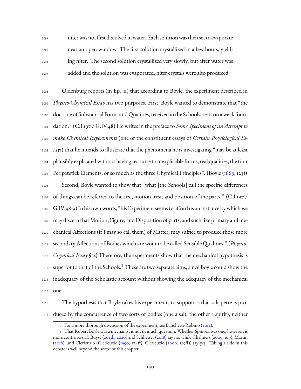niter was not first dissolved in water. Each solution was then set to evaporate near an open window. The first solution crystallized in a few hours, yield- ing niter. The second solution crystallized very slowly, but after water was added and the solution was evaporated, niter crystals were also produced.[7](#page-142-0) 

 Oldenburg reports (in Ep. 11) that according to Boyle, the experiment described in *Physico-Chymical Essay* has two purposes. First, Boyle wanted to demonstrate that "the doctrine of Substantial Forms and Qualities, received in the Schools, rests on a weak foun- dation." (C.I.197 / G.IV.48) He writes in the preface to *Some Specimens of an Attempt to make Chymical Experiments* (one of the constituent essays of *Certain Physiological Es- says*) that he intends to illustrate that the phenomena he is investigating "may be at least plausibly explicated without having recourse to inexplicable forms, real qualities, the four Peripatetick Elements, or so much as the three Chymical Principles". (Boyle [\(1669,](#page-223-1) 123)) Second, Boyle wanted to show that "what [the Schools] call the specific differences 3107 of things can be referred to the size, motion, rest, and position of the parts." (C.I.197) G.IV.48-9) In his own words, "his Experiment seems to afford us an instance by which we may discern thatMotion, Figure, and Disposition of parts, and such like primary and me- chanical Affections (if I may so call them) of Matter, may suffice to produce those more secondary Affections of Bodies which are wont to be called Sensible Qualities." (*Physico- Chymical Essay* §12) Therefore, the experiments show that the mechanical hypothesis is 3113 superior to that of the Schools.<sup>[8](#page-142-1)</sup> These are two separate aims, since Boyle could show the inadequacy of the Scholastic account without showing the adequacy of the mechanical one.

 The hypothesis that Boyle takes his experiments to support is that salt-petre is pro-duced by the concurrence of two sorts of bodies (one a salt, the other a spirit), neither

<span id="page-142-1"></span><span id="page-142-0"></span><sup>7.</sup> For a more thorough discussion of the experiment, see Banchetti-Robino([2012\)](#page-226-1).

<sup>8.</sup> That Robert Boyle was a mechanist is not in much question. Whether Spinoza was one, however, is more controversial. Buyse([2013b,](#page-226-2) [2020\)](#page-226-3) and Schliesser([2018\)](#page-236-0) say no, while Chalmers [\(2009,](#page-227-1) 109), Martin [\(2018\)](#page-232-2), and Clericuzio (Clericuzio([1990](#page-227-2), 574ff); Clericuzio([2000](#page-227-3), 129ff)) say yes. Taking a side in this debate is well beyond the scope of this chapter.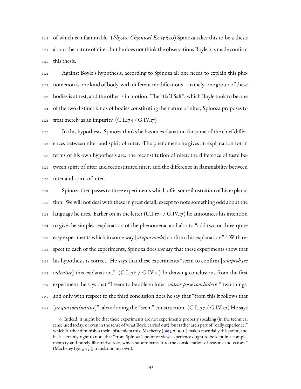of which is inflammable. (*Physico-Chymical Essay* §20) Spinoza takes this to be a thesis about the nature of niter, but he does not think the observations Boyle has made confirm this thesis.

 Against Boyle's hypothesis, according to Spinoza all one needs to explain this phe- nomenon is one kind of body, with different modifications – namely, one group of these bodies is at rest, and the other is in motion. The "fix'd Salt", which Boyle took to be one of the two distinct kinds of bodies constituting the nature of niter, Spinoza proposes to  $_{3125}$  treat merely as an impurity. (C.I.174 / G.IV.17)

 In this hypothesis, Spinoza thinks he has an explanation for some of the chief differ- ences between niter and spirit of niter. The phenomena he gives an explanation for in terms of his own hypothesis are: the reconstitution of niter, the difference of taste be- tween spirit of niter and reconstituted niter, and the difference in flammability between niter and spirit of niter.

 Spinoza then passes to three experiments which offer some illustration of his explana- tion. We will not deal with these in great detail, except to note something odd about the 3133 language he uses. Earlier on in the letter (C.I.174 / G.IV.17) he announces his intention to give the simplest explanation of the phenomena, and also to "add two or three quite allow easy experiments which in some way [aliquo modo] confirm this explanation".<sup>[9](#page-143-0)</sup> With re- spect to each of the experiments, Spinoza does *not* say that these experiments show that his hypothesis is correct. He says that these experiments "seem to confirm [*comprobare videntur*] this explanation." (C.I.176 / G.IV.21) In drawing conclusions from the first experiment, he says that "I seem to be able to infer [*videor posse concludere*]" two things, and only with respect to the third conclusion does he say that "from this it follows that [*ex quo concluditur*]", abandoning the "seem" construction. (C.I.177 / G.IV.22) He says

<span id="page-143-0"></span><sup>9.</sup> Indeed, it might be that these experiments are not experiments properly speaking (in the technical sense used today, or even in the sense of what Boyle carried out), but rather are a part of "daily experience," which further diminishes their epistemic status. Macherey [\(1995](#page-232-3), 749–51) makes essentially this point, and he is certainly right to note that "from Spinoza's point of view, experience ought to be kept in a complementary and purely illustrative role, which subordinates it to the consideration of reasons and causes." (Macherey( $1995, 751$ ); translation my own).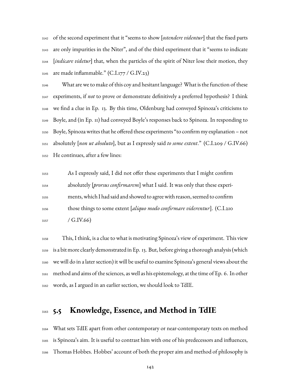of the second experiment that it "seems to show [*ostendere videntur*] that the fixed parts are only impurities in the Niter", and of the third experiment that it "seems to indicate [*indicare videtur*] that, when the particles of the spirit of Niter lose their motion, they  $_{3145}$  are made inflammable." (C.I.177 / G.IV.23)

 What are we to make of this coy and hesitant language? What is the function of these experiments, if *not* to prove or demonstrate definitively a preferred hypothesis? I think we find a clue in Ep. 13. By this time, Oldenburg had conveyed Spinoza's criticisms to Boyle, and (in Ep. 11) had conveyed Boyle's responses back to Spinoza. In responding to Boyle, Spinoza writes that he offered these experiments "to confirm my explanation – not absolutely [*non ut absoluto*], but as I expressly said *to some extent*." (C.I.209 / G.IV.66) He continues, after a few lines:

 As I expressly said, I did not offer these experiments that I might confirm absolutely [*prorsus confirmarem*] what I said. It was only that these experi- ments, which I had said and showed to agree with reason, seemed to confirm those things to some extent [*aliquo modo confirmare viderentur*]. (C.I.210 / G.IV.66)

 This, I think, is a clue to what is motivating Spinoza's view of experiment. This view is a bit more clearly demonstrated in Ep. 13. But, before giving a thorough analysis (which we will do in a later section) it will be useful to examine Spinoza's general views about the method and aims of the sciences, as well as his epistemology, at the time of Ep. 6. In other words, as I argued in an earlier section, we should look to TdIE.

## **5.5 Knowledge, Essence, and Method in TdIE**

 What sets TdIE apart from other contemporary or near-contemporary texts on method is Spinoza's aim. It is useful to contrast him with one of his predecessors and influences, Thomas Hobbes. Hobbes' account of both the proper aim and method of philosophy is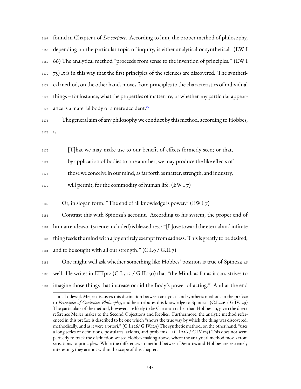found in Chapter 1 of *De corpore*. According to him, the proper method of philosophy, depending on the particular topic of inquiry, is either analytical or synthetical. (EW I 66) The analytical method "proceeds from sense to the invention of principles." (EW I  $75$ ) It is in this way that the first principles of the sciences are discovered. The syntheti- $_{3171}$  cal method, on the other hand, moves from principles to the characteristics of individual things – for instance, what the properties of matter are, or whether any particular appear-ance is a material body or a mere accident.<sup>[10](#page-145-0)</sup> 3173

<sup>3174</sup> The general aim of any philosophy we conduct by this method, according to Hobbes, <sup>3175</sup> is

<sup>3176</sup> [T]hat we may make use to our benefit of effects formerly seen; or that, 3177 by application of bodies to one another, we may produce the like effects of <sup>3178</sup> those we conceive in our mind, as far forth as matter, strength, and industry,

 $_{3179}$  will permit, for the commodity of human life. (EW I 7)

 $_{3180}$  Or, in slogan form: "The end of all knowledge is power." (EW I 7)

 Contrast this with Spinoza's account. According to his system, the proper end of human endeavor (science included) is blessedness: "[L]ove toward the eternal and infinite thing feeds the mind with a joy entirely exempt from sadness. This is greatly to be desired,  $_{3184}$  and to be sought with all our strength." (C.I.9 / G.II.7)

<sup>3185</sup> One might well ask whether something like Hobbes' position is true of Spinoza as  $_{3186}$  well. He writes in EIIIp12 (C.I.502 / G.II.150) that "the Mind, as far as it can, strives to <sup>3187</sup> imagine those things that increase or aid the Body's power of acting." And at the end

<span id="page-145-0"></span><sup>10.</sup> Lodewijk Meijer discusses this distinction between analytical and synthetic methods in the preface to *Principles of Cartesian Philosophy*, and he attributes this knowledge to Spinoza. (C.I.226 / G.IV.129) The particulars of the method, however, are likely to be Cartesian rather than Hobbesian, given the direct reference Meijer makes to the Second Objections and Replies. Furthermore, the analytic method referenced in this preface is described to be one which "shows the true way by which the thing was discovered, methodically, and as it were a priori." (C.I.226/ G.IV.129) The synthetic method, on the other hand, "uses a long series of definitions, postulates, axioms, and problems." (C.I.226 / G.IV.129) This does not seem perfectly to track the distinction we see Hobbes making above, where the analytical method moves from sensations to principles. While the differences in method between Descartes and Hobbes are extremely interesting, they are not within the scope of this chapter.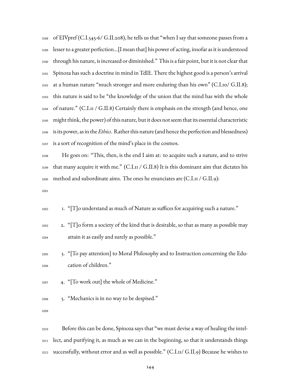of EIVpref (C.I.545-6/ G.II.208), he tells us that "when I say that someone passes from a lesser to a greater perfection…[I mean that] his power of acting, insofar as it is understood through his nature, is increased or diminished." This is a fair point, but it is not clear that Spinoza has such a doctrine in mind in TdIE. There the highest good is a person's arrival at a human nature "much stronger and more enduring than his own" (C.I.10/ G.II.8); this nature is said to be "the knowledge of the union that the mind has with the whole of nature." (C.I.11 / G.II.8) Certainly there is emphasis on the strength (and hence, one might think, the power) of this nature, but it does not seem that its essential characteristic is its power, as in the *Ethics*. Rather this nature (and hence the perfection and blessedness) is a sort of recognition of the mind's place in the cosmos.

 He goes on: "This, then, is the end I aim at: to acquire such a nature, and to strive that many acquire it with me." (C.I.11 / G.II.8) It is this dominant aim that dictates his 3200 method and subordinate aims. The ones he enunciates are (C.I.II / G.II.9):

1. "[T]o understand as much of Nature as suffices for acquiring such a nature."

- $_{3203}$  2. "[T]o form a society of the kind that is desirable, so that as many as possible may attain it as easily and surely as possible."
- 3. "[To pay attention] to Moral Philosophy and to Instruction concerning the Edu-cation of children."
- 4. "[To work out] the whole of Medicine."
- 5. "Mechanics is in no way to be despised."

 Before this can be done, Spinoza says that "we must devise a way of healing the intel- lect, and purifying it, as much as we can in the beginning, so that it understands things successfully, without error and as well as possible." (C.I.11/ G.II.9) Because he wishes to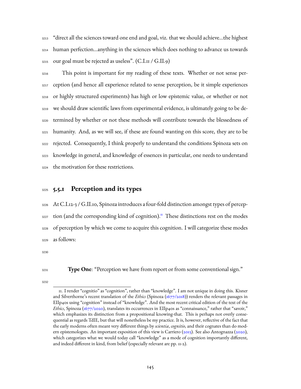"direct all the sciences toward one end and goal, viz. that we should achieve…the highest human perfection…anything in the sciences which does nothing to advance us towards  $_{3215}$  our goal must be rejected as useless". (C.I.11 / G.II.9)

 This point is important for my reading of these texts. Whether or not sense per- ception (and hence all experience related to sense perception, be it simple experiences or highly structured experiments) has high or low epistemic value, or whether or not we should draw scientific laws from experimental evidence, is ultimately going to be de- termined by whether or not these methods will contribute towards the blessedness of humanity. And, as we will see, if these are found wanting on this score, they are to be rejected. Consequently, I think properly to understand the conditions Spinoza sets on knowledge in general, and knowledge of essences in particular, one needs to understand the motivation for these restrictions.

### **5.5.1 Perception and its types**

 At C.I.12-3 / G.II.10, Spinoza introduces a four-fold distinction amongst types of percep-3227 tion (and the corresponding kind of cognition).<sup>[11](#page-147-0)</sup> These distinctions rest on the modes of perception by which we come to acquire this cognition. I will categorize these modes as follows:

**Type One**: "Perception we have from report or from some conventional sign."

<span id="page-147-0"></span><sup>11.</sup> I render "cognitio" as "cognition", rather than "knowledge". I am not unique in doing this. Kisner and Silverthorne's recent translation of the *Ethics* (Spinoza [\(1677/2018\)](#page-225-0)) renders the relevant passages in EIIp40s using "cognition" instead of "knowledge". And the most recent critical edition of the text of the *Ethics*, Spinoza [\(1677/2020\)](#page-225-1), translates its occurrences in EIIp40s as "connaissance," rather that "savoir," which emphasizes its distinction from a propositional knowing-that. This is perhaps not overly consequential as regards TdIE, but that will nonetheless be my practice. It is, however, reflective of the fact that the early moderns often meant very different things by *scientia*, *cognitio*, and their cognates than do modern epistemologsts. An important exposition of this view is Carriero [\(2013](#page-227-0)). See also Antognazza([2020\)](#page-226-0), which categorizes what we would today call "knowledge" as a mode of cognition importantly different, and indeed different in kind, from belief (especially relevant are pp. 11-2).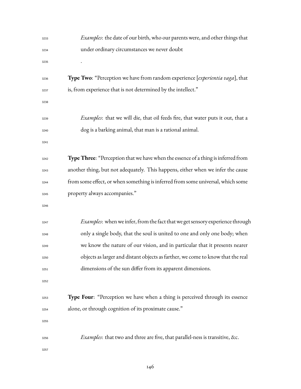| 3233 | <i>Examples</i> : the date of our birth, who our parents were, and other things that    |
|------|-----------------------------------------------------------------------------------------|
| 3234 | under ordinary circumstances we never doubt                                             |
| 3235 |                                                                                         |
| 3236 | Type Two: "Perception we have from random experience [experientia vaga], that           |
| 3237 | is, from experience that is not determined by the intellect."                           |
| 3238 |                                                                                         |
| 3239 | <i>Examples</i> : that we will die, that oil feeds fire, that water puts it out, that a |
| 3240 | dog is a barking animal, that man is a rational animal.                                 |
| 3241 |                                                                                         |
| 3242 | Type Three: "Perception that we have when the essence of a thing is inferred from       |
| 3243 | another thing, but not adequately. This happens, either when we infer the cause         |
| 3244 | from some effect, or when something is inferred from some universal, which some         |
| 3245 | property always accompanies."                                                           |
| 3246 |                                                                                         |
| 3247 | <i>Examples</i> : when we infer, from the fact that we get sensory experience through   |
| 3248 | only a single body, that the soul is united to one and only one body; when              |
| 3249 | we know the nature of our vision, and in particular that it presents nearer             |
| 3250 | objects as larger and distant objects as farther, we come to know that the real         |
| 3251 | dimensions of the sun differ from its apparent dimensions.                              |
| 3252 |                                                                                         |
| 3253 | <b>Type Four:</b> "Perception we have when a thing is perceived through its essence     |
| 3254 | alone, or through cognition of its proximate cause."                                    |
| 3255 |                                                                                         |
| 3256 | <i>Examples</i> : that two and three are five, that parallel-ness is transitive, &c.    |
| 3257 |                                                                                         |
|      |                                                                                         |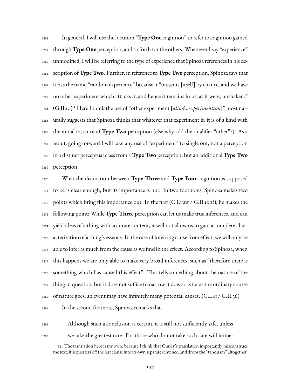In general, I will use the locution "**Type One** cognition" to refer to cognition gained through **Type One** perception, and so forth for the others. Whenever I say "experience" unmodified, I will be referring to the type of experience that Spinoza references in his de- scription of**Type Two**. Further, in reference to**Type Two** perception, Spinoza says that it has the name "random experience" because it "presents [itself] by chance, and we have no other experiment which attacks it, and hence it remains in us, as it were, unshaken." 3264 (G.II.10)<sup>[12](#page-149-0)</sup> Here I think the use of "other experiment [aliud...experimentum]" most nat- urally suggests that Spinoza thinks that whatever that experiment is, it is of a kind with the initial instance of **Type Two** perception (else why add the qualifier "other"?). As a result, going forward I will take any use of "experiment" to single out, not a perception in a distinct perceptual class from a **Type Two** perception, but an additional **Type Two** perception

 What the distinction between **Type Three** and **Type Four** cognition is supposed to be is clear enough, but its importance is not. In two footnotes, Spinoza makes two 3272 points which bring this importance out. In the first (C.I.13nf / G.II.10nf), he makes the following point: While **Type Three** perception can let us make true inferences, and can yield ideas of a thing with accurate content, it will not allow us to gain a complete char- acterization of a thing's essence. In the case of inferring cause from effect, we will only be able to infer as much from the cause as we find in the effect. According to Spinoza, when <sup>3277</sup> this happens we are only able to make very broad inferences, such as "therefore there is something which has caused this effect". This tells something about the nature of the thing in question, but it does not suffice to narrow it down: as far as the ordinary course of nature goes, an event may have infinitely many potential causes. (C.I.41 / G.II.36) In the second footnote, Spinoza remarks that

- 
- 

Although such a conclusion is certain, it is still not sufficiently safe, unless

we take the greatest care. For those who do not take such care will imme-

<span id="page-149-0"></span><sup>12.</sup> The translation here is my own, because I think that Curley's translation importantly misconstrues the text; it sequesters off the last clause into its own separate sentence, and drops the "tanquam" altogether.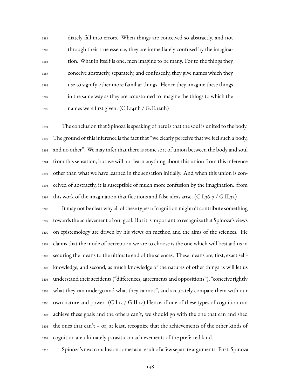diately fall into errors. When things are conceived so abstractly, and not through their true essence, they are immediately confused by the imagina- tion. What in itself is one, men imagine to be many. For to the things they conceive abstractly, separately, and confusedly, they give names which they use to signify other more familiar things. Hence they imagine these things in the same way as they are accustomed to imagine the things to which the names were first given. (C.I.14nh / G.II.12nh)

 The conclusion that Spinoza is speaking of here is that the soul is united to the body. The ground of this inference is the fact that "we clearly perceive that we feel such a body, and no other". We may infer that there is some sort of union between the body and soul from this sensation, but we will not learn anything about this union from this inference other than what we have learned in the sensation initially. And when this union is con- ceived of abstractly, it is susceptible of much more confusion by the imagination. from  $_{3297}$  this work of the imagination that fictitious and false ideas arise. (C.I.36-7 / G.II.32)

 It may not be clear why all of these types of cognition mightn't contribute something towards the achievement of our goal. But it is important to recognize that Spinoza's views on epistemology are driven by his views on method and the aims of the sciences. He claims that the mode of perception we are to choose is the one which will best aid us in securing the means to the ultimate end of the sciences. These means are, first, exact self- knowledge, and second, as much knowledge of the natures of other things as will let us understand their accidents ("differences, agreements and oppositions"), "conceive rightly what they can undergo and what they cannot", and accurately compare them with our own nature and power. (C.I.15 / G.II.12) Hence, if one of these types of cognition can achieve these goals and the others can't, we should go with the one that can and shed  $_{3308}$  the ones that can't – or, at least, recognize that the achievements of the other kinds of cognition are ultimately parasitic on achievements of the preferred kind.

Spinoza's next conclusion comes as a result of a few separate arguments. First, Spinoza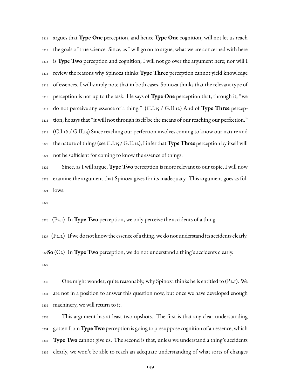argues that **Type One** perception, and hence **Type One** cognition, will not let us reach the goals of true science. Since, as I will go on to argue, what we are concerned with here is **Type Two** perception and cognition, I will not go over the argument here; nor will I review the reasons why Spinoza thinks **Type Three** perception cannot yield knowledge of essences. I will simply note that in both cases, Spinoza thinks that the relevant type of perception is not up to the task. He says of **Type One** perception that, through it, "we do not perceive any essence of a thing." (C.I.15 / G.II.12) And of **Type Three** percep- tion, he says that "it will not through itself be the means of our reaching our perfection." (C.I.16 / G.II.13) Since reaching our perfection involves coming to know our nature and the nature of things (see C.I.15 / G.II.12), I infer that**Type Three** perception by itself will not be sufficient for coming to know the essence of things.

 Since, as I will argue, **Type Two** perception is more relevant to our topic, I will now examine the argument that Spinoza gives for its inadequacy. This argument goes as fol-lows:

(P2.1) In **Type Two** perception, we only perceive the accidents of a thing.

 (P2.2) If we do not know the essence of a thing, we do not understand its accidents clearly. **So** (C2) In **Type Two** perception, we do not understand a thing's accidents clearly. 

 One might wonder, quite reasonably, why Spinoza thinks he is entitled to (P2.1). We are not in a position to answer this question now, but once we have developed enough machinery, we will return to it.

 This argument has at least two upshots. The first is that any clear understanding gotten from **Type Two** perception is going to presuppose cognition of an essence, which **Type Two** cannot give us. The second is that, unless we understand a thing's accidents clearly, we won't be able to reach an adequate understanding of what sorts of changes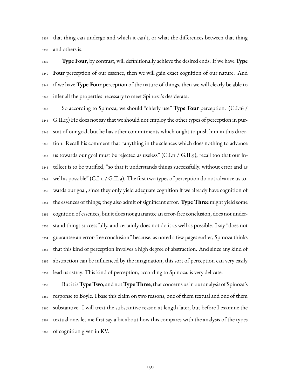that thing can undergo and which it can't, or what the differences between that thing and others is.

 **Type Four**, by contrast, will definitionally achieve the desired ends. If we have **Type Four** perception of our essence, then we will gain exact cognition of our nature. And if we have **Type Four** perception of the nature of things, then we will clearly be able to infer all the properties necessary to meet Spinoza's desiderata.

 So according to Spinoza, we should "chiefly use" **Type Four** perception. (C.I.16 / G.II.13) He does not say that we should not employ the other types of perception in pur- suit of our goal, but he has other commitments which ought to push him in this direc- tion. Recall his comment that "anything in the sciences which does nothing to advance  $_{3347}$  us towards our goal must be rejected as useless" (C.I.11 / G.II.9); recall too that our in- tellect is to be purified, "so that it understands things successfully, without error and as  $_{3349}$  well as possible" (C.I.11 / G.II.9). The first two types of perception do not advance us to- wards our goal, since they only yield adequate cognition if we already have cognition of the essences of things; they also admit of significant error. **Type Three** might yield some cognition of essences, but it does not guarantee an error-free conclusion, does not under- stand things successfully, and certainly does not do it as well as possible. I say "does not guarantee an error-free conclusion" because, as noted a few pages earlier, Spinoza thinks that this kind of perception involves a high degree of abstraction. And since any kind of abstraction can be influenced by the imagination, this sort of perception can very easily lead us astray. This kind of perception, according to Spinoza, is very delicate.

 But it is**Type Two**, and not**Type Three**, that concerns us in our analysis of Spinoza's response to Boyle. I base this claim on two reasons, one of them textual and one of them substantive. I will treat the substantive reason at length later, but before I examine the textual one, let me first say a bit about how this compares with the analysis of the types of cognition given in KV.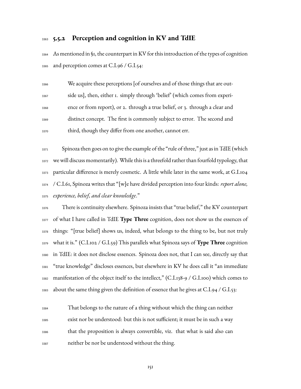#### **5.5.2 Perception and cognition in KV and TdIE**

 As mentioned in §1, the counterpart in KV for this introduction of the types of cognition and perception comes at C.I.96 / G.I.54:

 We acquire these perceptions [of ourselves and of those things that are out- side us], then, either 1. simply through 'belief' (which comes from experi- ence or from report), or 2. through a true belief, or 3. through a clear and distinct concept. The first is commonly subject to error. The second and third, though they differ from one another, cannot err.

 Spinoza then goes on to give the example of the "rule of three," just as in TdIE (which we will discuss momentarily). While this is a threefold rather than fourfold typology, that particular difference is merely cosmetic. A little while later in the same work, at G.I.104 / C.I.61, Spinoza writes that "[w]e have divided perception into four kinds: *report alone, experience, belief, and clear knowledge*."

 There is continuity elsewhere. Spinoza insists that "true belief," the KV counterpart of what I have called in TdIE **Type Three** cognition, does not show us the essences of things: "[true belief] shows us, indeed, what belongs to the thing to be, but not truly what it is." (C.I.102 / G.I.59) This parallels what Spinoza says of **Type Three** cognition in TdIE: it does not disclose essences. Spinoza does not, that I can see, directly say that "true knowledge" discloses essences, but elsewhere in KV he does call it "an immediate manifestation of the object itself to the intellect," (C.I.138-9 / G.I.100) which comes to  $_{3383}$  about the same thing given the definition of essence that he gives at C.I.94 / G.I.53:

 That belongs to the nature of a thing without which the thing can neither exist nor be understood: but this is not sufficient; it must be in such a way that the proposition is always convertible, viz. that what is said also can neither be nor be understood without the thing.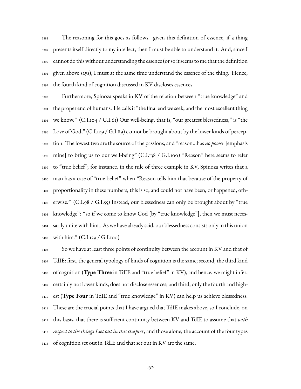The reasoning for this goes as follows. given this definition of essence, if a thing presents itself directly to my intellect, then I must be able to understand it. And, since I cannot do this without understanding the essence (or so it seems to me that the definition given above says), I must at the same time understand the essence of the thing. Hence, the fourth kind of cognition discussed in KV discloses essences.

 Furthermore, Spinoza speaks in KV of the relation between "true knowledge" and the proper end of humans. He calls it "the final end we seek, and the most excellent thing we know." (C.I.104 / G.I.61) Our well-being, that is, "our greatest blessedness," is "the Love of God," (C.I.129 / G.I.89) cannot be brought about by the lower kinds of percep- tion. The lowest two are the source of the passions, and "reason…has *no power* [emphasis mine] to bring us to our well-being" (C.I.138 / G.I.100) "Reason" here seems to refer to "true belief"; for instance, in the rule of three example in KV, Spinoza writes that a man has a case of "true belief" when "Reason tells him that because of the property of proportionality in these numbers, this is so, and could not have been, or happened, oth- erwise." (C.I.98 / G.I.55) Instead, our blessedness can only be brought about by "true knowledge": "so if we come to know God [by "true knowledge"], then we must neces- sarily unite with him…As we have already said, our blessedness consists only in this union with him." (C.I.139 / G.I.100)

 So we have at least three points of continuity between the account in KV and that of TdIE: first, the general typology of kinds of cognition is the same; second, the third kind of cognition (**Type Three** in TdIE and "true belief" in KV), and hence, we might infer, certainly not lower kinds, does not disclose essences; and third, only the fourth and high- est (**Type Four** in TdIE and "true knowledge" in KV) can help us achieve blessedness. These are the crucial points that I have argued that TdIE makes above, so I conclude, on this basis, that there is sufficient continuity between KV and TdIE to assume that *with respect to the things I set out in this chapter*, and those alone, the account of the four types of cognition set out in TdIE and that set out in KV are the same.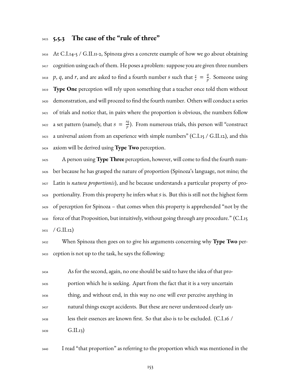### **5.5.3 The case of the "rule of three"**

 At C.I.14-5 / G.II.11-2, Spinoza gives a concrete example of how we go about obtaining cognition using each of them. He poses a problem: suppose you are given three numbers *p*, *q*, and *r*, and are asked to find a fourth number *s* such that  $\frac{s}{r} = \frac{q}{p}$ <sup>3418</sup> p, q, and r, and are asked to find a fourth number s such that  $\frac{s}{r} = \frac{q}{p}$ . Someone using **Type One** perception will rely upon something that a teacher once told them without demonstration, and will proceed to find the fourth number. Others will conduct a series of trials and notice that, in pairs where the proportion is obvious, the numbers follow a set pattern (namely, that  $s = \frac{rq}{r}$ <sup>3422</sup> a set pattern (namely, that  $s = \frac{rq}{p}$ ). From numerous trials, this person will "construct a universal axiom from an experience with simple numbers" (C.I.15 / G.II.12), and this axiom will be derived using **Type Two** perception.

 A person using **Type Three** perception, however, will come to find the fourth num- ber because he has grasped the nature of proportion (Spinoza's language, not mine; the Latin is *natura proportionis*), and he because understands a particular property of pro- portionality. From this property he infers what *s* is. But this is still not the highest form of perception for Spinoza – that comes when this property is apprehended "not by the force of that Proposition, but intuitively, without going through any procedure." (C.I.15  $3431 / G.II.12$ 

 When Spinoza then goes on to give his arguments concerning why **Type Two** per-ception is not up to the task, he says the following:

 As for the second, again, no one should be said to have the idea of that pro- portion which he is seeking. Apart from the fact that it is a very uncertain thing, and without end, in this way no one will ever perceive anything in natural things except accidents. But these are never understood clearly un- less their essences are known first. So that also is to be excluded. (C.I.16 /  $_{3439}$   $G.II.13)$ 

I read "that proportion" as referring to the proportion which was mentioned in the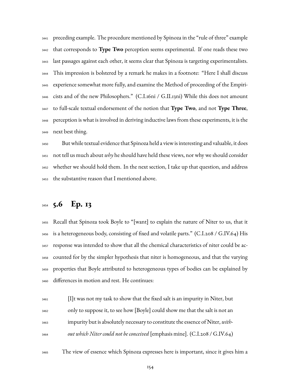preceding example. The procedure mentioned by Spinoza in the "rule of three" example that corresponds to **Type Two** perception seems experimental. If one reads these two last passages against each other, it seems clear that Spinoza is targeting experimentalists. This impression is bolstered by a remark he makes in a footnote: "Here I shall discuss experience somewhat more fully, and examine the Method of proceeding of the Empiri- cists and of the new Philosophers." (C.I.16ni / G.II.13ni) While this does not amount to full-scale textual endorsement of the notion that **Type Two**, and not **Type Three**, perception is what is involved in deriving inductive laws from these experiments, it is the next best thing.

 But while textual evidence that Spinoza held a view is interesting and valuable, it does not tell us much about *why* he should have held these views, nor why we should consider whether we should hold them. In the next section, I take up that question, and address the substantive reason that I mentioned above.

# **5.6 Ep. 13**

 Recall that Spinoza took Boyle to "[want] to explain the nature of Niter to us, that it is a heterogeneous body, consisting of fixed and volatile parts." (C.I.208 / G.IV.64) His response was intended to show that all the chemical characteristics of niter could be ac- counted for by the simpler hypothesis that niter is homogeneous, and that the varying properties that Boyle attributed to heterogeneous types of bodies can be explained by differences in motion and rest. He continues:

 $_{3461}$  [I]t was not my task to show that the fixed salt is an impurity in Niter, but only to suppose it, to see how [Boyle] could show me that the salt is not an impurity but is absolutely necessary to constitute the essence of Niter, *with-out which Niter could not be conceived* [emphasis mine]. (C.I.208 / G.IV.64)

The view of essence which Spinoza expresses here is important, since it gives him a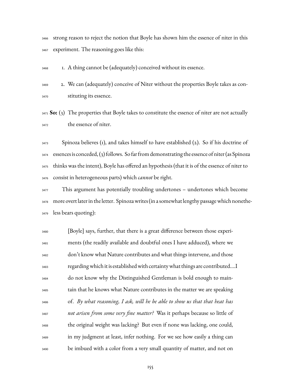strong reason to reject the notion that Boyle has shown him the essence of niter in this experiment. The reasoning goes like this:

1. A thing cannot be (adequately) conceived without its essence.

 2. We can (adequately) conceive of Niter without the properties Boyle takes as con-stituting its essence.

 **So:** (3) The properties that Boyle takes to constitute the essence of niter are not actually the essence of niter.

 Spinoza believes (1), and takes himself to have established (2). So if his doctrine of essences is conceded, (3) follows. So far from demonstrating the essence of niter (as Spinoza thinks was the intent), Boyle has offered an hypothesis (that it is of the essence of niter to consist in heterogeneous parts) which *cannot* be right.

 This argument has potentially troubling undertones – undertones which become more overt later in the letter. Spinozawrites (in a somewhat lengthy passagewhich nonethe-less bears quoting):

 [Boyle] says, further, that there is a great difference between those experi- ments (the readily available and doubtful ones I have adduced), where we don't know what Nature contributes and what things intervene, and those regardingwhich it is establishedwith certaintywhat things are contributed.…I do not know why the Distinguished Gentleman is bold enough to main- tain that he knows what Nature contributes in the matter we are speaking of. *By what reasoning, I ask, will he be able to show us that that heat has not arisen from some very fine matter?* Was it perhaps because so little of the original weight was lacking? But even if none was lacking, one could, in my judgment at least, infer nothing. For we see how easily a thing can be imbued with a color from a very small quantity of matter, and not on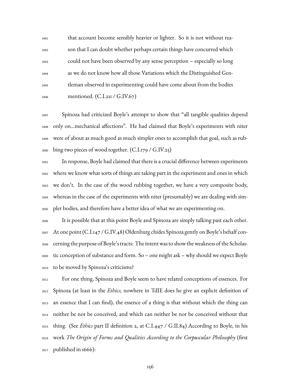that account become sensibly heavier or lighter. So it is not without rea- son that I can doubt whether perhaps certain things have concurred which could not have been observed by any sense perception – especially so long as we do not know how all those Variations which the Distinguished Gen- tleman observed in experimenting could have come about from the bodies mentioned. (C.I.211 / G.IV.67)

 Spinoza had criticized Boyle's attempt to show that "all tangible qualities depend only on…mechanical affections". He had claimed that Boyle's experiments with niter were of about as much good as much simpler ones to accomplish that goal, such as rub- $_{3500}$  bing two pieces of wood together. (C.I.179 / G.IV.25)

 In response, Boyle had claimed that there is a crucial difference between experiments where we know what sorts of things are taking part in the experiment and ones in which we don't. In the case of the wood rubbing together, we have a very composite body, whereas in the case of the experiments with niter (presumably) we are dealing with sim-pler bodies, and therefore have a better idea of what we are experimenting on.

 It is possible that at this point Boyle and Spinoza are simply talking past each other. At one point (C.I.147 / G.IV.48) Oldenburg chides Spinoza gently on Boyle's behalf con- cerning the purpose of Boyle's tracts: The intent was to show the weakness of the Scholas- tic conception of substance and form. So – one might ask – why should we expect Boyle to be moved by Spinoza's criticisms?

 For one thing, Spinoza and Boyle seem to have related conceptions of essences. For Spinoza (at least in the *Ethics*; nowhere in TdIE does he give an explicit definition of an essence that I can find), the essence of a thing is that without which the thing can neither be nor be conceived, and which can neither be nor be conceived without that thing. (See *Ethics* part II definition 2, at C.I.447 / G.II.84) According to Boyle, in his work *The Origin of Forms and Qualities According to the Corpuscular Philosophy* (first  $_{3517}$  published in  $1666$ ):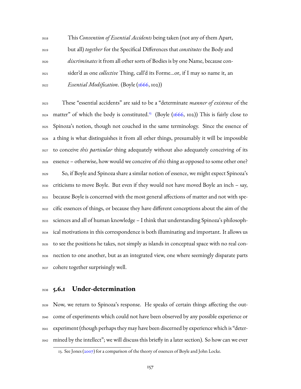This *Convention of Essential Accidents* being taken (not any of them Apart, but all) *together* for the Specifical Differences that *constitutes* the Body and *discriminates* it from all other sorts of Bodies is by one Name, because con- sider'd as one *collective* Thing, call'd its Forme…or, if I may so name it, an *Essential Modification*. (Boyle [\(1666](#page-223-0), 102))

 These "essential accidents" are said to be a "determinate *manner of existence* of the 3524 matter" of which the body is constituted.<sup>[13](#page-159-0)</sup> (Boyle  $(1666, 102)$ ) This is fairly close to Spinoza's notion, though not couched in the same terminology. Since the essence of a thing is what distinguishes it from all other things, presumably it will be impossible to conceive *this particular* thing adequately without also adequately conceiving of its essence – otherwise, how would we conceive of *this* thing as opposed to some other one? So, if Boyle and Spinoza share a similar notion of essence, we might expect Spinoza's criticisms to move Boyle. But even if they would not have moved Boyle an inch – say, because Boyle is concerned with the most general affections of matter and not with spe- cific essences of things, or because they have different conceptions about the aim of the sciences and all of human knowledge – I think that understanding Spinoza's philosoph- ical motivations in this correspondence is both illuminating and important. It allows us to see the positions he takes, not simply as islands in conceptual space with no real con- nection to one another, but as an integrated view, one where seemingly disparate parts cohere together surprisingly well.

### **5.6.1 Under-determination**

 Now, we return to Spinoza's response. He speaks of certain things affecting the out- come of experiments which could not have been observed by any possible experience or experiment (though perhaps they may have been discerned by experience which is "deter-mined by the intellect"; we will discuss this briefly in a later section). So how can we ever

<span id="page-159-0"></span><sup>13.</sup> See Jones (2007) for a comparison of the theory of essences of Boyle and John Locke.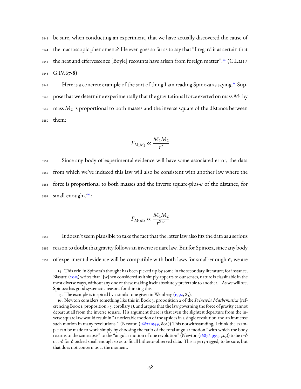be sure, when conducting an experiment, that we have actually discovered the cause of the macroscopic phenomena? He even goes so far as to say that "I regard it as certain that 3545 the heat and effervescence [Boyle] recounts have arisen from foreign matter".<sup>[14](#page-160-0)</sup> (C.I.211 / G.IV.67-8)

3547 Here is a concrete example of the sort of thing I am reading Spinoza as saying.<sup>[15](#page-160-1)</sup> Sup- $_{\rm 3548}$  pose that we determine experimentally that the gravitational force exerted on mass  $M_1$  by <sup>3549</sup> mass *M*<sup>2</sup> is proportional to both masses and the inverse square of the distance between <sup>3550</sup> them:

$$
F_{M_1M_2}\propto \frac{M_1M_2}{r^2}
$$

 Since any body of experimental evidence will have some associated error, the data from which we've induced this law will also be consistent with another law where the force is proportional to both masses and the inverse square-plus- $\epsilon$  of the distance, for <sup>3554</sup> small-enough  $\epsilon^{16}$  $\epsilon^{16}$  $\epsilon^{16}$ :

$$
F_{M_1M_2}\propto \frac{M_1M_2}{r^{2+\epsilon}}
$$

<sup>3555</sup> It doesn't seem plausible to take the fact that the latter law also fits the data as a serious <sup>3556</sup> reason to doubt that gravity follows an inverse square law. But for Spinoza, since any body 3557 of experimental evidence will be compatible with both laws for small-enough  $\epsilon$ , we are

<span id="page-160-0"></span><sup>14.</sup> This vein in Spinoza's thought has been picked up by some in the secondary literature; for instance, Biasutti [\(2013](#page-226-1)) writes that "[w]hen considered as it simply appears to our senses, nature is classifiable in the most diverse ways, without any one of these making itself absolutely preferable to another." As we will see, Spinoza has good systematic reasons for thinking this.

<span id="page-160-2"></span><span id="page-160-1"></span><sup>15.</sup>The example is inspired by a similar one given in Weinberg  $(1992, 85)$  $(1992, 85)$  $(1992, 85)$ .

<sup>16.</sup> Newton considers something like this in Book 3, proposition 2 of the *Principia Mathematica* (referencing Book 1, proposition 45, corollary 1), and argues that the law governing the force of gravity cannot depart at all from the inverse square. His argument there is that even the slightest departure from the inverse square law would result in "a noticeable motion of the apsides in a single revolution and an immense suchmotion in many revolutions." (Newton ([1687/1999](#page-224-0), 802)) This notwithstanding, I think the example can be made to work simply by choosing the ratio of the total angular motion "with which the body returns to the same apsis" to the "angular motion of one revolution" (Newton [\(1687/1999,](#page-224-0) 543)) to be 1+ $\delta$ or 1-δ for δ picked small enough so as to fit all hitherto-observed data. This is jerry-rigged, to be sure, but that does not concern us at the moment.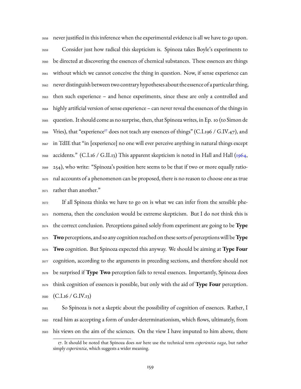never justified in this inference when the experimental evidence is all we have to go upon.

 Consider just how radical this skepticism is. Spinoza takes Boyle's experiments to be directed at discovering the essences of chemical substances. These essences are things without which we cannot conceive the thing in question. Now, if sense experience can never distinguish between two contrary hypotheses about the essence of a particular thing, then such experience – and hence experiments, since these are only a controlled and highly artificial version of sense experience – can never reveal the essences of the things in question. It should come as no surprise, then, that Spinoza writes, in Ep. 10 (to Simon de 3566 Vries), that "experience<sup>[17](#page-161-0)</sup> does not teach any essences of things" (C.I.196 / G.IV.47), and in TdIE that "in [experience] no one will ever perceive anything in natural things except accidents." (C.I.16 / G.II.13) This apparent skepticism is noted in Hall and Hall [\(1964](#page-230-0), 254), who write: "Spinoza's position here seems to be that if two or more equally ratio- nal accounts of a phenomenon can be proposed, there is no reason to choose one as true rather than another."

 If all Spinoza thinks we have to go on is what we can infer from the sensible phe- nomena, then the conclusion would be extreme skepticism. But I do not think this is the correct conclusion. Perceptions gained solely from experiment are going to be **Type Two** perceptions, and so any cognition reached on these sorts of perceptions will be**Type Two** cognition. But Spinoza expected this anyway. We should be aiming at **Type Four** cognition, according to the arguments in preceding sections, and therefore should not be surprised if **Type Two** perception fails to reveal essences. Importantly, Spinoza does think cognition of essences is possible, but only with the aid of **Type Four** perception. (C.I.16 / G.IV.13)

 So Spinoza is not a skeptic about the possibility of cognition of essences. Rather, I read him as accepting a form of under-determinationism, which flows, ultimately, from his views on the aim of the sciences. On the view I have imputed to him above, there

<span id="page-161-0"></span><sup>17.</sup> It should be noted that Spinoza does *not* here use the technical term *experientia vaga*, but rather simply *experientia*, which suggests a wider meaning.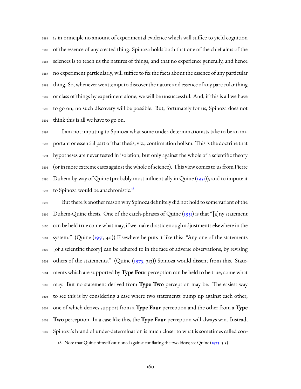is in principle no amount of experimental evidence which will suffice to yield cognition of the essence of any created thing. Spinoza holds both that one of the chief aims of the sciences is to teach us the natures of things, and that no experience generally, and hence no experiment particularly, will suffice to fix the facts about the essence of any particular thing. So, whenever we attempt to discover the nature and essence of any particular thing or class of things by experiment alone, we will be unsuccessful. And, if this is all we have to go on, no such discovery will be possible. But, fortunately for us, Spinoza does not think this is all we have to go on.

 I am not imputing to Spinoza what some under-determinationists take to be an im- portant or essential part of that thesis, viz., confirmation holism. This is the doctrine that hypotheses are never tested in isolation, but only against the whole of a scientific theory (or in more extreme cases against the whole of science). This view comes to us from Pierre Duhem by way of Quine (probably most influentially in Quine ([1951](#page-235-0))), and to impute it to Spinoza would be anachronistic.<sup>[18](#page-162-0)</sup> 

 But there is another reason why Spinoza definitely did not hold to some variant of the Duhem-Quine thesis. One of the catch-phrases of Quine [\(1951\)](#page-235-0) is that "[a]ny statement can be held true come what may, if we make drastic enough adjustments elsewhere in the 3601 system." (Quine [\(1951,](#page-235-0) 40)) Elsewhere he puts it like this: "Any one of the statements [of a scientific theory] can be adhered to in the face of adverse observations, by revising others of the statements." (Quine [\(1975](#page-235-1), 313)) Spinoza would dissent from this. State- ments which are supported by **Type Four** perception can be held to be true, come what may. But no statement derived from **Type Two** perception may be. The easiest way to see this is by considering a case where two statements bump up against each other, one of which derives support from a **Type Four** perception and the other from a **Type Two** perception. In a case like this, the **Type Four** perception will always win. Instead, Spinoza's brand of under-determination is much closer to what is sometimes called con-

<span id="page-162-0"></span><sup>18.</sup>Note that Quine himself cautioned against conflating the two ideas; see Quine ([1975](#page-235-1), 313)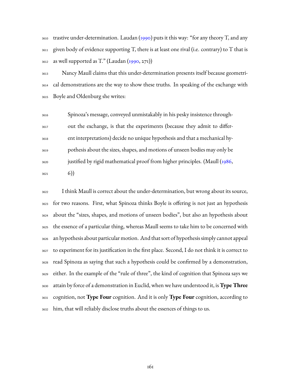3610trastive under-determination. Laudan  $(1990)$  $(1990)$  $(1990)$  puts it this way: "for any theory T, and any  $_{3611}$  given body of evidence supporting T, there is at least one rival (i.e. contrary) to T that is  $_{3612}$  as well supported as T." (Laudan [\(1990,](#page-231-0) 271))

 Nancy Maull claims that this under-determination presents itself because geometri- cal demonstrations are the way to show these truths. In speaking of the exchange with Boyle and Oldenburg she writes:

 Spinoza's message, conveyed unmistakably in his pesky insistence through- out the exchange, is that the experiments (because they admit to differ- ent interpretations) decide no unique hypothesis and that a mechanical hy- pothesis about the sizes, shapes, and motions of unseen bodies may only be justified by rigid mathematical proof from higher principles. (Maull [\(1986](#page-232-0), 6)

 I think Maull is correct about the under-determination, but wrong about its source, for two reasons. First, what Spinoza thinks Boyle is offering is not just an hypothesis about the "sizes, shapes, and motions of unseen bodies", but also an hypothesis about the essence of a particular thing, whereas Maull seems to take him to be concerned with an hypothesis about particular motion. And that sort of hypothesis simply cannot appeal to experiment for its justification in the first place. Second, I do not think it is correct to read Spinoza as saying that such a hypothesis could be confirmed by a demonstration, either. In the example of the "rule of three", the kind of cognition that Spinoza says we attain by force of a demonstration in Euclid, when we have understood it, is**Type Three** cognition, not **Type Four** cognition. And it is only **Type Four** cognition, according to him, that will reliably disclose truths about the essences of things to us.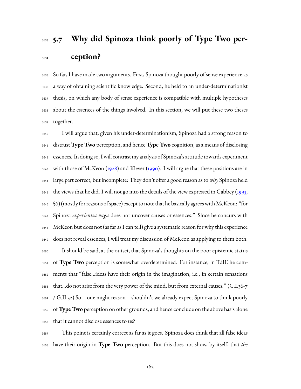# 3633 5.7 Why did Spinoza think poorly of Type Two per-**ception?**

 So far, I have made two arguments. First, Spinoza thought poorly of sense experience as a way of obtaining scientific knowledge. Second, he held to an under-determinationist thesis, on which any body of sense experience is compatible with multiple hypotheses about the essences of the things involved. In this section, we will put these two theses together.

 I will argue that, given his under-determinationism, Spinoza had a strong reason to distrust **Type Two** perception, and hence **Type Two** cognition, as a means of disclosing essences. In doing so, I will contrast my analysis of Spinoza's attitude towards experiment with those of McKeon([1928](#page-233-0)) and Klever([1990](#page-231-1)). I will argue that these positions are in large part correct, but incomplete: They don't offer a good reason as to *why* Spinoza held the views that he did. I will not go into the details of the view expressed in Gabbey [\(1995](#page-228-0), §6) (mostly for reasons of space) except to note that he basically agrees withMcKeon: "for Spinoza *experientia vaga* does not uncover causes or essences." Since he concurs with McKeon but does not (as far as I can tell) give a systematic reason for why this experience does not reveal essences, I will treat my discussion of McKeon as applying to them both. It should be said, at the outset, that Spinoza's thoughts on the poor epistemic status of **Type Two** perception is somewhat overdetermined. For instance, in TdIE he com- ments that "false…ideas have their origin in the imagination, i.e., in certain sensations that…do not arise from the very power of the mind, but from external causes." (C.I.36-7 / G.II.32) So – one might reason – shouldn't we already expect Spinoza to think poorly of**Type Two** perception on other grounds, and hence conclude on the above basis alone that it cannot disclose essences to us?

 This point is certainly correct as far as it goes. Spinoza does think that all false ideas have their origin in **Type Two** perception. But this does not show, by itself, that *the*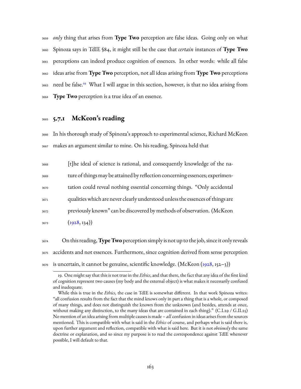*only* thing that arises from **Type Two** perception are false ideas. Going only on what Spinoza says in TdIE §84, it might still be the case that *certain* instances of **Type Two** perceptions can indeed produce cognition of essences. In other words: while all false ideas arise from **Type Two** perception, not all ideas arising from **Type Two** perceptions 3663 need be false.<sup>[19](#page-165-0)</sup> What I will argue in this section, however, is that no idea arising from **Type Two** perception is a true idea of an essence.

### <sup>3665</sup> **5.7.1 McKeon's reading**

<sup>3666</sup> In his thorough study of Spinoza's approach to experimental science, Richard McKeon <sup>3667</sup> makes an argument similar to mine. On his reading, Spinoza held that

 [t]he ideal of science is rational, and consequently knowledge of the na- ture of things may be attained by reflection concerning essences; experimen- tation could reveal nothing essential concerning things. "Only accidental qualities which are never clearly understood unless the essences of things are previously known" can be discovered by methods of observation. (McKeon  $(1928, 134)$  $(1928, 134)$  $(1928, 134)$ 

<sup>3674</sup> On this reading,**Type Two** perception simply is not up to the job, since it only reveals <sup>3675</sup> accidents and not essences. Furthermore, since cognition derived from sense perception  $3676$  is uncertain, it cannot be genuine, scientific knowledge. (McKeon [\(1928,](#page-233-0) 152–3))

<span id="page-165-0"></span><sup>19.</sup> One might say that this is not true in the *Ethics*, and that there, the fact that any idea of the first kind of cognition represent two causes (my body and the external object) is what makes it necessarily confused and inadequate.

While this is true in the *Ethics*, the case in TdIE is somewhat different. In that work Spinoza writes: "all confusion results from the fact that the mind knows only in part a thing that is a whole, or composed of many things, and does not distinguish the known from the unknown (and besides, attends at once, without making any distinction, to the many ideas that are contained in each thing)." (C.I.29 / G.II.25) No mention of an idea arising from multiple causes is made – *all* confusion in ideas arises from the sources mentioned. This is compatible with what is said in the *Ethics* of course, and perhaps what is said there is, upon further argument and reflection, compatible with what is said here. But it is not *obviously* the same doctrine or explanation, and so since my purpose is to read the correspondence against TdIE whenever possible, I will default to that.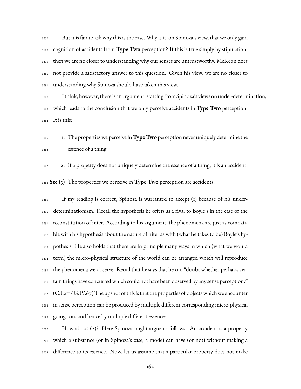But it is fair to ask why this is the case. Why is it, on Spinoza's view, that we only gain cognition of accidents from **Type Two** perception? If this is true simply by stipulation, then we are no closer to understanding why our senses are untrustworthy. McKeon does not provide a satisfactory answer to this question. Given his view, we are no closer to understanding why Spinoza should have taken this view.

 I think, however, there is an argument, starting from Spinoza's views on under-determination, which leads to the conclusion that we only perceive accidents in **Type Two** perception. It is this:

 1. The properties we perceive in**Type Two** perception never uniquely determine the essence of a thing.

 2. If a property does not uniquely determine the essence of a thing, it is an accident. **So:** (3) The properties we perceive in **Type Two** perception are accidents.

 If my reading is correct, Spinoza is warranted to accept (1) because of his under- determinationism. Recall the hypothesis he offers as a rival to Boyle's in the case of the reconstitution of niter. According to his argument, the phenomena are just as compati- ble with his hypothesis about the nature of niter as with (what he takes to be) Boyle's hy- pothesis. He also holds that there are in principle many ways in which (what we would term) the micro-physical structure of the world can be arranged which will reproduce the phenomena we observe. Recall that he says that he can "doubt whether perhaps cer- tain things have concurred which could not have been observed by any sense perception." (C.I.211 / G.IV.67) The upshot of this is that the properties of objects which we encounter in sense perception can be produced by multiple different corresponding micro-physical goings-on, and hence by multiple different essences.

 How about (2)? Here Spinoza might argue as follows. An accident is a property which a substance (or in Spinoza's case, a mode) can have (or not) without making a difference to its essence. Now, let us assume that a particular property does not make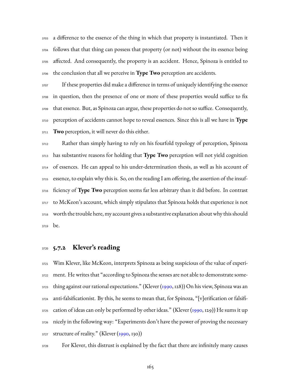a difference to the essence of the thing in which that property is instantiated. Then it follows that that thing can possess that property (or not) without the its essence being affected. And consequently, the property is an accident. Hence, Spinoza is entitled to the conclusion that all we perceive in **Type Two** perception are accidents.

 If these properties did make a difference in terms of uniquely identifying the essence in question, then the presence of one or more of these properties would suffice to fix that essence. But, as Spinoza can argue, these properties do not so suffice. Consequently, perception of accidents cannot hope to reveal essences. Since this is all we have in **Type Two** perception, it will never do this either.

 Rather than simply having to rely on his fourfold typology of perception, Spinoza has substantive reasons for holding that **Type Two** perception will not yield cognition of essences. He can appeal to his under-determination thesis, as well as his account of essence, to explain why this is. So, on the reading I am offering, the assertion of the insuf- ficiency of **Type Two** perception seems far less arbitrary than it did before. In contrast to McKeon's account, which simply stipulates that Spinoza holds that experience is not worth the trouble here, my account gives a substantive explanation about why this should be.

### **5.7.2 Klever's reading**

 Wim Klever, like McKeon, interprets Spinoza as being suspicious of the value of experi- ment. He writes that "according to Spinoza the senses are not able to demonstrate some- thing against our rational expectations." (Klever([1990](#page-231-1), 128)) On his view, Spinoza was an anti-falsificationist. By this, he seems to mean that, for Spinoza, "[v]erification or falsifi-<sub>3725</sub>cation of ideas can only be performed by other ideas." (Klever ([1990,](#page-231-1) 129)) He sums it up nicely in the following way: "Experiments don't have the power of proving the necessary structure of reality." (Klever [\(1990](#page-231-1), 130))

For Klever, this distrust is explained by the fact that there are infinitely many causes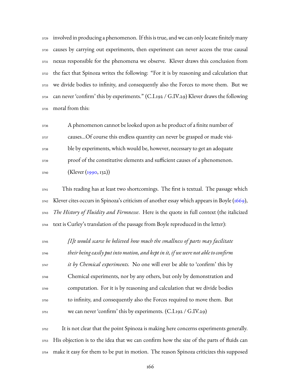involved in producing a phenomenon. If this is true, and we can only locate finitely many causes by carrying out experiments, then experiment can never access the true causal nexus responsible for the phenomena we observe. Klever draws this conclusion from the fact that Spinoza writes the following: "For it is by reasoning and calculation that we divide bodies to infinity, and consequently also the Forces to move them. But we can never 'confirm' this by experiments." (C.I.192 / G.IV.29) Klever draws the following moral from this:

 A phenomenon cannot be looked upon as he product of a finite number of causes…Of course this endless quantity can never be grasped or made visi- ble by experiments, which would be, however, necessary to get an adequate proof of the constitutive elements and sufficient causes of a phenomenon. (Klever [\(1990,](#page-231-1) 132))

 This reading has at least two shortcomings. The first is textual. The passage which Klever cites occurs in Spinoza's criticism of another essay which appears in Boyle([1669](#page-223-1)), *The History of Fluidity and Firmnesse*. Here is the quote in full context (the italicized text is Curley's translation of the passage from Boyle reproduced in the letter):

 *[I]t would scarce be believed how much the smallness of parts may facilitate their being easily put into motion, and kept in it, if we were not able to confirm it by Chemical experiments.* No one will ever be able to 'confirm' this by Chemical experiments, nor by any others, but only by demonstration and computation. For it is by reasoning and calculation that we divide bodies to infinity, and consequently also the Forces required to move them. But we can never 'confirm' this by experiments. (C.I.192 / G.IV.29)

 It is not clear that the point Spinoza is making here concerns experiments generally. His objection is to the idea that we can confirm how the size of the parts of fluids can make it easy for them to be put in motion. The reason Spinoza criticizes this supposed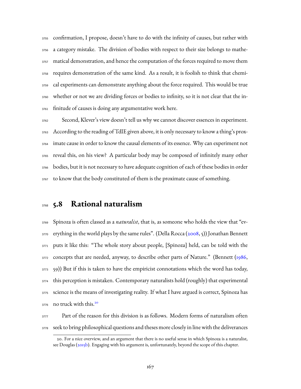confirmation, I propose, doesn't have to do with the infinity of causes, but rather with a category mistake. The division of bodies with respect to their size belongs to mathe- matical demonstration, and hence the computation of the forces required to move them requires demonstration of the same kind. As a result, it is foolish to think that chemi- cal experiments can demonstrate anything about the force required. This would be true whether or not we are dividing forces or bodies to infinity, so it is not clear that the in-finitude of causes is doing any argumentative work here.

 Second, Klever's view doesn't tell us why we cannot discover essences in experiment. According to the reading of TdIE given above, it is only necessary to know a thing's prox- imate cause in order to know the causal elements of its essence. Why can experiment not reveal this, on his view? A particular body may be composed of infinitely many other bodies, but it is not necessary to have adequate cognition of each of these bodies in order to know that the body constituted of them is the proximate cause of something.

## **5.8 Rational naturalism**

 Spinoza is often classed as a *naturalist*, that is, as someone who holds the view that "ev-erything in the world plays by the same rules". (Della Rocca ([2008](#page-228-1), 5)) Jonathan Bennett puts it like this: "The whole story about people, [Spinoza] held, can be told with the <sup>3772</sup>concepts that are needed, anyway, to describe other parts of Nature." (Bennett ([1986](#page-226-2), 59)) But if this is taken to have the empiricist connotations which the word has today, this perception is mistaken. Contemporary naturalists hold (roughly) that experimental science is the means of investigating reality. If what I have argued is correct, Spinoza has no truck with this.[20](#page-169-0) 

3777 Part of the reason for this division is as follows. Modern forms of naturalism often seek to bring philosophical questions and theses more closely in line with the deliverances

<span id="page-169-0"></span><sup>20.</sup> For a nice overview, and an argument that there is no useful sense in which Spinoza is a naturalist, seeDouglas (b). Engaging with his argument is, unfortunately, beyond the scope of this chapter.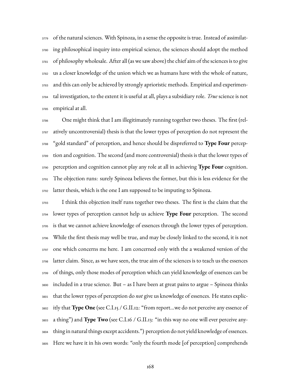3779 of the natural sciences. With Spinoza, in a sense the opposite is true. Instead of assimilat- ing philosophical inquiry into empirical science, the sciences should adopt the method of philosophy wholesale. After all (as we saw above) the chief aim of the sciences is to give us a closer knowledge of the union which we as humans have with the whole of nature, and this can only be achieved by strongly aprioristic methods. Empirical and experimen- tal investigation, to the extent it is useful at all, plays a subsidiary role. *True* science is not empirical at all.

 One might think that I am illegitimately running together two theses. The first (rel- atively uncontroversial) thesis is that the lower types of perception do not represent the "gold standard" of perception, and hence should be dispreferred to **Type Four** percep- tion and cognition. The second (and more controversial) thesis is that the lower types of perception and cognition cannot play any role at all in achieving **Type Four** cognition. The objection runs: surely Spinoza believes the former, but this is less evidence for the latter thesis, which is the one I am supposed to be imputing to Spinoza.

 I think this objection itself runs together two theses. The first is the claim that the lower types of perception cannot help us achieve **Type Four** perception. The second is that we cannot achieve knowledge of essences through the lower types of perception. While the first thesis may well be true, and may be closely linked to the second, it is not one which concerns me here. I am concerned only with the a weakened version of the latter claim. Since, as we have seen, the true aim of the sciences is to teach us the essences of things, only those modes of perception which can yield knowledge of essences can be included in a true science. But – as I have been at great pains to argue – Spinoza thinks that the lower types of perception do *not* give us knowledge of essences. He states explic- itly that **Type One** (see C.I.15 / G.II.12: "from report…we do not perceive any essence of a thing") and **Type Two** (see C.I.16 / G.II.13: "in this way no one will ever perceive any- thing in natural things except accidents.") perception do not yield knowledge of essences. Here we have it in his own words: "only the fourth mode [of perception] comprehends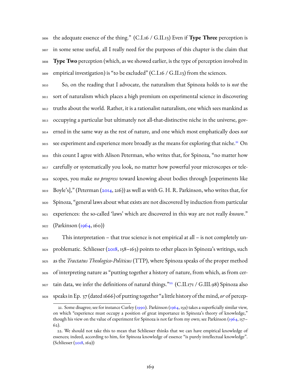the adequate essence of the thing." (C.I.16 / G.II.13) Even if **Type Three** perception is in some sense useful, all I really need for the purposes of this chapter is the claim that **Type Two** perception (which, as we showed earlier, is the type of perception involved in 3809 empirical investigation) is "to be excluded" (C.I.16 / G.II.13) from the sciences.

 So, on the reading that I advocate, the naturalism that Spinoza holds to is *not* the sort of naturalism which places a high premium on experimental science in discovering truths about the world. Rather, it is a rationalist naturalism, one which sees mankind as occupying a particular but ultimately not all-that-distinctive niche in the universe, gov- erned in the same way as the rest of nature, and one which most emphatically does *not* 3815 see experiment and experience more broadly as the means for exploring that niche.<sup>[21](#page-171-0)</sup> On this count I agree with Alison Peterman, who writes that, for Spinoza, "no matter how carefully or systematically you look, no matter how powerful your microscopes or tele- scopes, you make *no progress* toward knowing about bodies through [experiments like Boyle's]," (Peterman [\(2014,](#page-234-0) 216)) as well as with G. H. R. Parkinson, who writes that, for Spinoza, "general laws about what exists are not discovered by induction from particular experiences: the so-called 'laws' which are discovered in this way are not really *known*." (Parkinson ([1964](#page-234-1), 160))

 This interpretation – that true science is not empirical at all – is not completely un- problematic. Schliesser([2018](#page-236-0), 158–163) points to other places in Spinoza's writings, such as the *Tractatus Theologico-Politicus* (TTP), where Spinoza speaks of the proper method of interpreting nature as "putting together a history of nature, from which, as from cer-3827 tain data, we infer the definitions of natural things.<sup>">[22](#page-171-1)</sup> (C.II.171 / G.III.98) Spinoza also speaks in Ep. 37 (dated1666) of putting together "a little history of the mind,*or* of percep-

<span id="page-171-0"></span><sup>21.</sup> Some disagree; see for instance Curley([1990](#page-227-1)). Parkinson [\(1964](#page-234-1), 159) takes a superficially similar view, on which "experience must occupy a position of great importance in Spinoza's theory of knowledge," though his view on the value of experiment for Spinoza is not far from my own; see Parkinson([1964](#page-234-1), 157– 62).

<span id="page-171-1"></span><sup>22.</sup> We should not take this to mean that Schliesser thinks that we can have empirical knowledge of essences; indeed, according to him, for Spinoza knowledge of essence "is purely intellectual knowledge". (Schliesser [\(2018](#page-236-0), 169))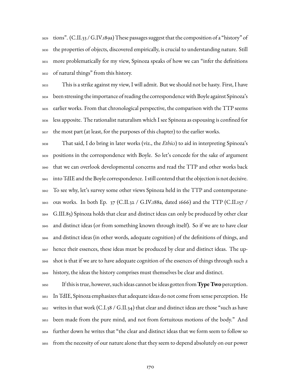tions". (C.II.33 / G.IV.189a) These passages suggest that the composition of a "history" of the properties of objects, discovered empirically, is crucial to understanding nature. Still more problematically for my view, Spinoza speaks of how we can "infer the definitions of natural things" from this history.

 This is a strike against my view, I will admit. But we should not be hasty. First, I have been stressing the importance of reading the correspondence with Boyle against Spinoza's earlier works. From that chronological perspective, the comparison with the TTP seems less apposite. The rationalist naturalism which I see Spinoza as espousing is confined for the most part (at least, for the purposes of this chapter) to the earlier works.

 That said, I do bring in later works (viz., the *Ethics*) to aid in interpreting Spinoza's positions in the correspondence with Boyle. So let's concede for the sake of argument that we can overlook developmental concerns and read the TTP and other works back into TdIE and the Boyle correspondence. I still contend that the objection is not decisive. To see why, let's survey some other views Spinoza held in the TTP and contemporane- ous works. In both Ep. 37 (C.II.32 / G.IV.188a, dated 1666) and the TTP (C.II.157 / G.III.85) Spinoza holds that clear and distinct ideas can only be produced by other clear and distinct ideas (or from something known through itself). So if we are to have clear and distinct ideas (in other words, adequate cognition) of the definitions of things, and hence their essences, these ideas must be produced by clear and distinct ideas. The up- shot is that if we are to have adequate cognition of the essences of things through such a history, the ideas the history comprises must themselves be clear and distinct.

 If this is true, however, such ideas cannot be ideas gotten from**Type Two** perception. In TdIE, Spinoza emphasizes that adequate ideas do not come from sense perception. He 3852 writes in that work (C.I.38 / G.II.34) that clear and distinct ideas are those "such as have been made from the pure mind, and not from fortuitous motions of the body." And further down he writes that "the clear and distinct ideas that we form seem to follow so from the necessity of our nature alone that they seem to depend absolutely on our power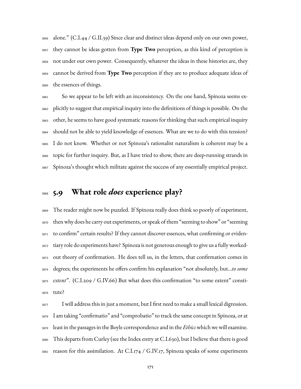alone." (C.I.44 / G.II.39) Since clear and distinct ideas depend only on our own power, they cannot be ideas gotten from **Type Two** perception, as this kind of perception is not under our own power. Consequently, whatever the ideas in these histories are, they cannot be derived from **Type Two** perception if they are to produce adequate ideas of the essences of things.

 So we appear to be left with an inconsistency. On the one hand, Spinoza seems ex- plicitly to suggest that empirical inquiry into the definitions of things is possible. On the other, he seems to have good systematic reasons for thinking that such empirical inquiry should not be able to yield knowledge of essences. What are we to do with this tension? I do not know. Whether or not Spinoza's rationalist naturalism is coherent may be a topic for further inquiry. But, as I have tried to show, there are deep-running strands in Spinoza's thought which militate against the success of any essentially empirical project.

## **5.9 What role** *does* **experience play?**

 The reader might now be puzzled. If Spinoza really does think so poorly of experiment, then why does he carry out experiments, or speak of them "seeming to show" or "seeming to confirm" certain results? If they cannot discover essences, what confirming or eviden- tiary role do experiments have? Spinoza is not generous enough to give us a fully worked- out theory of confirmation. He does tell us, in the letters, that confirmation comes in degrees; the experiments he offers confirm his explanation "not absolutely, but…*to some extent*". (C.I.209 / G.IV.66) But what does this confirmation "to some extent" consti-tute?

 I will address this in just a moment, but I first need to make a small lexical digression. I am taking "confirmatio" and "comprobatio" to track the same concept in Spinoza, or at least in the passages in the Boyle correspondence and in the *Ethics*which we will examine. This departs from Curley (see the Index entry at C.I.630), but I believe that there is good reason for this assimilation. At C.I.174 / G.IV.17, Spinoza speaks of some experiments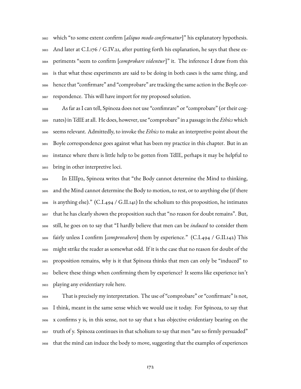which "to some extent confirm [*aliquo modo confirmatur*]" his explanatory hypothesis. And later at C.I.176 / G.IV.21, after putting forth his explanation, he says that these ex- periments "seem to confirm [*comprobare videntur*]" it. The inference I draw from this is that what these experiments are said to be doing in both cases is the same thing, and hence that "confirmare" and "comprobare" are tracking the same action in the Boyle cor-respondence. This will have import for my proposed solution.

 As far as I can tell, Spinoza does not use "confimrare" or "comprobare" (or their cog- nates) in TdIE at all. He does, however, use "comprobare" in a passage in the *Ethics*which seems relevant. Admittedly, to invoke the *Ethics* to make an interpretive point about the Boyle correspondence goes against what has been my practice in this chapter. But in an instance where there is little help to be gotten from TdIE, perhaps it may be helpful to bring in other interpretive loci.

 In EIIIp2, Spinoza writes that "the Body cannot determine the Mind to thinking, and the Mind cannot determine the Body to motion, to rest, or to anything else (if there is anything else)." (C.I.494 / G.II.141) In the scholium to this proposition, he intimates that he has clearly shown the proposition such that "no reason for doubt remains". But, still, he goes on to say that "I hardly believe that men can be *induced* to consider them fairly unless I confirm [*comprovabero*] them by experience." (C.I.494 / G.II.142) This might strike the reader as somewhat odd. If it is the case that no reason for doubt of the proposition remains, why is it that Spinoza thinks that men can only be "induced" to believe these things when confirming them by experience? It seems like experience isn't playing any evidentiary role here.

 That is precisely my interpretation. The use of "comprobare" or "confirmare" is not, I think, meant in the same sense which we would use it today. For Spinoza, to say that x confirms y is, in this sense, not to say that x has objective evidentiary bearing on the truth of y. Spinoza continues in that scholium to say that men "are so firmly persuaded" that the mind can induce the body to move, suggesting that the examples of experiences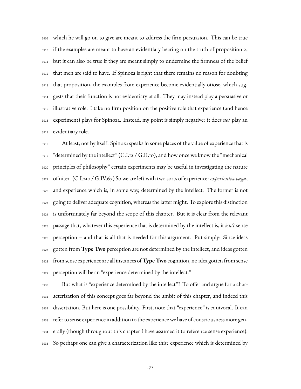which he will go on to give are meant to address the firm persuasion. This can be true if the examples are meant to have an evidentiary bearing on the truth of proposition 2, but it can also be true if they are meant simply to undermine the firmness of the belief that men are said to have. If Spinoza is right that there remains no reason for doubting that proposition, the examples from experience become evidentially otiose, which sug- gests that their function is not evidentiary at all. They may instead play a persuasive or illustrative role. I take no firm position on the positive role that experience (and hence experiment) plays for Spinoza. Instead, my point is simply negative: it does *not* play an evidentiary role.

 At least, not by itself. Spinoza speaks in some places of the value of experience that is "determined by the intellect" (C.I.12 / G.II.10), and how once we know the "mechanical principles of philosophy" certain experiments may be useful in investigating the nature of niter. (C.I.210 / G.IV.67) So we are left with two sorts of experience: *experientia vaga*, and experience which is, in some way, determined by the intellect. The former is not going to deliver adequate cognition, whereas the latter might. To explore this distinction is unfortunately far beyond the scope of this chapter. But it is clear from the relevant passage that, whatever this experience that is determined by the intellect is, it *isn't* sense perception – and that is all that is needed for this argument. Put simply: Since ideas gotten from **Type Two** perception are not determined by the intellect, and ideas gotten from sense experience are all instances of**Type Two** cognition, no idea gotten from sense perception will be an "experience determined by the intellect."

 But what is "experience determined by the intellect"? To offer and argue for a char- acterization of this concept goes far beyond the ambit of this chapter, and indeed this dissertation. But here is one possibility. First, note that "experience" is equivocal. It can refer to sense experience in addition to the experience we have of consciousness more gen- erally (though throughout this chapter I have assumed it to reference sense experience). So perhaps one can give a characterization like this: experience which is determined by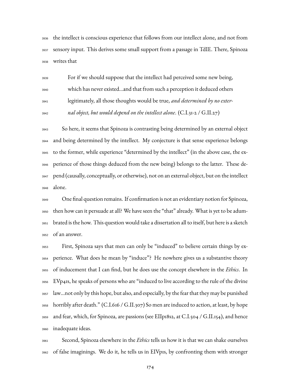the intellect is conscious experience that follows from our intellect alone, and not from sensory input. This derives some small support from a passage in TdIE. There, Spinoza writes that

 For if we should suppose that the intellect had perceived some new being, which has never existed…and that from such a perception it deduced others legitimately, all those thoughts would be true, *and determined by no exter-nal object, but would depend on the intellect alone*. (C.I.31-2 / G.II.27)

 So here, it seems that Spinoza is contrasting being determined by an external object and being determined by the intellect. My conjecture is that sense experience belongs to the former, while experience "determined by the intellect" (in the above case, the ex- perience of those things deduced from the new being) belongs to the latter. These de- pend (causally, conceptually, or otherwise), not on an external object, but on the intellect alone.

 One final question remains. If confirmation is not an evidentiary notion for Spinoza, then how can it persuade at all? We have seen the "that" already. What is yet to be adum- brated is the how. This question would take a dissertation all to itself, but here is a sketch of an answer.

 First, Spinoza says that men can only be "induced" to believe certain things by ex- perience. What does he mean by "induce"? He nowhere gives us a substantive theory of inducement that I can find, but he does use the concept elsewhere in the *Ethics*. In EVp41s, he speaks of persons who are "induced to live according to the rule of the divine law…not only by this hope, but also, and especially, by the fear that they may be punished horribly after death." (C.I.616 / G.II.307) So men are induced to action, at least, by hope and fear, which, for Spinoza, are passions (see EIIp18s2, at C.I.504 / G.II.154), and hence inadequate ideas.

 Second, Spinoza elsewhere in the *Ethics* tells us how it is that we can shake ourselves of false imaginings. We do it, he tells us in EIVp1s, by confronting them with stronger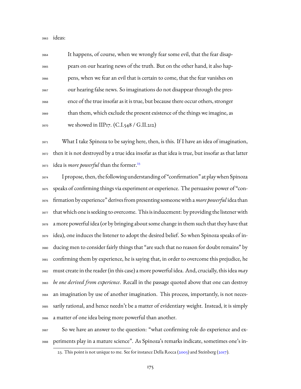ideas:

 It happens, of course, when we wrongly fear some evil, that the fear disap- pears on our hearing news of the truth. But on the other hand, it also hap- pens, when we fear an evil that is certain to come, that the fear vanishes on our hearing false news. So imaginations do not disappear through the pres- ence of the true insofar as it is true, but because there occur others, stronger than them, which exclude the present existence of the things we imagine, as 3970 we showed in IIP17.  $(C.I.548 / G.II.212)$ 

 What I take Spinoza to be saying here, then, is this. If I have an idea of imagination, then it is not destroyed by a true idea insofar as that idea is true, but insofar as that latter idea is *more powerful* than the former.<sup>[23](#page-177-0)</sup> 

 I propose, then, the following understanding of "confirmation" at play when Spinoza speaks of confirming things via experiment or experience. The persuasive power of "con- firmation by experience" derives from presenting someonewith a*more powerful* idea than 3977 that which one is seeking to overcome. This is inducement: by providing the listener with a more powerful idea (or by bringing about some change in them such that they have that idea), one induces the listener to adopt the desired belief. So when Spinoza speaks of in- ducing men to consider fairly things that "are such that no reason for doubt remains" by confirming them by experience, he is saying that, in order to overcome this prejudice, he must create in the reader (in this case) a more powerful idea. And, crucially, this idea *may be one derived from experience*. Recall in the passage quoted above that one can destroy an imagination by use of another imagination. This process, importantly, is not neces- sarily rational, and hence needn't be a matter of evidentiary weight. Instead, it is simply a matter of one idea being more powerful than another.

 So we have an answer to the question: "what confirming role do experience and ex-periments play in a mature science". As Spinoza's remarks indicate, sometimes one's in-

<span id="page-177-0"></span><sup>23.</sup>This point is not unique to me. See for instance Della Rocca ([2003\)](#page-227-2) and Steinberg [\(2017](#page-236-1)).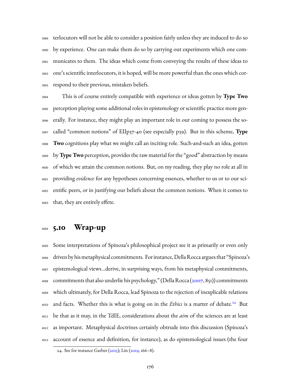terlocutors will not be able to consider a position fairly unless they are induced to do so by experience. One can make them do so by carrying out experiments which one com- municates to them. The ideas which come from conveying the results of these ideas to one's scientific interlocutors, it is hoped, will be more powerful than the ones which cor-respond to their previous, mistaken beliefs.

 This is of course entirely compatible with experience or ideas gotten by **Type Two** perception playing some additional roles in epistemology or scientific practice more gen- erally. For instance, they might play an important role in our coming to possess the so- called "common notions" of EIIp37-40 (see especially p39). But in this scheme, **Type Two** cognitions play what we might call an inciting role. Such-and-such an idea, gotten by**Type Two** perception, provides the raw material for the "good" abstraction by means of which we attain the common notions. But, on my reading, they play no role at all in providing *evidence* for any hypotheses concerning essences, whether to us or to our sci- entific peers, or in justifying our beliefs about the common notions. When it comes to that, they are entirely effete.

# **5.10 Wrap-up**

 Some interpretations of Spinoza's philosophical project see it as primarily or even only driven by his metaphysical commitments. For instance, Della Rocca argues that "Spinoza's epistemological views…derive, in surprising ways, from his metaphysical commitments, <sup>4008</sup> commitments that also underlie his psychology," (Della Rocca [\(2007](#page-228-3), 851)) commitments which ultimately, for Della Rocca, lead Spinoza to the rejection of inexplicable relations 4010 and facts. Whether this is what is going on in the *Ethics* is a matter of debate.<sup>[24](#page-178-0)</sup> But be that as it may, in the TdIE, considerations about the *aim* of the sciences are at least as important. Metaphysical doctrines certainly obtrude into this discussion (Spinoza's account of essence and definition, for instance), as do epistemological issues (the four

<span id="page-178-0"></span><sup>24.</sup> See for instance Garber [\(2015](#page-229-0)); Lin [\(2019](#page-231-2), 166–8).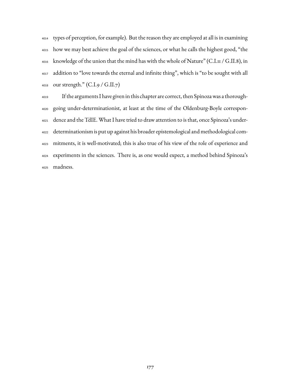types of perception, for example). But the reason they are employed at all is in examining how we may best achieve the goal of the sciences, or what he calls the highest good, "the knowledge of the union that the mind has with the whole of Nature" (C.I.11 / G.II.8), in addition to "love towards the eternal and infinite thing", which is "to be sought with all our strength." (C.I.9 / G.II.7)

 If the arguments I have given in this chapter are correct, then Spinoza was a thorough- going under-determinationist, at least at the time of the Oldenburg-Boyle correspon- dence and the TdIE. What I have tried to draw attention to is that, once Spinoza's under- determinationism is put up against his broader epistemological and methodological com- mitments, it is well-motivated; this is also true of his view of the role of experience and experiments in the sciences. There is, as one would expect, a method behind Spinoza's madness.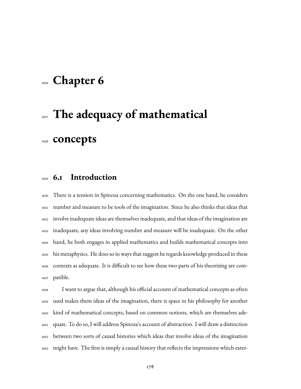## **Chapter 6**

# **The adequacy of mathematical concepts**

## **6.1 Introduction**

 There is a tension in Spinoza concerning mathematics. On the one hand, he considers number and measure to be tools of the imagination. Since he also thinks that ideas that involve inadequate ideas are themselves inadequate, and that ideas of the imagination are inadequate, any ideas involving number and measure will be inadequate. On the other hand, he both engages in applied mathematics and builds mathematical concepts into his metaphysics. He does so in ways that suggest he regards knowledge produced in these contexts as adequate. It is difficult to see how these two parts of his theorizing are com-patible.

 I want to argue that, although his official account of mathematical concepts as often used makes them ideas of the imagination, there is space in his philosophy for another kind of mathematical concepts, based on common notions, which are themselves ade- quate. To do so, I will address Spinoza's account of abstraction. I will draw a distinction between two sorts of causal histories which ideas that involve ideas of the imagination might have. The first is simply a causal history that reflects the impressions which exter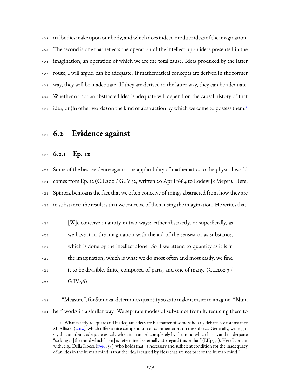nal bodies make upon our body, and which does indeed produce ideas of the imagination. The second is one that reflects the operation of the intellect upon ideas presented in the imagination, an operation of which we are the total cause. Ideas produced by the latter route, I will argue, can be adequate. If mathematical concepts are derived in the former way, they will be inadequate. If they are derived in the latter way, they can be adequate. Whether or not an abstracted idea is adequate will depend on the causal history of that idea, or (in other words) on the kind of abstraction by which we come to possess them.<sup>[1](#page-181-0)</sup> 

## **6.2 Evidence against**

#### **6.2.1 Ep. 12**

 Some of the best evidence against the applicability of mathematics to the physical world comes from Ep. 12 (C.I.200 / G.IV.52, written 20 April 1664 to Lodewijk Meyer). Here, Spinoza bemoans the fact that we often conceive of things abstracted from how they are in substance; the result is that we conceive of them using the imagination. He writes that:

 [W]e conceive quantity in two ways: either abstractly, or superficially, as we have it in the imagination with the aid of the senses; or as substance, which is done by the intellect alone. So if we attend to quantity as it is in the imagination, which is what we do most often and most easily, we find it to be divisible, finite, composed of parts, and one of many. (C.I.202-3 /  $_{4062}$  G.IV.56)

 "Measure", for Spinoza, determines quantity so as to make it easier to imagine. "Num-ber" works in a similar way. We separate modes of substance from it, reducing them to

<span id="page-181-0"></span><sup>1.</sup> What exactly adequate and inadequate ideas are is a matter of some scholarly debate; see for instance McAllister([2014\)](#page-232-0), which offers a nice compendium of commentators on the subject. Generally, we might say that an idea is adequate exactly when it is caused completely by the mind which has it, and inadequate "so long as [the mindwhich has it] is determined externally…to regard this or that" (EIIp39s). Here I concur with, e.g., Della Rocca([1996,](#page-227-0) 54), who holds that "a necessary and sufficient condition for the inadequacy of an idea in the human mind is that the idea is caused by ideas that are not part of the human mind."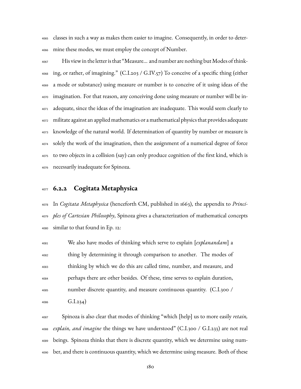classes in such a way as makes them easier to imagine. Consequently, in order to deter-mine these modes, we must employ the concept of Number.

 His view in the letter is that "Measure... and number are nothing butModes of think- ing, or rather, of imagining." (C.I.203 / G.IV.57) To conceive of a specific thing (either a mode or substance) using measure or number is to conceive of it using ideas of the imagination. For that reason, any conceiving done using measure or number will be in- adequate, since the ideas of the imagination are inadequate. This would seem clearly to militate against an applied mathematics or a mathematical physics that provides adequate knowledge of the natural world. If determination of quantity by number or measure is solely the work of the imagination, then the assignment of a numerical degree of force to two objects in a collision (say) can only produce cognition of the first kind, which is necessarily inadequate for Spinoza.

#### **6.2.2 Cogitata Metaphysica**

 In *Cogitata Metaphysica* (henceforth CM, published in 1663), the appendix to *Princi- ples of Cartesian Philosophy*, Spinoza gives a characterization of mathematical concepts similar to that found in Ep. 12:

 We also have modes of thinking which serve to explain [*explanandam*] a thing by determining it through comparison to another. The modes of thinking by which we do this are called time, number, and measure, and perhaps there are other besides. Of these, time serves to explain duration, number discrete quantity, and measure continuous quantity. (C.I.300 /  $G.I.234)$ 

 Spinoza is also clear that modes of thinking "which [help] us to more easily *retain, explain, and imagine* the things we have understood" (C.I.300 / G.I.233) are not real beings. Spinoza thinks that there is discrete quantity, which we determine using num-ber, and there is continuous quantity, which we determine using measure. Both of these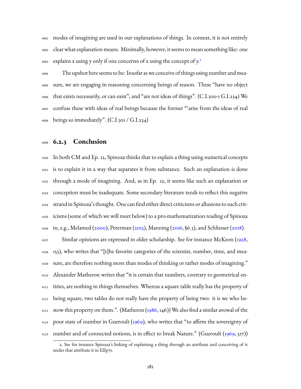modes of imagining are used in our explanations of things. In context, it is not entirely clear what explanation means. Minimally, however, it seems to mean something like: one explains x using y only if one conceives of x using the concept of  $y^2$  $y^2$ . 

 The upshot here seems to be: Insofar as we conceive of things using number and mea- sure, we are engaging in reasoning concerning beings of reason. These "have no object that exists necessarily, or can exist", and "are not ideas of things". (C.I.300-1 G.I.234) We confuse these with ideas of real beings because the former "'arise from the ideas of real beings so immediately". (C.I.301 / G.I.234)

#### **6.2.3 Conclusion**

 In both CM and Ep. 12, Spinoza thinks that to explain a thing using numerical concepts is to explain it in a way that separates it from substance. Such an explanation is done through a mode of imagining. And, as in Ep. 12, it seems like such an explanation or conception must be inadequate. Some secondary literature tends to reflect this negative strand in Spinoza's thought. One can find either direct criticisms or allusions to such crit- icisms (some of which we will meet below) to a pro-mathematization reading of Spinoza  $_{4106}$ in, e.g., Melamed ([2000](#page-233-0)), Peterman ([2015\)](#page-234-0), Manning [\(2016,](#page-232-1) §6.3), and Schliesser ([2018](#page-236-0)).

 Similar opinions are expressed in older scholarship. See for instance McKeon([1928](#page-233-1), 153), who writes that "[t]he favorite categories of the scientist, number, time, and mea- sure, are therefore nothing more than modes of thinking or rather modes of imagining." 4110 Alexander Matheron writes that "it is certain that numbers, contrary to geometrical en- tities, are nothing in things themselves. Whereas a square table really has the property of being square, two tables do not really have the property of being two: it is we who be-<sup>4113</sup> stow this property on them.". (Matheron [\(1986,](#page-232-2) 146)) We also find a similar avowal of the <sup>4114</sup> poor state of number in Gueroult [\(1969\)](#page-229-0), who writes that "to affirm the sovereignty of <sup>4115</sup> number and of connected notions, is in effect to break Nature." (Gueroult  $(1969, 517)$ )

<span id="page-183-0"></span><sup>2.</sup> See for instance Spinoza's linking of explaining a thing through an attribute and conceiving of it under that attribute it in EIIp7s.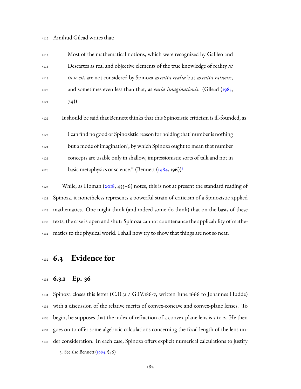Amihud Gilead writes that:

| 4117 | Most of the mathematical notions, which were recognized by Galileo and            |
|------|-----------------------------------------------------------------------------------|
| 4118 | Descartes as real and objective elements of the true knowledge of reality ut      |
| 4119 | in se est, are not considered by Spinoza as entia realia but as entia rationis,   |
| 4120 | and sometimes even less than that, as <i>entia imaginationis</i> . (Gilead (1985, |
| 4121 | (74)                                                                              |

It should be said that Bennett thinks that this Spinozistic criticism is ill-founded, as

 I can find no good or Spinozistic reason for holding that 'number is nothing but a mode of imagination', by which Spinoza ought to mean that number concepts are usable only in shallow, impressionistic sorts of talk and not in basicmetaphysics or science." (Bennett  $(1984, 196)$  $(1984, 196)$  $(1984, 196)$ )<sup>[3](#page-184-0)</sup> 

 While, as Homan [\(2018](#page-230-0), 455–6) notes, this is not at present the standard reading of Spinoza, it nonetheless represents a powerful strain of criticism of a Spinozistic applied mathematics. One might think (and indeed some do think) that on the basis of these texts, the case is open and shut: Spinoza cannot countenance the applicability of mathe-matics to the physical world. I shall now try to show that things are not so neat.

## **6.3 Evidence for**

#### **6.3.1 Ep. 36**

 Spinoza closes this letter (C.II.31 / G.IV.186-7, written June 1666 to Johannes Hudde) with a discussion of the relative merits of convex-concave and convex-plane lenses. To begin, he supposes that the index of refraction of a convex-plane lens is 3 to 2. He then goes on to offer some algebraic calculations concerning the focal length of the lens un-der consideration. In each case, Spinoza offers explicit numerical calculations to justify

<span id="page-184-0"></span><sup>3.</sup> See also Bennett [\(1984](#page-226-0), §46)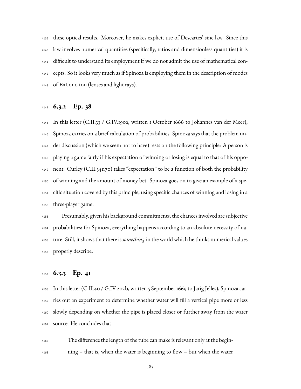these optical results. Moreover, he makes explicit use of Descartes' sine law. Since this law involves numerical quantities (specifically, ratios and dimensionless quantities) it is difficult to understand its employment if we do not admit the use of mathematical con- cepts. So it looks very much as if Spinoza is employing them in the description of modes of Extension (lenses and light rays).

#### **6.3.2 Ep. 38**

 In this letter (C.II.33 / G.IV.190a, written 1 October 1666 to Johannes van der Meer), Spinoza carries on a brief calculation of probabilities. Spinoza says that the problem un- der discussion (which we seem not to have) rests on the following principle: A person is playing a game fairly if his expectation of winning or losing is equal to that of his oppo- nent. Curley (C.II.34n70) takes "expectation" to be a function of both the probability of winning and the amount of money bet. Spinoza goes on to give an example of a spe- cific situation covered by this principle, using specific chances of winning and losing in a three-player game.

 Presumably, given his background commitments, the chances involved are subjective probabilities; for Spinoza, everything happens according to an absolute necessity of na- ture. Still, it shows that there is *something* in the world which he thinks numerical values properly describe.

#### **6.3.3 Ep. 41**

 In this letter (C.II.40 / G.IV.202b, written 5 September 1669 to Jarig Jelles), Spinoza car- ries out an experiment to determine whether water will fill a vertical pipe more or less slowly depending on whether the pipe is placed closer or further away from the water source. He concludes that

 The difference the length of the tube can make is relevant only at the begin-ning – that is, when the water is beginning to flow – but when the water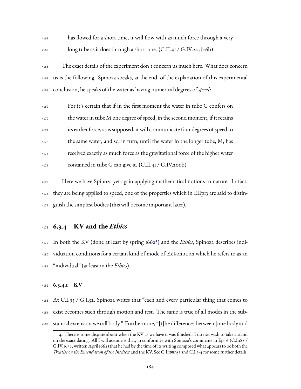| 4164 | has flowed for a short time, it will flow with as much force through a very              |
|------|------------------------------------------------------------------------------------------|
| 4165 | long tube as it does through a short one. (C.II.41 / G.IV.205b-6b)                       |
| 4166 | The exact details of the experiment don't concern us much here. What does concern        |
| 4167 | us is the following. Spinoza speaks, at the end, of the explanation of this experimental |
| 4168 | conclusion, he speaks of the water as having numerical degrees of <i>speed</i> :         |
| 4169 | For it's certain that if in the first moment the water in tube G confers on              |
| 4170 | the water in tube M one degree of speed, in the second moment, if it retains             |
| 4171 | its earlier force, as is supposed, it will communicate four degrees of speed to          |
| 4172 | the same water, and so, in turn, until the water in the longer tube, M, has              |
| 4173 | received exactly as much force as the gravitational force of the higher water            |
| 4174 | contained in tube G can give it. (C.II.41 / G.IV.206b)                                   |

 Here we have Spinoza yet again applying mathematical notions to nature. In fact, they are being applied to speed, one of the properties which in EIIp13 are said to distin-guish the simplest bodies (this will become important later).

#### **6.3.4 KV and the** *Ethics*

179 In both the KV (done at least by spring 1662<sup>4</sup>) and the *Ethics*, Spinoza describes indi- viduation conditions for a certain kind of mode of Extension which he refers to as an "individual" (at least in the *Ethics*).

#### **6.3.4.1 KV**

 At C.I.95 / G.I.52, Spinoza writes that "each and every particular thing that comes to exist becomes such through motion and rest. The same is true of all modes in the sub-stantial extension we call body." Furthermore, "[t]he differences between [one body and

<span id="page-186-0"></span><sup>4.</sup> There is some dispute about when the KV as we have it was finished. I do not wish to take a stand on the exact dating. All I will assume is that, in conformity with Spinoza's comments in Ep. 6 (C.I.188 / G.IV.36/8, written April 1662) that he had by the time of its writing composed what appears to be both the *Treatise on the Emendation of the Intellect* and the KV. See C.I.188n53 and C.I.3-4 for some further details.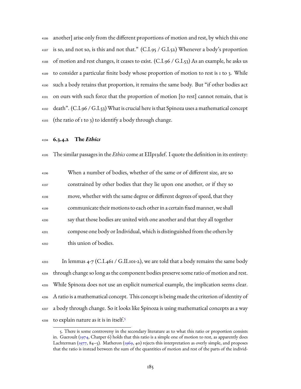another] arise only from the different proportions of motion and rest, by which this one is so, and not so, is this and not that." (C.I.95 / G.I.52) Whenever a body's proportion  $_{4188}$  of motion and rest changes, it ceases to exist. (C.I.96 / G.I.53) As an example, he asks us to consider a particular finite body whose proportion of motion to rest is 1 to 3. While such a body retains that proportion, it remains the same body. But "if other bodies act on ours with such force that the proportion of motion [to rest] cannot remain, that is 4192 death". (C.I.96 / G.I.53) What is crucial here is that Spinoza uses a mathematical concept (the ratio of 1 to 3) to identify a body through change.

#### **6.3.4.2 The** *Ethics*

The similar passages in the *Ethics* come at EIIp13def. I quote the definition in its entirety:

| 4196 | When a number of bodies, whether of the same or of different size, are so    |
|------|------------------------------------------------------------------------------|
| 4197 | constrained by other bodies that they lie upon one another, or if they so    |
| 4198 | move, whether with the same degree or different degrees of speed, that they  |
| 4199 | communicate their motions to each other in a certain fixed manner, we shall  |
| 4200 | say that those bodies are united with one another and that they all together |
| 4201 | compose one body or Individual, which is distinguished from the others by    |
| 4202 | this union of bodies.                                                        |

 $_{4203}$  In lemmas 4-7 (C.I.461 / G.II.101-2), we are told that a body remains the same body through change so long as the component bodies preserve some ratio of motion and rest. While Spinoza does not use an explicit numerical example, the implication seems clear. A ratio is a mathematical concept. This concept is being made the criterion of identity of a body through change. So it looks like Spinoza is using mathematical concepts as a way to explain nature as it is in itself.<sup>[5](#page-187-0)</sup> 

<span id="page-187-0"></span><sup>5.</sup> There is some controversy in the secondary literature as to what this ratio or proportion consists in.Gueroult ([1974,](#page-230-1) Chatper 6) holds that this ratio is a simple one of motion to rest, as apparently does Lachterman([1977,](#page-231-0) 84–5). Matheron [\(1969](#page-232-3), 40) rejects this interpretation as overly simple, and proposes that the ratio is instead between the sum of the quantities of motion and rest of the parts of the individ-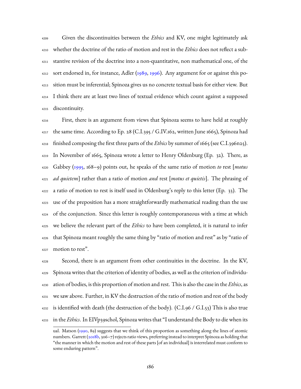Given the discontinuities between the *Ethics* and KV, one might legitimately ask whether the doctrine of the ratio of motion and rest in the *Ethics* does not reflect a sub- stantive revision of the doctrine into a non-quantitative, non mathematical one, of the sort endorsed in, for instance, Adler ( $1989, 1996$  $1989, 1996$ ). Any argument for or against this po- sition must be inferential; Spinoza gives us no concrete textual basis for either view. But I think there are at least two lines of textual evidence which count against a supposed discontinuity.

 First, there is an argument from views that Spinoza seems to have held at roughly the same time. According to Ep. 28 (C.I.395 / G.IV.162, written June 1665), Spinoza had finished composing the first three parts of the *Ethics* by summer of 1665 (see C.I.396n25). In November of 1665, Spinoza wrote a letter to Henry Oldenburg (Ep. 32). There, as Gabbey([1995,](#page-228-0) 168–9) points out, he speaks of the same ratio of motion *to* rest [*motus ad quietem*] rather than a ratio of motion *and* rest [*motus et quietis*]. The phrasing of a ratio of motion to rest is itself used in Oldenburg's reply to this letter (Ep. 33). The use of the preposition has a more straightforwardly mathematical reading than the use of the conjunction. Since this letter is roughly contemporaneous with a time at which we believe the relevant part of the *Ethics* to have been completed, it is natural to infer that Spinoza meant roughly the same thing by "ratio of motion and rest" as by "ratio of motion to rest".

 Second, there is an argument from other continuities in the doctrine. In the KV, Spinoza writes that the criterion of identity of bodies, as well as the criterion of individu- ation of bodies, is this proportion of motion and rest. This is also the case in the *Ethics*, as we saw above. Further, in KV the destruction of the ratio of motion and rest of the body 4232 is identified with death (the destruction of the body). (C.I.96 / G.I.53) This is also true in the *Ethics*. In EIVp39schol, Spinoza writes that "I understand the Body to die when its

ual. Matson [\(1990](#page-232-4), 89) suggests that we think of this proportion as something along the lines of atomic numbers.Garrett ([2018b](#page-229-2), 306-7) rejects ratio views, preferring instead to interpret Spinoza as holding that "the manner in which the motion and rest of these parts [of an individual] is interrelated must conform to some enduring pattern".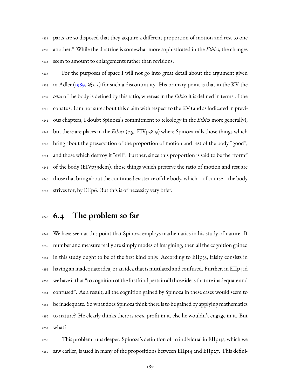parts are so disposed that they acquire a different proportion of motion and rest to one another." While the doctrine is somewhat more sophisticated in the *Ethics*, the changes seem to amount to enlargements rather than revisions.

 For the purposes of space I will not go into great detail about the argument given in Adler ([1989,](#page-225-0) §§2-3) for such a discontinuity. His primary point is that in the KV the *telos* of the body is defined by this ratio, whereas in the *Ethics* it is defined in terms of the conatus. I am not sure about this claim with respect to the KV (and as indicated in previ- ous chapters, I doubt Spinoza's commitment to teleology in the *Ethics* more generally), but there are places in the *Ethics* (e.g. EIVp38-9) where Spinoza calls those things which bring about the preservation of the proportion of motion and rest of the body "good", and those which destroy it "evil". Further, since this proportion is said to be the "form" of the body (EIVp39dem), those things which preserve the ratio of motion and rest are those that bring about the continued existence of the body, which – of course – the body strives for, by EIIp6. But this is of necessity very brief.

## **6.4 The problem so far**

 We have seen at this point that Spinoza employs mathematics in his study of nature. If number and measure really are simply modes of imagining, then all the cognition gained in this study ought to be of the first kind only. According to EIIp35, falsity consists in having an inadequate idea, or an idea that is mutilated and confused. Further, in EIIp41d we have it that "to cognition of the first kind pertain all those ideas that are inadequate and confused". As a result, all the cognition gained by Spinoza in these cases would seem to be inadequate. So what does Spinoza think there is to be gained by applying mathematics to nature? He clearly thinks there is *some* profit in it, else he wouldn't engage in it. But what?

 This problem runs deeper. Spinoza's definition of an individual in EIIp13s, which we saw earlier, is used in many of the propositions between EIIp14 and EIIp27. This defini-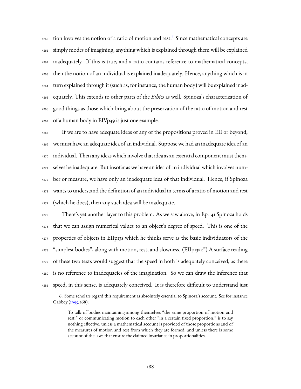$_{\rm 4260}$  $_{\rm 4260}$  $_{\rm 4260}$  tion involves the notion of a ratio of motion and rest.  $^6$  Since mathematical concepts are simply modes of imagining, anything which is explained through them will be explained inadequately. If this is true, and a ratio contains reference to mathematical concepts, then the notion of an individual is explained inadequately. Hence, anything which is in turn explained through it (such as, for instance, the human body) will be explained inad- equately. This extends to other parts of the *Ethics* as well. Spinoza's characterization of good things as those which bring about the preservation of the ratio of motion and rest of a human body in EIVp39 is just one example.

 If we are to have adequate ideas of any of the propositions proved in EII or beyond, we must have an adequate idea of an individual. Suppose we had an inadequate idea of an individual. Then any ideas which involve that idea as an essential component must them- selves be inadequate. But insofar as we have an idea of an individual which involves num- ber or measure, we have only an inadequate idea of that individual. Hence, if Spinoza wants to understand the definition of an individual in terms of a ratio of motion and rest (which he does), then any such idea will be inadequate.

 There's yet another layer to this problem. As we saw above, in Ep. 41 Spinoza holds that we can assign numerical values to an object's degree of speed. This is one of the properties of objects in EIIp13s which he thinks serve as the basic individuators of the "simplest bodies", along with motion, rest, and slowness. (EIIp13a2") A surface reading <sup>4279</sup> of these two texts would suggest that the speed in both is adequately conceived, as there is no reference to inadequacies of the imagination. So we can draw the inference that speed, in this sense, is adequately conceived. It is therefore difficult to understand just

<span id="page-190-0"></span><sup>6.</sup> Some scholars regard this requirement as absolutely essential to Spinoza's account. See for instance Gabbey([1995,](#page-228-0) 168):

To talk of bodies maintaining among themselves "the same proportion of motion and rest," or communicating motion to each other "in a certain fixed proportion," is to say nothing effective, unless a mathematical account is provided of those proportions and of the measures of motion and rest from which they are formed, and unless there is some account of the laws that ensure the claimed invariance in proportionalities.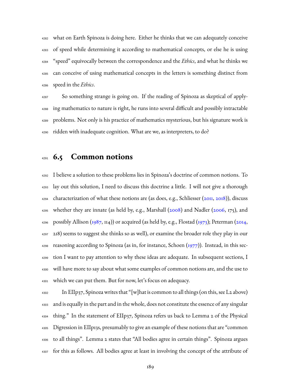what on Earth Spinoza is doing here. Either he thinks that we can adequately conceive of speed while determining it according to mathematical concepts, or else he is using "speed" equivocally between the correspondence and the *Ethics*, and what he thinks we can conceive of using mathematical concepts in the letters is something distinct from speed in the *Ethics*.

 So something strange is going on. If the reading of Spinoza as skeptical of apply- ing mathematics to nature is right, he runs into several difficult and possibly intractable problems. Not only is his practice of mathematics mysterious, but his signature work is ridden with inadequate cognition. What are we, as interpreters, to do?

## **6.5 Common notions**

 I believe a solution to these problems lies in Spinoza's doctrine of common notions. To lay out this solution, I need to discuss this doctrine a little. I will not give a thorough characterization of what these notions are (as does, e.g., Schliesser([2011](#page-236-1), [2018](#page-236-0))), discuss whether they are innate (as held by, e.g., Marshall([2008\)](#page-232-5) and Nadler [\(2006](#page-234-1), 175), and <sup>4296</sup>possibly Allison ([1987,](#page-225-2) 114)) or acquired (as held by, e.g., Flostad ([1973\)](#page-228-1); Peterman ([2014](#page-234-2), 218) seems to suggest she thinks so as well), or examine the broader role they play in our reasoning according to Spinoza (as in, for instance, Schoen  $(1977)$ ). Instead, in this sec- tion I want to pay attention to why these ideas are adequate. In subsequent sections, I will have more to say about what some examples of common notions are, and the use to which we can put them. But for now, let's focus on adequacy.

 $\mu_{\text{4302}}$  In EIIp37, Spinoza writes that "[w]hat is common to all things (on this, see L2 above) and is equally in the part and in the whole, does not constitute the essence of any singular thing." In the statement of EIIp37, Spinoza refers us back to Lemma 2 of the Physical Digression in EIIp13s, presumably to give an example of these notions that are "common to all things". Lemma 2 states that "All bodies agree in certain things". Spinoza argues for this as follows. All bodies agree at least in involving the concept of the attribute of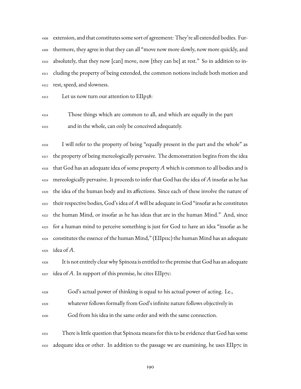extension, and that constitutes some sort of agreement: They're all extended bodies. Fur- thermore, they agree in that they can all "move now more slowly, now more quickly, and absolutely, that they now [can] move, now [they can be] at rest." So in addition to in- cluding the property of being extended, the common notions include both motion and rest, speed, and slowness.

Let us now turn our attention to EIIp38:

 Those things which are common to all, and which are equally in the part and in the whole, can only be conceived adequately.

 I will refer to the property of being "equally present in the part and the whole" as the property of being mereologically pervasive. The demonstration begins from the idea that God has an adequate idea of some property *A* which is common to all bodies and is mereologically pervasive. It proceeds to infer that God has the idea of *A* insofar as he has the idea of the human body and its affections. Since each of these involve the nature of their respective bodies, God's idea of *A* will be adequate in God "insofar as he constitutes the human Mind, or insofar as he has ideas that are in the human Mind." And, since for a human mind to perceive something is just for God to have an idea "insofar as he constitutes the essence of the human Mind," (EIIp11c) the human Mind has an adequate idea of *A*.

 It is not entirely clear why Spinoza is entitled to the premise that God has an adequate idea of *A*. In support of this premise, he cites EIIp7c:

- God's actual power of thinking is equal to his actual power of acting. I.e.,
- whatever follows formally from God's infinite nature follows objectively in
- God from his idea in the same order and with the same connection.

 There is little question that Spinoza means for this to be evidence that God has some adequate idea or other. In addition to the passage we are examining, he uses EIIp7c in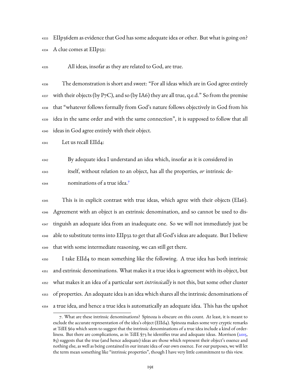EIIp36dem as evidence that God has some adequate idea or other. But what is going on? A clue comes at EIIp32:

All ideas, insofar as they are related to God, are true.

 The demonstration is short and sweet: "For all ideas which are in God agree entirely  $_{4337}$  with their objects (by P7C), and so (by IA6) they are all true, q.e.d." So from the premise that "whatever follows formally from God's nature follows objectively in God from his idea in the same order and with the same connection", it is supposed to follow that all ideas in God agree entirely with their object.

Let us recall EIId4:

 By adequate idea I understand an idea which, insofar as it is considered in itself, without relation to an object, has all the properties, *or* intrinsic denominations of a true idea.[7](#page-193-0) 

 This is in explicit contrast with true ideas, which agree with their objects (EIa6). Agreement with an object is an extrinsic denomination, and so cannot be used to dis- tinguish an adequate idea from an inadequate one. So we will not immediately just be able to substitute terms into EIIp32 to get that all God's ideas are adequate. But I believe that with some intermediate reasoning, we can still get there.

 I take EIId4 to mean something like the following. A true idea has both intrinsic and extrinsic denominations. What makes it a true idea is agreement with its object, but what makes it an idea of a particular sort *intrinsically* is not this, but some other cluster of properties. An adequate idea is an idea which shares all the intrinsic denominations of a true idea, and hence a true idea is automatically an adequate idea. This has the upshot

<span id="page-193-0"></span><sup>7.</sup> What are these intrinsic denominations? Spinoza is obscure on this count. At least, it is meant to exclude the accurate representation of the idea's object (EIId4). Spinoza makes some very cryptic remarks at TdIE §69 which seem to suggest that the intrinsic denominations of a true idea include a kind of orderliness. But there are complications, as in TdIE §73 he identifies true and adequate ideas. Morrison([2015,](#page-233-2) 85) suggests that the true (and hence adequate) ideas are those which represent their object's essence and nothing else, as well as being contained in our innate idea of our own essence. For our purposes, we will let the term mean something like "intrinsic properties", though I have very little commitment to this view.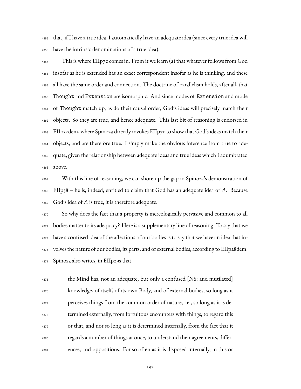that, if I have a true idea, I automatically have an adequate idea (since every true idea will have the intrinsic denominations of a true idea).

 $_{4357}$  This is where EIIp7c comes in. From it we learn (a) that whatever follows from God insofar as he is extended has an exact correspondent insofar as he is thinking, and these all have the same order and connection. The doctrine of parallelism holds, after all, that Thought and Extension are isomorphic. And since modes of Extension and mode of Thought match up, as do their causal order, God's ideas will precisely match their objects. So they are true, and hence adequate. This last bit of reasoning is endorsed in EIIp32dem, where Spinoza directly invokes EIIp7c to show that God's ideas match their objects, and are therefore true. I simply make the obvious inference from true to ade- quate, given the relationship between adequate ideas and true ideas which I adumbrated above.

<sup>4367</sup> With this line of reasoning, we can shore up the gap in Spinoza's demonstration of EIIp38 – he is, indeed, entitled to claim that God has an adequate idea of *A*. Because God's idea of *A* is true, it is therefore adequate.

<sup>4370</sup> So why does the fact that a property is mereologically pervasive and common to all bodies matter to its adequacy? Here is a supplementary line of reasoning. To say that we have a confused idea of the affections of our bodies is to say that we have an idea that in- volves the nature of our bodies, its parts, and of external bodies, according to EIIp28dem. Spinoza also writes, in EIIp29s that

 the Mind has, not an adequate, but only a confused [NS: and mutilated] knowledge, of itself, of its own Body, and of external bodies, so long as it perceives things from the common order of nature, i.e., so long as it is de- termined externally, from fortuitous encounters with things, to regard this or that, and not so long as it is determined internally, from the fact that it regards a number of things at once, to understand their agreements, differ-ences, and oppositions. For so often as it is disposed internally, in this or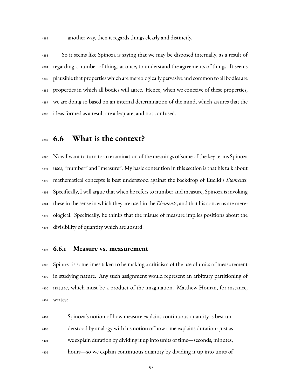another way, then it regards things clearly and distinctly.

 So it seems like Spinoza is saying that we may be disposed internally, as a result of regarding a number of things at once, to understand the agreements of things. It seems plausible that properties which are mereologically pervasive and common to all bodies are properties in which all bodies will agree. Hence, when we conceive of these properties, we are doing so based on an internal determination of the mind, which assures that the ideas formed as a result are adequate, and not confused.

## **6.6 What is the context?**

 Now I want to turn to an examination of the meanings of some of the key terms Spinoza uses, "number" and "measure". My basic contention in this section is that his talk about mathematical concepts is best understood against the backdrop of Euclid's *Elements*. Specifically, I will argue that when he refers to number and measure, Spinoza is invoking these in the sense in which they are used in the *Elements*, and that his concerns are mere- ological. Specifically, he thinks that the misuse of measure implies positions about the divisibility of quantity which are absurd.

#### **6.6.1 Measure vs. measurement**

 Spinoza is sometimes taken to be making a criticism of the use of units of measurement in studying nature. Any such assignment would represent an arbitrary partitioning of nature, which must be a product of the imagination. Matthew Homan, for instance, writes:

 Spinoza's notion of how measure explains continuous quantity is best un- derstood by analogy with his notion of how time explains duration: just as we explain duration by dividing it up into units of time—seconds, minutes, hours—so we explain continuous quantity by dividing it up into units of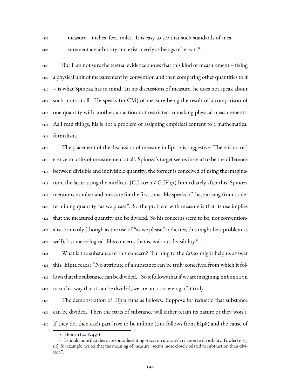measure—inches, feet, miles. It is easy to see that such standards of mea-

surement are arbitrary and exist merely as beings of reason.<sup>[8](#page-196-0)</sup>

 But I am not sure the textual evidence shows that this kind of measurement – fixing a physical unit of measurement by convention and then comparing other quantities to it – is what Spinoza has in mind. In his discussions of measure, he does not speak about such units at all. He speaks (in CM) of measure being the result of a comparison of one quantity with another, an action not restricted to making physical measurements. As I read things, his is not a problem of assigning empirical content to a mathematical formalism.

 The placement of the discussion of measure in Ep. 12 is suggestive. There is no ref- erence to units of measurement at all. Spinoza's target seems instead to be the difference between divisible and indivisible quantity; the former is conceived of using the imagina- $_{4418}$  tion, the latter using the intellect. (C.I.202-3 / G.IV.57) Immediately after this, Spinoza mentions number and measure for the first time. He speaks of these arising from us de- termining quantity "as we please". So the problem with measure is that its use implies that the measured quantity can be divided. So his concerns seem to be, not convention- alist primarily (though as the use of "as we please" indicates, this might be a problem as well), but mereological. His concern, that is, is about divisibility.<sup>[9](#page-196-1)</sup> 

 What is the substance of this concern? Turning to the *Ethics* might help us answer this. EIp12 reads: "No attribute of a substance can be truly conceived from which it fol- lows that the substance can be divided." So it follows that if we are imagining Extension in such a way that it can be divided, we are not conceiving of it truly.

 The demonstration of EIp12 runs as follows. Suppose for reductio that substance can be divided. Then the parts of substance will either retain its nature or they won't. If they do, then each part have to be infinite (this follows from EIp8) and the cause of

<span id="page-196-1"></span><span id="page-196-0"></span><sup>8.</sup> Homan [\(2018,](#page-230-0) 459)

<sup>9.</sup> I should note that there are some dissenting voices on measure's relation to divisibility. Fowler([1983,](#page-228-2) 61), for example, writes that the meaning of measure "seems more closely related to subtraction than division".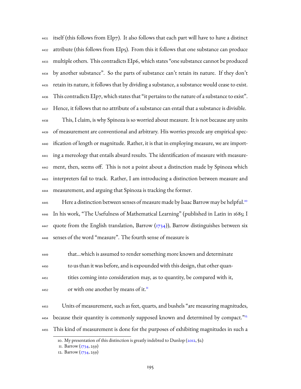$_{4431}$  itself (this follows from EIp7). It also follows that each part will have to have a distinct attribute (this follows from EIp5). From this it follows that one substance can produce multiple others. This contradicts EIp6, which states "one substance cannot be produced by another substance". So the parts of substance can't retain its nature. If they don't retain its nature, it follows that by dividing a substance, a substance would cease to exist.  $_{4436}$  This contradicts EIp7, which states that "it pertains to the nature of a substance to exist". Hence, it follows that no attribute of a substance can entail that a substance is divisible. This, I claim, is why Spinoza is so worried about measure. It is not because any units of measurement are conventional and arbitrary. His worries precede any empirical spec- ification of length or magnitude. Rather, it is that in employing measure, we are import- ing a mereology that entails absurd results. The identification of measure with measure- ment, then, seems off. This is not a point about a distinction made by Spinoza which interpreters fail to track. Rather, I am introducing a distinction between measure and measurement, and arguing that Spinoza is tracking the former.

Here a distinction between senses of measure made by Isaac Barrow may be helpful.<sup>[10](#page-197-0)</sup> In his work, "The Usefulness of Mathematical Learning" (published in Latin in 1685; I 4447quote from the English translation, Barrow  $(\frac{1734}{})$ , Barrow distinguishes between six senses of the word "measure". The fourth sense of measure is

 that…which is assumed to render something more known and determinate to us than it was before, and is expounded with this design, that other quan- tities coming into consideration may, as to quantity, be compared with it, or with one another by means of it.<sup>[11](#page-197-1)</sup> 

 Units of measurement, such as feet, quarts, and bushels "are measuring magnitudes, because their quantity is commonly supposed known and determined by compact."[12](#page-197-2) This kind of measurement is done for the purposes of exhibiting magnitudes in such a

<span id="page-197-0"></span><sup>10.</sup> My presentation of this distinction is greatly indebted to Dunlop [\(2012,](#page-228-3) §2)

<span id="page-197-1"></span><sup>11.</sup> Barrow [\(1734](#page-222-0), 259)

<span id="page-197-2"></span><sup>12.</sup> Barrow [\(1734](#page-222-0), 259)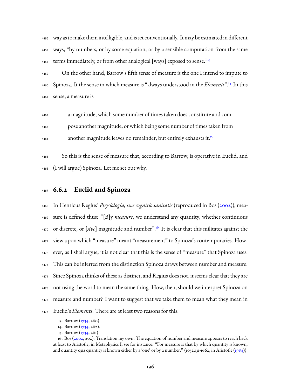way as to make them intelligible, and is set conventionally. It may be estimated in different ways, "by numbers, or by some equation, or by a sensible computation from the same terms immediately, or from other analogical [ways] exposed to sense.<sup>3[13](#page-198-0)</sup> 

 On the other hand, Barrow's fifth sense of measure is the one I intend to impute to 4460 Spinoza. It the sense in which measure is "always understood in the *Elements*".<sup>[14](#page-198-1)</sup> In this sense, a measure is

a magnitude, which some number of times taken does constitute and com-

pose another magnitude, or which being some number of times taken from

another magnitude leaves no remainder, but entirely exhausts it.<sup>[15](#page-198-2)</sup> 

 So this is the sense of measure that, according to Barrow, is operative in Euclid, and (I will argue) Spinoza. Let me set out why.

#### **6.6.2 Euclid and Spinoza**

 In Henricus Regius' *Physiologia, sive cognitio sanitatis* (reproduced in Bos([2002](#page-222-1))), mea- sure is defined thus: "[B]y *measure*, we understand any quantity, whether continuous <sup>4470</sup> or discrete, or [sive] magnitude and number".<sup>[16](#page-198-3)</sup> It is clear that this militates against the view upon which "measure" meant "measurement" to Spinoza's contemporaries. How- ever, as I shall argue, it is not clear that this is the sense of "measure" that Spinoza uses. This can be inferred from the distinction Spinoza draws between number and measure: Since Spinoza thinks of these as distinct, and Regius does not, it seems clear that they are not using the word to mean the same thing. How, then, should we interpret Spinoza on measure and number? I want to suggest that we take them to mean what they mean in Euclid's *Elements*. There are at least two reasons for this.

<span id="page-198-1"></span><span id="page-198-0"></span><sup>13.</sup> Barrow [\(1734](#page-222-0), 260)

<sup>14.</sup> Barrow [\(1734](#page-222-0), 262).

<span id="page-198-3"></span><span id="page-198-2"></span><sup>15.</sup> Barrow [\(1734](#page-222-0), 261)

<sup>16.</sup> Bos [\(2002,](#page-222-1) 202). Translation my own. The equation of number and measure appears to reach back at least to Aristotle, in Metaphysics I; see for instance: "For measure is that by which quantity is known; and quantity qua quantity is known either by a 'one' or by a number." (1052b31-1662, in Aristotle [\(1984\)](#page-222-2))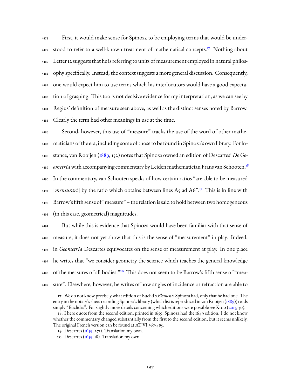First, it would make sense for Spinoza to be employing terms that would be under-4479 stood to refer to a well-known treatment of mathematical concepts.<sup>[17](#page-199-0)</sup> Nothing about Letter 12 suggests that he is referring to units of measurement employed in natural philos- ophy specifically. Instead, the context suggests a more general discussion. Consequently, one would expect him to use terms which his interlocutors would have a good expecta- tion of grasping. This too is not decisive evidence for my interpretation, as we can see by Regius' definition of measure seen above, as well as the distinct senses noted by Barrow. Clearly the term had other meanings in use at the time.

 Second, however, this use of "measure" tracks the use of the word of other mathe- maticians of the era, including some of those to be found in Spinoza's own library. For in- stance, van Rooijen [\(1889](#page-225-3), 152) notes that Spinoza owned an edition of Descartes' *De Geometria* with accompanying commentary by Leiden mathematician Frans van Schooten.<sup>[18](#page-199-1)</sup> In the commentary, van Schooten speaks of how certain ratios "are able to be measured 4491 [mensurari] by the ratio which obtains between lines A5 ad A6".<sup>[19](#page-199-2)</sup> This is in line with Barrow's fifth sense of "measure" – the relation is said to hold between two homogeneous (in this case, geometrical) magnitudes.

 But while this is evidence that Spinoza would have been familiar with that sense of measure, it does not yet show that this is the sense of "measurement" in play. Indeed, in *Geometria* Descartes equivocates on the sense of measurement at play. In one place he writes that "we consider geometry the science which teaches the general knowledge 4498 of the measures of all bodies."<sup>[20](#page-199-3)</sup> This does not seem to be Barrow's fifth sense of "mea-sure". Elsewhere, however, he writes of how angles of incidence or refraction are able to

<span id="page-199-0"></span><sup>17.</sup> We do not know precisely what edition of Euclid's *Elements* Spinoza had, only that he had one. The entry in the notary's sheet recording Spinoza's library (which list is reproduced in van Rooijen [\(1889\)](#page-225-3)) reads simply "Euclides". For slightly more details concerning which editions were possible see Krop([2013,](#page-231-1) 30).

<span id="page-199-1"></span><sup>18.</sup> I here quote from the second edition, printed in 1659; Spinoza had the 1649 edition. I do not know whether the commentary changed substantially from the first to the second edition, but it seems unlikely. The original French version can be found at AT VI.367-485.

<span id="page-199-2"></span><sup>19.</sup> Descartes (, 271). Translation my own.

<span id="page-199-3"></span><sup>20.</sup> Descartes  $(1659, 18)$ . Translation my own.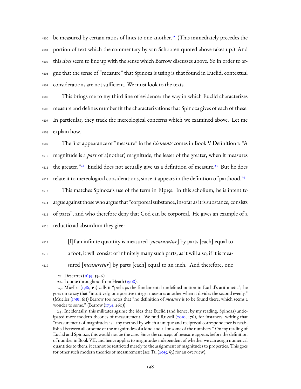4500 be measured by certain ratios of lines to one another.<sup>[21](#page-200-0)</sup> (This immediately precedes the portion of text which the commentary by van Schooten quoted above takes up.) And this *does* seem to line up with the sense which Barrow discusses above. So in order to ar- gue that the sense of "measure" that Spinoza is using is that found in Euclid, contextual considerations are not sufficient. We must look to the texts.

 This brings me to my third line of evidence: the way in which Euclid characterizes measure and defines number fit the characterizations that Spinoza gives of each of these. In particular, they track the mereological concerns which we examined above. Let me explain how.

<sup>4509</sup> The first appearance of "measure" in the *Elements* comes in Book V Definition 1: "A <sup>4510</sup> magnitude is a *part* of a(nother) magnitude, the lesser of the greater, when it measures 4511 the greater.<sup>"[22](#page-200-1)</sup> Euclid does not actually give us a definition of measure.<sup>[23](#page-200-2)</sup> But he does relate it to mereological considerations, since it appears in the definition of parthood. $^{24}$  $^{24}$  $^{24}$ 4512

 This matches Spinoza's use of the term in EIp15s. In this scholium, he is intent to argue against those who argue that "corporeal substance, insofar as it is substance, consists of parts", and who therefore deny that God can be corporeal. He gives an example of a reductio ad absurdum they give:

<sup>4517</sup> [I]f an infinite quantity is measured [*mensuratur*] by parts [each] equal to <sup>4518</sup> a foot, it will consist of infinitely many such parts, as it will also, if it is mea-<sup>4519</sup> sured [*mensuretur*] by parts [each] equal to an inch. And therefore, one

<span id="page-200-1"></span><span id="page-200-0"></span><sup>21.</sup> Descartes  $(1659, 55-6)$ 

<span id="page-200-2"></span><sup>22.</sup>I quote throughout from Heath  $(1908)$  $(1908)$ .

<sup>23.</sup> Mueller [\(1981,](#page-233-3) 61) calls it "perhaps the fundamental undefined notion in Euclid's arithmetic"; he goes on to say that "intuitively, one positive integer measures another when it divides the second evenly." (Mueller([1981,](#page-233-3) 61)) Barrow too notes that "no definition of *measure* is to be found there, which seems a wonder to some." (Barrow [\(1734](#page-222-0), 260))

<span id="page-200-3"></span><sup>24.</sup> Incidentally, this militates against the idea that Euclid (and hence, by my reading, Spinoza) anticipated more modern theories of measurement. We find Russell [\(2010,](#page-235-0) 176), for instances, writing that "measurement of magnitudes is…any method by which a unique and reciprocal correspondence is established between all or some of the magnitudes of a kind and all or some of the numbers." On my reading of Euclid and Spinoza, this would not be the case. Since the concept of measure appears before the definition of number in Book VII, and hence applies to magnitudes independent of whether we can assign numerical quantities to them, it cannot be restricted merely to the assignment of magnitudes to properties. This goes forother such modern theories of measurement (see Tal  $(2015, 63)$  $(2015, 63)$  $(2015, 63)$  for an overview).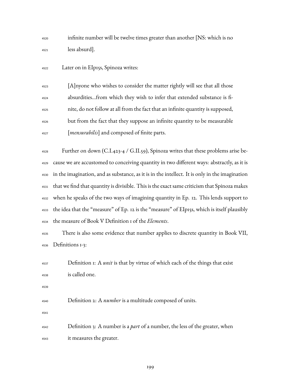| 4520 | infinite number will be twelve times greater than another [NS: which is no                     |
|------|------------------------------------------------------------------------------------------------|
| 4521 | less absurd].                                                                                  |
| 4522 | Later on in EIp15s, Spinoza writes:                                                            |
| 4523 | [A] nyone who wishes to consider the matter rightly will see that all those                    |
| 4524 | absurditiesfrom which they wish to infer that extended substance is fi-                        |
| 4525 | nite, do not follow at all from the fact that an infinite quantity is supposed,                |
| 4526 | but from the fact that they suppose an infinite quantity to be measurable                      |
| 4527 | [mensurabilis] and composed of finite parts.                                                   |
| 4528 | Further on down (C.I.423-4 / G.II.59), Spinoza writes that these problems arise be-            |
| 4529 | cause we are accustomed to conceiving quantity in two different ways: abstractly, as it is     |
| 4530 | in the imagination, and as substance, as it is in the intellect. It is only in the imagination |
| 4531 | that we find that quantity is divisible. This is the exact same criticism that Spinoza makes   |
| 4532 | when he speaks of the two ways of imagining quantity in Ep. 12. This lends support to          |
| 4533 | the idea that the "measure" of Ep. 12 is the "measure" of EIp15s, which is itself plausibly    |
| 4534 | the measure of Book V Definition I of the Elements.                                            |
| 4535 | There is also some evidence that number applies to discrete quantity in Book VII,              |
| 4536 | Definitions 1-3:                                                                               |
| 4537 | Definition 1: A <i>unit</i> is that by virtue of which each of the things that exist           |
| 4538 | is called one.                                                                                 |
| 4539 |                                                                                                |
| 4540 | Definition 2: A <i>number</i> is a multitude composed of units.                                |
| 4541 |                                                                                                |
| 4542 | Definition 3: A number is a <i>part</i> of a number, the less of the greater, when             |
| 4543 | it measures the greater.                                                                       |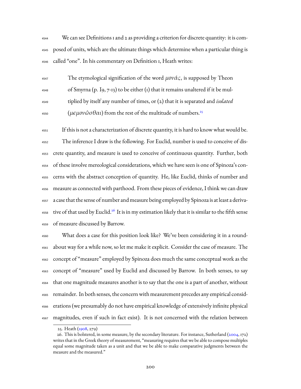We can see Definitions 1 and 2 as providing a criterion for discrete quantity: it is com- posed of units, which are the ultimate things which determine when a particular thing is called "one". In his commentary on Definition 1, Heath writes:

<sup>4547</sup> The etymological signification of the word μονάς, is supposed by Theon  $_{4548}$  of Smyrna (p. 19, 7-13) to be either (1) that it remains unaltered if it be mul- tiplied by itself any number of times, or (2) that it is separated and *isolated* ( $\mu\epsilon\mu o\nu\hat{\omega}\sigma\theta\alpha\iota$ ) from the rest of the multitude of numbers.<sup>[25](#page-202-0)</sup> 

 If this is not a characterization of discrete quantity, it is hard to know what would be. The inference I draw is the following. For Euclid, number is used to conceive of dis- crete quantity, and measure is used to conceive of continuous quantity. Further, both of these involve mereological considerations, which we have seen is one of Spinoza's con- cerns with the abstract conception of quantity. He, like Euclid, thinks of number and measure as connected with parthood. From these pieces of evidence, I think we can draw a case that the sense of number and measure being employed by Spinoza is at least a deriva- $_{\rm 4558}$  tive of that used by Euclid. $^{26}$  $^{26}$  $^{26}$  It is in my estimation likely that it is similar to the fifth sense of measure discussed by Barrow.

 What does a case for this position look like? We've been considering it in a round- about way for a while now, so let me make it explicit. Consider the case of measure. The concept of "measure" employed by Spinoza does much the same conceptual work as the concept of "measure" used by Euclid and discussed by Barrow. In both senses, to say that one magnitude measures another is to say that the one is a part of another, without remainder. In both senses, the concern with measurement precedes any empirical consid- erations (we presumably do not have empirical knowledge of extensively infinite physical magnitudes, even if such in fact exist). It is not concerned with the relation between

<span id="page-202-1"></span><span id="page-202-0"></span><sup>25.</sup> Heath [\(1908](#page-224-0), 279)

<sup>26.</sup> This is bolstered, in some measure, by the secondary literature. For instance, Sutherland [\(2004,](#page-237-1) 172) writes that in the Greek theory of measurement, "measuring requires that we be able to compose multiples equal some magnitude taken as a unit and that we be able to make comparative judgments between the measure and the measured."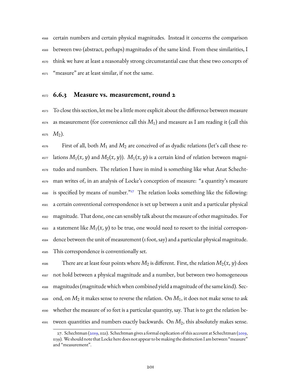certain numbers and certain physical magnitudes. Instead it concerns the comparison between two (abstract, perhaps) magnitudes of the same kind. From these similarities, I think we have at least a reasonably strong circumstantial case that these two concepts of "measure" are at least similar, if not the same.

#### **6.6.3 Measure vs. measurement, round 2**

 To close this section, let me be a little more explicit about the difference between measure as measurement (for convenience call this  $M_1$ ) and measure as I am reading it (call this  $4575 \, M_2$ ).

 First of all, both  $M_1$  and  $M_2$  are conceived of as dyadic relations (let's call these re- $\mu_{4577}$  lations  $M_1(x, y)$  and  $M_2(x, y)$ ).  $M_1(x, y)$  is a certain kind of relation between magni- tudes and numbers. The relation I have in mind is something like what Anat Schecht- man writes of, in an analysis of Locke's conception of measure: "a quantity's measure 4580 is specified by means of number."<sup>[27](#page-203-0)</sup> The relation looks something like the following: a certain conventional correspondence is set up between a unit and a particular physical magnitude. That done, one can sensibly talk about the measure of other magnitudes. For a statement like  $M_1(x, y)$  to be true, one would need to resort to the initial correspon- dence between the unit of measurement (1 foot, say) and a particular physical magnitude. This correspondence is conventionally set.

<sup>4586</sup> There are at least four points where  $M_2$  is different. First, the relation  $M_2(x, y)$  does not hold between a physical magnitude and a number, but between two homogeneous magnitudes (magnitude which when combined yield a magnitude of the same kind). Sec- ond, on  $M_2$  it makes sense to reverse the relation. On  $M_1$ , it does not make sense to ask whether the measure of 10 feet is a particular quantity, say. That is to get the relation be-tween quantities and numbers exactly backwards. On *M*2, this absolutely makes sense.

<span id="page-203-0"></span><sup>27.</sup> Schechtman [\(2019](#page-235-1),1121). Schechtman gives a formal explication of this account at Schechtman ([2019,](#page-235-1) 1139). We should note that Locke here does not appear to be making the distinction I am between "measure" and "measurement".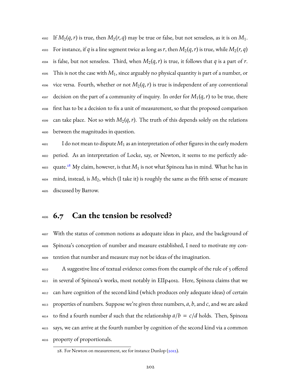4592 If  $M_2(q,r)$  is true, then  $M_2(r,q)$  may be true or false, but not senseless, as it is on  $M_1$ . 4593 For instance, if *q* is a line segment twice as long as *r*, then  $M_2(q, r)$  is true, while  $M_2(r, q)$ 4594 is false, but not senseless. Third, when  $M_2(q,r)$  is true, it follows that q is a part of r. This is not the case with *M*1, since arguably no physical quantity is part of a number, or <sup>4596</sup> vice versa. Fourth, whether or not  $M_2(q,r)$  is true is independent of any conventional decision on the part of a community of inquiry. In order for  $M_1(q,r)$  to be true, there first has to be a decision to fix a unit of measurement, so that the proposed comparison 4599 can take place. Not so with  $M_2(q,r)$ . The truth of this depends solely on the relations between the magnitudes in question.

 $\frac{1}{4601}$  I do not mean to dispute  $M_1$  as an interpretation of other figures in the early modern period. As an interpretation of Locke, say, or Newton, it seems to me perfectly ade- $_{\rm 4603}$   $\,$  quate. $^{28}$  $^{28}$  $^{28}$  My claim, however, is that  $M_{1}$  is not what Spinoza has in mind. What he has in mind, instead, is *M*2, which (I take it) is roughly the same as the fifth sense of measure discussed by Barrow.

## **6.7 Can the tension be resolved?**

 With the status of common notions as adequate ideas in place, and the background of Spinoza's conception of number and measure established, I need to motivate my con-tention that number and measure may not be ideas of the imagination.

 A suggestive line of textual evidence comes from the example of the rule of 3 offered in several of Spinoza's works, most notably in EIIp40s2. Here, Spinoza claims that we can have cognition of the second kind (which produces only adequate ideas) of certain properties of numbers. Suppose we're given three numbers, *a*, *b*, and *c*, and we are asked  $_{4614}$  to find a fourth number *d* such that the relationship  $a/b = c/d$  holds. Then, Spinoza says, we can arrive at the fourth number by cognition of the second kind via a common property of proportionals.

<span id="page-204-0"></span><sup>28.</sup> For Newton on measurement, see for instance Dunlop [\(2012](#page-228-3)).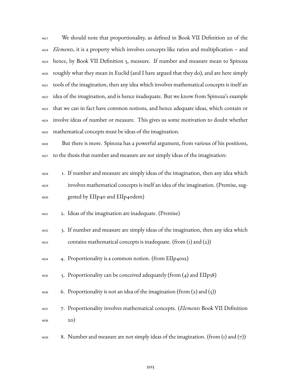We should note that proportionality, as defined in Book VII Definition 20 of the *Elements*, it is a property which involves concepts like ratios and multiplication – and hence, by Book VII Definition 5, measure. If number and measure mean to Spinoza roughly what they mean in Euclid (and I have argued that they do), and are here simply tools of the imagination, then any idea which involves mathematical concepts is itself an idea of the imagination, and is hence inadequate. But we know from Spinoza's example that we can in fact have common notions, and hence adequate ideas, which contain or involve ideas of number or measure. This gives us some motivation to doubt whether mathematical concepts must be ideas of the imagination.

 But there is more. Spinoza has a powerful argument, from various of his positions, to the thesis that number and measure are *not* simply ideas of the imagination:

- 1. If number and measure are simply ideas of the imagination, then any idea which involves mathematical concepts is itself an idea of the imagination. (Premise, sug-gested by EIIp40 and EIIp40dem)
- 2. Ideas of the imagination are inadequate. (Premise)
- 3. If number and measure are simply ideas of the imagination, then any idea which contains mathematical concepts is inadequate. (from (1) and (2))
- 4. Proportionality is a common notion. (from EIIp40s2)
- 5. Proportionality can be conceived adequately (from (4) and EIIp38)
- $_{4636}$  6. Proportionality is not an idea of the imagination (from (2) and (5))
- 7. Proportionality involves mathematical concepts. (*Elements* Book VII Definition 20)
- <sup>4639</sup> 8. Number and measure are not simply ideas of the imagination. (from (1) and (7))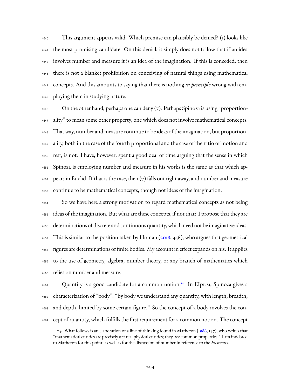This argument appears valid. Which premise can plausibly be denied? (1) looks like the most promising candidate. On this denial, it simply does not follow that if an idea involves number and measure it is an idea of the imagination. If this is conceded, then there is not a blanket prohibition on conceiving of natural things using mathematical concepts. And this amounts to saying that there is nothing *in principle* wrong with em-ploying them in studying nature.

 On the other hand, perhaps one can deny  $(7)$ . Perhaps Spinoza is using "proportion- ality" to mean some other property, one which does not involve mathematical concepts. That way, number and measure continue to be ideas of the imagination, but proportion- ality, both in the case of the fourth proportional and the case of the ratio of motion and rest, is not. I have, however, spent a good deal of time arguing that the sense in which Spinoza is employing number and measure in his works is the same as that which ap- pears in Euclid. If that is the case, then  $(7)$  falls out right away, and number and measure continue to be mathematical concepts, though not ideas of the imagination.

 So we have here a strong motivation to regard mathematical concepts as not being ideas of the imagination. But what are these concepts, if not that? I propose that they are determinations of discrete and continuous quantity, which need not be imaginative ideas. This is similar to the position taken by Homan ( $2018$ ,  $456$ ), who argues that geometrical figures are determinations of finite bodies. My account in effect expands on his. It applies to the use of geometry, algebra, number theory, or any branch of mathematics which relies on number and measure.

4661 Quantity is a good candidate for a common notion.<sup>[29](#page-206-0)</sup> In EIp15s1, Spinoza gives a characterization of "body": "by body we understand any quantity, with length, breadth, and depth, limited by some certain figure." So the concept of a body involves the con-cept of quantity, which fulfills the first requirement for a common notion. The concept

<span id="page-206-0"></span><sup>29.</sup> What follows is an elaboration of a line of thinking found in Matheron([1986,](#page-232-2) 147), who writes that "mathematical entities are precisely *not* real physical entities; they *are* common properties." I am indebted to Matheron for this point, as well as for the discussion of number in reference to the *Elements*.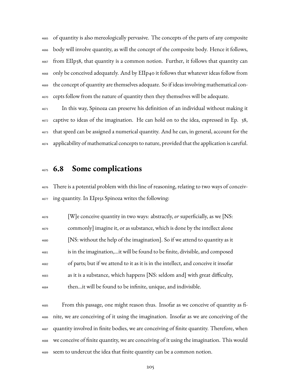of quantity is also mereologically pervasive. The concepts of the parts of any composite body will involve quantity, as will the concept of the composite body. Hence it follows, from EIIp38, that quantity is a common notion. Further, it follows that quantity can only be conceived adequately. And by EIIp40 it follows that whatever ideas follow from the concept of quantity are themselves adequate. So if ideas involving mathematical con-cepts follow from the nature of quantity then they themselves will be adequate.

 In this way, Spinoza can preserve his definition of an individual without making it captive to ideas of the imagination. He can hold on to the idea, expressed in Ep. 38, that speed can be assigned a numerical quantity. And he can, in general, account for the applicability of mathematical concepts to nature, provided that the application is careful.

## **6.8 Some complications**

 There is a potential problem with this line of reasoning, relating to two ways of conceiv-ing quantity. In EIp15s Spinoza writes the following:

 [W]e conceive quantity in two ways: abstractly, *or* superficially, as we [NS: commonly] imagine it, or as substance, which is done by the intellect alone [NS: without the help of the imagination]. So if we attend to quantity as it is in the imagination,…it will be found to be finite, divisible, and composed of parts; but if we attend to it as it is in the intellect, and conceive it insofar as it is a substance, which happens [NS: seldom and] with great difficulty, then…it will be found to be infinite, unique, and indivisible.

 From this passage, one might reason thus. Insofar as we conceive of quantity as fi- nite, we are conceiving of it using the imagination. Insofar as we are conceiving of the quantity involved in finite bodies, we are conceiving of finite quantity. Therefore, when we conceive of finite quantity, we are conceiving of it using the imagination. This would seem to undercut the idea that finite quantity can be a common notion.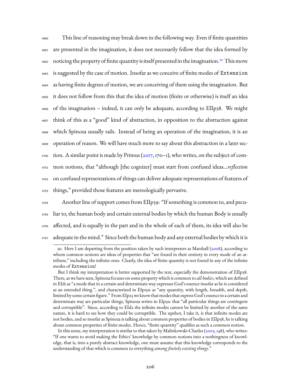This line of reasoning may break down in the following way. Even if finite quantities are presented in the imagination, it does not necessarily follow that the idea formed by 4692 noticing the property of finite quantity is itself presented in the imagination.<sup>[30](#page-208-0)</sup> This move is suggested by the case of motion. Insofar as we conceive of finite modes of Extension as having finite degrees of motion, we are conceiving of them using the imagination. But it does not follow from this that the idea of motion (finite or otherwise) is itself an idea of the imagination – indeed, it can only be adequate, according to EIIp38. We might think of this as a "good" kind of abstraction, in opposition to the abstraction against which Spinoza usually rails. Instead of being an operation of the imagination, it is an operation of reason. We will have much more to say about this abstraction in a later sec- $\frac{4700}{100}$ tion. A similar point is made by Primus ([2017,](#page-234-3) 170–1), who writes, on the subject of com- mon notions, that "although [the cognizer] must start from confused ideas…*reflection* on confused representations of things can deliver adequate representations of features of things," provided those features are mereologically pervasive.

 Another line of support comes from EIIp39: "If something is common to, and pecu- liar to, the human body and certain external bodies by which the human Body is usually affected, and is equally in the part and in the whole of each of them, its idea will also be 4707 adequate in the mind." Since both the human body and any external bodies by which it is

In this sense, my interpretation is similar to that taken by Malinkowski-Charles [\(2003](#page-232-6), 148), who writes: "If one wants to avoid making the Ethics' knowledge by common notions into a nothingness of knowledge, that is, into a purely abstract knowledge, one must assume that this knowledge corresponds to the understanding of that which is common to everything *among finitely existing things*."

<span id="page-208-0"></span><sup>30.</sup> Here I am departing from the position taken by such interpreters as Marshall([2008\)](#page-232-5), according to whom common notions are ideas of properties that "are found in their entirety in every mode of an attribute," including the infinite ones. Clearly, the idea of finite quantity is not found in any of the infinite modes of Extension!

But I think my interpretation is better supported by the text, especially the demonstration of EIIp38. There, as we have seen, Spinoza focuses on some property which is common to *all bodies*, which are defined in EId1 as "a mode that in a certain and determinate way expresses God's essence insofar as he is considered as an extended thing.", and characterized in EIp15s1 as "any quantity, with length, breadth, and depth, limited by some certain figure." From EIp25 we know that modes that express God's essence in a certain and determinate way are particular things, Spinoza writes in EIp31c that "all particular things are contingent and corruptible". Since, according to EId2 the infinite modes cannot be limited by another of the same nature, it is hard to see how they could be corruptible. The upshot, I take it, is that infinite modes are not bodies, and so insofar as Spinoza is talking about common properties of bodies in EIIp38, he is talking about common properties of finite modes. Hence, "finite quantity" qualifies as such a common notion.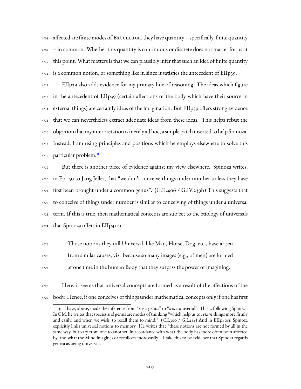affected are finite modes of Extension, they have quantity – specifically, finite quantity – in common. Whether this quantity is continuous or discrete does not matter for us at this point. What matters is that we can plausibly infer that such an idea of finite quantity is a common notion, or something like it, since it satisfies the antecedent of EIIp39.

 EIIp39 also adds evidence for my primary line of reasoning. The ideas which figure in the antecedent of EIIp39 (certain affections of the body which have their source in external things) are certainly ideas of the imagination. But EIIp39 offers strong evidence that we can nevertheless extract adequate ideas from these ideas. This helps rebut the objection that my interpretation is merely ad hoc, a simple patch inserted to help Spinoza. Instead, I am using principles and positions which he employs elsewhere to solve this particular problem.[31](#page-209-0) 

 But there is another piece of evidence against my view elsewhere. Spinoza writes, in Ep. 50 to Jarig Jelles, that "we don't conceive things under number unless they have first been brought under a common genus". (C.II.406 / G.IV.239b) This suggests that to conceive of things under number is similar to conceiving of things under a universal term. If this is true, then mathematical concepts are subject to the etiology of universals that Spinoza offers in EIIp40s1:

- Those notions they call Universal, like Man, Horse, Dog, etc., have arisen from similar causes, viz. because so many images (e.g., of men) are formed at one time in the human Body that they surpass the power of imagining.
- Here, it seems that universal concepts are formed as a result of the affections of the body. Hence, if one conceives of things under mathematical concepts only if one has first

<span id="page-209-0"></span><sup>31.</sup> I have, above, made the inference from "x is a genus" to "x is a universal". This is following Spinoza. In CM, he writes that species and genus are modes of thinking "which help us to *retain* things more firmly and easily, and when we wish, to recall them to mind."  $(C.I.300 / G.I.234)$  And in EIIp40s1, Spinoza explicitly links universal notions to memory. He writes that "these notions are not formed by all in the same way, but vary from one to another, in accordance with what the body has more often been affected by, and what the Mind imagines or recollects more easily". I take this to be evidence that Spinoza regards genera as being universals.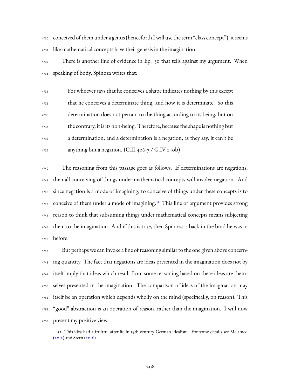conceived of them under a genus (henceforth I will use the term "class concept"), it seems like mathematical concepts have their genesis in the imagination.

 There is another line of evidence in Ep. 50 that tells against my argument. When speaking of body, Spinoza writes that:

 For whoever says that he conceives a shape indicates nothing by this except that he conceives a determinate thing, and how it is determinate. So this determination does not pertain to the thing according to its being, but on the contrary, it is its non-being. Therefore, because the shape is nothing but a determination, and a determination is a negation, as they say, it can't be  $_{4739}$  anything but a negation. (C.II.406-7 / G.IV.240b)

 The reasoning from this passage goes as follows. If determinations are negations, then all conceiving of things under mathematical concepts will involve negation. And since negation is a mode of imagining, to conceive of things under these concepts is to 4743 conceive of them under a mode of imagining.<sup>[32](#page-210-0)</sup> This line of argument provides strong reason to think that subsuming things under mathematical concepts means subjecting them to the imagination. And if this is true, then Spinoza is back in the bind he was in before.

 But perhaps we can invoke a line of reasoning similar to the one given above concern- ing quantity. The fact that negations are ideas presented in the imagination does not by itself imply that ideas which result from some reasoning based on these ideas are them- selves presented in the imagination. The comparison of ideas of the imagination may itself be an operation which depends wholly on the mind (specifically, on reason). This "good" abstraction is an operation of reason, rather than the imagination. I will now present my positive view.

<span id="page-210-0"></span><sup>32.</sup> This idea had a fruitful afterlife in 19th century German idealism. For some details see Melamed  $(2012)$ and Stern  $(2016)$  $(2016)$ .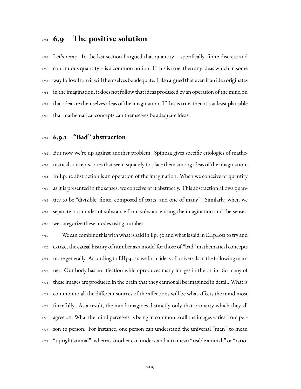## **6.9 The positive solution**

 Let's recap. In the last section I argued that quantity – specifically, finite discrete and continuous quantity – is a common notion. If this is true, then any ideas which in some way follow from itwill themselves be adequate. I also argued that even if an idea originates in the imagination, it does not follow that ideas produced by an operation of the mind on that idea are themselves ideas of the imagination. If this is true, then it's at least plausible that mathematical concepts can themselves be adequate ideas.

## **6.9.1 "Bad" abstraction**

 But now we're up against another problem. Spinoza gives specific etiologies of mathe- matical concepts, ones that seem squarely to place them among ideas of the imagination. In Ep. 12 abstraction is an operation of the imagination. When we conceive of quantity as it is presented in the senses, we conceive of it abstractly. This abstraction allows quan- tity to be "divisible, finite, composed of parts, and one of many". Similarly, when we separate out modes of substance from substance using the imagination and the senses, we categorize these modes using number.

 We can combine this with what is said in Ep. 50 and what is said in EIIp40s1 to try and extract the causal history of number as a model for those of "bad" mathematical concepts more generally. According to EIIp40s1, we form ideas of universals in the following man- ner. Our body has an affection which produces many images in the brain. So many of these images are produced in the brain that they cannot all be imagined in detail. What is common to all the different sources of the affections will be what affects the mind most forcefully. As a result, the mind imagines distinctly only that property which they all agree on. What the mind perceives as being in common to all the images varies from per-4777 son to person. For instance, one person can understand the universal "man" to mean "upright animal", whereas another can understand it to mean "risible animal," or "ratio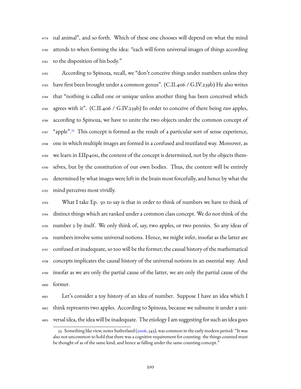nal animal", and so forth. Which of these one chooses will depend on what the mind attends to when forming the idea: "each will form universal images of things according to the disposition of his body."

 According to Spinoza, recall, we "don't conceive things under numbers unless they have first been brought under a common genus". (C.II.406 / G.IV.239b) He also writes that "nothing is called one or unique unless another thing has been conceived which agrees with it". (C.II.406 / G.IV.239b) In order to conceive of there being *two* apples, according to Spinoza, we have to unite the two objects under the common concept of 4787 "apple".<sup>[33](#page-212-0)</sup> This concept is formed as the result of a particular sort of sense experience, one in which multiple images are formed in a confused and mutilated way. Moreover, as we learn in EIIp40s1, the content of the concept is determined, not by the objects them- selves, but by the constitution of our own bodies. Thus, the content will be entirely determined by what images were left in the brain most forcefully, and hence by what the mind perceives most vividly.

 What I take Ep. 50 to say is that in order to think of numbers we have to think of distinct things which are ranked under a common class concept. We do not think of the number 2 by itself. We only think of, say, two apples, or two pennies. So any ideas of numbers involve some universal notions. Hence, we might infer, insofar as the latter are confused or inadequate, so too will be the former; the causal history of the mathematical concepts implicates the causal history of the universal notions in an essential way. And insofar as we are only the partial cause of the latter, we are only the partial cause of the former.

 Let's consider a toy history of an idea of number. Suppose I have an idea which I think represents two apples. According to Spinoza, because we subsume it under a uni-versal idea, the idea will be inadequate. The etiology I am suggesting for such an idea goes

<span id="page-212-0"></span><sup>33.</sup> Something like view, notes Sutherland([2006](#page-237-2), 543), was common in the early modern period: "It was also not uncommon to hold that there was a cognitive requirement for counting: the things counted must be thought of as of the same kind, and hence as falling under the same counting-concept."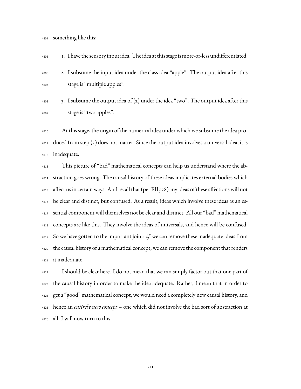something like this:

1. I have the sensory input idea. The idea at this stage is more-or-less undifferentiated.

- 2. I subsume the input idea under the class idea "apple". The output idea after this stage is "multiple apples".
- $\frac{4808}{3}$ . I subsume the output idea of (2) under the idea "two". The output idea after this stage is "two apples".

 At this stage, the origin of the numerical idea under which we subsume the idea pro- duced from step (2) does not matter. Since the output idea involves a universal idea, it is inadequate.

 This picture of "bad" mathematical concepts can help us understand where the ab- straction goes wrong. The causal history of these ideas implicates external bodies which affect us in certain ways. And recall that (per EIIp28) any ideas of these affections will not be clear and distinct, but confused. As a result, ideas which involve these ideas as an es- sential component will themselves not be clear and distinct. All our "bad" mathematical concepts are like this. They involve the ideas of universals, and hence will be confused. So we have gotten to the important joint: *if* we can remove these inadequate ideas from the causal history of a mathematical concept, we can remove the component that renders it inadequate.

 I should be clear here. I do not mean that we can simply factor out that one part of the causal history in order to make the idea adequate. Rather, I mean that in order to get a "good" mathematical concept, we would need a completely new causal history, and hence an *entirely new concept* – one which did not involve the bad sort of abstraction at all. I will now turn to this.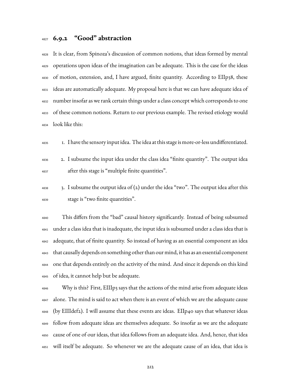## **6.9.2 "Good" abstraction**

 It is clear, from Spinoza's discussion of common notions, that ideas formed by mental operations upon ideas of the imagination can be adequate. This is the case for the ideas of motion, extension, and, I have argued, finite quantity. According to EIIp38, these ideas are automatically adequate. My proposal here is that we can have adequate idea of number insofar as we rank certain things under a class concept which corresponds to one of these common notions. Return to our previous example. The revised etiology would look like this:

1. I have the sensory input idea. The idea at this stage is more-or-less undifferentiated.

- 2. I subsume the input idea under the class idea "finite quantity". The output idea after this stage is "multiple finite quantities".
- $\frac{4838}{3}$ , I subsume the output idea of (2) under the idea "two". The output idea after this stage is "two finite quantities".

 This differs from the "bad" causal history significantly. Instead of being subsumed under a class idea that is inadequate, the input idea is subsumed under a class idea that is adequate, that of finite quantity. So instead of having as an essential component an idea that causally depends on something other than our mind, it has as an essential component one that depends entirely on the activity of the mind. And since it depends on this kind of idea, it cannot help but be adequate.

 Why is this? First, EIIIp3 says that the actions of the mind arise from adequate ideas alone. The mind is said to act when there is an event of which we are the adequate cause (by EIIIdef2). I will assume that these events are ideas. EIIp40 says that whatever ideas follow from adequate ideas are themselves adequate. So insofar as we are the adequate cause of one of our ideas, that idea follows from an adequate idea. And, hence, that idea will itself be adequate. So whenever we are the adequate cause of an idea, that idea is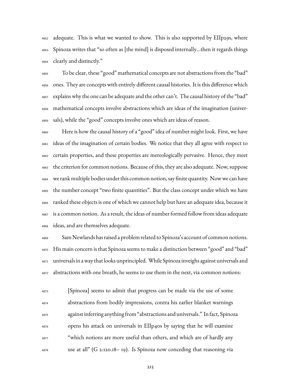adequate. This is what we wanted to show. This is also supported by EIIp29s, where Spinoza writes that "so often as [the mind] is disposed internally…then it regards things clearly and distinctly."

 To be clear, these "good" mathematical concepts are not abstractions from the "bad" ones. They are concepts with entirely different causal histories. It is this difference which explains why the one can be adequate and the other can't. The causal history of the "bad" mathematical concepts involve abstractions which are ideas of the imagination (univer-sals), while the "good" concepts involve ones which are ideas of reason.

 Here is how the causal history of a "good" idea of number might look. First, we have ideas of the imagination of certain bodies. We notice that they all agree with respect to certain properties, and these properties are mereologically pervasive. Hence, they meet the criterion for common notions. Because of this, they are also adequate. Now, suppose we rank multiple bodies under this common notion, say finite quantity. Nowwe can have the number concept "two finite quantities". But the class concept under which we have ranked these objects is one of which we cannot help but have an adequate idea, because it is a common notion. As a result, the ideas of number formed follow from ideas adequate ideas, and are themselves adequate.

 Sam Newlands has raised a problem related to Spinoza's account of common notions. His main concern is that Spinoza seems to make a distinction between "good" and "bad" universals in a way that looks unprincipled. While Spinoza inveighs against universals and abstractions with one breath, he seems to use them in the next, via common notions:

 [Spinoza] seems to admit that progress can be made via the use of some abstractions from bodily impressions, contra his earlier blanket warnings against inferring anything from "abstractions and universals." In fact, Spinoza opens his attack on universals in EIIp40s by saying that he will examine "which notions are more useful than others, and which are of hardly any use at all" (G 2:120.18– 19). Is Spinoza now conceding that reasoning via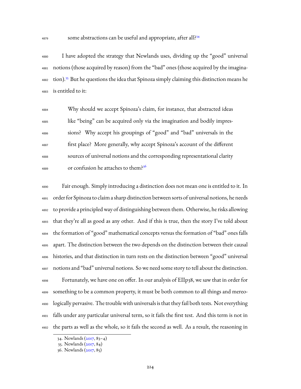some abstractions can be useful and appropriate, after all?<sup>[34](#page-216-0)</sup>

 I have adopted the strategy that Newlands uses, dividing up the "good" universal notions (those acquired by reason) from the "bad" ones (those acquired by the imagina-4882 tion).<sup>[35](#page-216-1)</sup> But he questions the idea that Spinoza simply claiming this distinction means he is entitled to it:

 Why should we accept Spinoza's claim, for instance, that abstracted ideas like "being" can be acquired only via the imagination and bodily impres- sions? Why accept his groupings of "good" and "bad" universals in the first place? More generally, why accept Spinoza's account of the different sources of universal notions and the corresponding representational clarity or confusion he attaches to them?[36](#page-216-2) 

 Fair enough. Simply introducing a distinction does not mean one is entitled to it. In order for Spinoza to claim a sharp distinction between sorts of universal notions, he needs to provide a principled way of distinguishing between them. Otherwise, he risks allowing that they're all as good as any other. And if this is true, then the story I've told about the formation of "good" mathematical concepts versus the formation of "bad" ones falls apart. The distinction between the two depends on the distinction between their causal histories, and that distinction in turn rests on the distinction between "good" universal notions and "bad" universal notions. So we need some story to tell about the distinction. Fortunately, we have one on offer. In our analysis of EIIp38, we saw that in order for something to be a common property, it must be both common to all things and mereo- logically pervasive. The trouble with universals is that they fail both tests. Not everything falls under any particular universal term, so it fails the first test. And this term is not in the parts as well as the whole, so it fails the second as well. As a result, the reasoning in

<span id="page-216-0"></span><sup>34.</sup> Newlands([2017](#page-234-0), 83–4)

<span id="page-216-2"></span><span id="page-216-1"></span><sup>35.</sup> Newlands([2017](#page-234-0), 84)

<sup>36.</sup> Newlands([2017](#page-234-0), 85)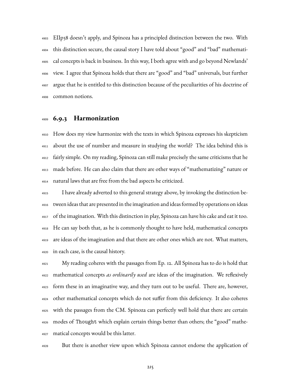EIIp38 doesn't apply, and Spinoza has a principled distinction between the two. With this distinction secure, the causal story I have told about "good" and "bad" mathemati- cal concepts is back in business. In this way, I both agree with and go beyond Newlands' view. I agree that Spinoza holds that there are "good" and "bad" universals, but further argue that he is entitled to this distinction because of the peculiarities of his doctrine of common notions.

#### **6.9.3 Harmonization**

 How does my view harmonize with the texts in which Spinoza expresses his skepticism about the use of number and measure in studying the world? The idea behind this is fairly simple. On my reading, Spinoza can still make precisely the same criticisms that he made before. He can also claim that there are other ways of "mathematizing" nature or natural laws that are free from the bad aspects he criticized.

 I have already adverted to this general strategy above, by invoking the distinction be- tween ideas that are presented in the imagination and ideas formed by operations on ideas of the imagination. With this distinction in play, Spinoza can have his cake and eat it too. He can say both that, as he is commonly thought to have held, mathematical concepts are ideas of the imagination and that there are other ones which are not. What matters, in each case, is the causal history.

 My reading coheres with the passages from Ep. 12. All Spinoza has to do is hold that mathematical concepts *as ordinarily used* are ideas of the imagination. We reflexively form these in an imaginative way, and they turn out to be useful. There are, however, other mathematical concepts which do not suffer from this deficiency. It also coheres with the passages from the CM. Spinoza can perfectly well hold that there are certain modes of Thought which explain certain things better than others; the "good" mathe-matical concepts would be this latter.

But there is another view upon which Spinoza cannot endorse the application of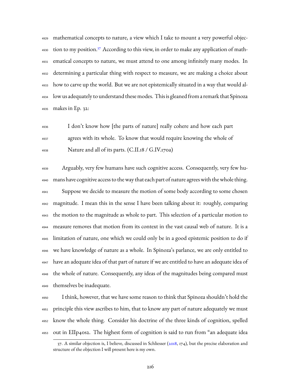mathematical concepts to nature, a view which I take to mount a very powerful objec-4930 tion to my position.<sup>[37](#page-218-0)</sup> According to this view, in order to make any application of math- ematical concepts to nature, we must attend to one among infinitely many modes. In determining a particular thing with respect to measure, we are making a choice about how to carve up the world. But we are not epistemically situated in a way that would al- low us adequately to understand these modes. This is gleaned from a remark that Spinoza makes in Ep. 32:

 I don't know how [the parts of nature] really cohere and how each part agrees with its whole. To know that would require knowing the whole of Nature and all of its parts. (C.II.18 / G.IV.170a)

 Arguably, very few humans have such cognitive access. Consequently, very few hu- mans have cognitive access to the way that each part of nature agrees with the whole thing. Suppose we decide to measure the motion of some body according to some chosen magnitude. I mean this in the sense I have been talking about it: roughly, comparing the motion to the magnitude as whole to part. This selection of a particular motion to measure removes that motion from its context in the vast causal web of nature. It is a limitation of nature, one which we could only be in a good epistemic position to do if we have knowledge of nature as a whole. In Spinoza's parlance, we are only entitled to have an adequate idea of that part of nature if we are entitled to have an adequate idea of the whole of nature. Consequently, any ideas of the magnitudes being compared must themselves be inadequate.

 I think, however, that we have some reason to think that Spinoza shouldn't hold the principle this view ascribes to him, that to know any part of nature adequately we must know the whole thing. Consider his doctrine of the three kinds of cognition, spelled out in EIIp40s2. The highest form of cognition is said to run from "an adequate idea

<span id="page-218-0"></span> $37.$  A similar objection is, I believe, discussed in Schliesser ( $2018$ ,  $174$ ), but the precise elaboration and structure of the objection I will present here is my own.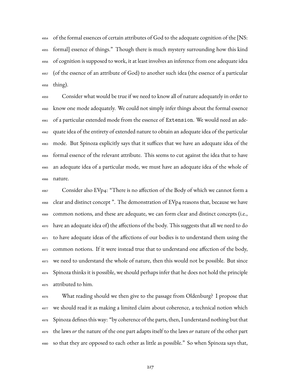of the formal essences of certain attributes of God to the adequate cognition of the [NS: formal] essence of things." Though there is much mystery surrounding how this kind of cognition is supposed to work, it at least involves an inference from one adequate idea (of the essence of an attribute of God) to another such idea (the essence of a particular thing).

 Consider what would be true if we need to know all of nature adequately in order to know one mode adequately. We could not simply infer things about the formal essence of a particular extended mode from the essence of Extension. We would need an ade- quate idea of the entirety of extended nature to obtain an adequate idea of the particular mode. But Spinoza explicitly says that it suffices that we have an adequate idea of the formal essence of the relevant attribute. This seems to cut against the idea that to have an adequate idea of a particular mode, we must have an adequate idea of the whole of nature.

 Consider also EVp4: "There is no affection of the Body of which we cannot form a clear and distinct concept ". The demonstration of EVp4 reasons that, because we have common notions, and these are adequate, we can form clear and distinct concepts (i.e., have an adequate idea of) the affections of the body. This suggests that all we need to do to have adequate ideas of the affections of our bodies is to understand them using the common notions. If it were instead true that to understand one affection of the body, we need to understand the whole of nature, then this would not be possible. But since Spinoza thinks it is possible, we should perhaps infer that he does not hold the principle attributed to him.

 What reading should we then give to the passage from Oldenburg? I propose that we should read it as making a limited claim about coherence, a technical notion which Spinoza defines this way: "by coherence of the parts, then, I understand nothing but that the laws *or* the nature of the one part adapts itself to the laws *or* nature of the other part so that they are opposed to each other as little as possible." So when Spinoza says that,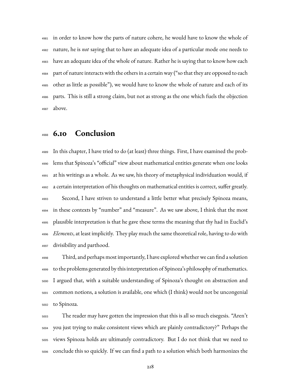in order to know how the parts of nature cohere, he would have to know the whole of nature, he is *not* saying that to have an adequate idea of a particular mode one needs to have an adequate idea of the whole of nature. Rather he is saying that to know how each  $_{4984}$  part of nature interacts with the others in a certain way ("so that they are opposed to each other as little as possible"), we would have to know the whole of nature and each of its parts. This is still a strong claim, but not as strong as the one which fuels the objection above.

## **6.10 Conclusion**

 In this chapter, I have tried to do (at least) three things. First, I have examined the prob- lems that Spinoza's "official" view about mathematical entities generate when one looks at his writings as a whole. As we saw, his theory of metaphysical individuation would, if a certain interpretation of his thoughts on mathematical entities is correct, suffer greatly. Second, I have striven to understand a little better what precisely Spinoza means, in these contexts by "number" and "measure". As we saw above, I think that the most plausible interpretation is that he gave these terms the meaning that thy had in Euclid's *Elements*, at least implicitly. They play much the same theoretical role, having to do with divisibility and parthood.

 Third, and perhaps most importantly, I have explored whether we can find a solution to the problems generated by this interpretation of Spinoza's philosophy of mathematics. I argued that, with a suitable understanding of Spinoza's thought on abstraction and common notions, a solution is available, one which (I think) would not be uncongenial to Spinoza.

 The reader may have gotten the impression that this is all so much eisegesis. "Aren't you just trying to make consistent views which are plainly contradictory?" Perhaps the views Spinoza holds are ultimately contradictory. But I do not think that we need to conclude this so quickly. If we can find a path to a solution which both harmonizes the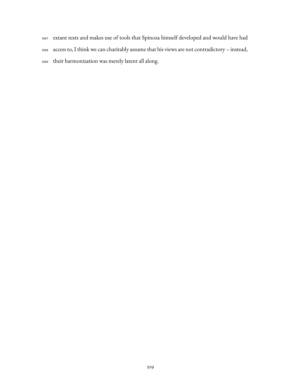- extant texts and makes use of tools that Spinoza himself developed and would have had
- access to, I think we can charitably assume that his views are not contradictory instead,
- their harmonization was merely latent all along.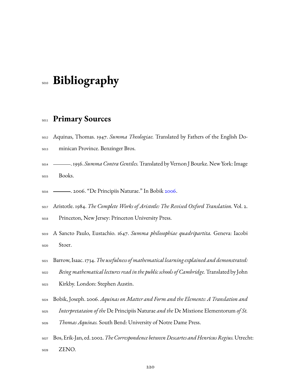# **Bibliography**

### **Primary Sources**

- Aquinas, Thomas. 1947. *Summa Theologiae.* Translated by Fathers of the English Do-
- minican Province. Benzinger Bros.
- . 1956. *Summa Contra Gentiles.*Translated by Vernon J Bourke. New York: Image Books.
- . 2006. "De Principiis Naturae." In Bobik [2006](#page-222-0).
- Aristotle. 1984. *The Complete Works of Aristotle: The Revised Oxford Translation.* Vol. 2.
- Princeton, New Jersey: Princeton University Press.
- A Sancto Paulo, Eustachio. 1647. *Summa philosophiae quadripartita.* Geneva: Iacobi Stoer.
- Barrow, Isaac. 1734.*The usefulness of mathematical learning explained and demonstrated: Being mathematical lectures read in the public schools of Cambridge.*Translated by John
- Kirkby. London: Stephen Austin.
- <span id="page-222-0"></span>Bobik, Joseph. 2006. *Aquinas on Matter and Form and the Elements: A Translation and*
- *Interpretataion of the* De Principiis Naturae *and the* De Mixtione Elementorum *of St.*
- *Thomas Aquinas.* South Bend: University of Notre Dame Press.
- Bos, Erik-Jan, ed. 2002.*The Correspondence between Descartes and HenricusRegius.*Utrecht: ZENO.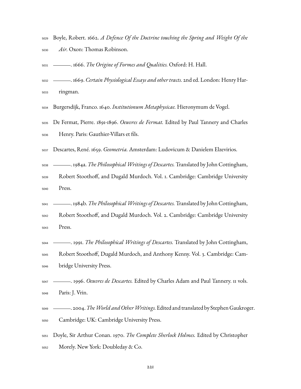- Boyle, Robert. 1662. *A Defence Of the Doctrine touching the Spring and Weight Of the Air.* Oxon: Thomas Robinson.
- . 1666. *The Origine of Formes and Qualities.* Oxford: H. Hall.
- . 1669. *Certain Physiological Essays and other tracts.* 2nd ed. London: Henry Har-ringman.
- Burgersdijk, Franco. 1640. *Institutionum Metaphysicae.* Hieronymum de Vogel.
- De Fermat, Pierre. 1891-1896. *Oeuvres de Fermat.* Edited by Paul Tannery and Charles Henry. Paris: Gauthier-Villars et fils.
- Descartes, René. 1659. *Geometria.* Amsterdam: Ludovicum & Danielem Elzevirios.
- . 1984a. *The PhilosophicalWritings of Descartes.*Translated by John Cottingham,
- Robert Stoothoff, and Dugald Murdoch. Vol. 1. Cambridge: Cambridge University Press.
- . 1984b. *The PhilosophicalWritings of Descartes.*Translated by John Cottingham,
- Robert Stoothoff, and Dugald Murdoch. Vol. 2. Cambridge: Cambridge University Press.
- . 1991. *The Philosophical Writings of Descartes.* Translated by John Cottingham,
- Robert Stoothoff, Dugald Murdoch, and Anthony Kenny. Vol. 3. Cambridge: Cam-bridge University Press.
- . 1996. *Oeuvres de Descartes.* Edited by Charles Adam and Paul Tannery. 11 vols. Paris: J. Vrin.
- . 2004.*TheWorld andOtherWritings.*Edited and translated by Stephen Gaukroger. Cambridge: UK: Cambridge University Press.
- Doyle, Sir Arthur Conan. 1970. *The Complete Sherlock Holmes.* Edited by Christopher Morely. New York: Doubleday & Co.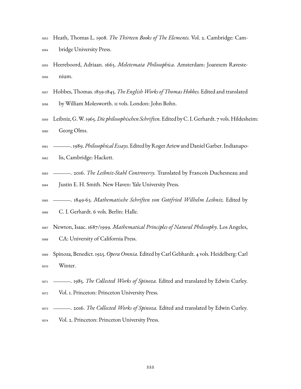- Heath, Thomas L. 1908. *The Thirteen Books of The Elements.* Vol. 2. Cambridge: Cam-bridge University Press.
- Heereboord, Adriaan. 1665. *Meletemata Philosophica.* Amsterdam: Joannem Raveste-nium.
- Hobbes, Thomas. 1839-1845. *The EnglishWorks of Thomas Hobbes.* Edited and translated by William Molesworth. 11 vols. London: John Bohn.
- Leibniz, G.W.1965.*Die philosophischen Schriften.*Edited by C. I. Gerhardt. 7 vols.Hildesheim: Georg Olms.
- .1989.*Philosophical Essays.*Edited by RogerAriew and Daniel Garber. Indianapo-
- lis, Cambridge: Hackett.
- . 2016. *The Leibniz-Stahl Controversy.* Translated by Francois Duchesneau and
- Justin E. H. Smith. New Haven: Yale University Press.
- . 1849-63. *Mathematische Schriften von Gottfried Wilhelm Leibniz.* Edited by
- C. I. Gerhardt. 6 vols. Berlin: Halle.
- Newton, Isaac. 1687/1999. *Mathematical Principles of Natural Philosophy.* Los Angeles,
- CA: University of California Press.
- Spinoza, Benedict. 1925.*Opera Omnia.* Edited by Carl Gebhardt. 4 vols. Heidelberg: Carl Winter.
- . 1985. *The Collected Works of Spinoza.* Edited and translated by Edwin Curley.
- Vol. 1. Princeton: Princeton University Press.
- . 2016. *The Collected Works of Spinoza.* Edited and translated by Edwin Curley.
- Vol. 2. Princeton: Princeton University Press.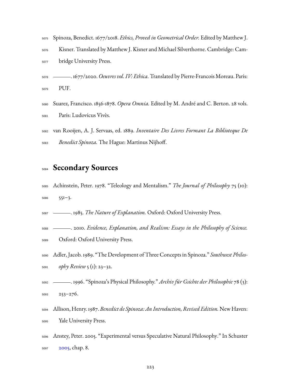|      | 5075 Spinoza, Benedict. 1677/2018. <i>Ethics, Proved in Geometrical Order</i> . Edited by Matthew J. |
|------|------------------------------------------------------------------------------------------------------|
| 5076 | Kisner. Translated by Matthew J. Kisner and Michael Silverthorne. Cambridge: Cam-                    |
| 5077 | bridge University Press.                                                                             |

- . 1677/2020.*Oeuvres vol. IV: Ethica.*Translated by Pierre-Francois Moreau. Paris: PUF.
- Suarez, Francisco. 1856-1878. *Opera Omnia.* Edited by M. André and C. Berton. 28 vols. Paris: Ludovicus Vivès.
- van Rooijen, A. J. Servaas, ed. 1889. *Inventaire Des Livres Formant La Biblioteque De Benedict Spinoza.* The Hague: Martinus Nijhoff.

### **Secondary Sources**

 Achinstein, Peter. 1978. "Teleology and Mentalism." *The Journal of Philosophy* 75 (10): 551–3.

. 1985. *The Nature of Explanation.* Oxford: Oxford University Press.

- . 2010. *Evidence, Explanation, and Realism: Essays in the Philosophy of Science.*
- Oxford: Oxford University Press.
- Adler, Jacob. 1989. "The Development of Three Concepts in Spinoza." *Southwest Philos-ophy Review* 5 (1): 23–32.
- . 1996. "Spinoza's Physical Philosophy." *Archiv für Gsichte der Philosophie* 78 (3):
- 253–276.
- Allison, Henry. 1987. *Benedict de Spinoza: An Introduction, Revised Edition.*New Haven: Yale University Press.
- Anstey, Peter. 2005. "Experimental versus Speculative Natural Philosophy." In Schuster [2005](#page-236-1), chap. 8.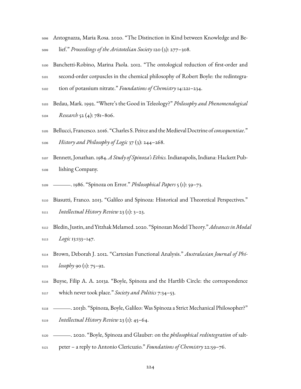- Antognazza, Maria Rosa. 2020. "The Distinction in Kind between Knowledge and Be-lief." *Proceedings of the Aristotelian Society* 120 (3): 277–308.
- Banchetti-Robino, Marina Paola. 2012. "The ontological reduction of first-order and second-order corpuscles in the chemical philosophy of Robert Boyle: the redintegra-tion of potassium nitrate." *Foundations of Chemistry* 14:221–234.
- Bedau, Mark. 1992. "Where's the Good in Teleology?" *Philosophy and Phenomenological Research* 52 (4): 781–806.
- Bellucci, Francesco. 2016. "Charles S. Peirce and theMedieval Doctrine of*consequentiae*." *History and Philosophy of Logic* 37 (3): 244–268.
- Bennett, Jonathan. 1984.*A Study of Spinoza's Ethics.*Indianapolis, Indiana: Hackett Pub-lishing Company.
- . 1986. "Spinoza on Error." *Philosophical Papers* 5 (1): 59–73.
- Biasutti, Franco. 2013. "Galileo and Spinoza: Historical and Theoretical Perspectives." *Intellectual History Review* 23 (1): 3–23.
- Bledin, Justin, and YitzhakMelamed. 2020. "SpinozanModelTheory."*AdvancesinModal Logic* 13:133–147.
- Brown, Deborah J. 2012. "Cartesian Functional Analysis." *Australasian Journal of Phi-losophy* 90 (1): 75–92.
- Buyse, Filip A. A. 2013a. "Boyle, Spinoza and the Hartlib Circle: the correspondence which never took place." *Society and Politics* 7:34–53.
- . 2013b. "Spinoza, Boyle, Galileo: Was Spinoza a Strict Mechanical Philosopher?" *Intellectual History Review* 23 (1): 45–64.
- . 2020. "Boyle, Spinoza and Glauber: on the *philosophical redintegration* of salt-
- peter a reply to Antonio Clericuzio." *Foundations of Chemistry* 22:59–76.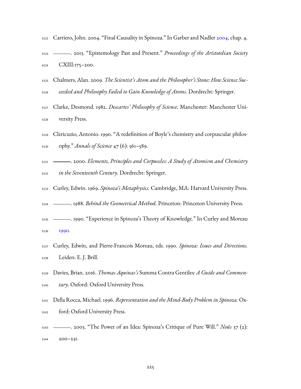|      | 5122 Carriero, John. 2004. "Final Causality in Spinoza." In Garber and Nadler 2004, chap. 4. |
|------|----------------------------------------------------------------------------------------------|
|      | 5123 — 2013. "Epistemology Past and Present." Proceedings of the Aristotelian Society        |
| 5124 | CXIII:175–200.                                                                               |
| 5125 | Chalmers, Alan. 2009. The Scientist's Atom and the Philosopher's Stone: How Science Suc-     |

- *ceeded and Philosophy Failed to Gain Knowledge of Atoms.* Dordrecht: Springer.
- Clarke, Desmond. 1982. *Descartes' Philosophy of Science.* Manchester: Manchester Uni-versity Press.
- Clericuzio, Antonio. 1990. "A redefinition of Boyle's chemistry and corpuscular philos-ophy." *Annals of Science* 47 (6): 561–589.
- . 2000. *Elements, Principles and Corpuscles: A Study of Atomism and Chemistry in the Seventeenth Century.* Dordrecht: Springer.
- Curley, Edwin. 1969. *Spinoza's Metaphysics.* Cambridge, MA: Harvard University Press.
- . 1988. *Behind the Geometrical Method.* Princeton: Princeton University Press.
- . 1990. "Experience in Spinoza's Theory of Knowledge." In Curley and Moreau [1990](#page-227-0).
- <span id="page-227-0"></span> Curley, Edwin, and Pierre-Francois Moreau, eds. 1990. *Spinoza: Issues and Directions.* Leiden: E. J. Brill.
- Davies, Brian. 2016. *Thomas Aquinas's* Summa Contra Gentiles*: A Guide and Commen-tary.* Oxford: Oxford University Press.
- Della Rocca, Michael. 1996. *Representation and the Mind-Body Problem in Spinoza.* Ox-ford: Oxford University Press.
- . 2003. "The Power of an Idea: Spinoza's Critique of Pure Will." *Noûs* 37 (2): 200–231.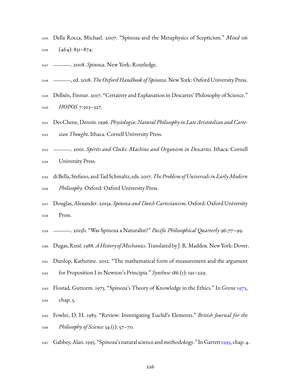- Della Rocca, Michael. 2007. "Spinoza and the Metaphysics of Scepticism." *Mind* 116  $(464): 85I-874.$
- . 2008. *Spinoza.* New York: Routledge.
- <span id="page-228-1"></span>, ed. 2018. *The Oxford Handbook of Spinoza.* New York: Oxford University Press.
- Dellsén, Finnur. 2017. "Certainty and Explanation in Descartes' Philosophy of Science." *HOPOS* 7:303–327.
- Des Chene, Dennis.1996. *Physiologia: Natural Philosophyin Late Aristotelian and Carte-sian Thought.* Ithaca: Cornell University Press.
- . 2001. *Spirits and Clocks: Machine and Organism in Descartes.* Ithaca: Cornell University Press.
- <span id="page-228-0"></span> di Bella, Stefano, and Tad Schmaltz, eds. 2017.*The Problem of Universalsin EarlyModern Philosophy.* Oxford: Oxford University Press.
- Douglas, Alexander. 2015a. *Spinoza and Dutch Cartesianism.* Oxford: Oxford University Press.
- . 2015b. "Was Spinoza a Naturalist?" *Pacific Philosophical Quarterly* 96:77–99.
- Dugas, René.1988.*A History ofMechanics.*Translated by J. R.Maddox. New York: Dover.
- Dunlop, Katherine. 2012. "The mathematical form of measurement and the argument for Proposition I in Newton's Principia." *Synthese* 186 (1): 191–229.
- Flostad, Guttorm. 1973. "Spinoza's Theory of Knowledge in the Ethics." In Grene [1973](#page-229-1), chap. 5.
- Fowler, D. H. 1983. "Review: Investigating Euclid's Elements." *British Journal for the Philosophy of Science* 34 (1): 57–70.
- 5167 Gabbey, Alan. [1995](#page-229-2). "Spinoza's natural science and methodology." In Garrett 1995, chap. 4.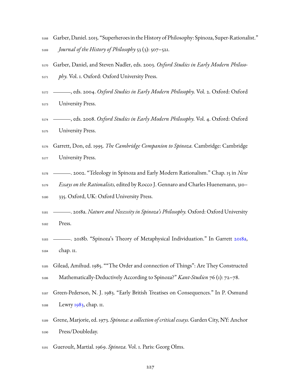- Garber, Daniel. 2015. "Superheroes in theHistory of Philosophy: Spinoza, Super-Rationalist." *Journal of the History of Philosophy* 53 (3): 507–521.
- <span id="page-229-4"></span> Garber, Daniel, and Steven Nadler, eds. 2003. *Oxford Studies in Early Modern Philoso-phy.* Vol. 1. Oxford: Oxford University Press.
- <span id="page-229-0"></span>, eds. 2004. *Oxford Studies in Early Modern Philosophy.* Vol. 2. Oxford: Oxford
- University Press.
- <span id="page-229-5"></span> , eds. 2008. *Oxford Studies in Early Modern Philosophy.* Vol. 4. Oxford: Oxford University Press.
- <span id="page-229-2"></span> Garrett, Don, ed. 1995. *The Cambridge Companion to Spinoza.* Cambridge: Cambridge University Press.
- . 2002. "Teleology in Spinoza and Early Modern Rationalism." Chap. 15 in *New*
- *Essays on the Rationalists,*edited by Rocco J. Gennaro and Charles Huenemann, 310– 335. Oxford, UK: Oxford University Press.
- <span id="page-229-3"></span> . 2018a. *Nature and Necessity in Spinoza's Philosophy.* Oxford: Oxford University Press.
- 5183 . 2018b. "Spinoza's Theory of Metaphysical Individuation." In Garrett [2018a](#page-229-3), chap. 11.
- Gilead, Amihud. 1985. ""The Order and connection of Things": Are They Constructed Mathematically-Deductively According to Spinoza?" *Kant-Studien* 76 (1): 72–78.
- Green-Pederson, N. J. 1983. "Early British Treatises on Consequences." In P. Osmund Lewry [1983](#page-234-1), chap. 11.
- <span id="page-229-1"></span> Grene, Marjorie, ed. 1973. *Spinoza: a collection of critical essays.* Garden City, NY: Anchor Press/Doubleday.
- Gueroult, Martial. 1969. *Spinoza.* Vol. 1. Paris: Georg Olms.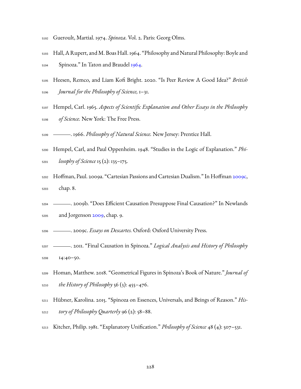- Gueroult, Martial. 1974. *Spinoza.* Vol. 2. Paris: Georg Olms.
- Hall, A Rupert, and M. Boas Hall. 1964. "Philosophy and Natural Philosophy: Boyle and Spinoza." In Taton and Braudel [1964](#page-237-0).
- Heesen, Remco, and Liam Kofi Bright. 2020. "Is Peer Review A Good Idea?" *British Journal for the Philosophy of Science,* 1–31.
- Hempel, Carl. 1965. *Aspects of Scientific Explanation and Other Essays in the Philosophy of Science.* New York: The Free Press.
- . 1966. *Philosophy of Natural Science.* New Jersey: Prentice Hall.
- Hempel, Carl, and Paul Oppenheim. 1948. "Studies in the Logic of Explanation." *Phi-losophy of Science* 15 (2): 135–175.
- Hoffman, Paul. 2009a. "Cartesian Passions and Cartesian Dualism." In Hoffman [2009c](#page-230-0), chap. 8.
- . 2009b. "Does Efficient Causation Presuppose Final Causation?" In Newlands and Jorgenson 2009, chap. 9.
- <span id="page-230-0"></span>. 2009c. *Essays on Descartes.* Oxford: Oxford University Press.
- . 2011. "Final Causation in Spinoza." *Logical Analysis and History of Philosophy* 14:40–50.
- Homan, Matthew. 2018. "Geometrical Figures in Spinoza's Book of Nature." *Journal of the History of Philosophy* 56 (3): 455–476.
- Hübner, Karolina. 2015. "Spinoza on Essences, Universals, and Beings of Reason." *His-tory of Philosophy Quarterly* 96 (2): 58–88.
- Kitcher, Philip. 1981. "Explanatory Unification." *Philosophy of Science* 48 (4): 507–531.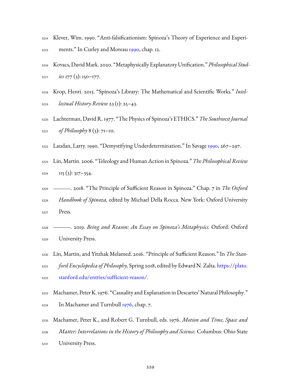- Klever, Wim. 1990. "Anti-falsificationism: Spinoza's Theory of Experience and Experi-ments." In Curley and Moreau [1990](#page-227-0), chap. 12.
- Kovacs, DavidMark. 2020. "Metaphysically Explanatory Unification."*Philosophical Stud-ies* 177 (3): 150–177.
- Krop, Henri. 2013. "Spinoza's Library: The Mathematical and Scientific Works." *Intel-lectual History Review* 23 (1): 25–43.
- Lachterman, David R. 1977. "The Physics of Spinoza's ETHICS." *The Southwest Journal of Philosophy* 8 (3): 71–111.
- Laudan, Larry. 1990. "Demystifying Underdetermination." In Savage [1990](#page-235-0), 267–297.
- Lin, Martin. 2006. "Teleology and Human Action in Spinoza." *The Philosophical Review* IIS (3):  $317-354$ .
- . 2018. "The Principle of Sufficient Reason in Spinoza." Chap. 7 in *The Oxford Handbook of Spinoza,* edited by Michael Della Rocca. New York: Oxford University Press.
- . 2019. *Being and Reason: An Essay on Spinoza's Metaphysics.* Oxford: Oxford University Press.
- Lin, Martin, and Yitzhak Melamed. 2016. "Principle of Sufficient Reason." In *The Stan- ford Encyclopedia of Philosophy,* Spring 2018, edited by Edward N. Zalta. [https://plato.](https://plato.stanford.edu/entries/sufficient-reason/) [stanford.edu/entries/sufficient-reason/.](https://plato.stanford.edu/entries/sufficient-reason/)
- Machamer, PeterK.1976. "Causality and Explanation in Descartes' Natural Philosophy."  $_{5234}$  In Machamer and Turnbull [1976](#page-231-0), chap. 7.
- <span id="page-231-0"></span> Machamer, Peter K., and Robert G. Turnbull, eds. 1976. *Motion and Time, Space and Matter: Interrelations in the History of Philosophy and Science.* Columbus: Ohio State University Press.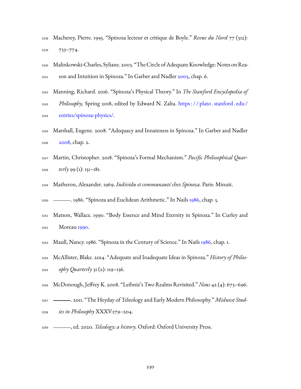Macherey, Pierre. 1995. "Spinoza lecteur et critique de Boyle." *Revue du Nord* 77 (312): 733–774.

5240 Malinkowski-Charles, Syliane. 2003. "The Circle of Adequate Knowledge: Notes on Rea-<sub>5241</sub> son and Intuition in Spinoza." In Garber and Nadler [2003](#page-229-4), chap. 6.

 Manning, Richard. 2016. "Spinoza's Physical Theory." In *The Stanford Encyclopedia of Philosophy,* Spring 2018, edited by Edward N. Zalta. [https : / / plato . stanford . edu /](https://plato.stanford.edu/entries/spinoza-physics/) [entries/spinoza-physics/.](https://plato.stanford.edu/entries/spinoza-physics/)

- Marshall, Eugene. 2008. "Adequacy and Innateness in Spinoza." In Garber and Nadler [2008](#page-229-5), chap. 2.
- Martin, Christopher. 2018. "Spinoza's Formal Mechanism." *Pacific Philosophical Quar-terly* 99 (1): 151–181.
- Matheron, Alexander. 1969. *Individu et communauté chez Spinoza.* Paris: Minuit.

. 1986. "Spinoza and Euclidean Arithmetic." In Nails [1986,](#page-234-2) chap. 5.

- Matson, Wallace. 1990. "Body Essence and Mind Eternity in Spinoza." In Curley and Moreau [1990.](#page-227-0)
- Maull, Nancy. 1986. "Spinoza in the Century of Science." In Nails [1986](#page-234-2), chap. 1.
- McAllister, Blake. 2014. "Adequate and Inadequate Ideas in Spinoza." *History of Philos-ophy Quarterly* 31 (2): 119–136.
- McDonough, Jeffrey K. 2008. "Leibniz's Two Realms Revisited." *Nous* 42 (4): 673–696.
- . 2011. "The Heyday of Teleology and Early Modern Philosophy." *Midwest Stud-ies in Philosophy* XXXV:179–204.
- <span id="page-232-0"></span>, ed. 2020. *Teleology: a history.* Oxford: Oxford University Press.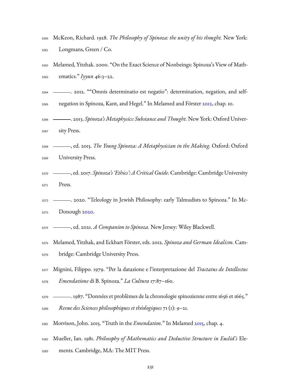|      | 5260 McKeon, Richard. 1928. The Philosophy of Spinoza: the unity of his thought. New York: |  |
|------|--------------------------------------------------------------------------------------------|--|
| 5261 | Longmans, Green / Co.                                                                      |  |

- Melamed, Yitzhak. 2000. "On the Exact Science of Nonbeings: Spinoza's View of Math-ematics." *Iyyun* 46:3–22.
- . 2012. ""Omnis determinatio est negatio": determination, negation, and self-
- negation in Spinoza, Kant, and Hegel." In Melamed and Förster [2012,](#page-233-0) chap. 10.
- . 2013. *Spinoza's Metaphysics: Substance and Thought.* New York: Oxford Univer-sity Press.
- <span id="page-233-1"></span> , ed. 2015. *The Young Spinoza: A Metaphysician in the Making.* Oxford: Oxford University Press.
- <span id="page-233-2"></span> , ed. 2017. *Spinoza's 'Ethics': A Critical Guide.* Cambridge: Cambridge University Press.
- . 2020. "Teleology in Jewish Philosophy: early Talmudists to Spinoza." In Mc-Donough [2020.](#page-232-0)
- <span id="page-233-3"></span>, ed. 2021. *A Companion to Spinoza.* New Jersey: Wiley Blackwell.
- <span id="page-233-0"></span> Melamed, Yitzhak, and Eckhart Förster, eds. 2012. *Spinoza and German Idealism.* Cam-bridge: Cambridge University Press.
- Mignini, Filippo. 1979. "Per la datazione e l'interpretazione del *Tractatus de Intellectus Emendatione* di B. Spinoza." *La Cultura* 17:87–160.
- . 1987. "Données et problèmes de la chronologie spinozienne entre 1656 et 1665."
- *Revue des Sciences philosophiques et théologiques* 71 (1): 9–21.
- Morrison, John. 2015. "Truth in the *Emendation*." In Melamed [2015,](#page-233-1) chap. 4.
- Mueller, Ian. 1981. *Philosophy of Mathematics and Deductive Structure in Euclid's* Ele-
- ments*.* Cambridge, MA: The MIT Press.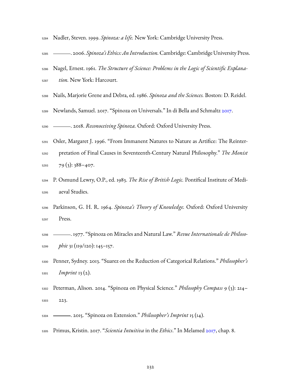- Nadler, Steven. 1999. *Spinoza: a life.* New York: Cambridge University Press.
- . 2006. *Spinoza's Ethics: An Introduction.*Cambridge: Cambridge University Press.
- Nagel, Ernest. 1961. *The Structure of Science: Problems in the Logic of Scientific Explana-*
- <span id="page-234-2"></span>*tion.* New York: Harcourt.
- Nails, Marjorie Grene and Debra, ed. 1986. *Spinoza and the Sciences.* Boston: D. Reidel.
- <span id="page-234-0"></span>Newlands, Samuel. 2017. "Spinoza on Universals." In di Bella and Schmaltz [2017](#page-228-0).
- . 2018. *Reconoceiving Spinoza.* Oxford: Oxford University Press.
- Osler, Margaret J. 1996. "From Immanent Natures to Nature as Artifice: The Reinter- pretation of Final Causes in Seventeenth-Century Natural Philosophy." *The Monist* 79 (3):  $388-407$ .
- <span id="page-234-1"></span> P. Osmund Lewry, O.P., ed. 1983. *The Rise of British Logic.* Pontifical Institute of Medi-aeval Studies.
- Parkinson, G. H. R. 1964. *Spinoza's Theory of Knowledge.* Oxford: Oxford University Press.
- . 1977. "Spinoza on Miracles and Natural Law." *Revue Internationale de Philoso-phie* 31 (119/120): 145–157.
- Penner, Sydney. 2013. "Suarez on the Reduction of Categorical Relations." *Philosopher's Imprint* 13 (2).
- Peterman, Alison. 2014. "Spinoza on Physical Science." *Philosophy Compass* 9 (3): 214– 223.
- . 2015. "Spinoza on Extension." *Philosopher's Imprint* 15 (14).
- Primus, Kristin. 2017. "*Scientia Intuitiva* in the *Ethics*." In Melamed [2017,](#page-233-2) chap. 8.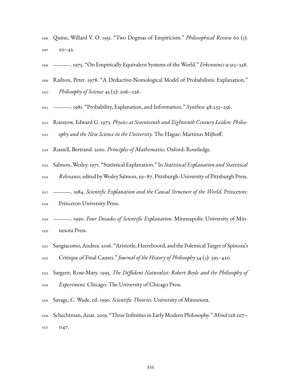- Quine, Willard V. O. 1951. "Two Dogmas of Empiricism." *Philosophical Review* 60 (1): 20–43.
- . 1975. "On Empirically Equivalent Systems of the World." *Erkenntnis* 9:313–328.
- Railton, Peter. 1978. "A Deductive-Nomological Model of Probabilistic Explanation."
- *Philosophy of Science* 45 (2): 206–226.
- . 1981. "Probability, Explanation, and Information." *Synthese* 48:233–256.
- Ruestow, Edward G. 1973. *Physics at Seventeenth and Eighteenth Century Leiden: Philos-ophy and the New Science in the University.* The Hague: Martinus Mijhoff.
- Russell, Bertrand. 2010. *Principles of Mathematics.* Oxford: Routledge.
- Salmon, Wesley. 1971. "Statistical Explanation." In *Statistical Explanation and Statistical*
- *Relevance,*edited byWesley Salmon, 29–87. Pittsburgh: University of Pittsburgh Press.
- . 1984. *Scientific Explanation and the Causal Structure of the World.* Princeton:
- Princeton University Press.
- . 1990. *Four Decades of Scientific Explanation.* Minneapolis: University of Min-nesota Press.
- Sangiacomo,Andrea. 2016. "Aristotle,Heereboord, and the PolemicalTarget of Spinoza's Critique of Final Causes." *Journal of the History of Philosophy* 54 (3): 395–420.
- Sargent, Rose-Mary. 1995. *The Diffident Naturalist: Robert Boyle and the Philosophy of*
- *Experiment.* Chicago: The University of Chicago Press.
- <span id="page-235-0"></span>Savage, C. Wade, ed. 1990. *Scientific Theories.* University of Minnesota.
- Schechtman, Anat. 2019. "Three Infinities in Early Modern Philosophy."*Mind* 128:1117– 5327 II47.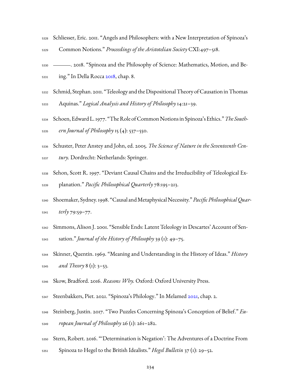- Schliesser, Eric. 2011. "Angels and Philosophers: with a New Interpretation of Spinoza's Common Notions." *Proceedings of the Aristotelian Society* CXI:497–518.
- <span id="page-236-0"></span> . 2018. "Spinoza and the Philosophy of Science: Mathematics, Motion, and Be-ing." In Della Rocca [2018,](#page-228-1) chap. 8.
- Schmid, Stephan. 2011. "Teleology and the Dispositional Theory of Causation in Thomas
- Aquinas." *Logical Analysis and History of Philosophy* 14:21–39.
- Schoen, Edward L.1977. "The Role of Common Notions in Spinoza's Ethics."*The South-ern Journal of Philosophy* 15 (4): 537–550.
- <span id="page-236-1"></span>Schuster, Peter Anstey and John, ed. 2005. *The Science of Nature in the Seventeenth Cen-*
- *tury.* Dordrecht: Netherlands: Springer.
- Sehon, Scott R. 1997. "Deviant Causal Chains and the Irreducibility of Teleological Ex-planation." *Pacific Philosophical Quarterly* 78:195–213.
- Shoemaker, Sydney.1998. "Causal andMetaphysical Necessity."*Pacific PhilosophicalQuar-terly* 79:59–77.
- Simmons, Alison J. 2001. "Sensible Ends: Latent Teleology in Descartes' Account of Sen-sation." *Journal of the History of Philosophy* 39 (1): 49–75.
- Skinner, Quentin. 1969. "Meaning and Understanding in the History of Ideas." *History and Theory* 8 (1): 3–53.
- Skow, Bradford. 2016. *Reasons Why.* Oxford: Oxford University Press.
- Steenbakkers, Piet. 2021. "Spinoza's Philology." In Melamed [2021](#page-233-3), chap. 2.
- Steinberg, Justin. 2017. "Two Puzzles Concerning Spinoza's Conception of Belief." *Eu-ropean Journal of Philosophy* 26 (1): 261–282.
- Stern, Robert. 2016. "'Determination is Negation': The Adventures of a Doctrine From
- Spinoza to Hegel to the British Idealists." *Hegel Bulletin* 37 (1): 29–52.